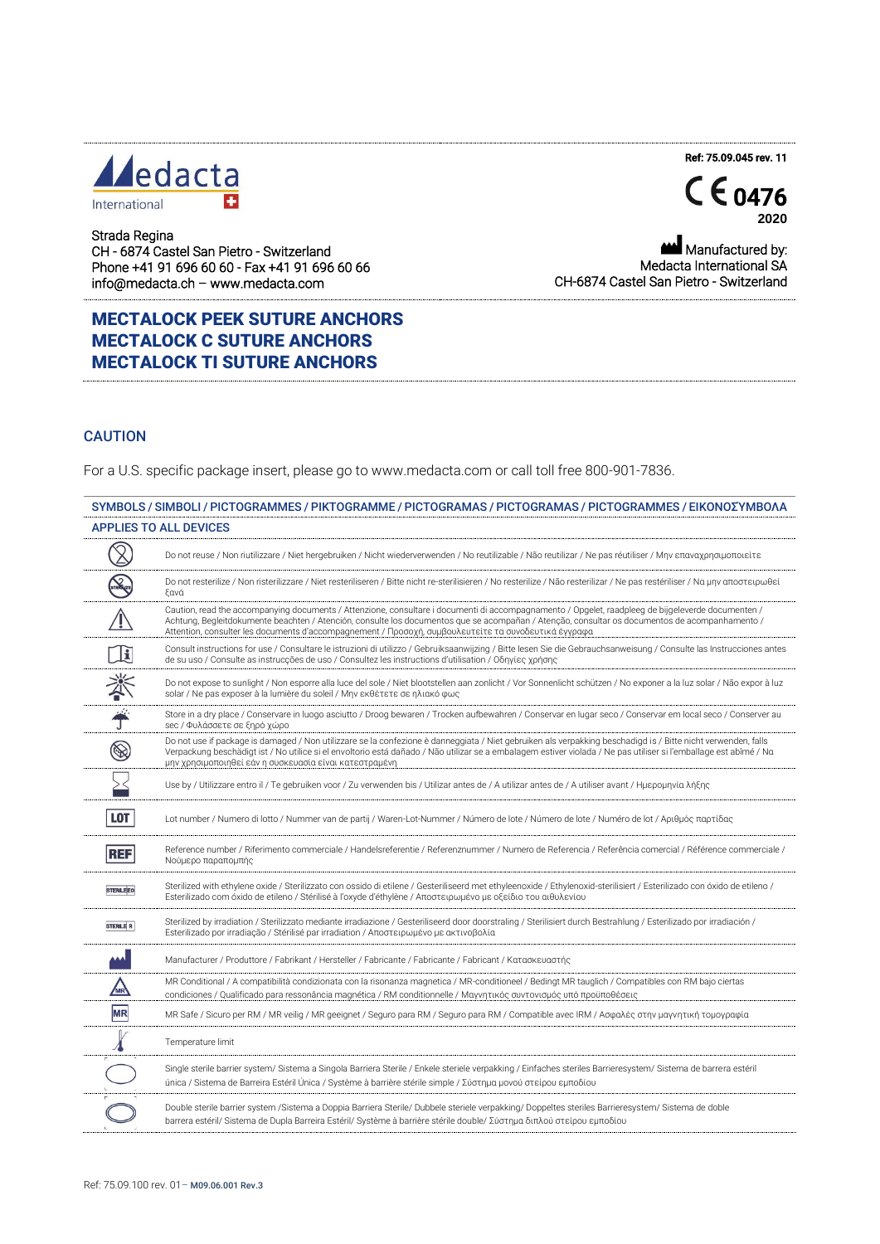## ledacta  $\ddot{}$ International



Ref: 75.09.045 rev. 11

Strada Regina CH - 6874 Castel San Pietro - Switzerland Phone +41 91 696 60 60 - Fax +41 91 696 60 66 info@medacta.ch – www.medacta.com

MECTALOCK PEEK SUTURE ANCHORS MECTALOCK C SUTURE ANCHORS MECTALOCK TI SUTURE ANCHORS

Manufactured by: Medacta International SA CH-6874 Castel San Pietro - Switzerland

## **CAUTION**

For a U.S. specific package insert, please go to www.medacta.com or call toll free 800-901-7836.

|                      | <b>APPLIES TO ALL DEVICES</b>                                                                                                                                                                                                                                                                                                                                                                                |
|----------------------|--------------------------------------------------------------------------------------------------------------------------------------------------------------------------------------------------------------------------------------------------------------------------------------------------------------------------------------------------------------------------------------------------------------|
| $\mathbb{Z}$         | Do not reuse / Non riutilizzare / Niet hergebruiken / Nicht wiederverwenden / No reutilizable / Não reutilizar / Ne pas réutiliser / Μην επαναχρησιμοποιείτε                                                                                                                                                                                                                                                 |
|                      | Do not resterilize / Non risterilizzare / Niet resteriliseren / Bitte nicht re-sterilisieren / No resterilize / Não resterilizar / Ne pas restériliser / Να μην αποστειρωθεί<br>ξανά                                                                                                                                                                                                                         |
|                      | Caution, read the accompanying documents / Attenzione, consultare i documenti di accompagnamento / Opgelet, raadpleeg de bijgeleverde documenten /<br>Achtung, Begleitdokumente beachten / Atención, consulte los documentos que se acompañan / Atenção, consultar os documentos de acompanhamento /<br>Attention, consulter les documents d'accompagnement / Προσοχή, συμβουλευτείτε τα συνοδευτικά έγγραφα |
| 頂                    | Consult instructions for use / Consultare le istruzioni di utilizzo / Gebruiksaanwijzing / Bitte lesen Sie die Gebrauchsanweisung / Consulte las Instrucciones antes<br>de su uso / Consulte as instrucções de uso / Consultez les instructions d'utilisation / Οδηγίες χρήσης                                                                                                                               |
| 举手                   | Do not expose to sunlight / Non esporre alla luce del sole / Niet blootstellen aan zonlicht / Vor Sonnenlicht schützen / No exponer a la luz solar / Não expor à luz<br>solar / Ne pas exposer à la lumière du soleil / Μην εκθέτετε σε ηλιακό φως                                                                                                                                                           |
|                      | Store in a dry place / Conservare in luogo asciutto / Droog bewaren / Trocken aufbewahren / Conservar en lugar seco / Conservar em local seco / Conserver au<br>sec / Φυλάσσετε σε ξηρό χώρο                                                                                                                                                                                                                 |
| $\circledS$          | Do not use if package is damaged / Non utilizzare se la confezione è danneggiata / Niet gebruiken als verpakking beschadigd is / Bitte nicht verwenden, falls<br>Verpackung beschädigt ist / No utilice si el envoltorio está dañado / Não utilizar se a embalagem estiver violada / Ne pas utiliser si l'emballage est abîmé / Ng<br>μην χρησιμοποιηθεί εάν η συσκευασία είναι κατεστραμένη                 |
|                      | Use by / Utilizzare entro il / Te gebruiken voor / Zu verwenden bis / Utilizar antes de / A utilizar antes de / A utiliser avant / Ημερομηνία λήξης                                                                                                                                                                                                                                                          |
| <b>LOT</b>           | Lot number / Numero di lotto / Nummer van de partij / Waren-Lot-Nummer / Número de lote / Número de lote / Νuméro de lot / Αριθμός παρτίδας                                                                                                                                                                                                                                                                  |
| <b>REF</b>           | Reference number / Riferimento commerciale / Handelsreferentie / Referenznummer / Numero de Referencia / Referência comercial / Référence commerciale /<br>Νούμερο παραπομπής                                                                                                                                                                                                                                |
| <b>STERILE EO</b>    | Sterilized with ethylene oxide / Sterilizzato con ossido di etilene / Gesteriliseerd met ethyleenoxide / Ethylenoxid-sterilisiert / Esterilizado con óxido de etileno /<br>Esterilizado com óxido de etileno / Stérilisé à l'oxyde d'éthylène / Αποστειρωμένο με οξείδιο του αιθυλενίου                                                                                                                      |
| STERILE <sup>R</sup> | Sterilized by irradiation / Sterilizzato mediante irradiazione / Gesteriliseerd door doorstraling / Sterilisiert durch Bestrahlung / Esterilizado por irradiación /<br>Esterilizado por irradiação / Stérilisé par irradiation / Αποστειρωμένο με ακτινοβολία                                                                                                                                                |
|                      | Manufacturer / Produttore / Fabrikant / Hersteller / Fabricante / Fabricante / Fabricant / Κατασκευαστής                                                                                                                                                                                                                                                                                                     |
| MR                   | MR Conditional / A compatibilità condizionata con la risonanza magnetica / MR-conditioneel / Bedingt MR tauglich / Compatibles con RM bajo ciertas<br>condiciones / Qualificado para ressonância magnética / RM conditionnelle / Μαγνητικός συντονισμός υπό προϋποθέσεις                                                                                                                                     |
| <b>MR</b>            | MR Safe / Sicuro per RM / MR veilig / MR geeignet / Seguro para RM / Seguro para RM / Compatible avec IRM / Ασφαλές στην μαγνητική τομογραφία                                                                                                                                                                                                                                                                |
|                      | Temperature limit                                                                                                                                                                                                                                                                                                                                                                                            |
|                      | Single sterile barrier system/ Sistema a Singola Barriera Sterile / Enkele steriele verpakking / Einfaches steriles Barrieresystem/ Sistema de barrera estéril<br>única / Sistema de Barreira Estéril Única / Système à barrière stérile simple / Σύστημα μονού στείρου εμποδίου                                                                                                                             |
|                      | Double sterile barrier system /Sistema a Doppia Barriera Sterile/ Dubbele steriele verpakking/ Doppeltes steriles Barrieresystem/ Sistema de doble<br>barrera estéril/ Sistema de Dupla Barreira Estéril/ Système à barrière stérile double/ Σύστημα διπλού στείρου εμποδίου                                                                                                                                 |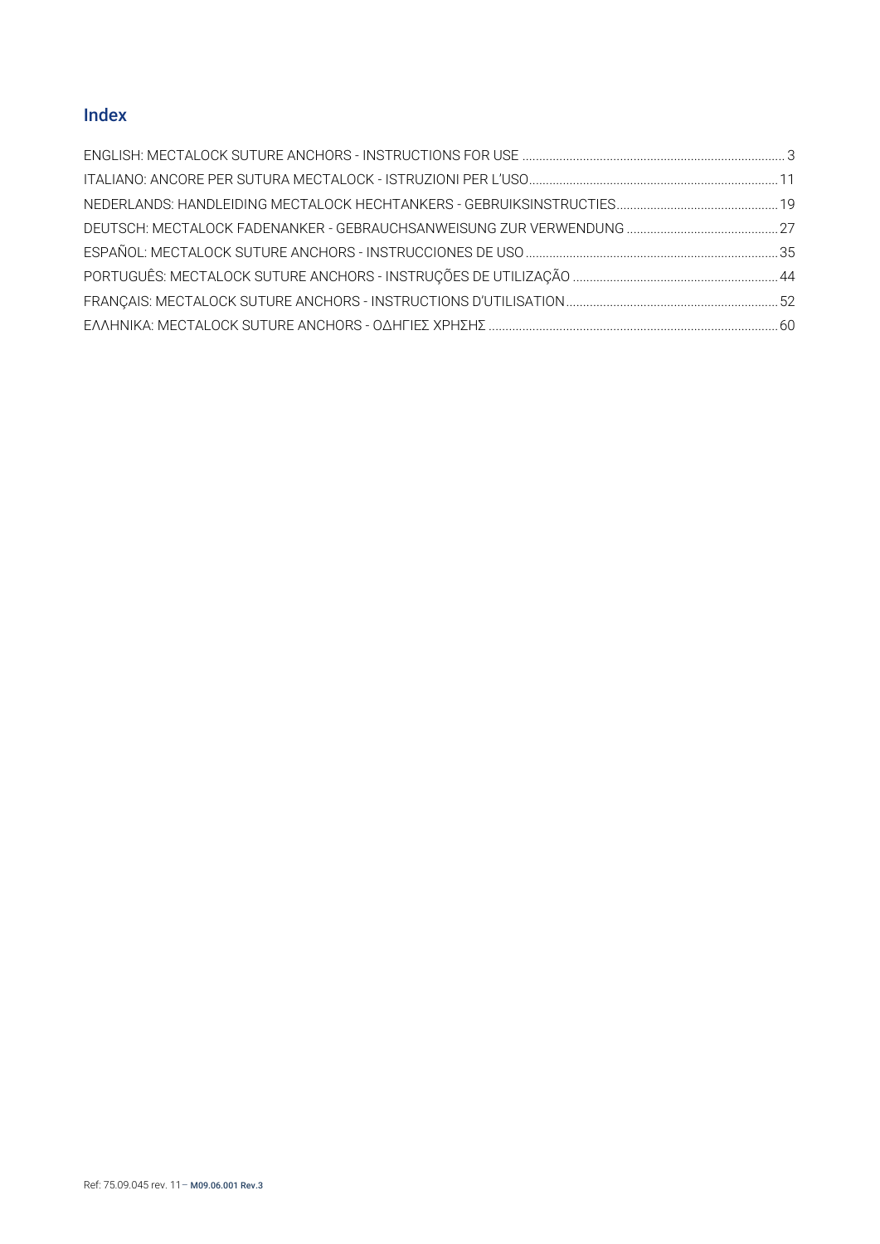# Index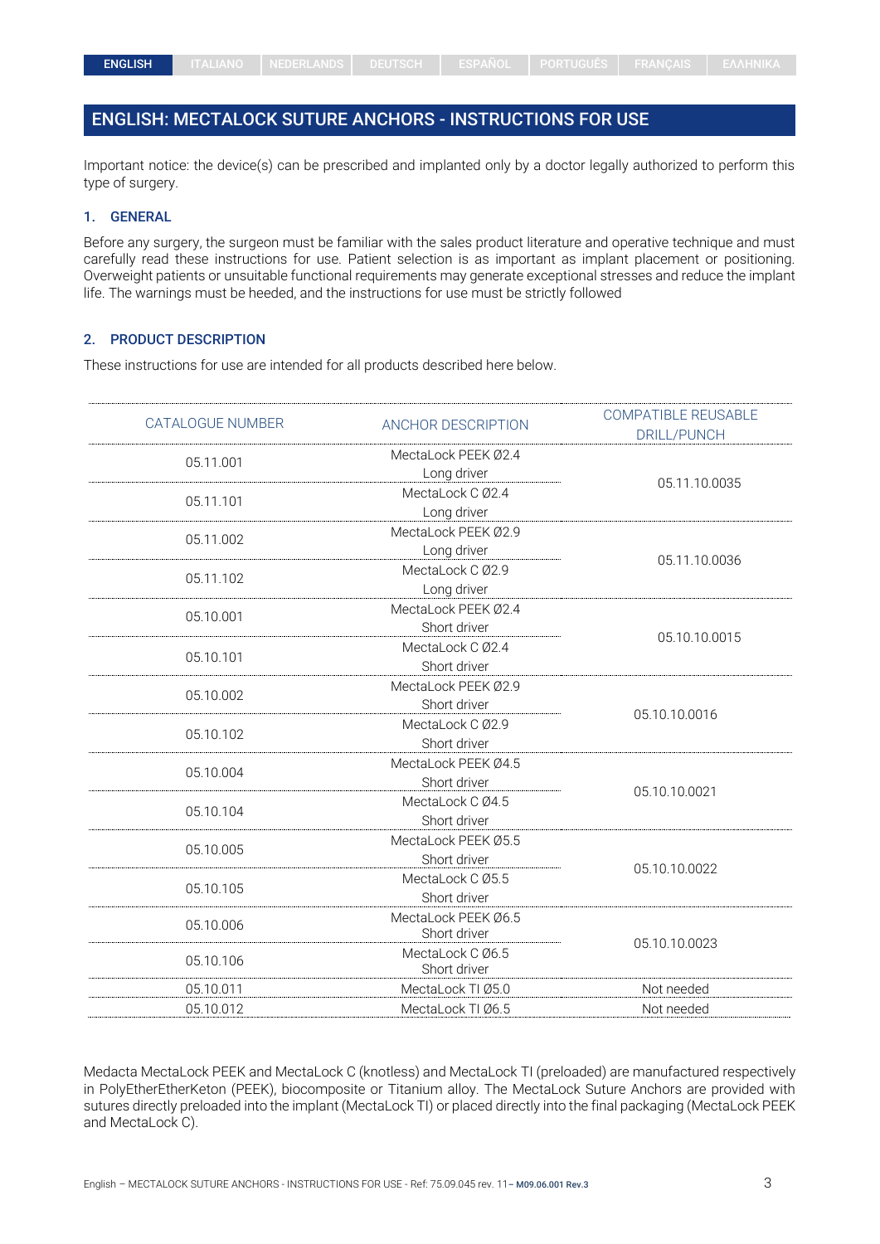## <span id="page-2-0"></span>ENGLISH: MECTALOCK SUTURE ANCHORS - INSTRUCTIONS FOR USE

Important notice: the device(s) can be prescribed and implanted only by a doctor legally authorized to perform this type of surgery.

## 1. GENERAL

Before any surgery, the surgeon must be familiar with the sales product literature and operative technique and must carefully read these instructions for use. Patient selection is as important as implant placement or positioning. Overweight patients or unsuitable functional requirements may generate exceptional stresses and reduce the implant life. The warnings must be heeded, and the instructions for use must be strictly followed

#### 2. PRODUCT DESCRIPTION

These instructions for use are intended for all products described here below.

| CATALOGUE NUMBER | ANCHOR DESCRIPTION  | <b>COMPATIBLE REUSABLE</b><br>DRILL/PUNCH |
|------------------|---------------------|-------------------------------------------|
| 05.11.001        | MectaLock PEEK 02.4 |                                           |
|                  | Long driver         | 05.11.10.0035                             |
| 05.11.101        | MectaLock C Ø2.4    |                                           |
|                  | Long driver         |                                           |
| 05.11.002        | MectaLock PEEK Ø2.9 |                                           |
|                  | Long driver         | 05.11.10.0036                             |
| 05.11.102        | MectaLock C Ø2.9    |                                           |
|                  | Long driver         |                                           |
| 05.10.001        | MectaLock PEEK Ø2.4 |                                           |
|                  | Short driver        | 05.10.10.0015                             |
| 05.10.101        | MectaLock C Ø2.4    |                                           |
|                  | Short driver        |                                           |
|                  | MectaLock PEEK 02.9 |                                           |
| 05.10.002        | Short driver        |                                           |
| 05.10.102        | MectaLock C Ø2.9    | 05.10.10.0016                             |
|                  | Short driver        |                                           |
| 05.10.004        | MectaLock PEEK Ø4.5 |                                           |
|                  | Short driver        |                                           |
|                  | MectaLock C Ø4.5    | 05.10.10.0021                             |
| 05.10.104        | Short driver        |                                           |
|                  | MectaLock PEEK Ø5.5 |                                           |
| 05.10.005        | Short driver        |                                           |
|                  | MectaLock C Ø5.5    | 05.10.10.0022                             |
| 05.10.105        | Short driver        |                                           |
|                  | MectaLock PEEK Ø6.5 |                                           |
| 05.10.006        | Short driver        | 05.10.10.0023                             |
| 05.10.106        | MectaLock C Ø6.5    |                                           |
|                  | Short driver        |                                           |
| 05.10.011        | MectaLock TI Ø5.0   | Not needed                                |
| 05.10.012        | MectaLock TI Ø6.5   | Not needed                                |
|                  |                     |                                           |

Medacta MectaLock PEEK and MectaLock C (knotless) and MectaLock TI (preloaded) are manufactured respectively in PolyEtherEtherKeton (PEEK), biocomposite or Titanium alloy. The MectaLock Suture Anchors are provided with sutures directly preloaded into the implant (MectaLock TI) or placed directly into the final packaging (MectaLock PEEK and MectaLock C).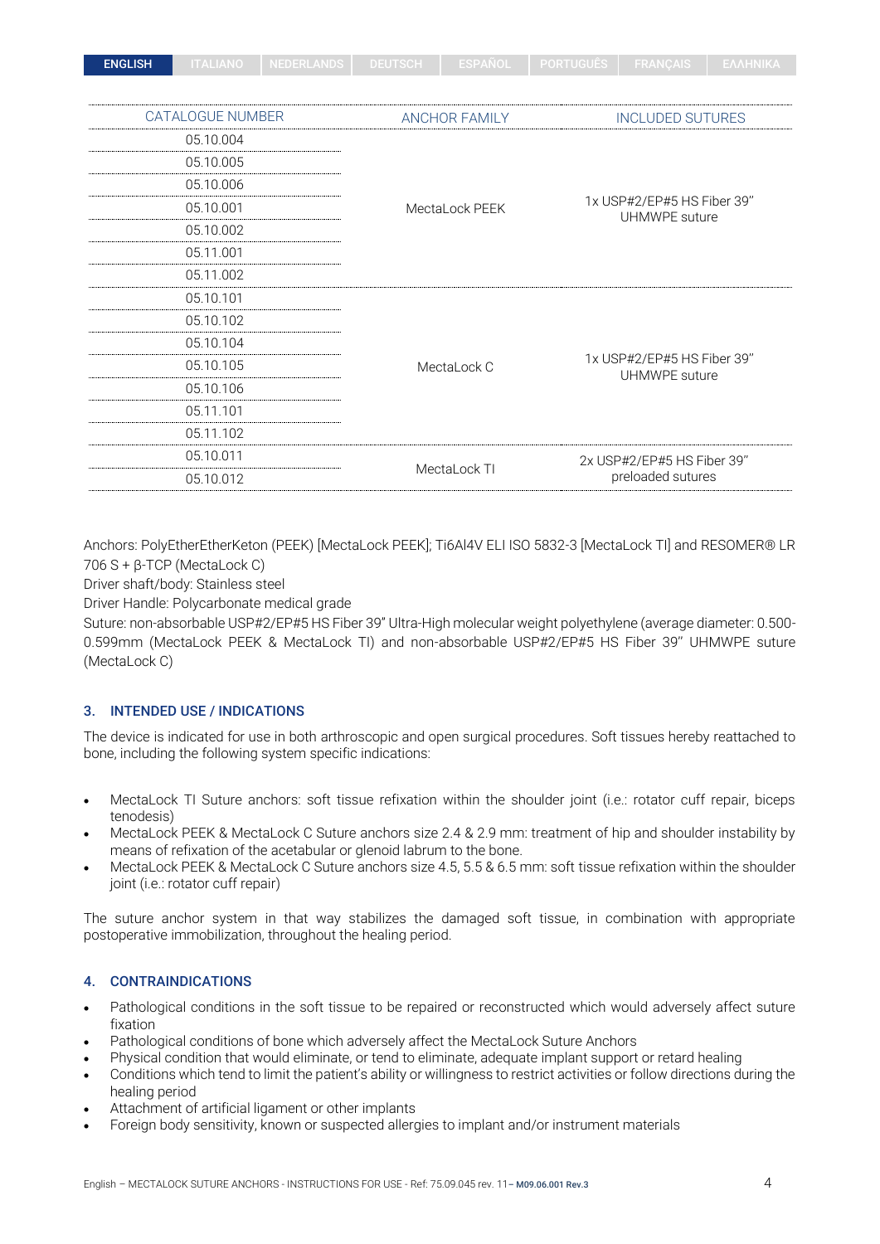| <b>ENGLISH</b> | <b>ITALIANO</b>         | <b>NEDERLANDS</b> | <b>DEUTSCH</b> | <b>ESPANOL</b>       | <b>PORTUGUES</b>  | <b>FRANÇAIS</b>                             | ΕΛΛΗΝΙΚΑ |  |
|----------------|-------------------------|-------------------|----------------|----------------------|-------------------|---------------------------------------------|----------|--|
|                |                         |                   |                |                      |                   |                                             |          |  |
|                | <b>CATALOGUE NUMBER</b> |                   |                | <b>ANCHOR FAMILY</b> |                   | <b>INCLUDED SUTURES</b>                     |          |  |
|                | 05.10.004               |                   |                |                      |                   |                                             |          |  |
|                | 05.10.005               |                   |                |                      |                   |                                             |          |  |
|                | 05.10.006               |                   |                |                      |                   |                                             |          |  |
|                | 05.10.001               |                   |                | MectaLock PEEK       |                   | 1x USP#2/EP#5 HS Fiber 39"                  |          |  |
|                | 05.10.002               |                   |                |                      | UHMWPE suture     |                                             |          |  |
|                | 05.11.001               |                   |                |                      |                   |                                             |          |  |
|                | 05.11.002               |                   |                |                      |                   |                                             |          |  |
|                | 05.10.101               |                   |                |                      |                   |                                             |          |  |
|                | 05.10.102               |                   |                |                      |                   |                                             |          |  |
|                | 05.10.104               |                   |                |                      |                   |                                             |          |  |
|                | 05.10.105               |                   |                | MectaLock C          |                   | 1x USP#2/EP#5 HS Fiber 39"<br>UHMWPE suture |          |  |
|                | 05.10.106               |                   |                |                      |                   |                                             |          |  |
|                | 05.11.101               |                   |                |                      |                   |                                             |          |  |
|                | 05.11.102               |                   |                |                      |                   |                                             |          |  |
|                | 05.10.011               |                   |                |                      |                   | 2x USP#2/EP#5 HS Fiber 39"                  |          |  |
|                | 05.10.012               |                   |                | MectaLock TI         | preloaded sutures |                                             |          |  |

Anchors: PolyEtherEtherKeton (PEEK) [MectaLock PEEK]; Ti6Al4V ELI ISO 5832-3 [MectaLock TI] and RESOMER® LR 706 S + β-TCP (MectaLock C)

Driver shaft/body: Stainless steel

Driver Handle: Polycarbonate medical grade

Suture: non-absorbable USP#2/EP#5 HS Fiber 39" Ultra-High molecular weight polyethylene (average diameter: 0.500- 0.599mm (MectaLock PEEK & MectaLock TI) and non-absorbable USP#2/EP#5 HS Fiber 39'' UHMWPE suture (MectaLock C)

## 3. INTENDED USE / INDICATIONS

The device is indicated for use in both arthroscopic and open surgical procedures. Soft tissues hereby reattached to bone, including the following system specific indications:

- MectaLock TI Suture anchors: soft tissue refixation within the shoulder joint (i.e.: rotator cuff repair, biceps tenodesis)
- MectaLock PEEK & MectaLock C Suture anchors size 2.4 & 2.9 mm: treatment of hip and shoulder instability by means of refixation of the acetabular or glenoid labrum to the bone.
- MectaLock PEEK & MectaLock C Suture anchors size 4.5, 5.5 & 6.5 mm: soft tissue refixation within the shoulder joint (i.e.: rotator cuff repair)

The suture anchor system in that way stabilizes the damaged soft tissue, in combination with appropriate postoperative immobilization, throughout the healing period.

## 4. CONTRAINDICATIONS

- Pathological conditions in the soft tissue to be repaired or reconstructed which would adversely affect suture fixation
- Pathological conditions of bone which adversely affect the MectaLock Suture Anchors
- Physical condition that would eliminate, or tend to eliminate, adequate implant support or retard healing
- Conditions which tend to limit the patient's ability or willingness to restrict activities or follow directions during the healing period
- Attachment of artificial ligament or other implants
- Foreign body sensitivity, known or suspected allergies to implant and/or instrument materials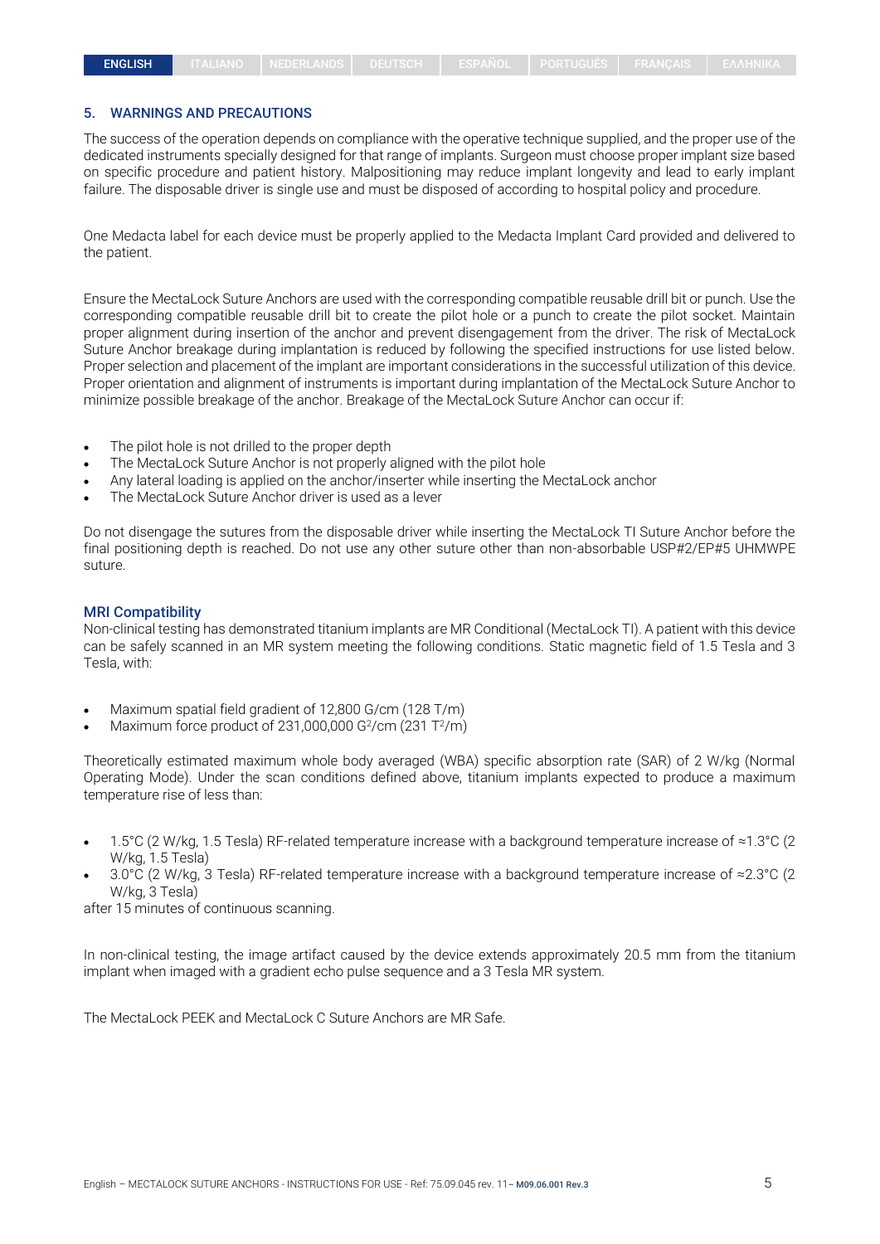#### 5. WARNINGS AND PRECAUTIONS

The success of the operation depends on compliance with the operative technique supplied, and the proper use of the dedicated instruments specially designed for that range of implants. Surgeon must choose proper implant size based on specific procedure and patient history. Malpositioning may reduce implant longevity and lead to early implant failure. The disposable driver is single use and must be disposed of according to hospital policy and procedure.

One Medacta label for each device must be properly applied to the Medacta Implant Card provided and delivered to the patient.

Ensure the MectaLock Suture Anchors are used with the corresponding compatible reusable drill bit or punch. Use the corresponding compatible reusable drill bit to create the pilot hole or a punch to create the pilot socket. Maintain proper alignment during insertion of the anchor and prevent disengagement from the driver. The risk of MectaLock Suture Anchor breakage during implantation is reduced by following the specified instructions for use listed below. Proper selection and placement of the implant are important considerations in the successful utilization of this device. Proper orientation and alignment of instruments is important during implantation of the MectaLock Suture Anchor to minimize possible breakage of the anchor. Breakage of the MectaLock Suture Anchor can occur if:

- The pilot hole is not drilled to the proper depth
- The MectaLock Suture Anchor is not properly aligned with the pilot hole
- Any lateral loading is applied on the anchor/inserter while inserting the MectaLock anchor
- The MectaLock Suture Anchor driver is used as a lever

Do not disengage the sutures from the disposable driver while inserting the MectaLock TI Suture Anchor before the final positioning depth is reached. Do not use any other suture other than non-absorbable USP#2/EP#5 UHMWPE suture.

#### MRI Compatibility

Non-clinical testing has demonstrated titanium implants are MR Conditional (MectaLock TI). A patient with this device can be safely scanned in an MR system meeting the following conditions. Static magnetic field of 1.5 Tesla and 3 Tesla, with:

- Maximum spatial field gradient of 12,800 G/cm (128 T/m)
- Maximum force product of 231,000,000  $G^2$ /cm (231 T $^2$ /m)

Theoretically estimated maximum whole body averaged (WBA) specific absorption rate (SAR) of 2 W/kg (Normal Operating Mode). Under the scan conditions defined above, titanium implants expected to produce a maximum temperature rise of less than:

- 1.5°C (2 W/kg, 1.5 Tesla) RF-related temperature increase with a background temperature increase of ≈1.3°C (2 W/kg, 1.5 Tesla)
- 3.0°C (2 W/kg, 3 Tesla) RF-related temperature increase with a background temperature increase of ≈2.3°C (2 W/kg, 3 Tesla)

after 15 minutes of continuous scanning.

In non-clinical testing, the image artifact caused by the device extends approximately 20.5 mm from the titanium implant when imaged with a gradient echo pulse sequence and a 3 Tesla MR system.

The MectaLock PEEK and MectaLock C Suture Anchors are MR Safe.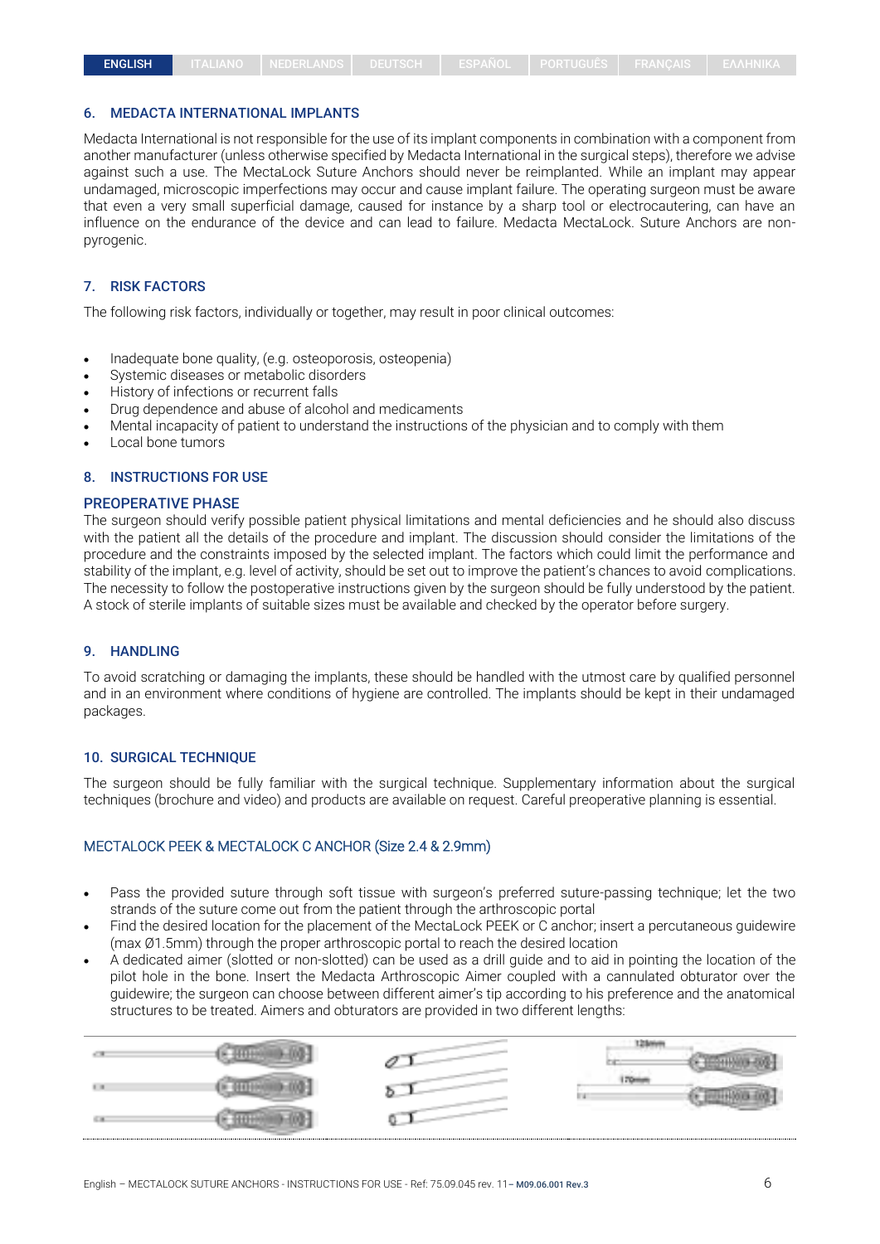#### 6. MEDACTA INTERNATIONAL IMPLANTS

Medacta International is not responsible for the use of its implant components in combination with a component from another manufacturer (unless otherwise specified by Medacta International in the surgical steps), therefore we advise against such a use. The MectaLock Suture Anchors should never be reimplanted. While an implant may appear undamaged, microscopic imperfections may occur and cause implant failure. The operating surgeon must be aware that even a very small superficial damage, caused for instance by a sharp tool or electrocautering, can have an influence on the endurance of the device and can lead to failure. Medacta MectaLock. Suture Anchors are nonpyrogenic.

#### 7. RISK FACTORS

The following risk factors, individually or together, may result in poor clinical outcomes:

- Inadequate bone quality, (e.g. osteoporosis, osteopenia)
- Systemic diseases or metabolic disorders
- History of infections or recurrent falls
- Drug dependence and abuse of alcohol and medicaments
- Mental incapacity of patient to understand the instructions of the physician and to comply with them
- Local bone tumors

### 8. INSTRUCTIONS FOR USE

#### PREOPERATIVE PHASE

The surgeon should verify possible patient physical limitations and mental deficiencies and he should also discuss with the patient all the details of the procedure and implant. The discussion should consider the limitations of the procedure and the constraints imposed by the selected implant. The factors which could limit the performance and stability of the implant, e.g. level of activity, should be set out to improve the patient's chances to avoid complications. The necessity to follow the postoperative instructions given by the surgeon should be fully understood by the patient. A stock of sterile implants of suitable sizes must be available and checked by the operator before surgery.

#### 9. HANDLING

To avoid scratching or damaging the implants, these should be handled with the utmost care by qualified personnel and in an environment where conditions of hygiene are controlled. The implants should be kept in their undamaged packages.

#### 10. SURGICAL TECHNIQUE

The surgeon should be fully familiar with the surgical technique. Supplementary information about the surgical techniques (brochure and video) and products are available on request. Careful preoperative planning is essential.

#### MECTALOCK PEEK & MECTALOCK C ANCHOR (Size 2.4 & 2.9mm)

- Pass the provided suture through soft tissue with surgeon's preferred suture-passing technique; let the two strands of the suture come out from the patient through the arthroscopic portal
- Find the desired location for the placement of the MectaLock PEEK or C anchor; insert a percutaneous guidewire (max Ø1.5mm) through the proper arthroscopic portal to reach the desired location
- A dedicated aimer (slotted or non-slotted) can be used as a drill guide and to aid in pointing the location of the pilot hole in the bone. Insert the Medacta Arthroscopic Aimer coupled with a cannulated obturator over the guidewire; the surgeon can choose between different aimer's tip according to his preference and the anatomical structures to be treated. Aimers and obturators are provided in two different lengths:

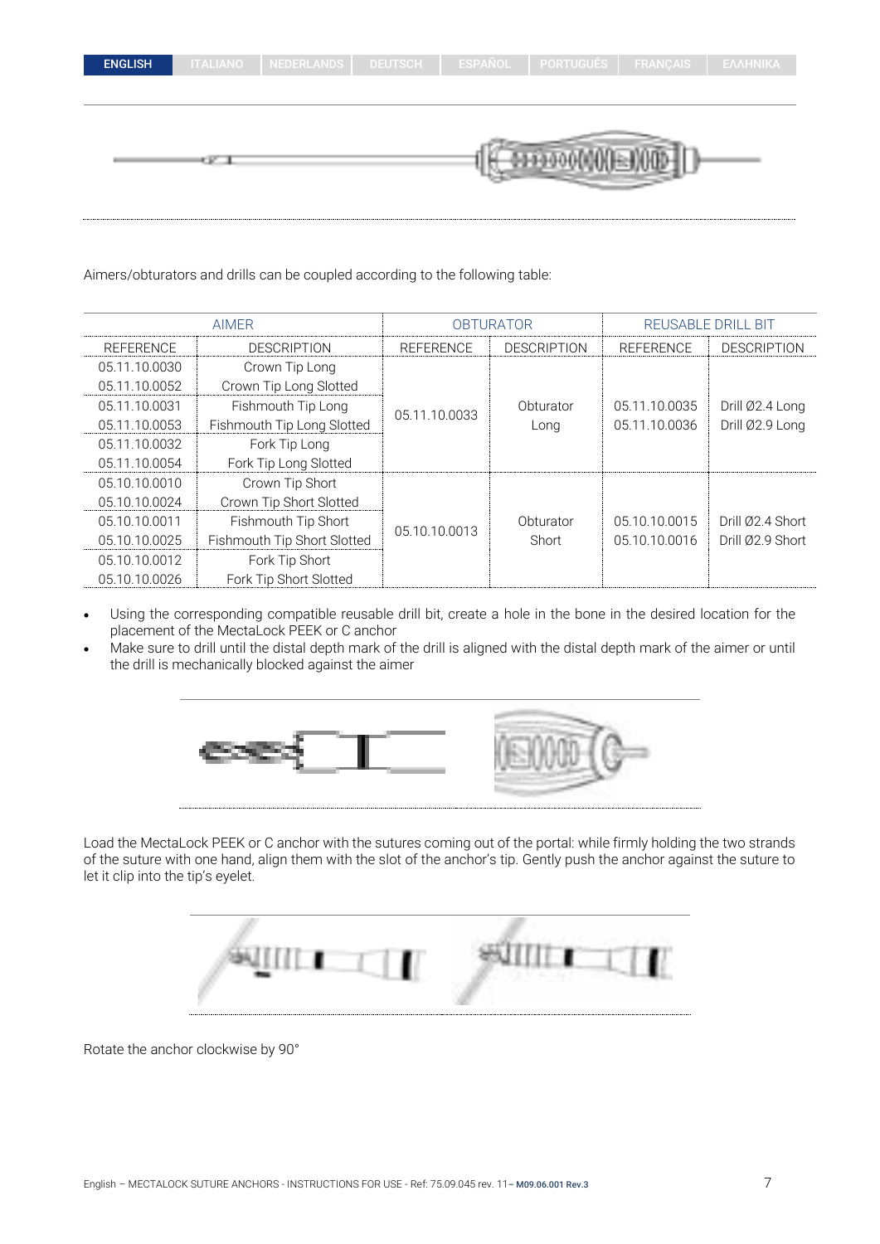|  | ENGLISH |  |
|--|---------|--|
|  |         |  |

3300000

Aimers/obturators and drills can be coupled according to the following table:

|                  | <b>AIMER</b>                | <b>OBTURATOR</b> |                    | REUSABLE DRILL BIT |                    |
|------------------|-----------------------------|------------------|--------------------|--------------------|--------------------|
| <b>REFERENCE</b> | <b>DESCRIPTION</b>          | <b>REFERENCE</b> | <b>DESCRIPTION</b> | <b>REFERENCE</b>   | <b>DESCRIPTION</b> |
| 05.11.10.0030    | Crown Tip Long              |                  |                    |                    |                    |
| 05.11.10.0052    | Crown Tip Long Slotted      |                  |                    |                    |                    |
| 05.11.10.0031    | Fishmouth Tip Long          | 05.11.10.0033    | Obturator          | 05.11.10.0035      | Drill Ø2.4 Long    |
| 05.11.10.0053    | Fishmouth Tip Long Slotted  |                  | Long               | 05.11.10.0036      | Drill Ø2.9 Long    |
| 05.11.10.0032    | Fork Tip Long               |                  |                    |                    |                    |
| 05.11.10.0054    | Fork Tip Long Slotted       |                  |                    |                    |                    |
| 05.10.10.0010    | Crown Tip Short             |                  |                    |                    |                    |
| 05.10.10.0024    | Crown Tip Short Slotted     |                  |                    |                    |                    |
| 05.10.10.0011    | Fishmouth Tip Short         | 05.10.10.0013    | Obturator          | 05.10.10.0015      | Drill Ø2.4 Short   |
| 05.10.10.0025    | Fishmouth Tip Short Slotted |                  | Short              | 05.10.10.0016      | Drill Ø2.9 Short   |
| 05.10.10.0012    | Fork Tip Short              |                  |                    |                    |                    |
| 05.10.10.0026    | Fork Tip Short Slotted      |                  |                    |                    |                    |

- Using the corresponding compatible reusable drill bit, create a hole in the bone in the desired location for the placement of the MectaLock PEEK or C anchor
- Make sure to drill until the distal depth mark of the drill is aligned with the distal depth mark of the aimer or until the drill is mechanically blocked against the aimer



Load the MectaLock PEEK or C anchor with the sutures coming out of the portal: while firmly holding the two strands of the suture with one hand, align them with the slot of the anchor's tip. Gently push the anchor against the suture to let it clip into the tip's eyelet.

|  | m |  |
|--|---|--|
|  |   |  |

Rotate the anchor clockwise by 90°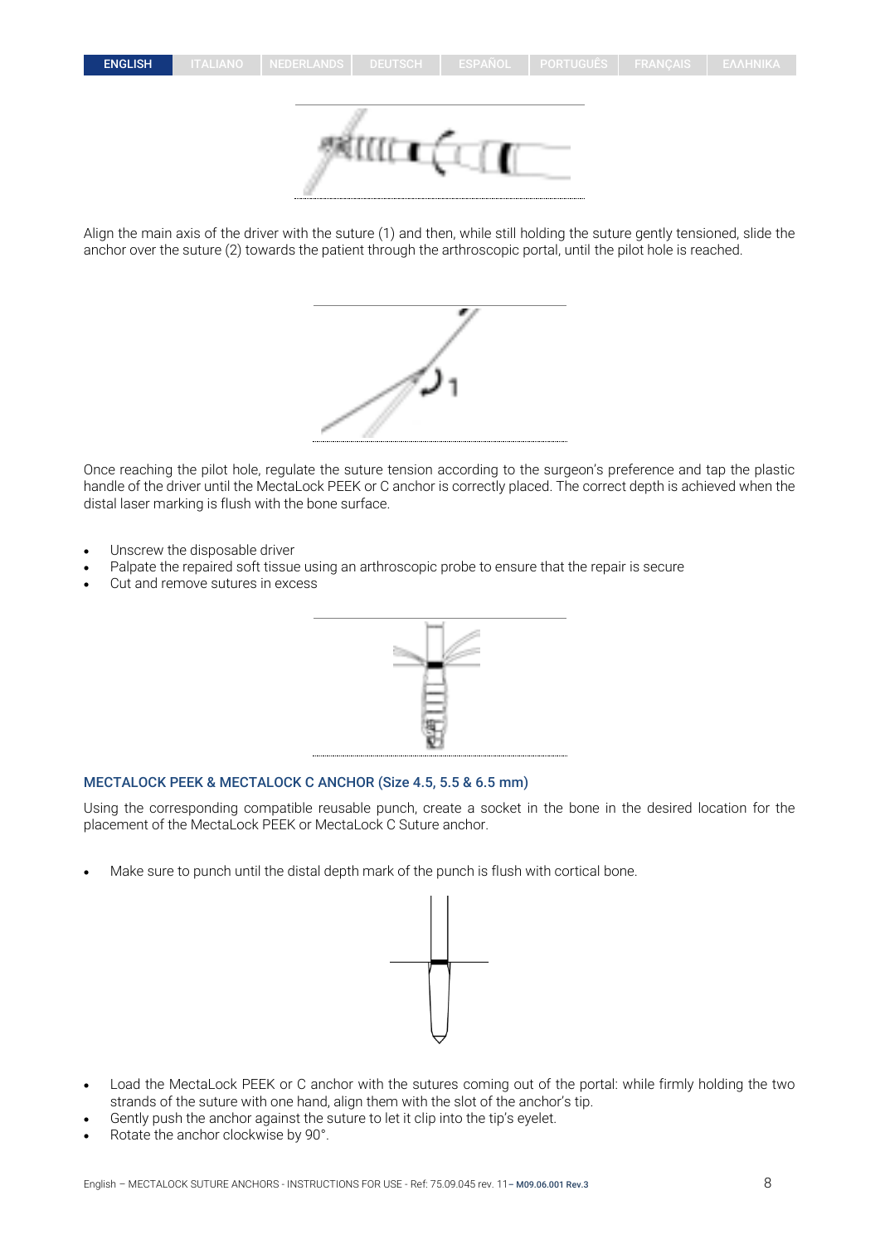

Align the main axis of the driver with the suture (1) and then, while still holding the suture gently tensioned, slide the anchor over the suture (2) towards the patient through the arthroscopic portal, until the pilot hole is reached.



Once reaching the pilot hole, regulate the suture tension according to the surgeon's preference and tap the plastic handle of the driver until the MectaLock PEEK or C anchor is correctly placed. The correct depth is achieved when the distal laser marking is flush with the bone surface.

- Unscrew the disposable driver
- Palpate the repaired soft tissue using an arthroscopic probe to ensure that the repair is secure
- Cut and remove sutures in excess



#### MECTALOCK PEEK & MECTALOCK C ANCHOR (Size 4.5, 5.5 & 6.5 mm)

Using the corresponding compatible reusable punch, create a socket in the bone in the desired location for the placement of the MectaLock PEEK or MectaLock C Suture anchor.

• Make sure to punch until the distal depth mark of the punch is flush with cortical bone.



- Load the MectaLock PEEK or C anchor with the sutures coming out of the portal: while firmly holding the two strands of the suture with one hand, align them with the slot of the anchor's tip.
- Gently push the anchor against the suture to let it clip into the tip's eyelet.
- Rotate the anchor clockwise by 90°.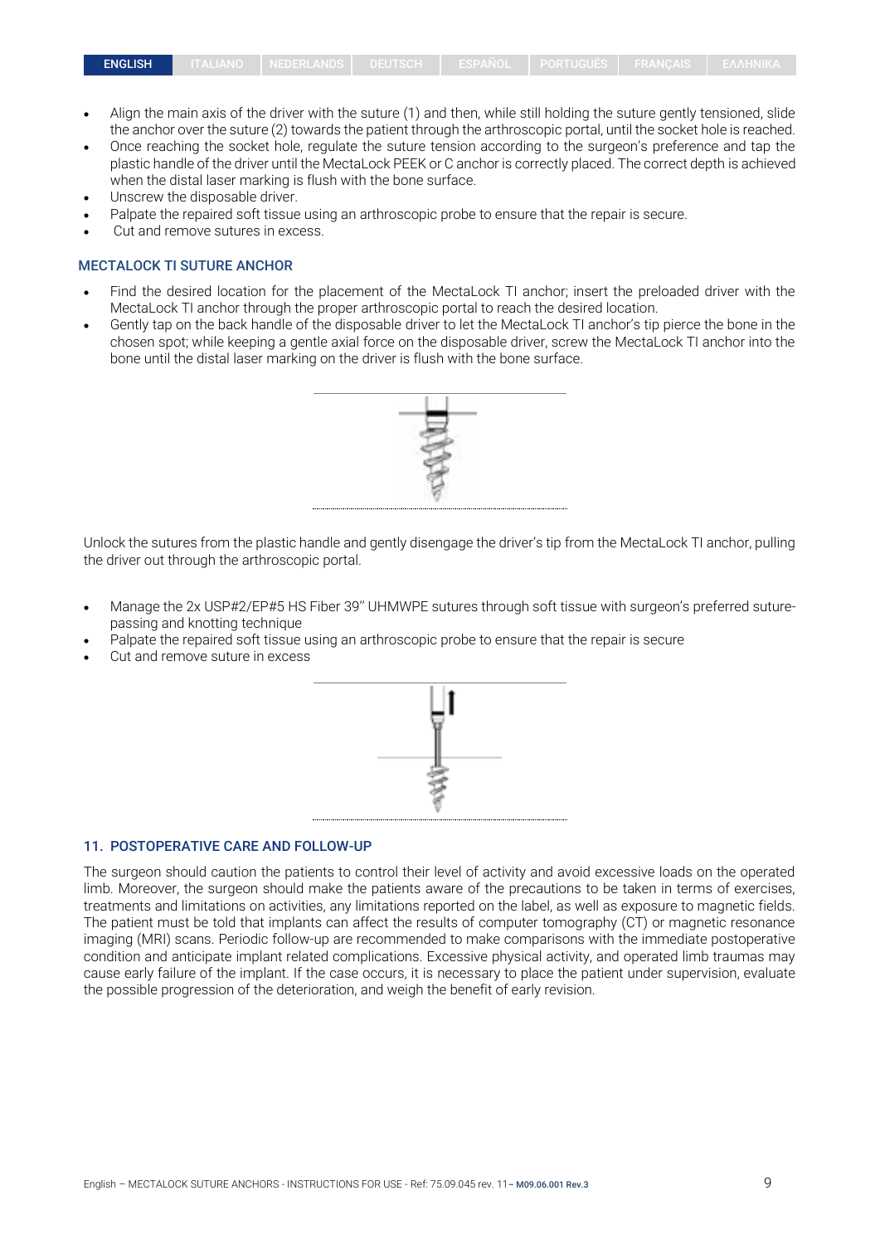- Align the main axis of the driver with the suture (1) and then, while still holding the suture gently tensioned, slide the anchor over the suture (2) towards the patient through the arthroscopic portal, until the socket hole is reached.
- Once reaching the socket hole, regulate the suture tension according to the surgeon's preference and tap the plastic handle of the driver until the MectaLock PEEK or C anchor is correctly placed. The correct depth is achieved when the distal laser marking is flush with the bone surface.
- Unscrew the disposable driver.
- Palpate the repaired soft tissue using an arthroscopic probe to ensure that the repair is secure.
- Cut and remove sutures in excess.

#### MECTALOCK TI SUTURE ANCHOR

- Find the desired location for the placement of the MectaLock TI anchor; insert the preloaded driver with the MectaLock TI anchor through the proper arthroscopic portal to reach the desired location.
- Gently tap on the back handle of the disposable driver to let the MectaLock TI anchor's tip pierce the bone in the chosen spot; while keeping a gentle axial force on the disposable driver, screw the MectaLock TI anchor into the bone until the distal laser marking on the driver is flush with the bone surface.



Unlock the sutures from the plastic handle and gently disengage the driver's tip from the MectaLock TI anchor, pulling the driver out through the arthroscopic portal.

- Manage the 2x USP#2/EP#5 HS Fiber 39'' UHMWPE sutures through soft tissue with surgeon's preferred suturepassing and knotting technique
- Palpate the repaired soft tissue using an arthroscopic probe to ensure that the repair is secure
- Cut and remove suture in excess



#### 11. POSTOPERATIVE CARE AND FOLLOW-UP

The surgeon should caution the patients to control their level of activity and avoid excessive loads on the operated limb. Moreover, the surgeon should make the patients aware of the precautions to be taken in terms of exercises, treatments and limitations on activities, any limitations reported on the label, as well as exposure to magnetic fields. The patient must be told that implants can affect the results of computer tomography (CT) or magnetic resonance imaging (MRI) scans. Periodic follow-up are recommended to make comparisons with the immediate postoperative condition and anticipate implant related complications. Excessive physical activity, and operated limb traumas may cause early failure of the implant. If the case occurs, it is necessary to place the patient under supervision, evaluate the possible progression of the deterioration, and weigh the benefit of early revision.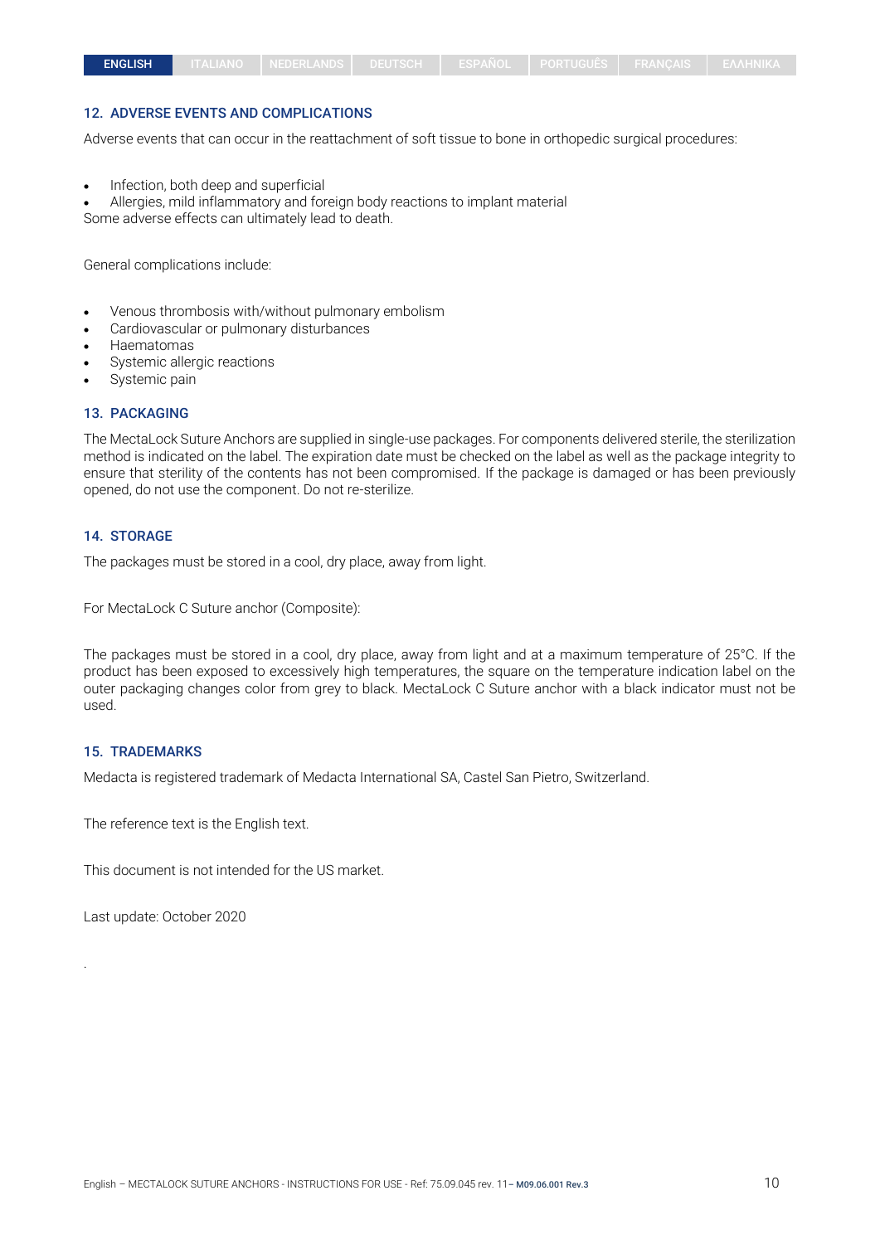## 12. ADVERSE EVENTS AND COMPLICATIONS

Adverse events that can occur in the reattachment of soft tissue to bone in orthopedic surgical procedures:

- Infection, both deep and superficial
- Allergies, mild inflammatory and foreign body reactions to implant material

Some adverse effects can ultimately lead to death.

General complications include:

- Venous thrombosis with/without pulmonary embolism
- Cardiovascular or pulmonary disturbances
- Haematomas
- Systemic allergic reactions
- Systemic pain

#### 13. PACKAGING

The MectaLock Suture Anchors are supplied in single-use packages. For components delivered sterile, the sterilization method is indicated on the label. The expiration date must be checked on the label as well as the package integrity to ensure that sterility of the contents has not been compromised. If the package is damaged or has been previously opened, do not use the component. Do not re-sterilize.

#### 14. STORAGE

The packages must be stored in a cool, dry place, away from light.

For MectaLock C Suture anchor (Composite):

The packages must be stored in a cool, dry place, away from light and at a maximum temperature of 25°C. If the product has been exposed to excessively high temperatures, the square on the temperature indication label on the outer packaging changes color from grey to black. MectaLock C Suture anchor with a black indicator must not be used.

#### 15. TRADEMARKS

Medacta is registered trademark of Medacta International SA, Castel San Pietro, Switzerland.

The reference text is the English text.

This document is not intended for the US market.

Last update: October 2020

.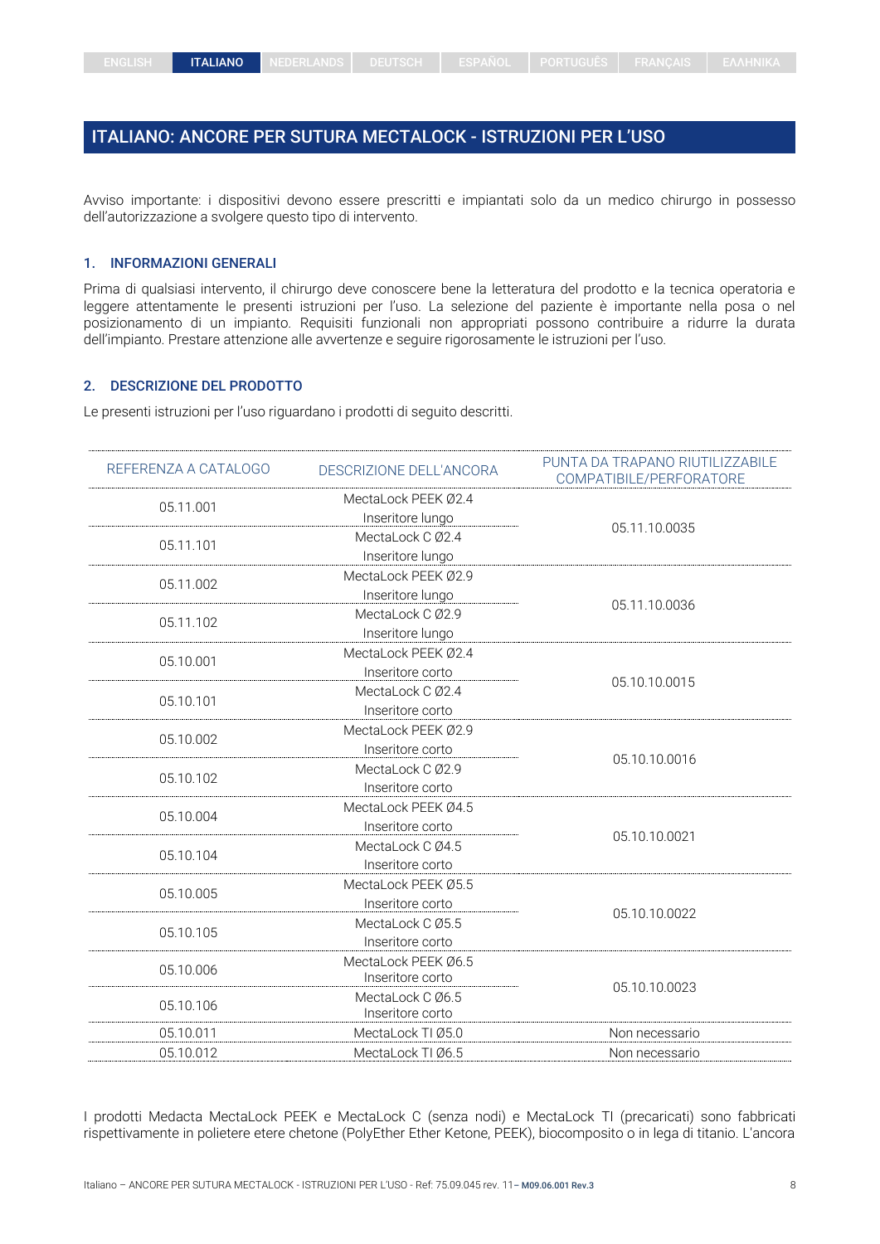# <span id="page-10-0"></span>ITALIANO: ANCORE PER SUTURA MECTALOCK - ISTRUZIONI PER L'USO

Avviso importante: i dispositivi devono essere prescritti e impiantati solo da un medico chirurgo in possesso dell'autorizzazione a svolgere questo tipo di intervento.

#### 1. INFORMAZIONI GENERALI

Prima di qualsiasi intervento, il chirurgo deve conoscere bene la letteratura del prodotto e la tecnica operatoria e leggere attentamente le presenti istruzioni per l'uso. La selezione del paziente è importante nella posa o nel posizionamento di un impianto. Requisiti funzionali non appropriati possono contribuire a ridurre la durata dell'impianto. Prestare attenzione alle avvertenze e seguire rigorosamente le istruzioni per l'uso.

#### 2. DESCRIZIONE DEL PRODOTTO

Le presenti istruzioni per l'uso riguardano i prodotti di seguito descritti.

| REFERENZA A CATALOGO | DESCRIZIONE DELL'ANCORA                 | PUNTA DA TRAPANO RIUTILIZZABILE<br>COMPATIBILE/PERFORATORE |
|----------------------|-----------------------------------------|------------------------------------------------------------|
| 05.11.001            | MectaLock PEEK Ø2.4<br>Inseritore lungo |                                                            |
| 05.11.101            | MectaLock C Ø2.4<br>Inseritore lungo    | 05.11.10.0035                                              |
| 05.11.002            | MectaLock PEEK Ø2.9<br>Inseritore lungo |                                                            |
| 05.11.102            | MectaLock C Ø2.9<br>Inseritore lungo    | 05.11.10.0036                                              |
| 05.10.001            | MectaLock PEEK Ø2.4<br>Inseritore corto |                                                            |
| 05.10.101            | MectaLock C Ø2.4<br>Inseritore corto    | 05.10.10.0015                                              |
| 05.10.002            | MectaLock PEEK 02.9<br>Inseritore corto |                                                            |
| 05.10.102            | MectaLock C Ø2.9<br>Inseritore corto    | 05.10.10.0016                                              |
| 05.10.004            | MectaLock PEEK Ø4.5<br>Inseritore corto |                                                            |
| 05.10.104            | MectaLock C Ø4.5<br>Inseritore corto    | 05.10.10.0021                                              |
| 05.10.005            | MectaLock PEEK Ø5.5<br>Inseritore corto |                                                            |
| 05.10.105            | MectaLock C Ø5.5<br>Inseritore corto    | 05.10.10.0022                                              |
| 05.10.006            | MectaLock PEEK Ø6.5<br>Inseritore corto |                                                            |
| 05.10.106            | MectaLock C Ø6.5<br>Inseritore corto    | 05.10.10.0023                                              |
| 05.10.011            | MectaLock TI Ø5.0                       | Non necessario                                             |
| 05.10.012            | MectaLock TI Ø6.5                       | Non necessario                                             |

I prodotti Medacta MectaLock PEEK e MectaLock C (senza nodi) e MectaLock TI (precaricati) sono fabbricati rispettivamente in polietere etere chetone (PolyEther Ether Ketone, PEEK), biocomposito o in lega di titanio. L'ancora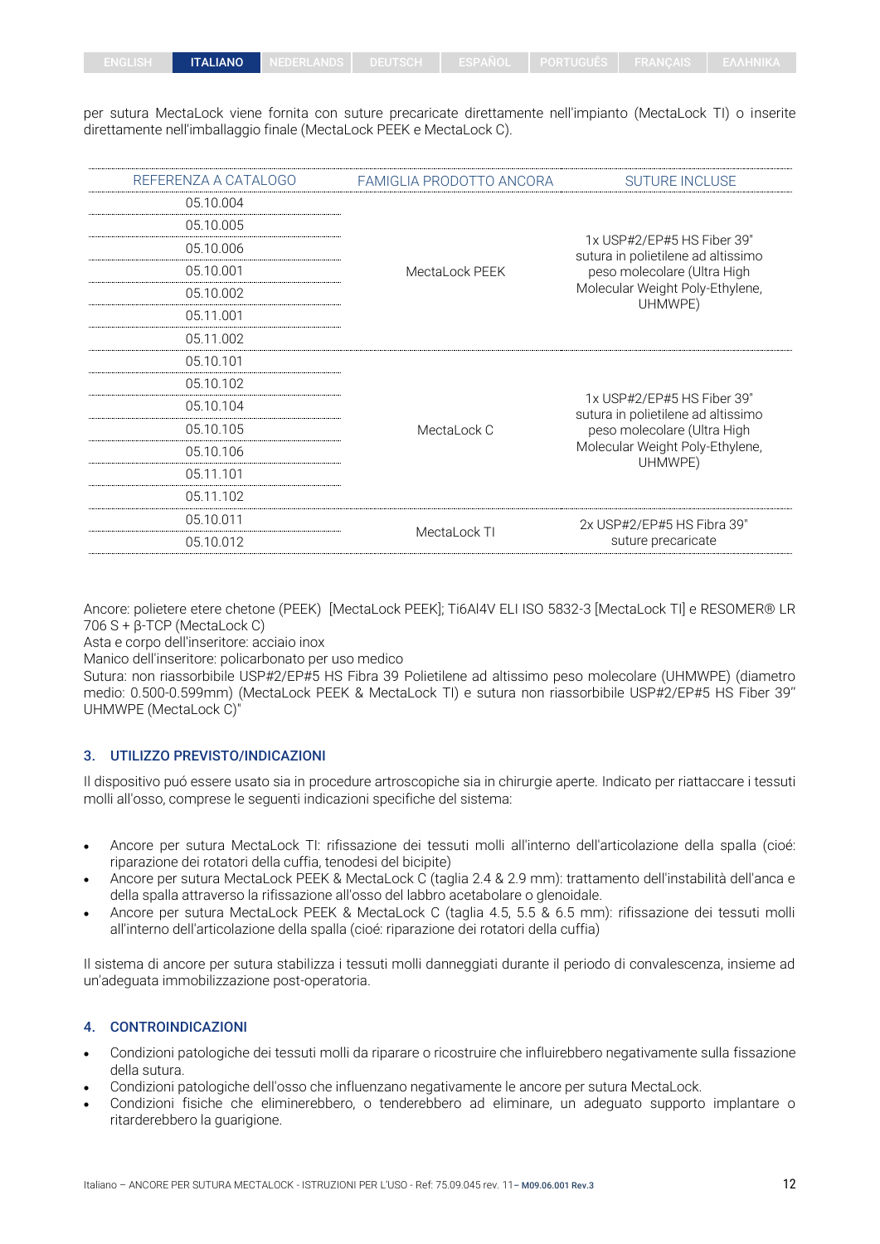per sutura MectaLock viene fornita con suture precaricate direttamente nell'impianto (MectaLock TI) o inserite direttamente nell'imballaggio finale (MectaLock PEEK e MectaLock C).

| REFERENZA A CATALOGO | FAMIGLIA PRODOTTO ANCORA                                           | <b>SUTURE INCLUSE</b>                                            |  |  |
|----------------------|--------------------------------------------------------------------|------------------------------------------------------------------|--|--|
| 05.10.004            |                                                                    |                                                                  |  |  |
| 05.10.005            | 05.10.006<br>05.10.001<br>MectaLock PEEK<br>05.10.002<br>05.11.001 |                                                                  |  |  |
|                      |                                                                    | 1x USP#2/EP#5 HS Fiber 39"<br>sutura in polietilene ad altissimo |  |  |
|                      |                                                                    | peso molecolare (Ultra High                                      |  |  |
|                      |                                                                    | Molecular Weight Poly-Ethylene,<br>UHMWPE)                       |  |  |
|                      |                                                                    |                                                                  |  |  |
| 05.11.002            |                                                                    |                                                                  |  |  |
| 05.10.101            |                                                                    |                                                                  |  |  |
| 05.10.102            |                                                                    |                                                                  |  |  |
| 05.10.104            |                                                                    | 1x USP#2/EP#5 HS Fiber 39"<br>sutura in polietilene ad altissimo |  |  |
| 05.10.105            | MectaLock C                                                        | peso molecolare (Ultra High                                      |  |  |
| 05.10.106            |                                                                    | Molecular Weight Poly-Ethylene,                                  |  |  |
| 05.11.101            |                                                                    | UHMWPE)                                                          |  |  |
| 05.11.102            |                                                                    |                                                                  |  |  |
| 05.10.011            |                                                                    | 2x USP#2/EP#5 HS Fibra 39"                                       |  |  |
| 05.10.012            | MectaLock TI                                                       | suture precaricate                                               |  |  |

Ancore: polietere etere chetone (PEEK) [MectaLock PEEK]; Ti6Al4V ELI ISO 5832-3 [MectaLock TI] e RESOMER® LR 706 S + β-TCP (MectaLock C)

Asta e corpo dell'inseritore: acciaio inox

Manico dell'inseritore: policarbonato per uso medico

Sutura: non riassorbibile USP#2/EP#5 HS Fibra 39 Polietilene ad altissimo peso molecolare (UHMWPE) (diametro medio: 0.500-0.599mm) (MectaLock PEEK & MectaLock TI) e sutura non riassorbibile USP#2/EP#5 HS Fiber 39'' UHMWPE (MectaLock C)"

#### 3. UTILIZZO PREVISTO/INDICAZIONI

Il dispositivo puó essere usato sia in procedure artroscopiche sia in chirurgie aperte. Indicato per riattaccare i tessuti molli all'osso, comprese le seguenti indicazioni specifiche del sistema:

- Ancore per sutura MectaLock TI: rifissazione dei tessuti molli all'interno dell'articolazione della spalla (cioé: riparazione dei rotatori della cuffia, tenodesi del bicipite)
- Ancore per sutura MectaLock PEEK & MectaLock C (taglia 2.4 & 2.9 mm): trattamento dell'instabilità dell'anca e della spalla attraverso la rifissazione all'osso del labbro acetabolare o glenoidale.
- Ancore per sutura MectaLock PEEK & MectaLock C (taglia 4.5, 5.5 & 6.5 mm): rifissazione dei tessuti molli all'interno dell'articolazione della spalla (cioé: riparazione dei rotatori della cuffia)

Il sistema di ancore per sutura stabilizza i tessuti molli danneggiati durante il periodo di convalescenza, insieme ad un'adeguata immobilizzazione post-operatoria.

#### 4. CONTROINDICAZIONI

- Condizioni patologiche dei tessuti molli da riparare o ricostruire che influirebbero negativamente sulla fissazione della sutura.
- Condizioni patologiche dell'osso che influenzano negativamente le ancore per sutura MectaLock.
- Condizioni fisiche che eliminerebbero, o tenderebbero ad eliminare, un adeguato supporto implantare o ritarderebbero la guarigione.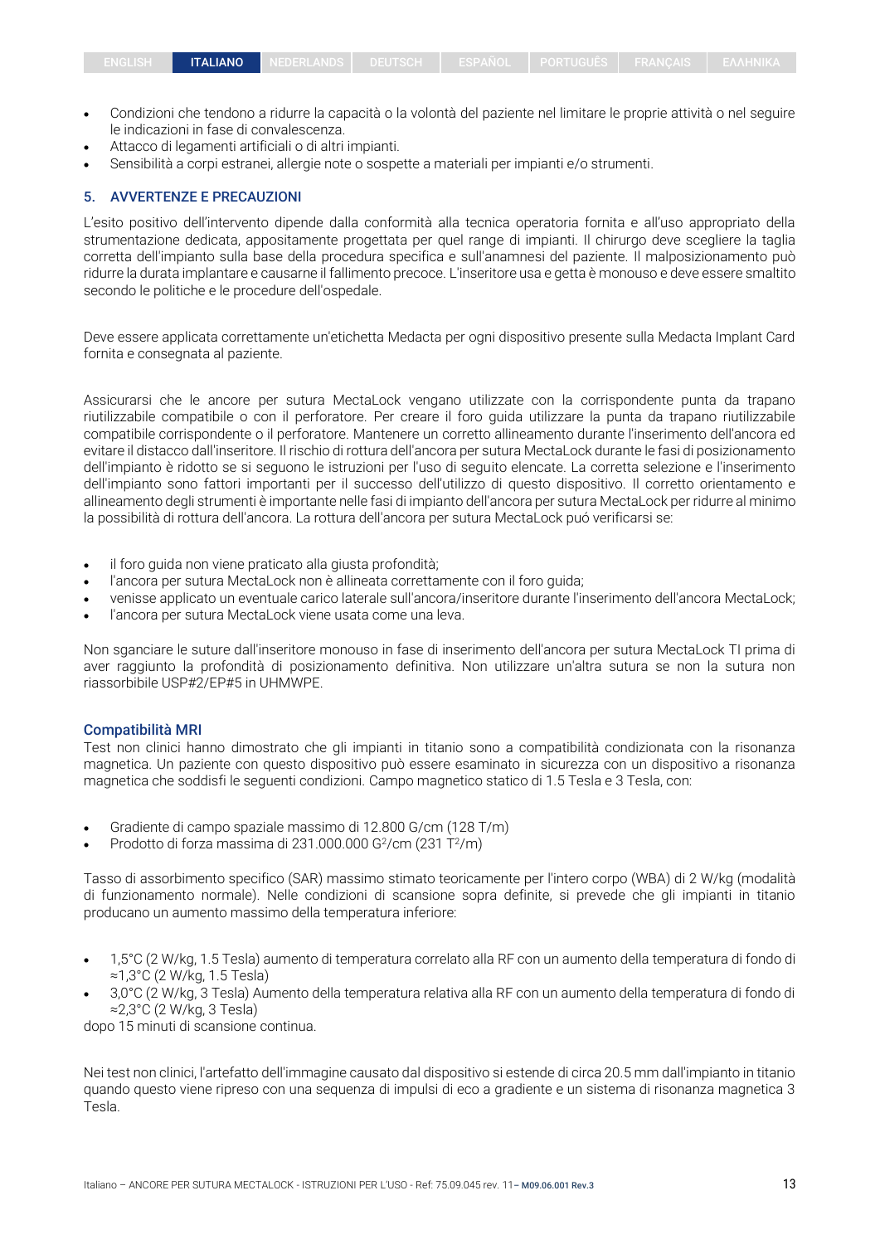- Condizioni che tendono a ridurre la capacità o la volontà del paziente nel limitare le proprie attività o nel seguire le indicazioni in fase di convalescenza.
- Attacco di legamenti artificiali o di altri impianti.
- Sensibilità a corpi estranei, allergie note o sospette a materiali per impianti e/o strumenti.

#### 5. AVVERTENZE E PRECAUZIONI

L'esito positivo dell'intervento dipende dalla conformità alla tecnica operatoria fornita e all'uso appropriato della strumentazione dedicata, appositamente progettata per quel range di impianti. Il chirurgo deve scegliere la taglia corretta dell'impianto sulla base della procedura specifica e sull'anamnesi del paziente. Il malposizionamento può ridurre la durata implantare e causarne il fallimento precoce. L'inseritore usa e getta è monouso e deve essere smaltito secondo le politiche e le procedure dell'ospedale.

Deve essere applicata correttamente un'etichetta Medacta per ogni dispositivo presente sulla Medacta Implant Card fornita e consegnata al paziente.

Assicurarsi che le ancore per sutura MectaLock vengano utilizzate con la corrispondente punta da trapano riutilizzabile compatibile o con il perforatore. Per creare il foro guida utilizzare la punta da trapano riutilizzabile compatibile corrispondente o il perforatore. Mantenere un corretto allineamento durante l'inserimento dell'ancora ed evitare il distacco dall'inseritore. Il rischio di rottura dell'ancora per sutura MectaLock durante le fasi di posizionamento dell'impianto è ridotto se si seguono le istruzioni per l'uso di seguito elencate. La corretta selezione e l'inserimento dell'impianto sono fattori importanti per il successo dell'utilizzo di questo dispositivo. Il corretto orientamento e allineamento degli strumenti è importante nelle fasi di impianto dell'ancora per sutura MectaLock per ridurre al minimo la possibilità di rottura dell'ancora. La rottura dell'ancora per sutura MectaLock puó verificarsi se:

- il foro guida non viene praticato alla giusta profondità;
- l'ancora per sutura MectaLock non è allineata correttamente con il foro guida;
- venisse applicato un eventuale carico laterale sull'ancora/inseritore durante l'inserimento dell'ancora MectaLock;
- l'ancora per sutura MectaLock viene usata come una leva.

Non sganciare le suture dall'inseritore monouso in fase di inserimento dell'ancora per sutura MectaLock TI prima di aver raggiunto la profondità di posizionamento definitiva. Non utilizzare un'altra sutura se non la sutura non riassorbibile USP#2/EP#5 in UHMWPE.

#### Compatibilità MRI

Test non clinici hanno dimostrato che gli impianti in titanio sono a compatibilità condizionata con la risonanza magnetica. Un paziente con questo dispositivo può essere esaminato in sicurezza con un dispositivo a risonanza magnetica che soddisfi le seguenti condizioni. Campo magnetico statico di 1.5 Tesla e 3 Tesla, con:

- Gradiente di campo spaziale massimo di 12.800 G/cm (128 T/m)
- Prodotto di forza massima di 231.000.000 G $2/$ cm (231 T $2/$ m)

Tasso di assorbimento specifico (SAR) massimo stimato teoricamente per l'intero corpo (WBA) di 2 W/kg (modalità di funzionamento normale). Nelle condizioni di scansione sopra definite, si prevede che gli impianti in titanio producano un aumento massimo della temperatura inferiore:

- 1,5°C (2 W/kg, 1.5 Tesla) aumento di temperatura correlato alla RF con un aumento della temperatura di fondo di ≈1,3°C (2 W/kg, 1.5 Tesla)
- 3,0°C (2 W/kg, 3 Tesla) Aumento della temperatura relativa alla RF con un aumento della temperatura di fondo di ≈2,3°C (2 W/kg, 3 Tesla)

dopo 15 minuti di scansione continua.

Nei test non clinici, l'artefatto dell'immagine causato dal dispositivo si estende di circa 20.5 mm dall'impianto in titanio quando questo viene ripreso con una sequenza di impulsi di eco a gradiente e un sistema di risonanza magnetica 3 Tesla.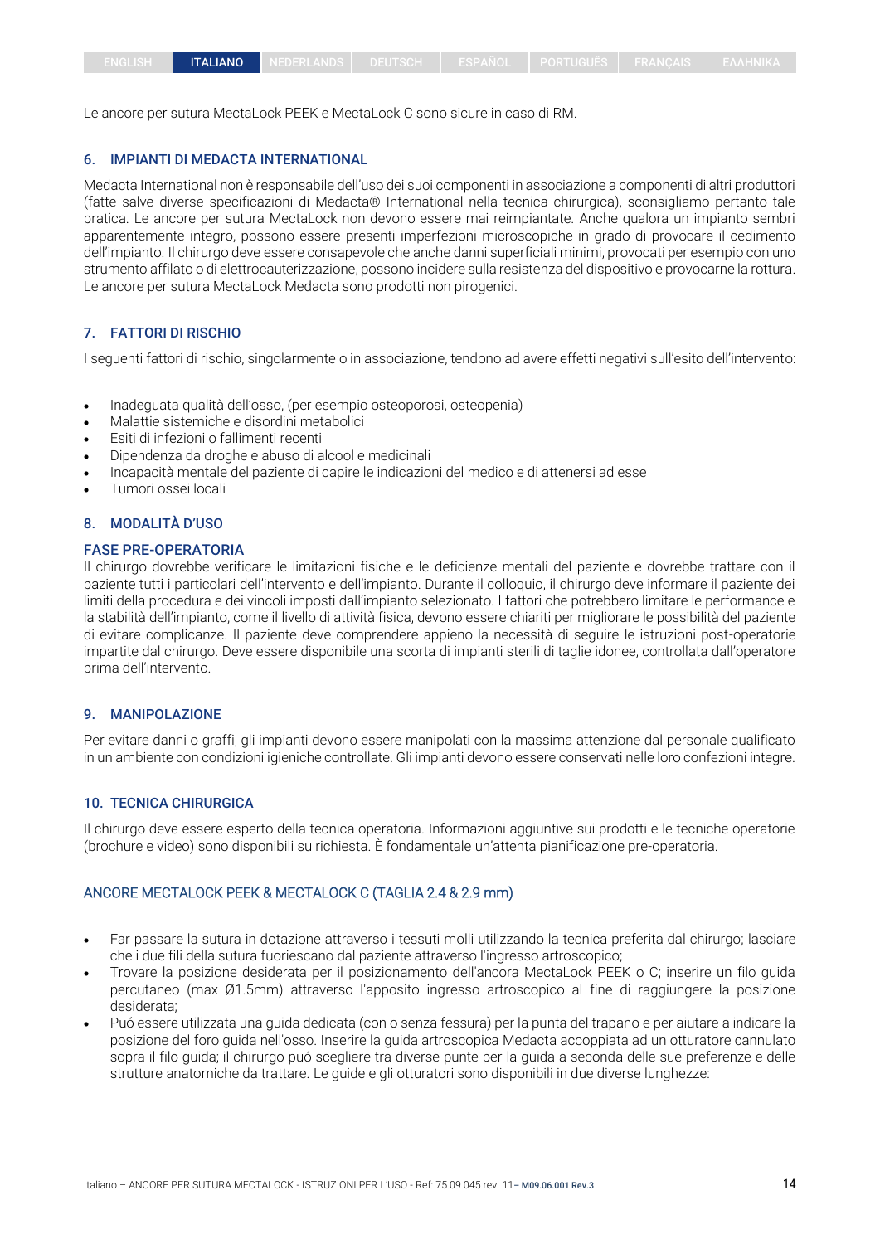Le ancore per sutura MectaLock PEEK e MectaLock C sono sicure in caso di RM.

#### 6. IMPIANTI DI MEDACTA INTERNATIONAL

Medacta International non è responsabile dell'uso dei suoi componenti in associazione a componenti di altri produttori (fatte salve diverse specificazioni di Medacta® International nella tecnica chirurgica), sconsigliamo pertanto tale pratica. Le ancore per sutura MectaLock non devono essere mai reimpiantate. Anche qualora un impianto sembri apparentemente integro, possono essere presenti imperfezioni microscopiche in grado di provocare il cedimento dell'impianto. Il chirurgo deve essere consapevole che anche danni superficiali minimi, provocati per esempio con uno strumento affilato o di elettrocauterizzazione, possono incidere sulla resistenza del dispositivo e provocarne la rottura. Le ancore per sutura MectaLock Medacta sono prodotti non pirogenici.

## 7. FATTORI DI RISCHIO

I seguenti fattori di rischio, singolarmente o in associazione, tendono ad avere effetti negativi sull'esito dell'intervento:

- Inadeguata qualità dell'osso, (per esempio osteoporosi, osteopenia)
- Malattie sistemiche e disordini metabolici
- Esiti di infezioni o fallimenti recenti
- Dipendenza da droghe e abuso di alcool e medicinali
- Incapacità mentale del paziente di capire le indicazioni del medico e di attenersi ad esse
- Tumori ossei locali

#### 8. MODALITÀ D'USO

#### FASE PRE-OPERATORIA

Il chirurgo dovrebbe verificare le limitazioni fisiche e le deficienze mentali del paziente e dovrebbe trattare con il paziente tutti i particolari dell'intervento e dell'impianto. Durante il colloquio, il chirurgo deve informare il paziente dei limiti della procedura e dei vincoli imposti dall'impianto selezionato. I fattori che potrebbero limitare le performance e la stabilità dell'impianto, come il livello di attività fisica, devono essere chiariti per migliorare le possibilità del paziente di evitare complicanze. Il paziente deve comprendere appieno la necessità di seguire le istruzioni post-operatorie impartite dal chirurgo. Deve essere disponibile una scorta di impianti sterili di taglie idonee, controllata dall'operatore prima dell'intervento.

#### 9. MANIPOLAZIONE

Per evitare danni o graffi, gli impianti devono essere manipolati con la massima attenzione dal personale qualificato in un ambiente con condizioni igieniche controllate. Gli impianti devono essere conservati nelle loro confezioni integre.

#### 10. TECNICA CHIRURGICA

Il chirurgo deve essere esperto della tecnica operatoria. Informazioni aggiuntive sui prodotti e le tecniche operatorie (brochure e video) sono disponibili su richiesta. È fondamentale un'attenta pianificazione pre-operatoria.

#### ANCORE MECTALOCK PEEK & MECTALOCK C (TAGLIA 2.4 & 2.9 mm)

- Far passare la sutura in dotazione attraverso i tessuti molli utilizzando la tecnica preferita dal chirurgo; lasciare che i due fili della sutura fuoriescano dal paziente attraverso l'ingresso artroscopico;
- Trovare la posizione desiderata per il posizionamento dell'ancora MectaLock PEEK o C; inserire un filo guida percutaneo (max Ø1.5mm) attraverso l'apposito ingresso artroscopico al fine di raggiungere la posizione desiderata;
- Puó essere utilizzata una guida dedicata (con o senza fessura) per la punta del trapano e per aiutare a indicare la posizione del foro guida nell'osso. Inserire la guida artroscopica Medacta accoppiata ad un otturatore cannulato sopra il filo guida; il chirurgo puó scegliere tra diverse punte per la guida a seconda delle sue preferenze e delle strutture anatomiche da trattare. Le guide e gli otturatori sono disponibili in due diverse lunghezze: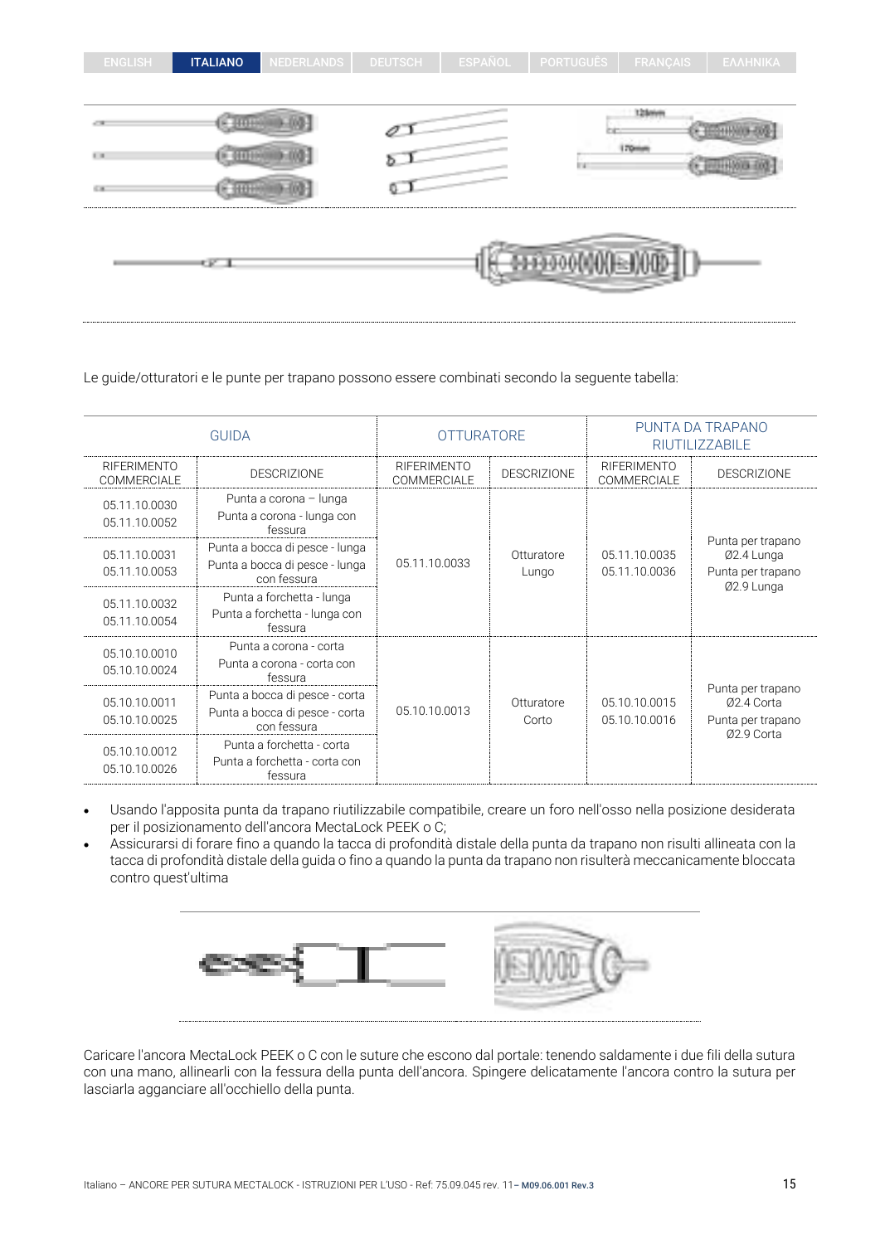| <b>ENGLISH</b>             | <b>ITALIANO</b> | <b>NEDERLANDS</b> | <b>DEUTSCH</b> | <b>ESPAÑOL</b> | <b>PORTUGUÊS</b>   | <b>FRANÇAIS</b> | ΕΛΛΗΝΙΚΑ |
|----------------------------|-----------------|-------------------|----------------|----------------|--------------------|-----------------|----------|
|                            |                 |                   |                |                |                    |                 |          |
|                            |                 |                   |                |                |                    | 128mm           |          |
| $\mathbb{H}^1(\mathbb{R})$ |                 |                   |                |                | li vi              | 170mm           |          |
| 6.18                       |                 |                   | Q              |                |                    |                 |          |
|                            |                 |                   |                |                |                    |                 |          |
|                            | SK 1            |                   |                |                | <b>B000000E000</b> |                 |          |
|                            |                 |                   |                |                |                    |                 |          |

#### Le guide/otturatori e le punte per trapano possono essere combinati secondo la seguente tabella:

| <b>GUIDA</b>                             |                                                                                 | <b>OTTURATORE</b>                 |                     | PUNTA DA TRAPANO<br><b>RIUTILIZZABILE</b> |                                                                    |                                                                    |
|------------------------------------------|---------------------------------------------------------------------------------|-----------------------------------|---------------------|-------------------------------------------|--------------------------------------------------------------------|--------------------------------------------------------------------|
| <b>RIFERIMENTO</b><br><b>COMMERCIALE</b> | <b>DESCRIZIONE</b>                                                              | <b>RIFERIMENTO</b><br>COMMERCIALE | DESCRIZIONE         | <b>RIFERIMENTO</b><br>COMMERCIALE         | <b>DESCRIZIONE</b>                                                 |                                                                    |
| 05.11.10.0030<br>05.11.10.0052           | Punta a corona - lunga<br>Punta a corona - lunga con<br>fessura                 |                                   |                     |                                           |                                                                    |                                                                    |
| 05.11.10.0031<br>05.11.10.0053           | Punta a bocca di pesce - lunga<br>Punta a bocca di pesce - lunga<br>con fessura | 05.11.10.0033                     | Otturatore<br>Lungo | 05.11.10.0035<br>05.11.10.0036            | Punta per trapano<br>Ø2.4 Lunga<br>Punta per trapano<br>Ø2.9 Lunga |                                                                    |
| 05.11.10.0032<br>05.11.10.0054           | Punta a forchetta - lunga<br>Punta a forchetta - lunga con<br>fessura           |                                   |                     |                                           |                                                                    |                                                                    |
| 05.10.10.0010<br>05.10.10.0024           | Punta a corona - corta<br>Punta a corona - corta con<br>fessura                 |                                   |                     |                                           |                                                                    |                                                                    |
| 05.10.10.0011<br>05.10.10.0025           | Punta a bocca di pesce - corta<br>Punta a bocca di pesce - corta<br>con fessura | 05.10.10.0013                     |                     | Otturatore<br>Corto                       | 05.10.10.0015<br>05.10.10.0016                                     | Punta per trapano<br>Ø2.4 Corta<br>Punta per trapano<br>Ø2.9 Corta |
| 05.10.10.0012<br>05.10.10.0026           | Punta a forchetta - corta<br>Punta a forchetta - corta con<br>fessura           |                                   |                     |                                           |                                                                    |                                                                    |

- Usando l'apposita punta da trapano riutilizzabile compatibile, creare un foro nell'osso nella posizione desiderata per il posizionamento dell'ancora MectaLock PEEK o C;
- Assicurarsi di forare fino a quando la tacca di profondità distale della punta da trapano non risulti allineata con la tacca di profondità distale della guida o fino a quando la punta da trapano non risulterà meccanicamente bloccata contro quest'ultima



Caricare l'ancora MectaLock PEEK o C con le suture che escono dal portale: tenendo saldamente i due fili della sutura con una mano, allinearli con la fessura della punta dell'ancora. Spingere delicatamente l'ancora contro la sutura per lasciarla agganciare all'occhiello della punta.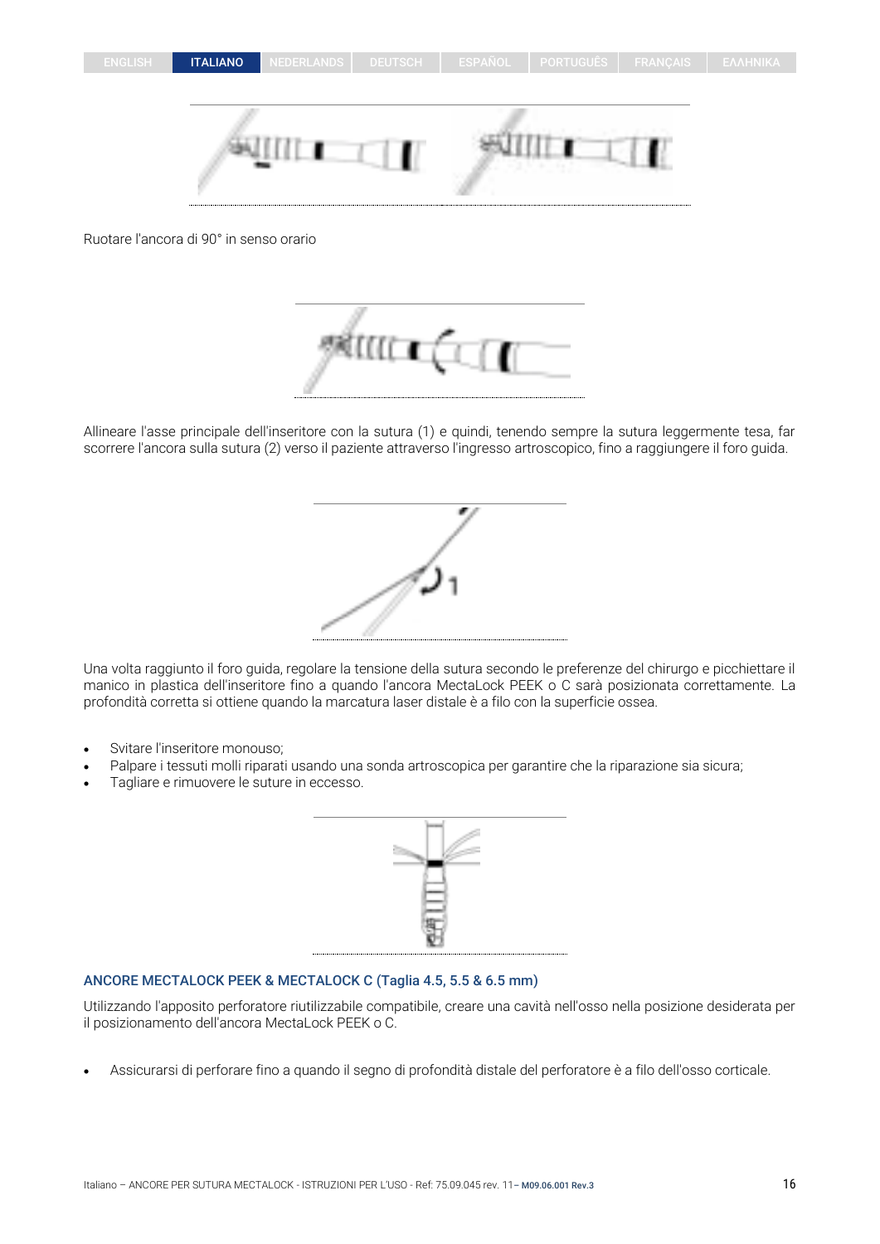

Ruotare l'ancora di 90° in senso orario



Allineare l'asse principale dell'inseritore con la sutura (1) e quindi, tenendo sempre la sutura leggermente tesa, far scorrere l'ancora sulla sutura (2) verso il paziente attraverso l'ingresso artroscopico, fino a raggiungere il foro guida.



Una volta raggiunto il foro guida, regolare la tensione della sutura secondo le preferenze del chirurgo e picchiettare il manico in plastica dell'inseritore fino a quando l'ancora MectaLock PEEK o C sarà posizionata correttamente. La profondità corretta si ottiene quando la marcatura laser distale è a filo con la superficie ossea.

- Svitare l'inseritore monouso;
- Palpare i tessuti molli riparati usando una sonda artroscopica per garantire che la riparazione sia sicura;
- Tagliare e rimuovere le suture in eccesso.



## ANCORE MECTALOCK PEEK & MECTALOCK C (Taglia 4.5, 5.5 & 6.5 mm)

Utilizzando l'apposito perforatore riutilizzabile compatibile, creare una cavità nell'osso nella posizione desiderata per il posizionamento dell'ancora MectaLock PEEK o C.

• Assicurarsi di perforare fino a quando il segno di profondità distale del perforatore è a filo dell'osso corticale.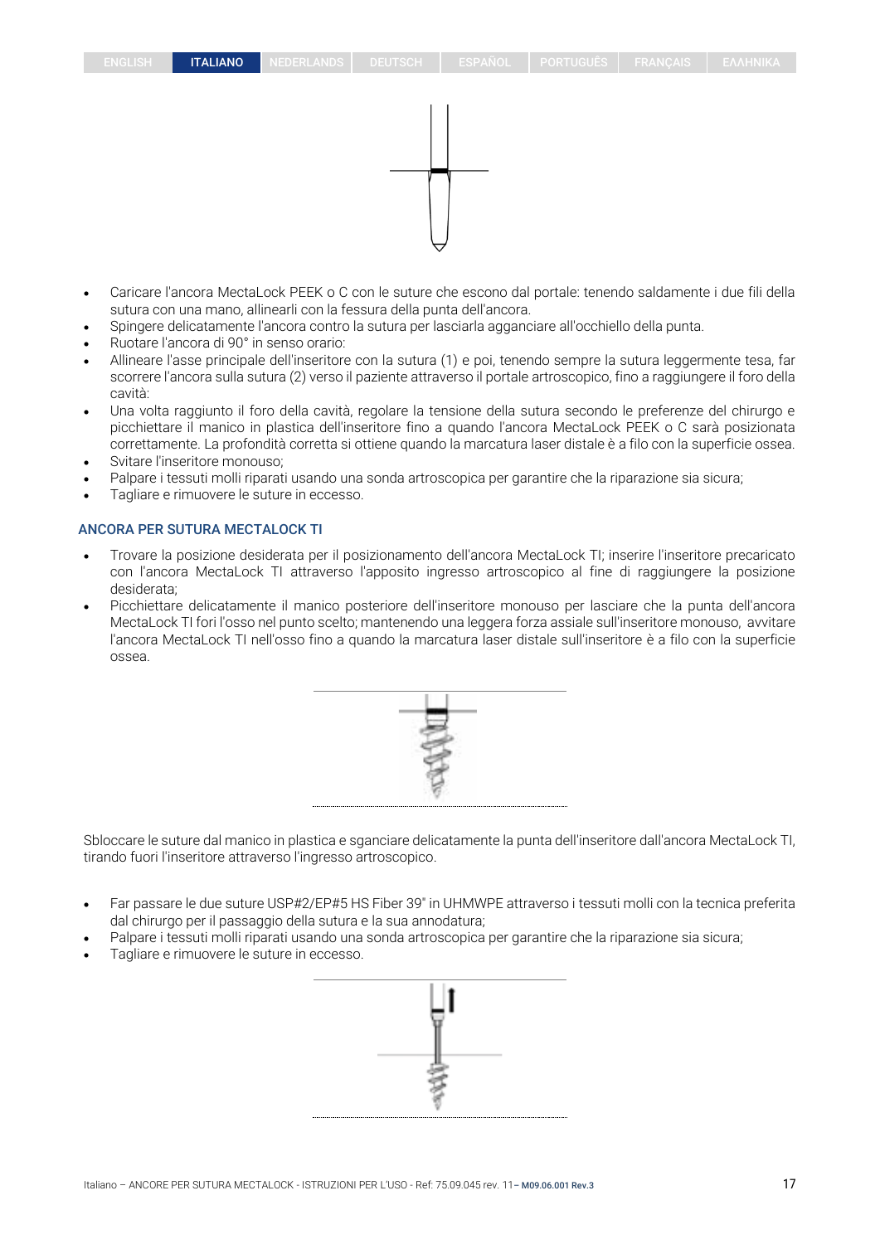- Caricare l'ancora MectaLock PEEK o C con le suture che escono dal portale: tenendo saldamente i due fili della sutura con una mano, allinearli con la fessura della punta dell'ancora.
- Spingere delicatamente l'ancora contro la sutura per lasciarla agganciare all'occhiello della punta.
- Ruotare l'ancora di 90° in senso orario:
- Allineare l'asse principale dell'inseritore con la sutura (1) e poi, tenendo sempre la sutura leggermente tesa, far scorrere l'ancora sulla sutura (2) verso il paziente attraverso il portale artroscopico, fino a raggiungere il foro della cavità:
- Una volta raggiunto il foro della cavità, regolare la tensione della sutura secondo le preferenze del chirurgo e picchiettare il manico in plastica dell'inseritore fino a quando l'ancora MectaLock PEEK o C sarà posizionata correttamente. La profondità corretta si ottiene quando la marcatura laser distale è a filo con la superficie ossea.
- Svitare l'inseritore monouso;
- Palpare i tessuti molli riparati usando una sonda artroscopica per garantire che la riparazione sia sicura;
- Tagliare e rimuovere le suture in eccesso.

## ANCORA PER SUTURA MECTALOCK TI

- Trovare la posizione desiderata per il posizionamento dell'ancora MectaLock TI; inserire l'inseritore precaricato con l'ancora MectaLock TI attraverso l'apposito ingresso artroscopico al fine di raggiungere la posizione desiderata;
- Picchiettare delicatamente il manico posteriore dell'inseritore monouso per lasciare che la punta dell'ancora MectaLock TI fori l'osso nel punto scelto; mantenendo una leggera forza assiale sull'inseritore monouso, avvitare l'ancora MectaLock TI nell'osso fino a quando la marcatura laser distale sull'inseritore è a filo con la superficie ossea.



Sbloccare le suture dal manico in plastica e sganciare delicatamente la punta dell'inseritore dall'ancora MectaLock TI, tirando fuori l'inseritore attraverso l'ingresso artroscopico.

- Far passare le due suture USP#2/EP#5 HS Fiber 39" in UHMWPE attraverso i tessuti molli con la tecnica preferita dal chirurgo per il passaggio della sutura e la sua annodatura;
- Palpare i tessuti molli riparati usando una sonda artroscopica per garantire che la riparazione sia sicura;
- Tagliare e rimuovere le suture in eccesso.

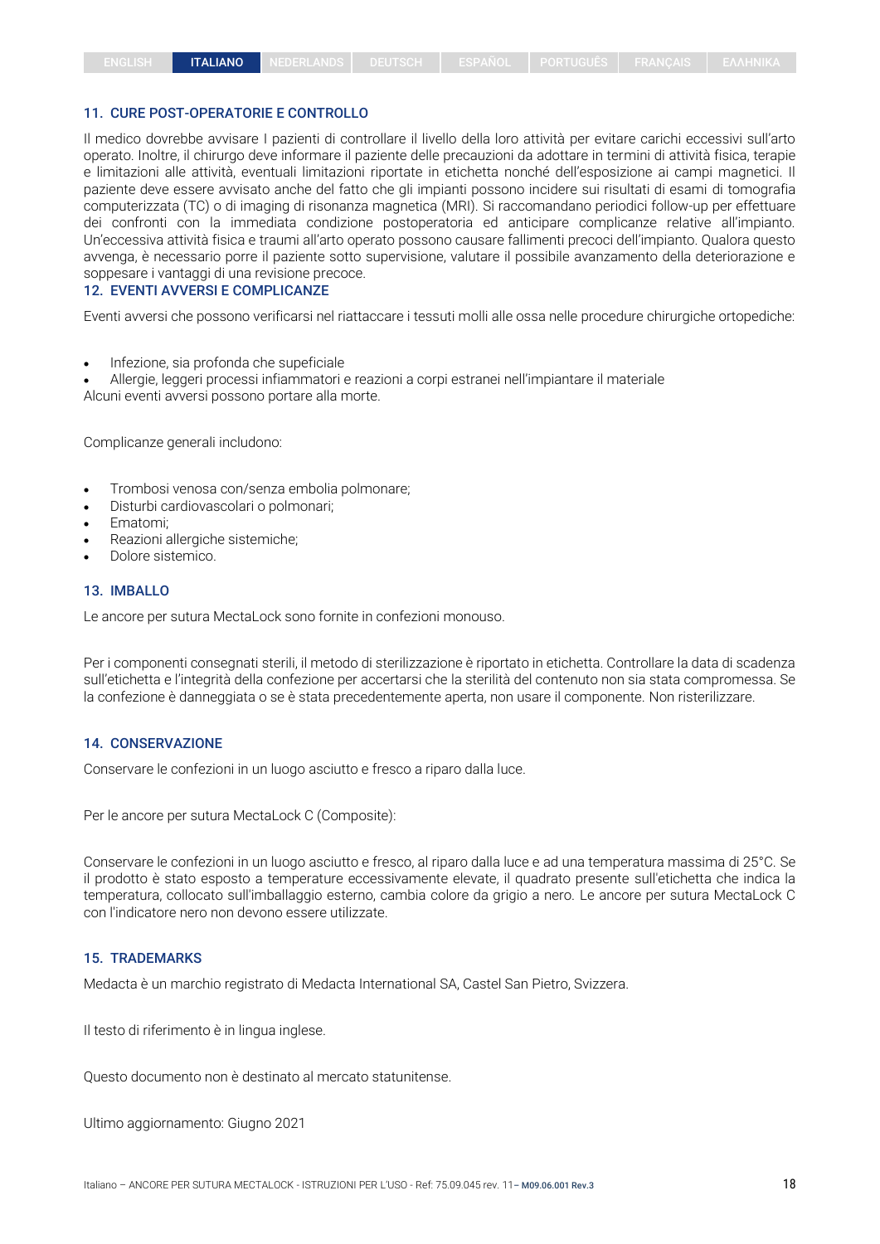#### 11. CURE POST-OPERATORIE E CONTROLLO

Il medico dovrebbe avvisare I pazienti di controllare il livello della loro attività per evitare carichi eccessivi sull'arto operato. Inoltre, il chirurgo deve informare il paziente delle precauzioni da adottare in termini di attività fisica, terapie e limitazioni alle attività, eventuali limitazioni riportate in etichetta nonché dell'esposizione ai campi magnetici. Il paziente deve essere avvisato anche del fatto che gli impianti possono incidere sui risultati di esami di tomografia computerizzata (TC) o di imaging di risonanza magnetica (MRI). Si raccomandano periodici follow-up per effettuare dei confronti con la immediata condizione postoperatoria ed anticipare complicanze relative all'impianto. Un'eccessiva attività fisica e traumi all'arto operato possono causare fallimenti precoci dell'impianto. Qualora questo avvenga, è necessario porre il paziente sotto supervisione, valutare il possibile avanzamento della deteriorazione e soppesare i vantaggi di una revisione precoce.

## 12. EVENTI AVVERSI E COMPLICANZE

Eventi avversi che possono verificarsi nel riattaccare i tessuti molli alle ossa nelle procedure chirurgiche ortopediche:

• Infezione, sia profonda che supeficiale

• Allergie, leggeri processi infiammatori e reazioni a corpi estranei nell'impiantare il materiale Alcuni eventi avversi possono portare alla morte.

Complicanze generali includono:

- Trombosi venosa con/senza embolia polmonare;
- Disturbi cardiovascolari o polmonari;
- Ematomi;
- Reazioni allergiche sistemiche;
- Dolore sistemico.

#### 13. IMBALLO

Le ancore per sutura MectaLock sono fornite in confezioni monouso.

Per i componenti consegnati sterili, il metodo di sterilizzazione è riportato in etichetta. Controllare la data di scadenza sull'etichetta e l'integrità della confezione per accertarsi che la sterilità del contenuto non sia stata compromessa. Se la confezione è danneggiata o se è stata precedentemente aperta, non usare il componente. Non risterilizzare.

#### 14. CONSERVAZIONE

Conservare le confezioni in un luogo asciutto e fresco a riparo dalla luce.

Per le ancore per sutura MectaLock C (Composite):

Conservare le confezioni in un luogo asciutto e fresco, al riparo dalla luce e ad una temperatura massima di 25°C. Se il prodotto è stato esposto a temperature eccessivamente elevate, il quadrato presente sull'etichetta che indica la temperatura, collocato sull'imballaggio esterno, cambia colore da grigio a nero. Le ancore per sutura MectaLock C con l'indicatore nero non devono essere utilizzate.

#### 15. TRADEMARKS

Medacta è un marchio registrato di Medacta International SA, Castel San Pietro, Svizzera.

Il testo di riferimento è in lingua inglese.

Questo documento non è destinato al mercato statunitense.

Ultimo aggiornamento: Giugno 2021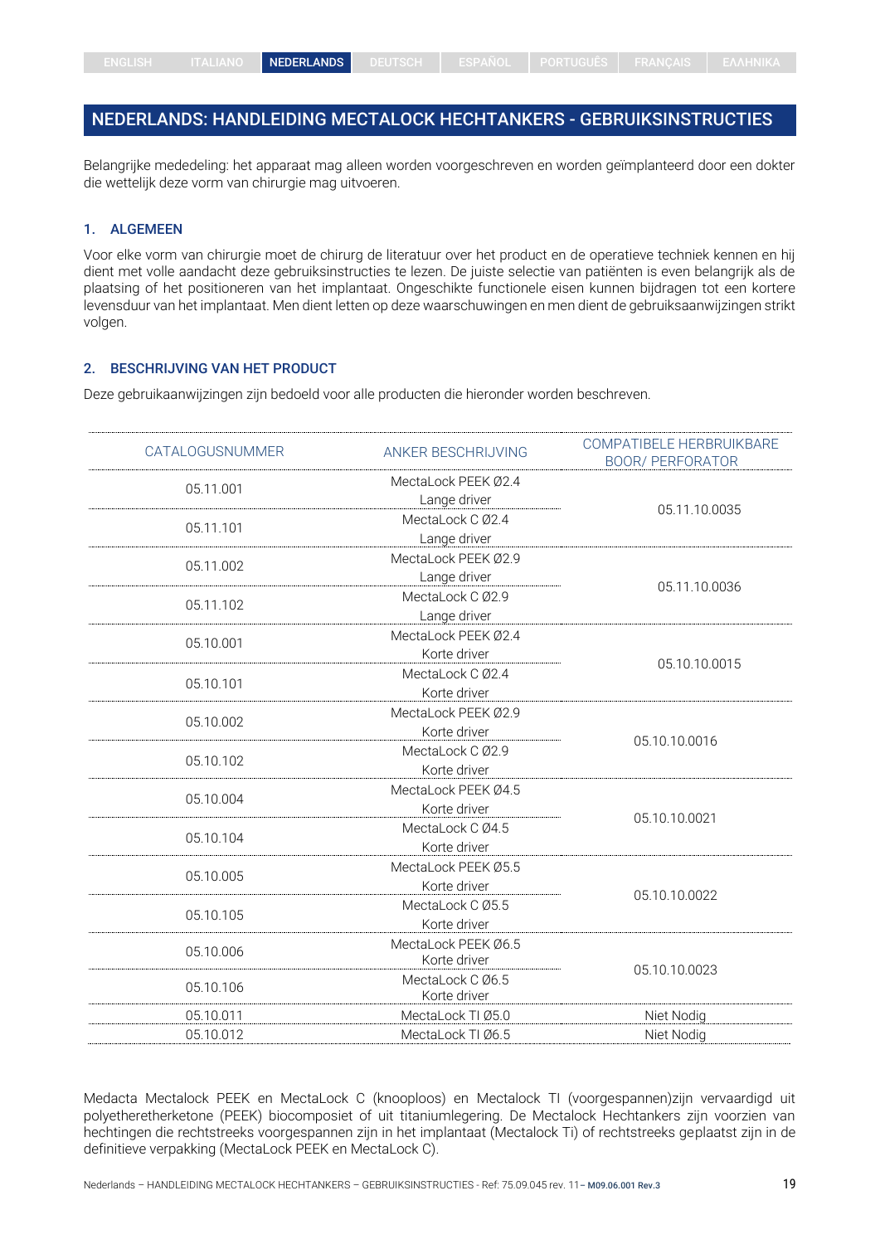## <span id="page-18-0"></span>NEDERLANDS: HANDLEIDING MECTALOCK HECHTANKERS - GEBRUIKSINSTRUCTIES

Belangrijke mededeling: het apparaat mag alleen worden voorgeschreven en worden geïmplanteerd door een dokter die wettelijk deze vorm van chirurgie mag uitvoeren.

#### 1. ALGEMEEN

Voor elke vorm van chirurgie moet de chirurg de literatuur over het product en de operatieve techniek kennen en hij dient met volle aandacht deze gebruiksinstructies te lezen. De juiste selectie van patiënten is even belangrijk als de plaatsing of het positioneren van het implantaat. Ongeschikte functionele eisen kunnen bijdragen tot een kortere levensduur van het implantaat. Men dient letten op deze waarschuwingen en men dient de gebruiksaanwijzingen strikt volgen.

#### 2. BESCHRIJVING VAN HET PRODUCT

Deze gebruikaanwijzingen zijn bedoeld voor alle producten die hieronder worden beschreven.

| CATALOGUSNUMMER | ANKER BESCHRIJVING  | COMPATIBELE HERBRUIKBARE<br><b>BOOR/ PERFORATOR</b> |
|-----------------|---------------------|-----------------------------------------------------|
| 05.11.001       | MectaLock PEEK Ø2.4 |                                                     |
|                 | Lange driver        |                                                     |
| 05.11.101       | MectaLock C Ø2.4    | 05.11.10.0035                                       |
|                 | Lange driver        |                                                     |
| 05.11.002       | MectaLock PEEK Ø2.9 |                                                     |
|                 | Lange driver        |                                                     |
|                 | MectaLock C Ø2.9    | 05.11.10.0036                                       |
| 05.11.102       | Lange driver        |                                                     |
| 05.10.001       | MectaLock PEEK Ø2.4 |                                                     |
|                 | Korte driver        |                                                     |
|                 | MectaLock C Ø2.4    | 05.10.10.0015                                       |
| 05.10.101       | Korte driver        |                                                     |
|                 | MectaLock PEEK Ø2.9 |                                                     |
| 05.10.002       | Korte driver        |                                                     |
|                 | MectaLock C Ø2.9    | 05.10.10.0016                                       |
| 05.10.102       | Korte driver        |                                                     |
|                 | MectaLock PEEK Ø4.5 |                                                     |
| 05.10.004       | Korte driver        |                                                     |
|                 | MectaLock C Ø4.5    | 05.10.10.0021                                       |
| 05.10.104       | Korte driver        |                                                     |
|                 | MectaLock PEEK Ø5.5 |                                                     |
| 05.10.005       | Korte driver        |                                                     |
|                 | MectaLock C Ø5.5    | 05.10.10.0022                                       |
| 05.10.105       | Korte driver        |                                                     |
| 05.10.006       | MectaLock PEEK Ø6.5 |                                                     |
|                 | Korte driver        | 05.10.10.0023                                       |
| 05.10.106       | MectaLock C Ø6.5    |                                                     |
|                 | Korte driver        |                                                     |
| 05.10.011       | MectaLock TI Ø5.0   | Niet Nodig                                          |
| 05.10.012       | MectaLock TI Ø6.5   | Niet Nodig                                          |

Medacta Mectalock PEEK en MectaLock C (knooploos) en Mectalock TI (voorgespannen)zijn vervaardigd uit polyetheretherketone (PEEK) biocomposiet of uit titaniumlegering. De Mectalock Hechtankers zijn voorzien van hechtingen die rechtstreeks voorgespannen zijn in het implantaat (Mectalock Ti) of rechtstreeks geplaatst zijn in de definitieve verpakking (MectaLock PEEK en MectaLock C).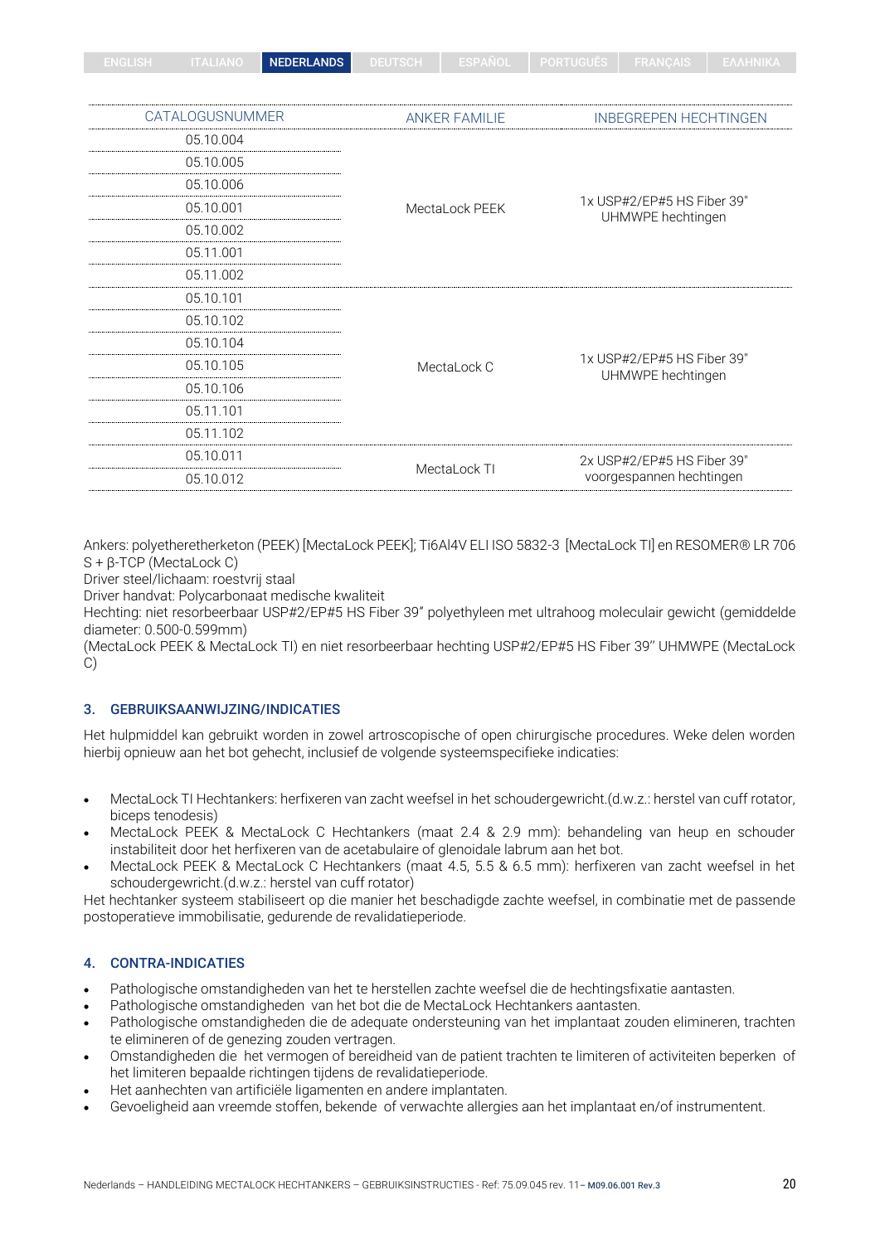|  | NEDERLANDS |  |  |  |  |  |
|--|------------|--|--|--|--|--|
|--|------------|--|--|--|--|--|

| CATALOGUSNUMMER | <b>ANKER FAMILIE</b> | <b>INBEGREPEN HECHTINGEN</b>                    |  |  |
|-----------------|----------------------|-------------------------------------------------|--|--|
| 05.10.004       |                      |                                                 |  |  |
| 05.10.005       |                      |                                                 |  |  |
| 05.10.006       |                      |                                                 |  |  |
| 05.10.001       | MectaLock PEEK       | 1x USP#2/EP#5 HS Fiber 39"<br>UHMWPE hechtingen |  |  |
| 05.10.002       | 05.11.001            |                                                 |  |  |
|                 |                      |                                                 |  |  |
| 05.11.002       |                      |                                                 |  |  |
| 05.10.101       |                      |                                                 |  |  |
| 05.10.102       |                      |                                                 |  |  |
| 05.10.104       |                      |                                                 |  |  |
| 05.10.105       | MectaLock C          | 1x USP#2/EP#5 HS Fiber 39"<br>UHMWPE hechtingen |  |  |
| 05.10.106       |                      |                                                 |  |  |
| 05.11.101       |                      |                                                 |  |  |
| 05.11.102       |                      |                                                 |  |  |
| 05.10.011       |                      | 2x USP#2/EP#5 HS Fiber 39"                      |  |  |
| 05.10.012       | MectaLock TI         | voorgespannen hechtingen                        |  |  |

Ankers: polyetheretherketon (PEEK) [MectaLock PEEK]; Ti6Al4V ELI ISO 5832-3 [MectaLock TI] en RESOMER® LR 706 S + β-TCP (MectaLock C)

Driver steel/lichaam: roestvrij staal

Driver handvat: Polycarbonaat medische kwaliteit

Hechting: niet resorbeerbaar USP#2/EP#5 HS Fiber 39" polyethyleen met ultrahoog moleculair gewicht (gemiddelde diameter: 0.500-0.599mm)

(MectaLock PEEK & MectaLock TI) en niet resorbeerbaar hechting USP#2/EP#5 HS Fiber 39'' UHMWPE (MectaLock C)

## 3. GEBRUIKSAANWIJZING/INDICATIES

Het hulpmiddel kan gebruikt worden in zowel artroscopische of open chirurgische procedures. Weke delen worden hierbij opnieuw aan het bot gehecht, inclusief de volgende systeemspecifieke indicaties:

- MectaLock TI Hechtankers: herfixeren van zacht weefsel in het schoudergewricht.(d.w.z.: herstel van cuff rotator, biceps tenodesis)
- MectaLock PEEK & MectaLock C Hechtankers (maat 2.4 & 2.9 mm): behandeling van heup en schouder instabiliteit door het herfixeren van de acetabulaire of glenoidale labrum aan het bot.
- MectaLock PEEK & MectaLock C Hechtankers (maat 4.5, 5.5 & 6.5 mm): herfixeren van zacht weefsel in het schoudergewricht.(d.w.z.: herstel van cuff rotator)

Het hechtanker systeem stabiliseert op die manier het beschadigde zachte weefsel, in combinatie met de passende postoperatieve immobilisatie, gedurende de revalidatieperiode.

## 4. CONTRA-INDICATIES

- Pathologische omstandigheden van het te herstellen zachte weefsel die de hechtingsfixatie aantasten.
- Pathologische omstandigheden van het bot die de MectaLock Hechtankers aantasten.
- Pathologische omstandigheden die de adequate ondersteuning van het implantaat zouden elimineren, trachten te elimineren of de genezing zouden vertragen.
- Omstandigheden die het vermogen of bereidheid van de patient trachten te limiteren of activiteiten beperken of het limiteren bepaalde richtingen tijdens de revalidatieperiode.
- Het aanhechten van artificiële ligamenten en andere implantaten.
- Gevoeligheid aan vreemde stoffen, bekende of verwachte allergies aan het implantaat en/of instrumentent.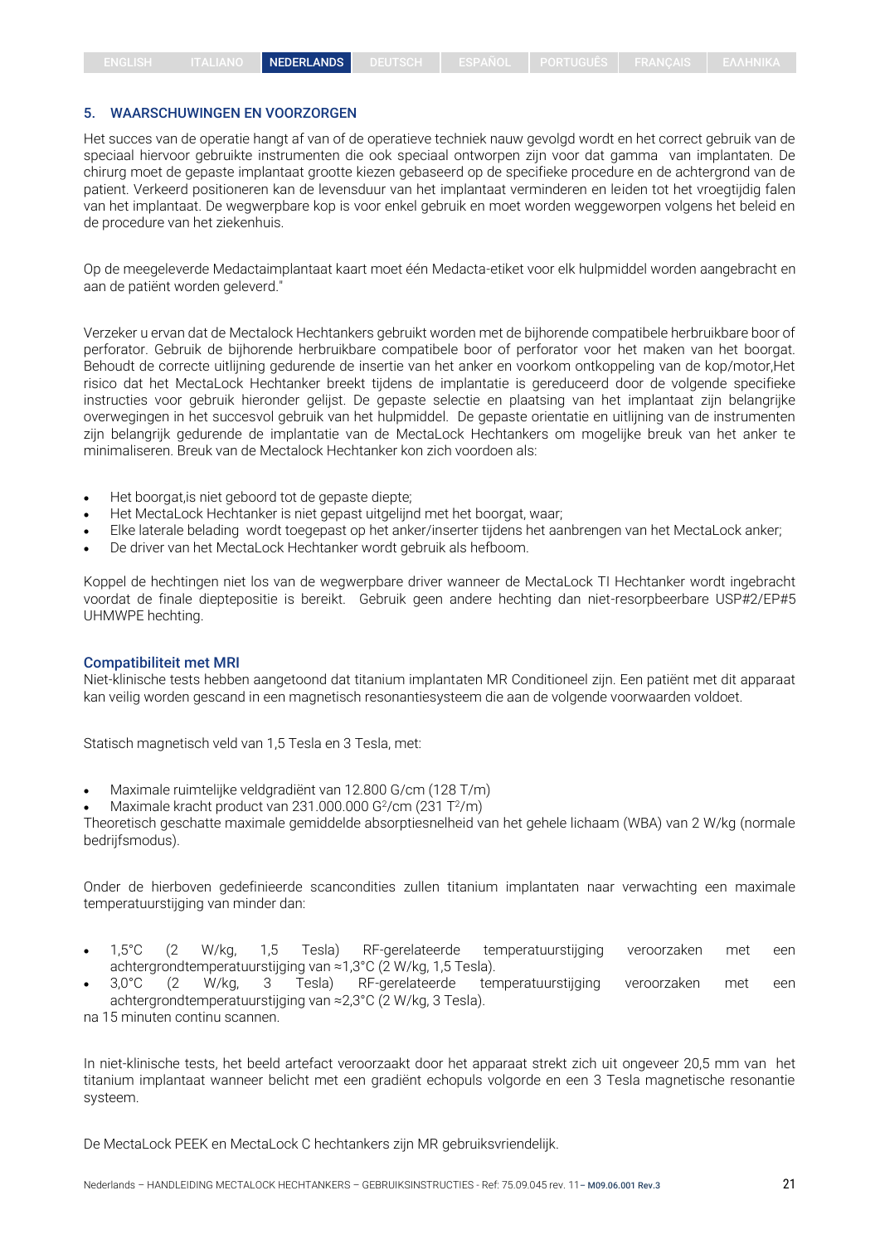#### 5. WAARSCHUWINGEN EN VOORZORGEN

Het succes van de operatie hangt af van of de operatieve techniek nauw gevolgd wordt en het correct gebruik van de speciaal hiervoor gebruikte instrumenten die ook speciaal ontworpen zijn voor dat gamma van implantaten. De chirurg moet de gepaste implantaat grootte kiezen gebaseerd op de specifieke procedure en de achtergrond van de patient. Verkeerd positioneren kan de levensduur van het implantaat verminderen en leiden tot het vroegtijdig falen van het implantaat. De wegwerpbare kop is voor enkel gebruik en moet worden weggeworpen volgens het beleid en de procedure van het ziekenhuis.

Op de meegeleverde Medactaimplantaat kaart moet één Medacta-etiket voor elk hulpmiddel worden aangebracht en aan de patiënt worden geleverd."

Verzeker u ervan dat de Mectalock Hechtankers gebruikt worden met de bijhorende compatibele herbruikbare boor of perforator. Gebruik de bijhorende herbruikbare compatibele boor of perforator voor het maken van het boorgat. Behoudt de correcte uitlijning gedurende de insertie van het anker en voorkom ontkoppeling van de kop/motor,Het risico dat het MectaLock Hechtanker breekt tijdens de implantatie is gereduceerd door de volgende specifieke instructies voor gebruik hieronder gelijst. De gepaste selectie en plaatsing van het implantaat zijn belangrijke overwegingen in het succesvol gebruik van het hulpmiddel. De gepaste orientatie en uitlijning van de instrumenten zijn belangrijk gedurende de implantatie van de MectaLock Hechtankers om mogelijke breuk van het anker te minimaliseren. Breuk van de Mectalock Hechtanker kon zich voordoen als:

- Het boorgat,is niet geboord tot de gepaste diepte;
- Het MectaLock Hechtanker is niet gepast uitgelijnd met het boorgat, waar;
- Elke laterale belading wordt toegepast op het anker/inserter tijdens het aanbrengen van het MectaLock anker;
- De driver van het MectaLock Hechtanker wordt gebruik als hefboom.

Koppel de hechtingen niet los van de wegwerpbare driver wanneer de MectaLock TI Hechtanker wordt ingebracht voordat de finale dieptepositie is bereikt. Gebruik geen andere hechting dan niet-resorpbeerbare USP#2/EP#5 UHMWPE hechting.

#### Compatibiliteit met MRI

Niet-klinische tests hebben aangetoond dat titanium implantaten MR Conditioneel zijn. Een patiënt met dit apparaat kan veilig worden gescand in een magnetisch resonantiesysteem die aan de volgende voorwaarden voldoet.

Statisch magnetisch veld van 1,5 Tesla en 3 Tesla, met:

• Maximale ruimtelijke veldgradiënt van 12.800 G/cm (128 T/m)

• Maximale kracht product van 231.000.000 G $2/$ cm (231 T $2/$ m)

Theoretisch geschatte maximale gemiddelde absorptiesnelheid van het gehele lichaam (WBA) van 2 W/kg (normale bedrijfsmodus).

Onder de hierboven gedefinieerde scancondities zullen titanium implantaten naar verwachting een maximale temperatuurstijging van minder dan:

- 1,5°C (2 W/kg, 1,5 Tesla) RF-gerelateerde temperatuurstijging veroorzaken met een achtergrondtemperatuurstijging van ≈1,3°C (2 W/kg, 1,5 Tesla).
- 3,0°C (2 W/kg, 3 Tesla) RF-gerelateerde temperatuurstijging veroorzaken met een achtergrondtemperatuurstijging van ≈2,3°C (2 W/kg, 3 Tesla).

na 15 minuten continu scannen.

In niet-klinische tests, het beeld artefact veroorzaakt door het apparaat strekt zich uit ongeveer 20,5 mm van het titanium implantaat wanneer belicht met een gradiënt echopuls volgorde en een 3 Tesla magnetische resonantie systeem.

De MectaLock PEEK en MectaLock C hechtankers zijn MR gebruiksvriendelijk.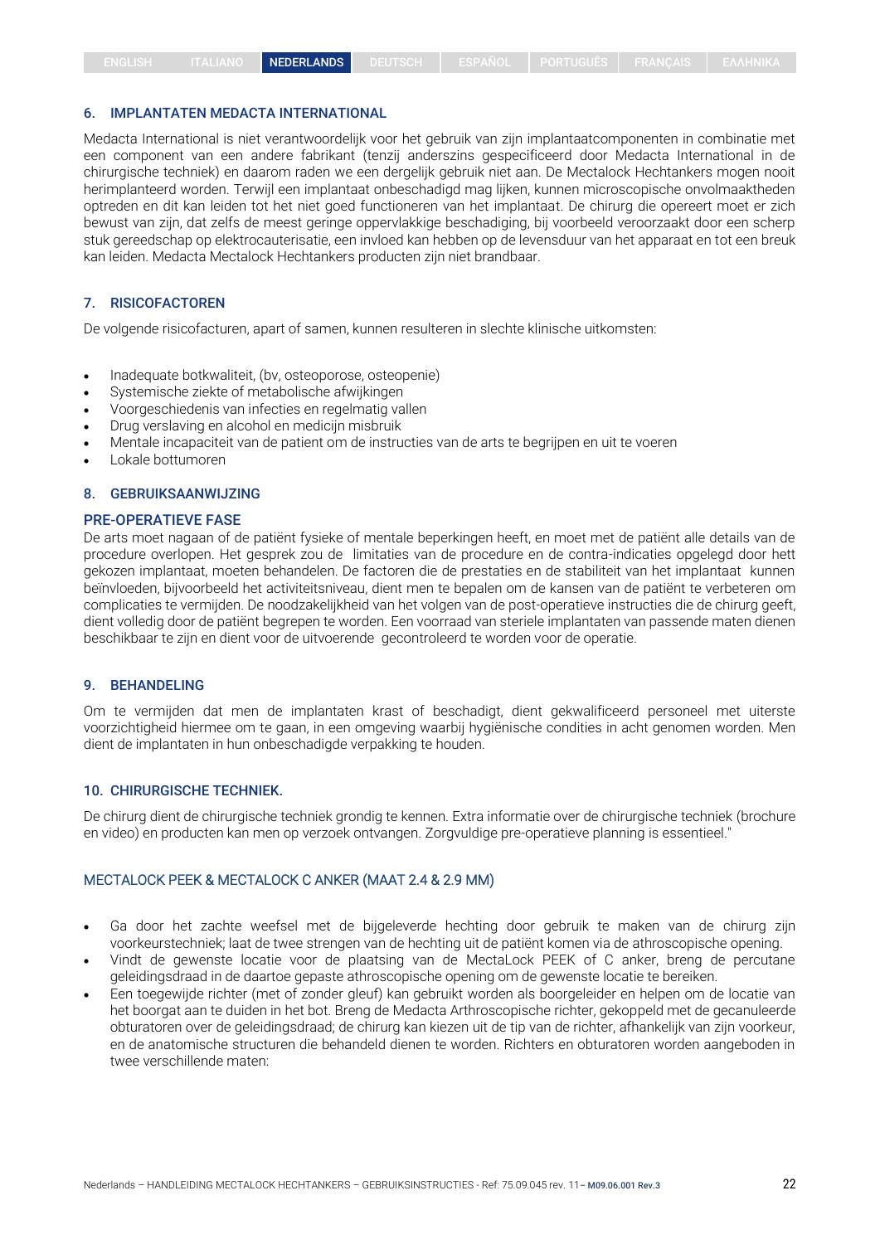#### 6. IMPLANTATEN MEDACTA INTERNATIONAL

Medacta International is niet verantwoordelijk voor het gebruik van zijn implantaatcomponenten in combinatie met een component van een andere fabrikant (tenzij anderszins gespecificeerd door Medacta International in de chirurgische techniek) en daarom raden we een dergelijk gebruik niet aan. De Mectalock Hechtankers mogen nooit herimplanteerd worden. Terwijl een implantaat onbeschadigd mag lijken, kunnen microscopische onvolmaaktheden optreden en dit kan leiden tot het niet goed functioneren van het implantaat. De chirurg die opereert moet er zich bewust van zijn, dat zelfs de meest geringe oppervlakkige beschadiging, bij voorbeeld veroorzaakt door een scherp stuk gereedschap op elektrocauterisatie, een invloed kan hebben op de levensduur van het apparaat en tot een breuk kan leiden. Medacta Mectalock Hechtankers producten zijn niet brandbaar.

#### 7. RISICOFACTOREN

De volgende risicofacturen, apart of samen, kunnen resulteren in slechte klinische uitkomsten:

- Inadequate botkwaliteit, (bv, osteoporose, osteopenie)
- Systemische ziekte of metabolische afwijkingen
- Voorgeschiedenis van infecties en regelmatig vallen
- Drug verslaving en alcohol en medicijn misbruik
- Mentale incapaciteit van de patient om de instructies van de arts te begrijpen en uit te voeren
- Lokale bottumoren

#### 8. GEBRUIKSAANWIJZING

#### PRE-OPERATIEVE FASE

De arts moet nagaan of de patiënt fysieke of mentale beperkingen heeft, en moet met de patiënt alle details van de procedure overlopen. Het gesprek zou de limitaties van de procedure en de contra-indicaties opgelegd door hett gekozen implantaat, moeten behandelen. De factoren die de prestaties en de stabiliteit van het implantaat kunnen beïnvloeden, bijvoorbeeld het activiteitsniveau, dient men te bepalen om de kansen van de patiënt te verbeteren om complicaties te vermijden. De noodzakelijkheid van het volgen van de post-operatieve instructies die de chirurg geeft, dient volledig door de patiënt begrepen te worden. Een voorraad van steriele implantaten van passende maten dienen beschikbaar te zijn en dient voor de uitvoerende gecontroleerd te worden voor de operatie.

#### 9. BEHANDELING

Om te vermijden dat men de implantaten krast of beschadigt, dient gekwalificeerd personeel met uiterste voorzichtigheid hiermee om te gaan, in een omgeving waarbij hygiënische condities in acht genomen worden. Men dient de implantaten in hun onbeschadigde verpakking te houden.

#### 10. CHIRURGISCHE TECHNIEK.

De chirurg dient de chirurgische techniek grondig te kennen. Extra informatie over de chirurgische techniek (brochure en video) en producten kan men op verzoek ontvangen. Zorgvuldige pre-operatieve planning is essentieel."

## MECTALOCK PEEK & MECTALOCK C ANKER (MAAT 2.4 & 2.9 MM)

- Ga door het zachte weefsel met de bijgeleverde hechting door gebruik te maken van de chirurg zijn voorkeurstechniek; laat de twee strengen van de hechting uit de patiënt komen via de athroscopische opening.
- Vindt de gewenste locatie voor de plaatsing van de MectaLock PEEK of C anker, breng de percutane geleidingsdraad in de daartoe gepaste athroscopische opening om de gewenste locatie te bereiken.
- Een toegewijde richter (met of zonder gleuf) kan gebruikt worden als boorgeleider en helpen om de locatie van het boorgat aan te duiden in het bot. Breng de Medacta Arthroscopische richter, gekoppeld met de gecanuleerde obturatoren over de geleidingsdraad; de chirurg kan kiezen uit de tip van de richter, afhankelijk van zijn voorkeur, en de anatomische structuren die behandeld dienen te worden. Richters en obturatoren worden aangeboden in twee verschillende maten: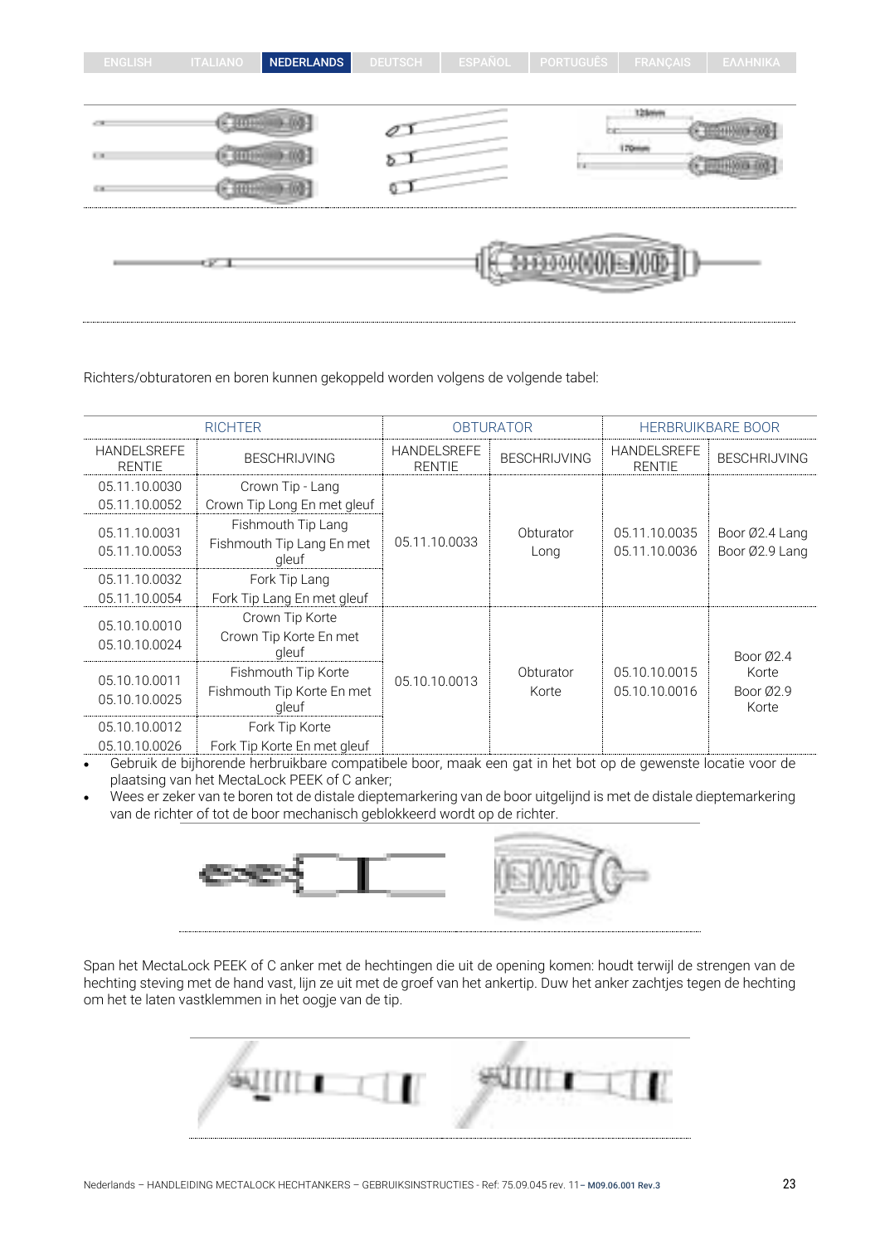| <b>ENGLISH</b>            | <b>ITALIANO</b> | NEDERLANDS | <b>DEUTSCH</b> | ESPANOL | PORTUGUES | <b>FRANÇAIS</b> | ΕΛΛΗΝΙΚΑ |
|---------------------------|-----------------|------------|----------------|---------|-----------|-----------------|----------|
|                           |                 |            |                |         |           |                 |          |
|                           |                 |            |                |         |           | 12 Seleit       |          |
| $\mathbb{E}[\mathcal{M}]$ |                 |            |                |         | li si     | 170mm           |          |
| 6.81                      |                 |            | Ψ.             |         |           |                 |          |
|                           | e pro           |            |                |         |           | <b>JUNEUM</b>   |          |

Richters/obturatoren en boren kunnen gekoppeld worden volgens de volgende tabel:

| <b>RICHTER</b>                      |                                                            | <b>OBTURATOR</b>                    |                     | <b>HERBRUIKBARE BOOR</b>            |                                  |
|-------------------------------------|------------------------------------------------------------|-------------------------------------|---------------------|-------------------------------------|----------------------------------|
| <b>HANDELSREFE</b><br><b>RENTIE</b> | <b>BESCHRIJVING</b>                                        | <b>HANDELSREFE</b><br><b>RENTIE</b> | <b>BESCHRIJVING</b> | <b>HANDELSREFE</b><br><b>RENTIE</b> | <b>BESCHRIJVING</b>              |
| 05.11.10.0030<br>05.11.10.0052      | Crown Tip - Lang<br>Crown Tip Long En met gleuf            |                                     |                     |                                     |                                  |
| 05.11.10.0031<br>05.11.10.0053      | Fishmouth Tip Lang<br>Fishmouth Tip Lang En met<br>gleuf   | 05.11.10.0033                       | Obturator<br>Long   | 05.11.10.0035<br>05.11.10.0036      | Boor Ø2.4 Lang<br>Boor Ø2.9 Lang |
| 05.11.10.0032<br>05.11.10.0054      | Fork Tip Lang<br>Fork Tip Lang En met gleuf                |                                     |                     |                                     |                                  |
| 05.10.10.0010<br>05.10.10.0024      | Crown Tip Korte<br>Crown Tip Korte En met<br>gleuf         |                                     |                     |                                     | Boor $Ø2.4$                      |
| 05.10.10.0011<br>05.10.10.0025      | Fishmouth Tip Korte<br>Fishmouth Tip Korte En met<br>gleuf | 05.10.10.0013                       | Obturator<br>Korte  | 05.10.10.0015<br>05.10.10.0016      | Korte<br>Boor Ø2.9<br>Korte      |
| 05.10.10.0012<br>05.10.10.0026      | Fork Tip Korte<br>Fork Tip Korte En met gleuf              |                                     |                     |                                     |                                  |

• Gebruik de bijhorende herbruikbare compatibele boor, maak een gat in het bot op de gewenste locatie voor de plaatsing van het MectaLock PEEK of C anker;

• Wees er zeker van te boren tot de distale dieptemarkering van de boor uitgelijnd is met de distale dieptemarkering van de richter of tot de boor mechanisch geblokkeerd wordt op de richter.



Span het MectaLock PEEK of C anker met de hechtingen die uit de opening komen: houdt terwijl de strengen van de hechting steving met de hand vast, lijn ze uit met de groef van het ankertip. Duw het anker zachtjes tegen de hechting om het te laten vastklemmen in het oogje van de tip.

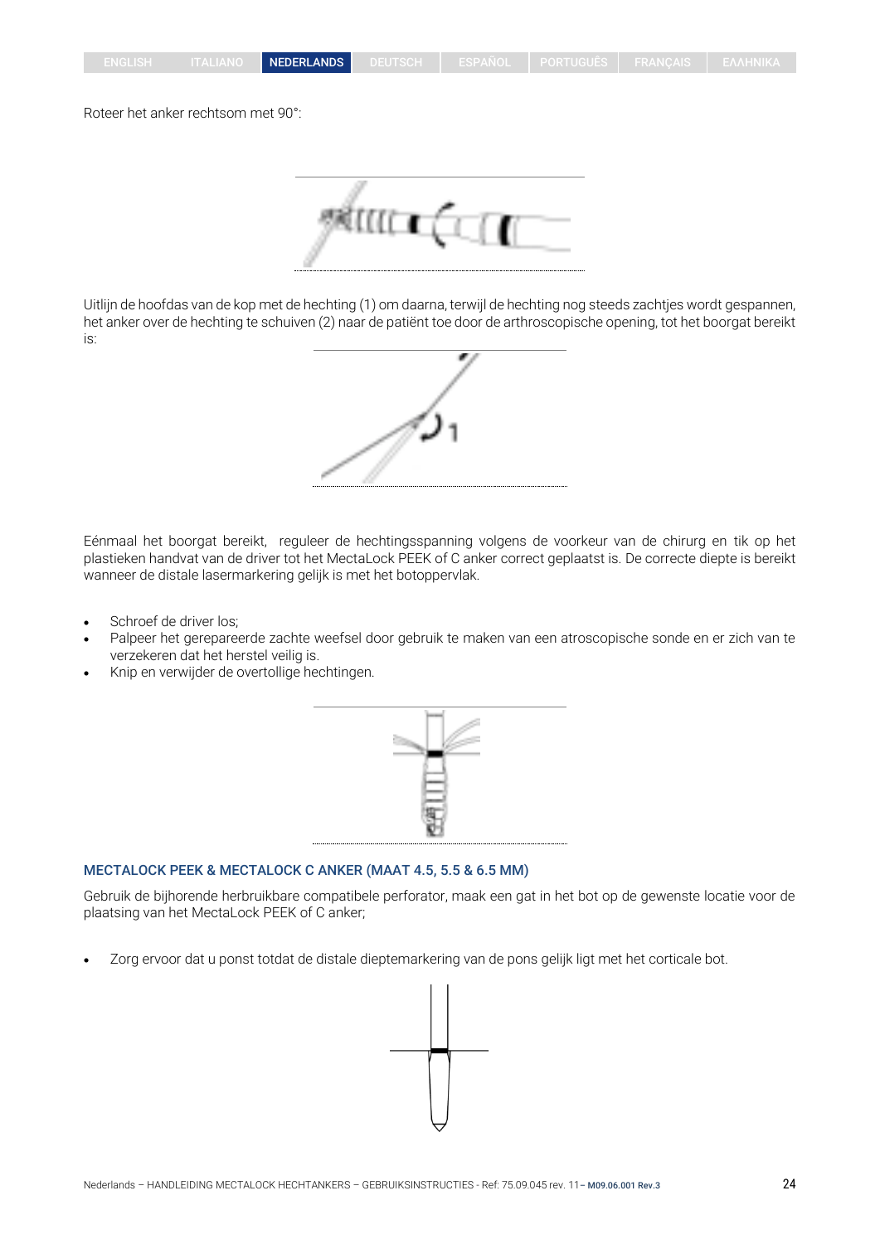#### Roteer het anker rechtsom met 90°:

Uitlijn de hoofdas van de kop met de hechting (1) om daarna, terwijl de hechting nog steeds zachtjes wordt gespannen, het anker over de hechting te schuiven (2) naar de patiënt toe door de arthroscopische opening, tot het boorgat bereikt is:

Eénmaal het boorgat bereikt, reguleer de hechtingsspanning volgens de voorkeur van de chirurg en tik op het plastieken handvat van de driver tot het MectaLock PEEK of C anker correct geplaatst is. De correcte diepte is bereikt wanneer de distale lasermarkering gelijk is met het botoppervlak.

- Schroef de driver los;
- Palpeer het gerepareerde zachte weefsel door gebruik te maken van een atroscopische sonde en er zich van te verzekeren dat het herstel veilig is.
- Knip en verwijder de overtollige hechtingen.



Gebruik de bijhorende herbruikbare compatibele perforator, maak een gat in het bot op de gewenste locatie voor de plaatsing van het MectaLock PEEK of C anker;

• Zorg ervoor dat u ponst totdat de distale dieptemarkering van de pons gelijk ligt met het corticale bot.



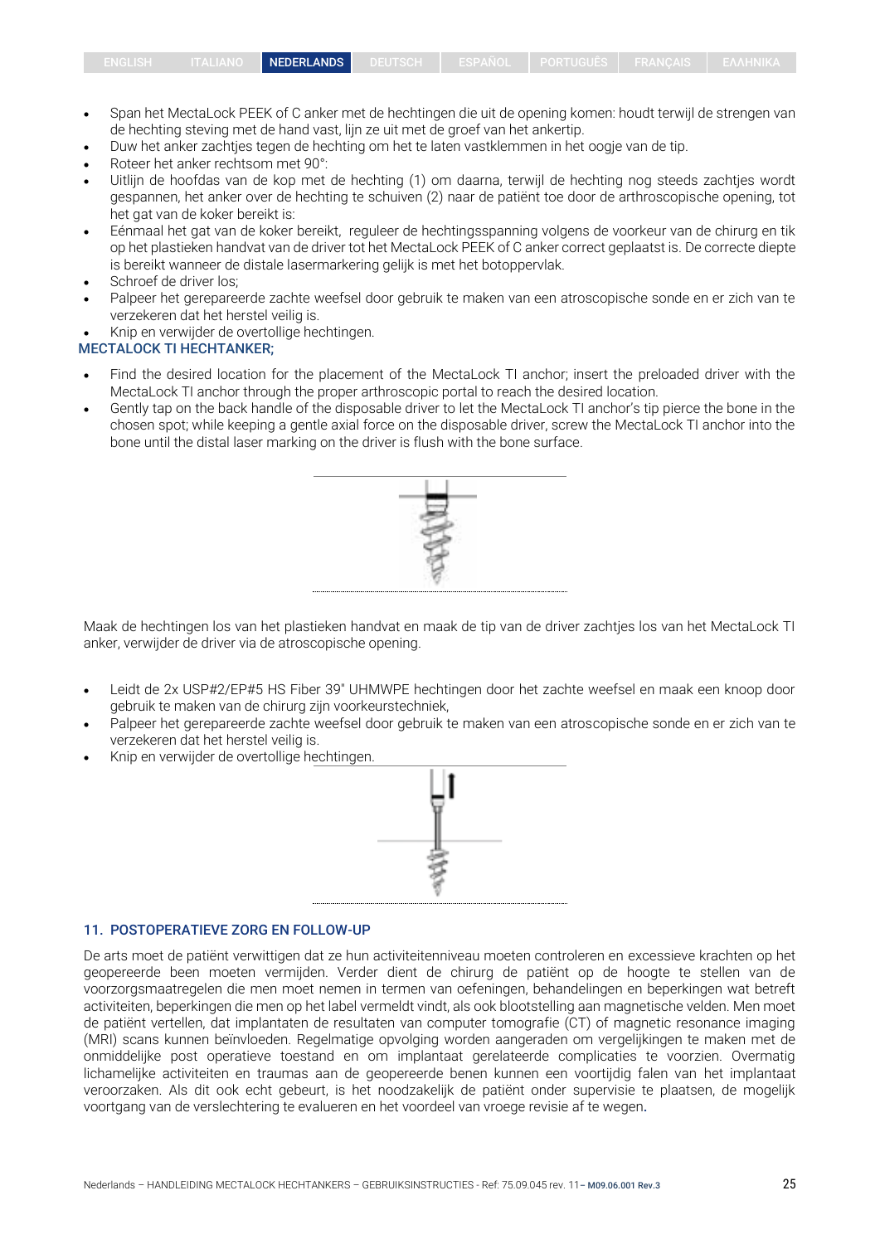- Span het MectaLock PEEK of C anker met de hechtingen die uit de opening komen: houdt terwijl de strengen van de hechting steving met de hand vast, lijn ze uit met de groef van het ankertip.
- Duw het anker zachtjes tegen de hechting om het te laten vastklemmen in het oogje van de tip.
- Roteer het anker rechtsom met 90°:
- Uitlijn de hoofdas van de kop met de hechting (1) om daarna, terwijl de hechting nog steeds zachtjes wordt gespannen, het anker over de hechting te schuiven (2) naar de patiënt toe door de arthroscopische opening, tot het gat van de koker bereikt is:
- Eénmaal het gat van de koker bereikt, reguleer de hechtingsspanning volgens de voorkeur van de chirurg en tik op het plastieken handvat van de driver tot het MectaLock PEEK of C anker correct geplaatst is. De correcte diepte is bereikt wanneer de distale lasermarkering gelijk is met het botoppervlak.
- Schroef de driver los;
- Palpeer het gerepareerde zachte weefsel door gebruik te maken van een atroscopische sonde en er zich van te verzekeren dat het herstel veilig is.
- Knip en verwijder de overtollige hechtingen.

## MECTALOCK TI HECHTANKER;

- Find the desired location for the placement of the MectaLock TI anchor; insert the preloaded driver with the MectaLock TI anchor through the proper arthroscopic portal to reach the desired location.
- Gently tap on the back handle of the disposable driver to let the MectaLock TI anchor's tip pierce the bone in the chosen spot; while keeping a gentle axial force on the disposable driver, screw the MectaLock TI anchor into the bone until the distal laser marking on the driver is flush with the bone surface.



Maak de hechtingen los van het plastieken handvat en maak de tip van de driver zachtjes los van het MectaLock TI anker, verwijder de driver via de atroscopische opening.

- Leidt de 2x USP#2/EP#5 HS Fiber 39" UHMWPE hechtingen door het zachte weefsel en maak een knoop door gebruik te maken van de chirurg zijn voorkeurstechniek,
- Palpeer het gerepareerde zachte weefsel door gebruik te maken van een atroscopische sonde en er zich van te verzekeren dat het herstel veilig is.
- Knip en verwijder de overtollige hechtingen.



#### 11. POSTOPERATIEVE ZORG EN FOLLOW-UP

De arts moet de patiënt verwittigen dat ze hun activiteitenniveau moeten controleren en excessieve krachten op het geopereerde been moeten vermijden. Verder dient de chirurg de patiënt op de hoogte te stellen van de voorzorgsmaatregelen die men moet nemen in termen van oefeningen, behandelingen en beperkingen wat betreft activiteiten, beperkingen die men op het label vermeldt vindt, als ook blootstelling aan magnetische velden. Men moet de patiënt vertellen, dat implantaten de resultaten van computer tomografie (CT) of magnetic resonance imaging (MRI) scans kunnen beïnvloeden. Regelmatige opvolging worden aangeraden om vergelijkingen te maken met de onmiddelijke post operatieve toestand en om implantaat gerelateerde complicaties te voorzien. Overmatig lichamelijke activiteiten en traumas aan de geopereerde benen kunnen een voortijdig falen van het implantaat veroorzaken. Als dit ook echt gebeurt, is het noodzakelijk de patiënt onder supervisie te plaatsen, de mogelijk voortgang van de verslechtering te evalueren en het voordeel van vroege revisie af te wegen.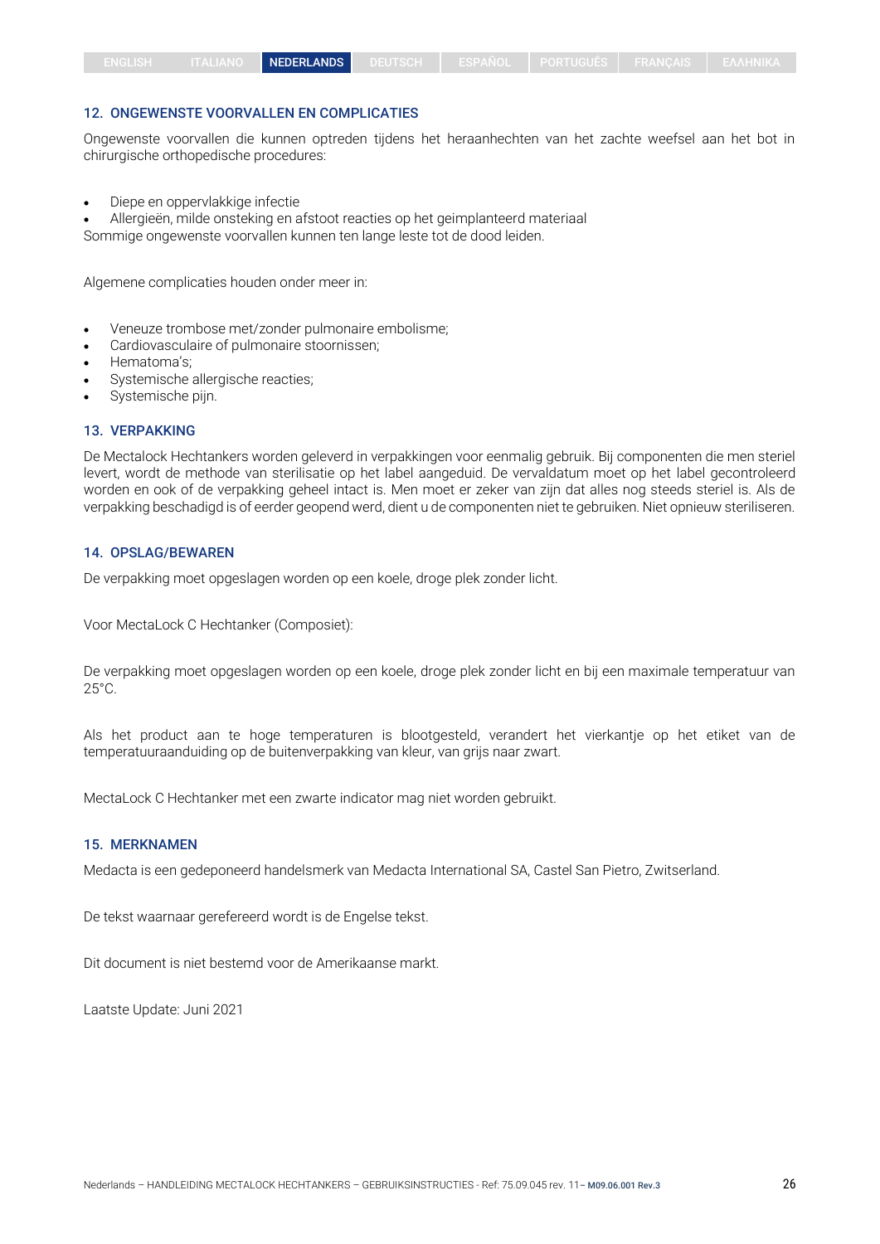#### 12. ONGEWENSTE VOORVALLEN EN COMPLICATIES

Ongewenste voorvallen die kunnen optreden tijdens het heraanhechten van het zachte weefsel aan het bot in chirurgische orthopedische procedures:

• Diepe en oppervlakkige infectie

• Allergieën, milde onsteking en afstoot reacties op het geimplanteerd materiaal

Sommige ongewenste voorvallen kunnen ten lange leste tot de dood leiden.

Algemene complicaties houden onder meer in:

- Veneuze trombose met/zonder pulmonaire embolisme;
- Cardiovasculaire of pulmonaire stoornissen;
- Hematoma's;
- Systemische allergische reacties;
- Systemische pijn.

#### 13. VERPAKKING

De Mectalock Hechtankers worden geleverd in verpakkingen voor eenmalig gebruik. Bij componenten die men steriel levert, wordt de methode van sterilisatie op het label aangeduid. De vervaldatum moet op het label gecontroleerd worden en ook of de verpakking geheel intact is. Men moet er zeker van zijn dat alles nog steeds steriel is. Als de verpakking beschadigd is of eerder geopend werd, dient u de componenten niet te gebruiken. Niet opnieuw steriliseren.

#### 14. OPSLAG/BEWAREN

De verpakking moet opgeslagen worden op een koele, droge plek zonder licht.

Voor MectaLock C Hechtanker (Composiet):

De verpakking moet opgeslagen worden op een koele, droge plek zonder licht en bij een maximale temperatuur van 25°C.

Als het product aan te hoge temperaturen is blootgesteld, verandert het vierkantje op het etiket van de temperatuuraanduiding op de buitenverpakking van kleur, van grijs naar zwart.

MectaLock C Hechtanker met een zwarte indicator mag niet worden gebruikt.

#### 15. MERKNAMEN

Medacta is een gedeponeerd handelsmerk van Medacta International SA, Castel San Pietro, Zwitserland.

De tekst waarnaar gerefereerd wordt is de Engelse tekst.

Dit document is niet bestemd voor de Amerikaanse markt.

Laatste Update: Juni 2021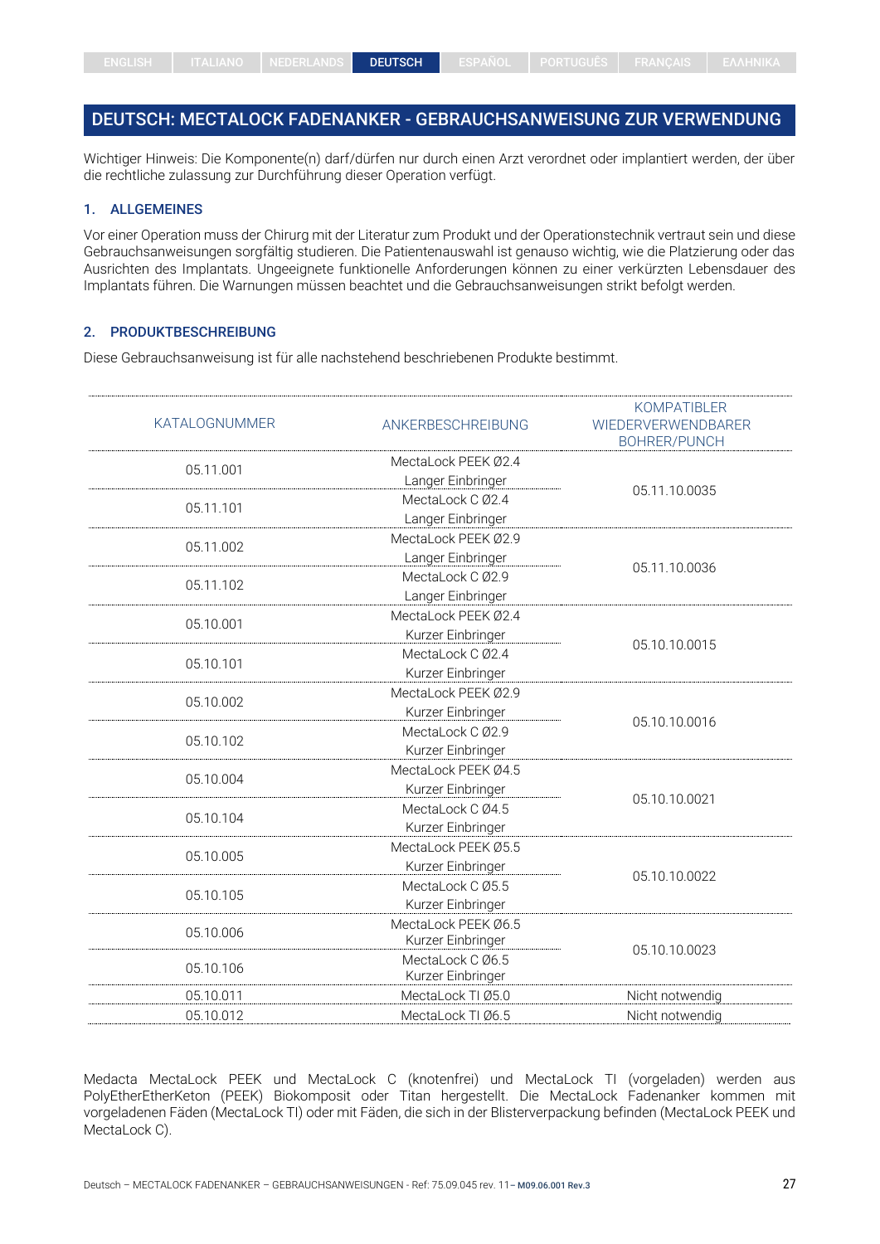# <span id="page-26-0"></span>DEUTSCH: MECTALOCK FADENANKER - GEBRAUCHSANWEISUNG ZUR VERWENDUNG

Wichtiger Hinweis: Die Komponente(n) darf/dürfen nur durch einen Arzt verordnet oder implantiert werden, der über die rechtliche zulassung zur Durchführung dieser Operation verfügt.

## 1. ALLGEMEINES

Vor einer Operation muss der Chirurg mit der Literatur zum Produkt und der Operationstechnik vertraut sein und diese Gebrauchsanweisungen sorgfältig studieren. Die Patientenauswahl ist genauso wichtig, wie die Platzierung oder das Ausrichten des Implantats. Ungeeignete funktionelle Anforderungen können zu einer verkürzten Lebensdauer des Implantats führen. Die Warnungen müssen beachtet und die Gebrauchsanweisungen strikt befolgt werden.

## 2. PRODUKTBESCHREIBUNG

Diese Gebrauchsanweisung ist für alle nachstehend beschriebenen Produkte bestimmt.

| <b>KATALOGNUMMER</b> | ANKERBESCHREIBUNG                        | <b>KOMPATIBLER</b><br><b>WIEDERVERWENDBARER</b><br><b>BOHRER/PUNCH</b> |
|----------------------|------------------------------------------|------------------------------------------------------------------------|
| 05.11.001            | MectaLock PEEK Ø2.4<br>Langer Einbringer |                                                                        |
| 05.11.101            | MectaLock C Ø2.4<br>Langer Einbringer    | 05.11.10.0035                                                          |
| 05.11.002            | MectaLock PEEK Ø2.9<br>Langer Einbringer | 05.11.10.0036                                                          |
| 05.11.102            | MectaLock C Ø2.9<br>Langer Einbringer    |                                                                        |
| 05.10.001            | MectaLock PEEK Ø2.4<br>Kurzer Einbringer | 05.10.10.0015                                                          |
| 05.10.101            | MectaLock C Ø2.4<br>Kurzer Einbringer    |                                                                        |
| 05.10.002            | MectaLock PEEK Ø2.9<br>Kurzer Einbringer |                                                                        |
| 05.10.102            | MectaLock C Ø2.9<br>Kurzer Einbringer    | 05.10.10.0016                                                          |
| 05.10.004            | MectaLock PEEK Ø4.5<br>Kurzer Einbringer |                                                                        |
| 05.10.104            | MectaLock C Ø4.5<br>Kurzer Einbringer    | 05.10.10.0021                                                          |
| 05.10.005            | MectaLock PEEK Ø5.5<br>Kurzer Einbringer |                                                                        |
| 05.10.105            | MectaLock C Ø5.5<br>Kurzer Einbringer    | 05.10.10.0022                                                          |
| 05.10.006            | MectaLock PEEK Ø6.5<br>Kurzer Einbringer | 05.10.10.0023                                                          |
| 05.10.106            | MectaLock C Ø6.5<br>Kurzer Einbringer    |                                                                        |
| 05.10.011            | MectaLock TI Ø5.0                        | Nicht notwendig                                                        |
| 05.10.012            | MectaLock TI Ø6.5                        | Nicht notwendig                                                        |

Medacta MectaLock PEEK und MectaLock C (knotenfrei) und MectaLock TI (vorgeladen) werden aus PolyEtherEtherKeton (PEEK) Biokomposit oder Titan hergestellt. Die MectaLock Fadenanker kommen mit vorgeladenen Fäden (MectaLock TI) oder mit Fäden, die sich in der Blisterverpackung befinden (MectaLock PEEK und MectaLock C).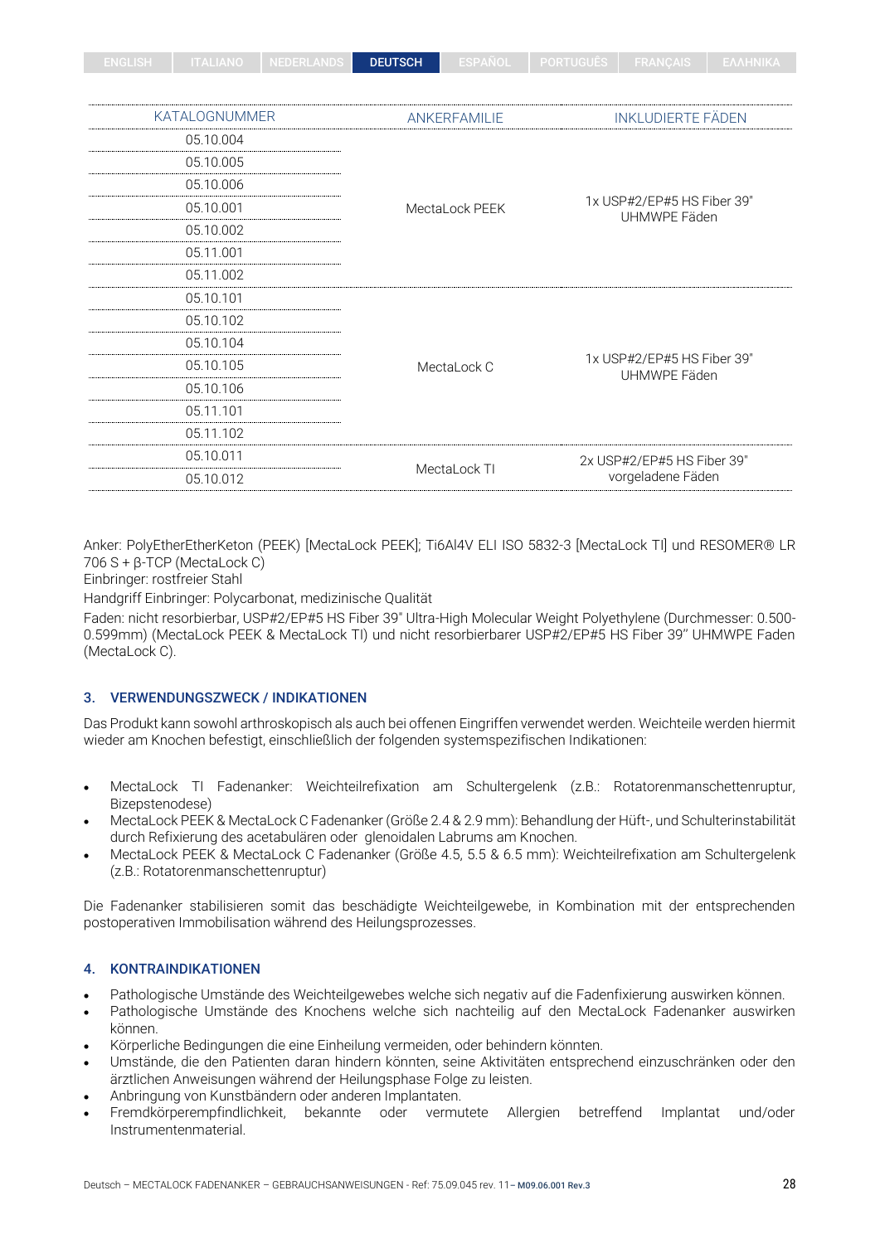| ENGLISH | ITALIANO   NEDERLANDS | <b>DEUTSCH</b> | ESPANOL I | 'I PORTUGUES I FRANCAIS I EAAHNIKA. |   |
|---------|-----------------------|----------------|-----------|-------------------------------------|---|
|         |                       |                |           |                                     |   |
|         |                       |                |           |                                     |   |
|         |                       |                |           |                                     | . |

| <b>KATALOGNUMMER</b> | ANKERFAMILIE                                                       | <b>INKLUDIERTE FÄDEN</b>                   |  |  |
|----------------------|--------------------------------------------------------------------|--------------------------------------------|--|--|
| 05.10.004            |                                                                    |                                            |  |  |
| 05.10.005            | 05.10.006<br>05.10.001<br>MectaLock PEEK<br>05.10.002<br>05.11.001 |                                            |  |  |
|                      |                                                                    |                                            |  |  |
|                      |                                                                    | 1x USP#2/EP#5 HS Fiber 39"<br>UHMWPE Fäden |  |  |
|                      |                                                                    |                                            |  |  |
|                      |                                                                    |                                            |  |  |
| 05.11.002            |                                                                    |                                            |  |  |
| 05.10.101            |                                                                    |                                            |  |  |
| 05.10.102            |                                                                    |                                            |  |  |
| 05.10.104            |                                                                    |                                            |  |  |
| 05.10.105            | MectaLock C                                                        | 1x USP#2/EP#5 HS Fiber 39"<br>UHMWPE Fäden |  |  |
| 05.10.106            |                                                                    |                                            |  |  |
| 05.11.101            |                                                                    |                                            |  |  |
| 05.11.102            |                                                                    |                                            |  |  |
| 05.10.011            |                                                                    | 2x USP#2/EP#5 HS Fiber 39"                 |  |  |
| 05.10.012            | MectaLock TI                                                       | vorgeladene Fäden                          |  |  |
|                      |                                                                    |                                            |  |  |

Anker: PolyEtherEtherKeton (PEEK) [MectaLock PEEK]; Ti6Al4V ELI ISO 5832-3 [MectaLock TI] und RESOMER® LR 706 S + β-TCP (MectaLock C)

Einbringer: rostfreier Stahl

Handgriff Einbringer: Polycarbonat, medizinische Qualität

Faden: nicht resorbierbar, USP#2/EP#5 HS Fiber 39" Ultra-High Molecular Weight Polyethylene (Durchmesser: 0.500- 0.599mm) (MectaLock PEEK & MectaLock TI) und nicht resorbierbarer USP#2/EP#5 HS Fiber 39'' UHMWPE Faden (MectaLock C).

## 3. VERWENDUNGSZWECK / INDIKATIONEN

Das Produkt kann sowohl arthroskopisch als auch bei offenen Eingriffen verwendet werden. Weichteile werden hiermit wieder am Knochen befestigt, einschließlich der folgenden systemspezifischen Indikationen:

- MectaLock TI Fadenanker: Weichteilrefixation am Schultergelenk (z.B.: Rotatorenmanschettenruptur, Bizepstenodese)
- MectaLock PEEK & MectaLock C Fadenanker (Größe 2.4 & 2.9 mm): Behandlung der Hüft-, und Schulterinstabilität durch Refixierung des acetabulären oder glenoidalen Labrums am Knochen.
- MectaLock PEEK & MectaLock C Fadenanker (Größe 4.5, 5.5 & 6.5 mm): Weichteilrefixation am Schultergelenk (z.B.: Rotatorenmanschettenruptur)

Die Fadenanker stabilisieren somit das beschädigte Weichteilgewebe, in Kombination mit der entsprechenden postoperativen Immobilisation während des Heilungsprozesses.

## 4. KONTRAINDIKATIONEN

- Pathologische Umstände des Weichteilgewebes welche sich negativ auf die Fadenfixierung auswirken können.
- Pathologische Umstände des Knochens welche sich nachteilig auf den MectaLock Fadenanker auswirken können.
- Körperliche Bedingungen die eine Einheilung vermeiden, oder behindern könnten.
- Umstände, die den Patienten daran hindern könnten, seine Aktivitäten entsprechend einzuschränken oder den ärztlichen Anweisungen während der Heilungsphase Folge zu leisten.
- Anbringung von Kunstbändern oder anderen Implantaten.
- Fremdkörperempfindlichkeit, bekannte oder vermutete Allergien betreffend Implantat und/oder Instrumentenmaterial.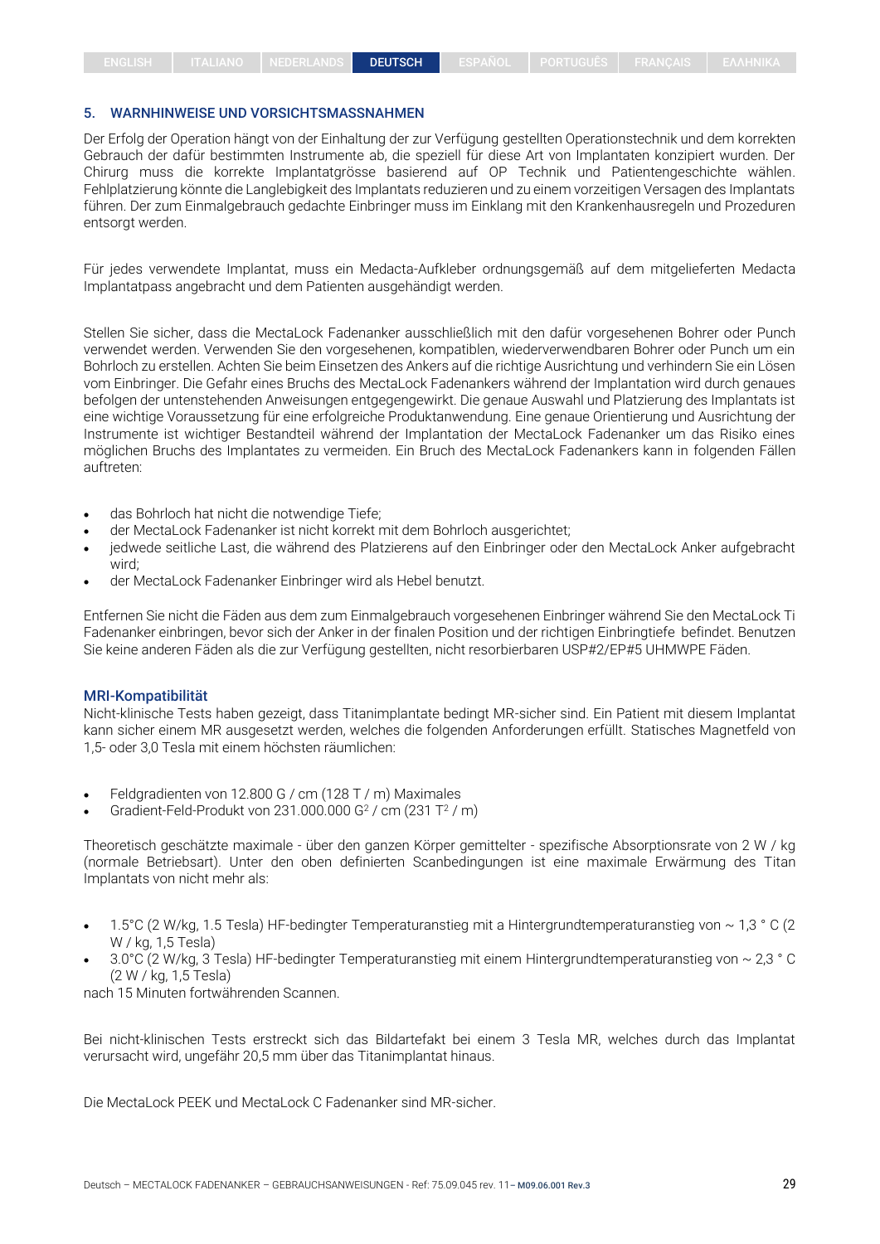## 5. WARNHINWEISE UND VORSICHTSMASSNAHMEN

Der Erfolg der Operation hängt von der Einhaltung der zur Verfügung gestellten Operationstechnik und dem korrekten Gebrauch der dafür bestimmten Instrumente ab, die speziell für diese Art von Implantaten konzipiert wurden. Der Chirurg muss die korrekte Implantatgrösse basierend auf OP Technik und Patientengeschichte wählen. Fehlplatzierung könnte die Langlebigkeit des Implantats reduzieren und zu einem vorzeitigen Versagen des Implantats führen. Der zum Einmalgebrauch gedachte Einbringer muss im Einklang mit den Krankenhausregeln und Prozeduren entsorgt werden.

Für jedes verwendete Implantat, muss ein Medacta-Aufkleber ordnungsgemäß auf dem mitgelieferten Medacta Implantatpass angebracht und dem Patienten ausgehändigt werden.

Stellen Sie sicher, dass die MectaLock Fadenanker ausschließlich mit den dafür vorgesehenen Bohrer oder Punch verwendet werden. Verwenden Sie den vorgesehenen, kompatiblen, wiederverwendbaren Bohrer oder Punch um ein Bohrloch zu erstellen. Achten Sie beim Einsetzen des Ankers auf die richtige Ausrichtung und verhindern Sie ein Lösen vom Einbringer. Die Gefahr eines Bruchs des MectaLock Fadenankers während der Implantation wird durch genaues befolgen der untenstehenden Anweisungen entgegengewirkt. Die genaue Auswahl und Platzierung des Implantats ist eine wichtige Voraussetzung für eine erfolgreiche Produktanwendung. Eine genaue Orientierung und Ausrichtung der Instrumente ist wichtiger Bestandteil während der Implantation der MectaLock Fadenanker um das Risiko eines möglichen Bruchs des Implantates zu vermeiden. Ein Bruch des MectaLock Fadenankers kann in folgenden Fällen auftreten:

- das Bohrloch hat nicht die notwendige Tiefe;
- der MectaLock Fadenanker ist nicht korrekt mit dem Bohrloch ausgerichtet;
- jedwede seitliche Last, die während des Platzierens auf den Einbringer oder den MectaLock Anker aufgebracht wird;
- der MectaLock Fadenanker Einbringer wird als Hebel benutzt.

Entfernen Sie nicht die Fäden aus dem zum Einmalgebrauch vorgesehenen Einbringer während Sie den MectaLock Ti Fadenanker einbringen, bevor sich der Anker in der finalen Position und der richtigen Einbringtiefe befindet. Benutzen Sie keine anderen Fäden als die zur Verfügung gestellten, nicht resorbierbaren USP#2/EP#5 UHMWPE Fäden.

#### MRI-Kompatibilität

Nicht-klinische Tests haben gezeigt, dass Titanimplantate bedingt MR-sicher sind. Ein Patient mit diesem Implantat kann sicher einem MR ausgesetzt werden, welches die folgenden Anforderungen erfüllt. Statisches Magnetfeld von 1,5- oder 3,0 Tesla mit einem höchsten räumlichen:

- Feldgradienten von 12.800 G / cm (128 T / m) Maximales
- Gradient-Feld-Produkt von 231.000.000 G<sup>2</sup> / cm (231 T<sup>2</sup> / m)

Theoretisch geschätzte maximale - über den ganzen Körper gemittelter - spezifische Absorptionsrate von 2 W / kg (normale Betriebsart). Unter den oben definierten Scanbedingungen ist eine maximale Erwärmung des Titan Implantats von nicht mehr als:

- 1.5°C (2 W/kg, 1.5 Tesla) HF-bedingter Temperaturanstieg mit a Hintergrundtemperaturanstieg von ~ 1,3 ° C (2 W / kg, 1,5 Tesla)
- 3.0°C (2 W/kg, 3 Tesla) HF-bedingter Temperaturanstieg mit einem Hintergrundtemperaturanstieg von ~ 2,3 ° C (2 W / kg, 1,5 Tesla)

nach 15 Minuten fortwährenden Scannen.

Bei nicht-klinischen Tests erstreckt sich das Bildartefakt bei einem 3 Tesla MR, welches durch das Implantat verursacht wird, ungefähr 20,5 mm über das Titanimplantat hinaus.

Die MectaLock PEEK und MectaLock C Fadenanker sind MR-sicher.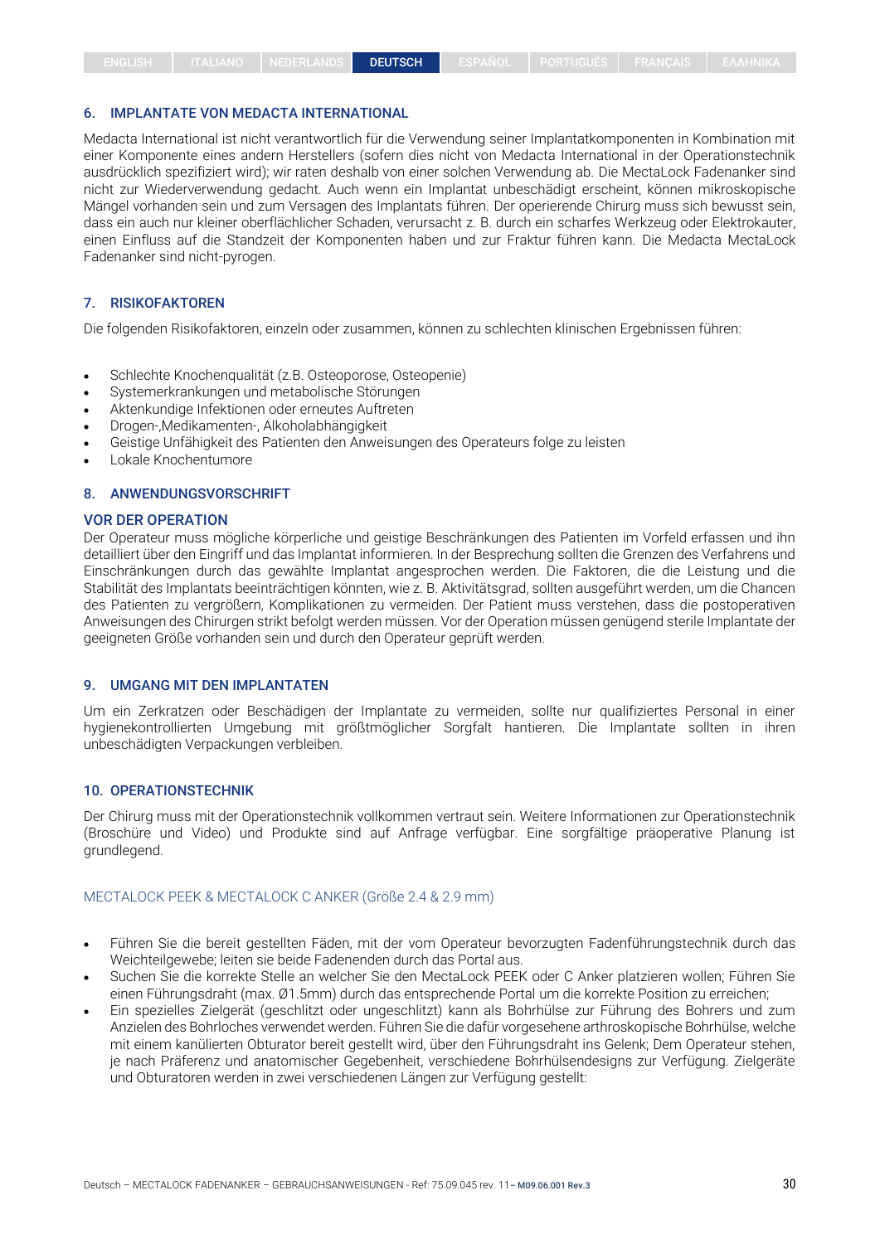#### 6. IMPLANTATE VON MEDACTA INTERNATIONAL

Medacta International ist nicht verantwortlich für die Verwendung seiner Implantatkomponenten in Kombination mit einer Komponente eines andern Herstellers (sofern dies nicht von Medacta International in der Operationstechnik ausdrücklich spezifiziert wird); wir raten deshalb von einer solchen Verwendung ab. Die MectaLock Fadenanker sind nicht zur Wiederverwendung gedacht. Auch wenn ein Implantat unbeschädigt erscheint, können mikroskopische Mängel vorhanden sein und zum Versagen des Implantats führen. Der operierende Chirurg muss sich bewusst sein, dass ein auch nur kleiner oberflächlicher Schaden, verursacht z. B. durch ein scharfes Werkzeug oder Elektrokauter, einen Einfluss auf die Standzeit der Komponenten haben und zur Fraktur führen kann. Die Medacta MectaLock Fadenanker sind nicht-pyrogen.

#### 7. RISIKOFAKTOREN

Die folgenden Risikofaktoren, einzeln oder zusammen, können zu schlechten klinischen Ergebnissen führen:

- Schlechte Knochenqualität (z.B. Osteoporose, Osteopenie)
- Systemerkrankungen und metabolische Störungen
- Aktenkundige Infektionen oder erneutes Auftreten
- Drogen-,Medikamenten-, Alkoholabhängigkeit
- Geistige Unfähigkeit des Patienten den Anweisungen des Operateurs folge zu leisten
- Lokale Knochentumore

#### 8. ANWENDUNGSVORSCHRIFT

#### VOR DER OPERATION

Der Operateur muss mögliche körperliche und geistige Beschränkungen des Patienten im Vorfeld erfassen und ihn detailliert über den Eingriff und das Implantat informieren. In der Besprechung sollten die Grenzen des Verfahrens und Einschränkungen durch das gewählte Implantat angesprochen werden. Die Faktoren, die die Leistung und die Stabilität des Implantats beeinträchtigen könnten, wie z. B. Aktivitätsgrad, sollten ausgeführt werden, um die Chancen des Patienten zu vergrößern, Komplikationen zu vermeiden. Der Patient muss verstehen, dass die postoperativen Anweisungen des Chirurgen strikt befolgt werden müssen. Vor der Operation müssen genügend sterile Implantate der geeigneten Größe vorhanden sein und durch den Operateur geprüft werden.

#### 9. UMGANG MIT DEN IMPLANTATEN

Um ein Zerkratzen oder Beschädigen der Implantate zu vermeiden, sollte nur qualifiziertes Personal in einer hygienekontrollierten Umgebung mit größtmöglicher Sorgfalt hantieren. Die Implantate sollten in ihren unbeschädigten Verpackungen verbleiben.

#### 10. OPERATIONSTECHNIK

Der Chirurg muss mit der Operationstechnik vollkommen vertraut sein. Weitere Informationen zur Operationstechnik (Broschüre und Video) und Produkte sind auf Anfrage verfügbar. Eine sorgfältige präoperative Planung ist grundlegend.

#### MECTALOCK PEEK & MECTALOCK C ANKER (Größe 2.4 & 2.9 mm)

- Führen Sie die bereit gestellten Fäden, mit der vom Operateur bevorzugten Fadenführungstechnik durch das Weichteilgewebe; leiten sie beide Fadenenden durch das Portal aus.
- Suchen Sie die korrekte Stelle an welcher Sie den MectaLock PEEK oder C Anker platzieren wollen; Führen Sie einen Führungsdraht (max. Ø1.5mm) durch das entsprechende Portal um die korrekte Position zu erreichen;
- Ein spezielles Zielgerät (geschlitzt oder ungeschlitzt) kann als Bohrhülse zur Führung des Bohrers und zum Anzielen des Bohrloches verwendet werden. Führen Sie die dafür vorgesehene arthroskopische Bohrhülse, welche mit einem kanülierten Obturator bereit gestellt wird, über den Führungsdraht ins Gelenk; Dem Operateur stehen, je nach Präferenz und anatomischer Gegebenheit, verschiedene Bohrhülsendesigns zur Verfügung. Zielgeräte und Obturatoren werden in zwei verschiedenen Längen zur Verfügung gestellt: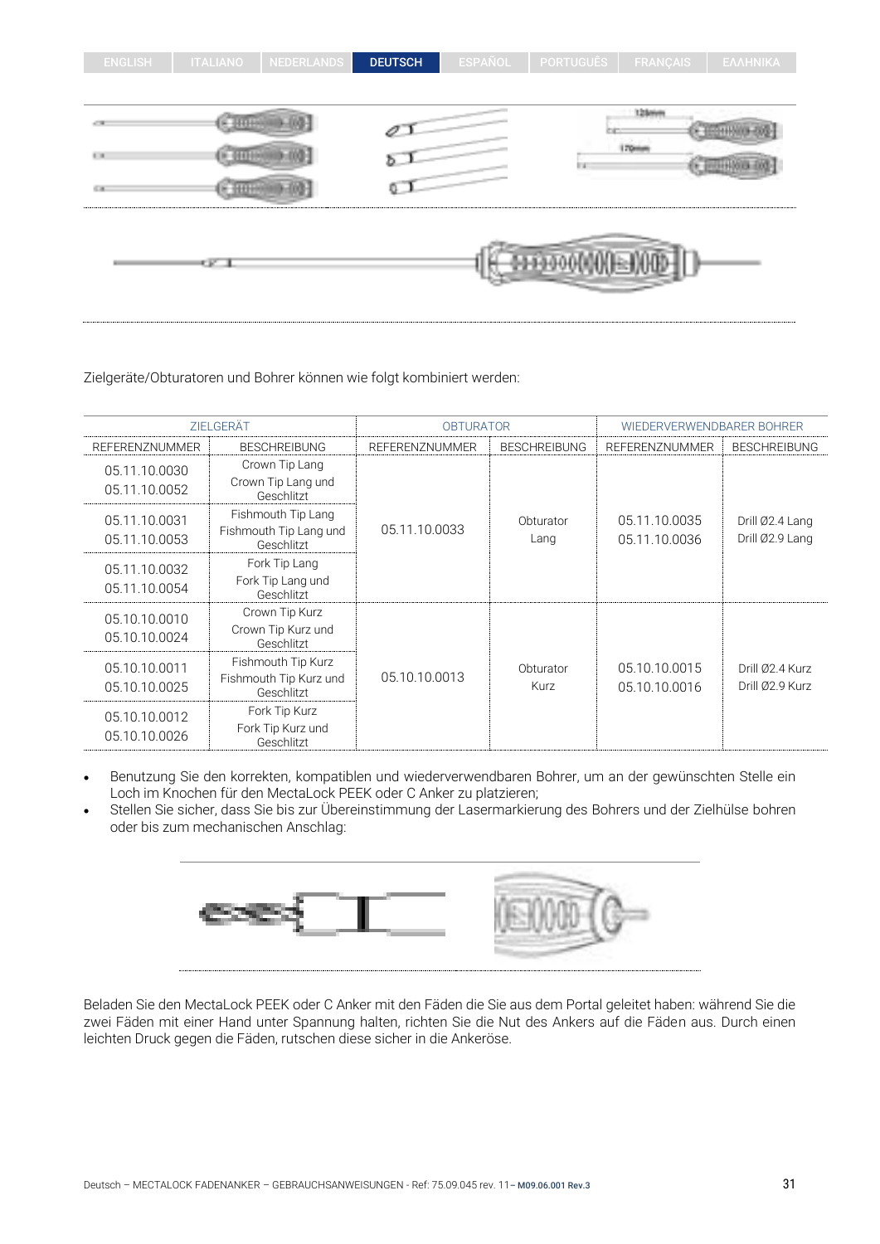| <b>ENGLISH</b>    | <b>ITALIANO</b>                                                                       | <b>NEDERLANDS</b> | <b>DEUTSCH</b> | <b>ESPAÑOL</b> | <b>PORTUGUÊS</b>                                         | <b>FRANÇAIS</b> | ΕΛΛΗΝΙΚΑ |
|-------------------|---------------------------------------------------------------------------------------|-------------------|----------------|----------------|----------------------------------------------------------|-----------------|----------|
|                   |                                                                                       |                   |                |                |                                                          |                 |          |
| of the            |                                                                                       |                   |                |                |                                                          | 12 loters       |          |
| $\mathbb{H}^+$ in |                                                                                       |                   | Þ.             |                | l i s                                                    | 170mm           |          |
| 646               |                                                                                       |                   |                |                |                                                          |                 |          |
|                   | $\frac{1}{2} \frac{1}{2} \frac{1}{2} \frac{1}{2} \frac{1}{2} \frac{1}{2} \frac{1}{2}$ |                   |                |                | M000000000000<br><b>Construction of the Construction</b> |                 |          |

Zielgeräte/Obturatoren und Bohrer können wie folgt kombiniert werden:

| ZIELGERÄT                      |                                                            | <b>OBTURATOR</b> |                     | WIEDERVERWENDBARER BOHRER      |                                    |  |
|--------------------------------|------------------------------------------------------------|------------------|---------------------|--------------------------------|------------------------------------|--|
| <b>REFERENZNUMMER</b>          | <b>BESCHREIBUNG</b>                                        | REFERENZNUMMER   | <b>BESCHREIBUNG</b> | <b>REFERENZNUMMER</b>          | <b>BESCHREIBUNG</b>                |  |
| 05.11.10.0030<br>05.11.10.0052 | Crown Tip Lang<br>Crown Tip Lang und<br>Geschlitzt         |                  |                     |                                |                                    |  |
| 05.11.10.0031<br>05.11.10.0053 | Fishmouth Tip Lang<br>Fishmouth Tip Lang und<br>Geschlitzt | 05.11.10.0033    | Obturator<br>Lang   | 05.11.10.0035<br>05.11.10.0036 | Drill Ø2.4 Lang<br>Drill Ø2.9 Lang |  |
| 05.11.10.0032<br>05.11.10.0054 | Fork Tip Lang<br>Fork Tip Lang und<br>Geschlitzt           |                  |                     |                                |                                    |  |
| 05.10.10.0010<br>05.10.10.0024 | Crown Tip Kurz<br>Crown Tip Kurz und<br>Geschlitzt         |                  |                     |                                |                                    |  |
| 05.10.10.0011<br>05.10.10.0025 | Fishmouth Tip Kurz<br>Fishmouth Tip Kurz und<br>Geschlitzt | 05.10.10.0013    | Obturator<br>Kurz   | 05.10.10.0015<br>05.10.10.0016 | Drill Ø2.4 Kurz<br>Drill Ø2.9 Kurz |  |
| 05.10.10.0012<br>05.10.10.0026 | Fork Tip Kurz<br>Fork Tip Kurz und<br>Geschlitzt           |                  |                     |                                |                                    |  |

- Benutzung Sie den korrekten, kompatiblen und wiederverwendbaren Bohrer, um an der gewünschten Stelle ein Loch im Knochen für den MectaLock PEEK oder C Anker zu platzieren;
- Stellen Sie sicher, dass Sie bis zur Übereinstimmung der Lasermarkierung des Bohrers und der Zielhülse bohren oder bis zum mechanischen Anschlag:



Beladen Sie den MectaLock PEEK oder C Anker mit den Fäden die Sie aus dem Portal geleitet haben: während Sie die zwei Fäden mit einer Hand unter Spannung halten, richten Sie die Nut des Ankers auf die Fäden aus. Durch einen leichten Druck gegen die Fäden, rutschen diese sicher in die Ankeröse.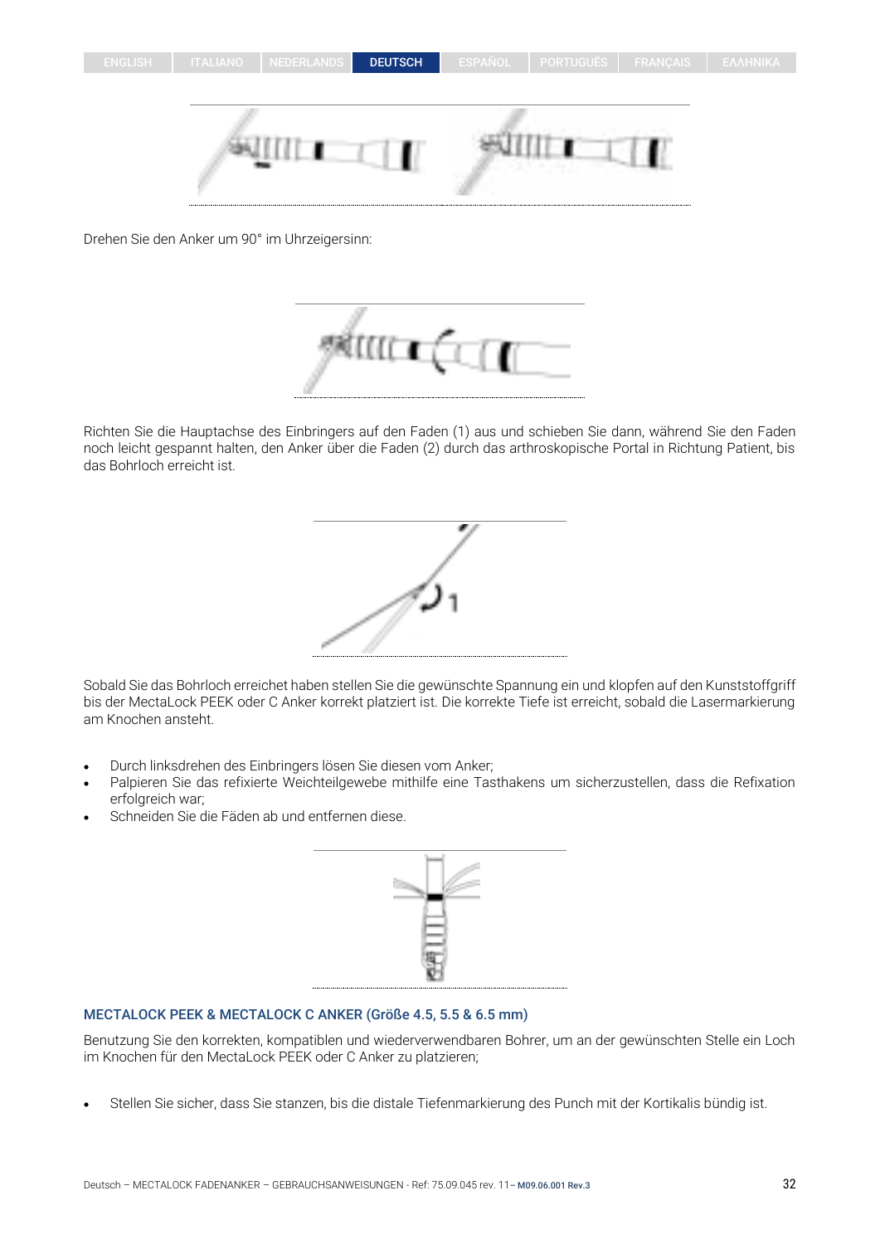Drehen Sie den Anker um 90° im Uhrzeigersinn:



Richten Sie die Hauptachse des Einbringers auf den Faden (1) aus und schieben Sie dann, während Sie den Faden noch leicht gespannt halten, den Anker über die Faden (2) durch das arthroskopische Portal in Richtung Patient, bis das Bohrloch erreicht ist.



Sobald Sie das Bohrloch erreichet haben stellen Sie die gewünschte Spannung ein und klopfen auf den Kunststoffgriff bis der MectaLock PEEK oder C Anker korrekt platziert ist. Die korrekte Tiefe ist erreicht, sobald die Lasermarkierung am Knochen ansteht.

- Durch linksdrehen des Einbringers lösen Sie diesen vom Anker;
- Palpieren Sie das refixierte Weichteilgewebe mithilfe eine Tasthakens um sicherzustellen, dass die Refixation erfolgreich war;
- Schneiden Sie die Fäden ab und entfernen diese.



## MECTALOCK PEEK & MECTALOCK C ANKER (Größe 4.5, 5.5 & 6.5 mm)

Benutzung Sie den korrekten, kompatiblen und wiederverwendbaren Bohrer, um an der gewünschten Stelle ein Loch im Knochen für den MectaLock PEEK oder C Anker zu platzieren;

• Stellen Sie sicher, dass Sie stanzen, bis die distale Tiefenmarkierung des Punch mit der Kortikalis bündig ist.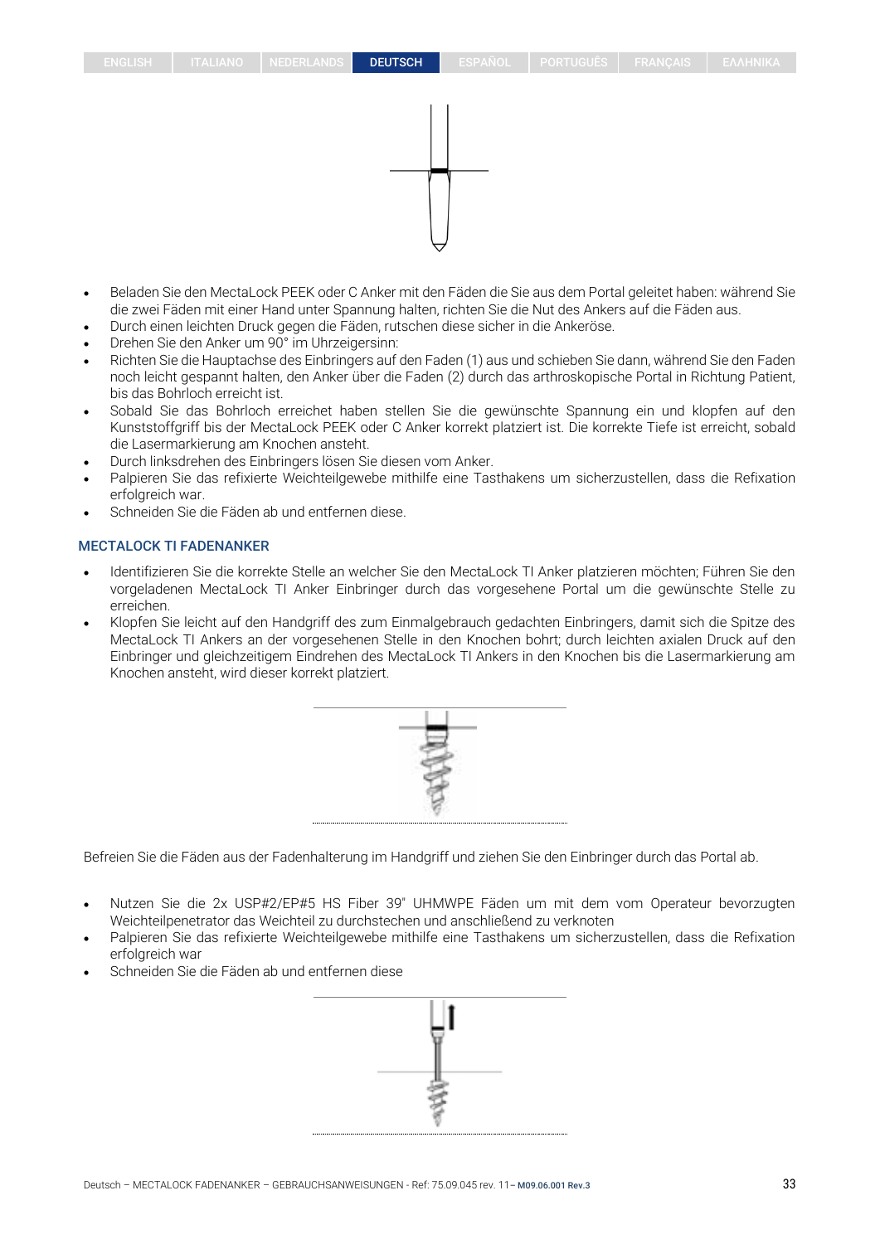- Beladen Sie den MectaLock PEEK oder C Anker mit den Fäden die Sie aus dem Portal geleitet haben: während Sie die zwei Fäden mit einer Hand unter Spannung halten, richten Sie die Nut des Ankers auf die Fäden aus.
- Durch einen leichten Druck gegen die Fäden, rutschen diese sicher in die Ankeröse.
- Drehen Sie den Anker um 90° im Uhrzeigersinn:
- Richten Sie die Hauptachse des Einbringers auf den Faden (1) aus und schieben Sie dann, während Sie den Faden noch leicht gespannt halten, den Anker über die Faden (2) durch das arthroskopische Portal in Richtung Patient, bis das Bohrloch erreicht ist.
- Sobald Sie das Bohrloch erreichet haben stellen Sie die gewünschte Spannung ein und klopfen auf den Kunststoffgriff bis der MectaLock PEEK oder C Anker korrekt platziert ist. Die korrekte Tiefe ist erreicht, sobald die Lasermarkierung am Knochen ansteht.
- Durch linksdrehen des Einbringers lösen Sie diesen vom Anker.
- Palpieren Sie das refixierte Weichteilgewebe mithilfe eine Tasthakens um sicherzustellen, dass die Refixation erfolgreich war.
- Schneiden Sie die Fäden ab und entfernen diese.

#### MECTALOCK TI FADENANKER

- Identifizieren Sie die korrekte Stelle an welcher Sie den MectaLock TI Anker platzieren möchten; Führen Sie den vorgeladenen MectaLock TI Anker Einbringer durch das vorgesehene Portal um die gewünschte Stelle zu erreichen.
- Klopfen Sie leicht auf den Handgriff des zum Einmalgebrauch gedachten Einbringers, damit sich die Spitze des MectaLock TI Ankers an der vorgesehenen Stelle in den Knochen bohrt; durch leichten axialen Druck auf den Einbringer und gleichzeitigem Eindrehen des MectaLock TI Ankers in den Knochen bis die Lasermarkierung am Knochen ansteht, wird dieser korrekt platziert.



Befreien Sie die Fäden aus der Fadenhalterung im Handgriff und ziehen Sie den Einbringer durch das Portal ab.

- Nutzen Sie die 2x USP#2/EP#5 HS Fiber 39" UHMWPE Fäden um mit dem vom Operateur bevorzugten Weichteilpenetrator das Weichteil zu durchstechen und anschließend zu verknoten
- Palpieren Sie das refixierte Weichteilgewebe mithilfe eine Tasthakens um sicherzustellen, dass die Refixation erfolgreich war
- Schneiden Sie die Fäden ab und entfernen diese

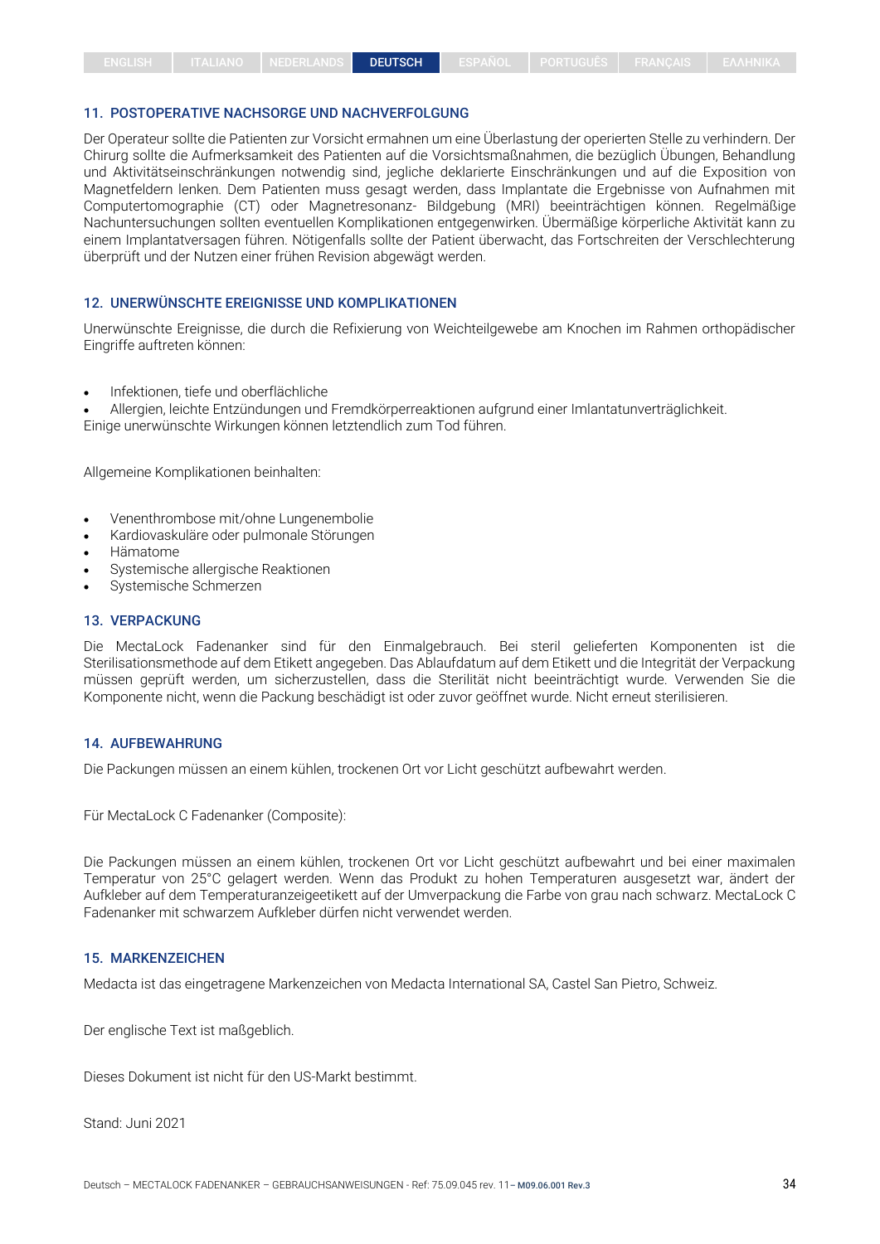#### 11. POSTOPERATIVE NACHSORGE UND NACHVERFOLGUNG

Der Operateur sollte die Patienten zur Vorsicht ermahnen um eine Überlastung der operierten Stelle zu verhindern. Der Chirurg sollte die Aufmerksamkeit des Patienten auf die Vorsichtsmaßnahmen, die bezüglich Übungen, Behandlung und Aktivitätseinschränkungen notwendig sind, jegliche deklarierte Einschränkungen und auf die Exposition von Magnetfeldern lenken. Dem Patienten muss gesagt werden, dass Implantate die Ergebnisse von Aufnahmen mit Computertomographie (CT) oder Magnetresonanz- Bildgebung (MRI) beeinträchtigen können. Regelmäßige Nachuntersuchungen sollten eventuellen Komplikationen entgegenwirken. Übermäßige körperliche Aktivität kann zu einem Implantatversagen führen. Nötigenfalls sollte der Patient überwacht, das Fortschreiten der Verschlechterung überprüft und der Nutzen einer frühen Revision abgewägt werden.

#### 12. UNERWÜNSCHTE EREIGNISSE UND KOMPLIKATIONEN

Unerwünschte Ereignisse, die durch die Refixierung von Weichteilgewebe am Knochen im Rahmen orthopädischer Eingriffe auftreten können:

• Infektionen, tiefe und oberflächliche

• Allergien, leichte Entzündungen und Fremdkörperreaktionen aufgrund einer Imlantatunverträglichkeit. Einige unerwünschte Wirkungen können letztendlich zum Tod führen.

Allgemeine Komplikationen beinhalten:

- Venenthrombose mit/ohne Lungenembolie
- Kardiovaskuläre oder pulmonale Störungen
- Hämatome
- Systemische allergische Reaktionen
- Systemische Schmerzen

#### 13. VERPACKUNG

Die MectaLock Fadenanker sind für den Einmalgebrauch. Bei steril gelieferten Komponenten ist die Sterilisationsmethode auf dem Etikett angegeben. Das Ablaufdatum auf dem Etikett und die Integrität der Verpackung müssen geprüft werden, um sicherzustellen, dass die Sterilität nicht beeinträchtigt wurde. Verwenden Sie die Komponente nicht, wenn die Packung beschädigt ist oder zuvor geöffnet wurde. Nicht erneut sterilisieren.

#### 14. AUFBEWAHRUNG

Die Packungen müssen an einem kühlen, trockenen Ort vor Licht geschützt aufbewahrt werden.

Für MectaLock C Fadenanker (Composite):

Die Packungen müssen an einem kühlen, trockenen Ort vor Licht geschützt aufbewahrt und bei einer maximalen Temperatur von 25°C gelagert werden. Wenn das Produkt zu hohen Temperaturen ausgesetzt war, ändert der Aufkleber auf dem Temperaturanzeigeetikett auf der Umverpackung die Farbe von grau nach schwarz. MectaLock C Fadenanker mit schwarzem Aufkleber dürfen nicht verwendet werden.

#### 15. MARKENZEICHEN

Medacta ist das eingetragene Markenzeichen von Medacta International SA, Castel San Pietro, Schweiz.

Der englische Text ist maßgeblich.

Dieses Dokument ist nicht für den US-Markt bestimmt.

Stand: Juni 2021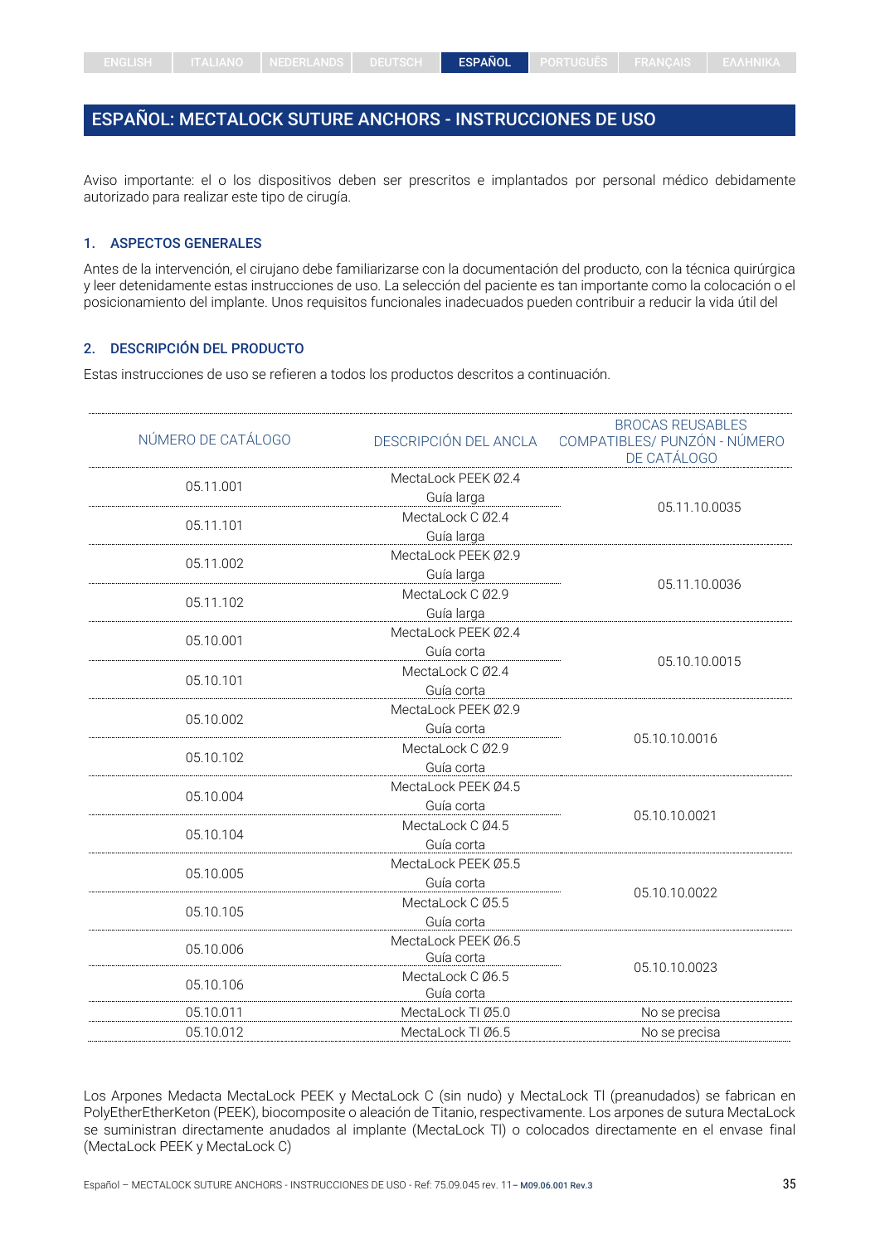## <span id="page-34-0"></span>ESPAÑOL: MECTALOCK SUTURE ANCHORS - INSTRUCCIONES DE USO

Aviso importante: el o los dispositivos deben ser prescritos e implantados por personal médico debidamente autorizado para realizar este tipo de cirugía.

## 1. ASPECTOS GENERALES

Antes de la intervención, el cirujano debe familiarizarse con la documentación del producto, con la técnica quirúrgica y leer detenidamente estas instrucciones de uso. La selección del paciente es tan importante como la colocación o el posicionamiento del implante. Unos requisitos funcionales inadecuados pueden contribuir a reducir la vida útil del

#### 2. DESCRIPCIÓN DEL PRODUCTO

Estas instrucciones de uso se refieren a todos los productos descritos a continuación.

|                     | <b>BROCAS REUSABLES</b><br>COMPATIBLES/ PUNZÓN - NÚMERO<br>DE CATÁLOGO                                                         |  |
|---------------------|--------------------------------------------------------------------------------------------------------------------------------|--|
| MectaLock PEEK Ø2.4 |                                                                                                                                |  |
| Guía larga          | 05.11.10.0035                                                                                                                  |  |
| MectaLock C Ø2.4    |                                                                                                                                |  |
|                     |                                                                                                                                |  |
|                     |                                                                                                                                |  |
| Guía larga          | 05.11.10.0036                                                                                                                  |  |
|                     |                                                                                                                                |  |
| Guía larga          |                                                                                                                                |  |
| MectaLock PEEK Ø2.4 |                                                                                                                                |  |
| Guía corta          | 05.10.10.0015                                                                                                                  |  |
| MectaLock C Ø2.4    |                                                                                                                                |  |
|                     |                                                                                                                                |  |
| MectaLock PEEK Ø2.9 |                                                                                                                                |  |
| Guía corta          | 05.10.10.0016                                                                                                                  |  |
| MectaLock C Ø2.9    |                                                                                                                                |  |
| Guía corta          |                                                                                                                                |  |
| MectaLock PEEK Ø4.5 |                                                                                                                                |  |
| Guía corta          | 05.10.10.0021                                                                                                                  |  |
| MectaLock C Ø4.5    |                                                                                                                                |  |
| Guía corta          |                                                                                                                                |  |
| MectaLock PEEK Ø5.5 |                                                                                                                                |  |
| Guía corta          | 05.10.10.0022                                                                                                                  |  |
| MectaLock C Ø5.5    |                                                                                                                                |  |
| Guía corta          |                                                                                                                                |  |
| MectaLock PEEK Ø6.5 |                                                                                                                                |  |
|                     | 05.10.10.0023                                                                                                                  |  |
| Guía corta          |                                                                                                                                |  |
| MectaLock TI Ø5.0   | No se precisa                                                                                                                  |  |
| MectaLock TI Ø6.5   | No se precisa                                                                                                                  |  |
|                     | DESCRIPCIÓN DEL ANCLA<br>Guía larga<br>MectaLock PEEK Ø2.9<br>MectaLock C Ø2.9<br>Guía corta<br>Guía corta<br>MectaLock C Ø6.5 |  |

Los Arpones Medacta MectaLock PEEK y MectaLock C (sin nudo) y MectaLock Tl (preanudados) se fabrican en PolyEtherEtherKeton (PEEK), biocomposite o aleación de Titanio, respectivamente. Los arpones de sutura MectaLock se suministran directamente anudados al implante (MectaLock Tl) o colocados directamente en el envase final (MectaLock PEEK y MectaLock C)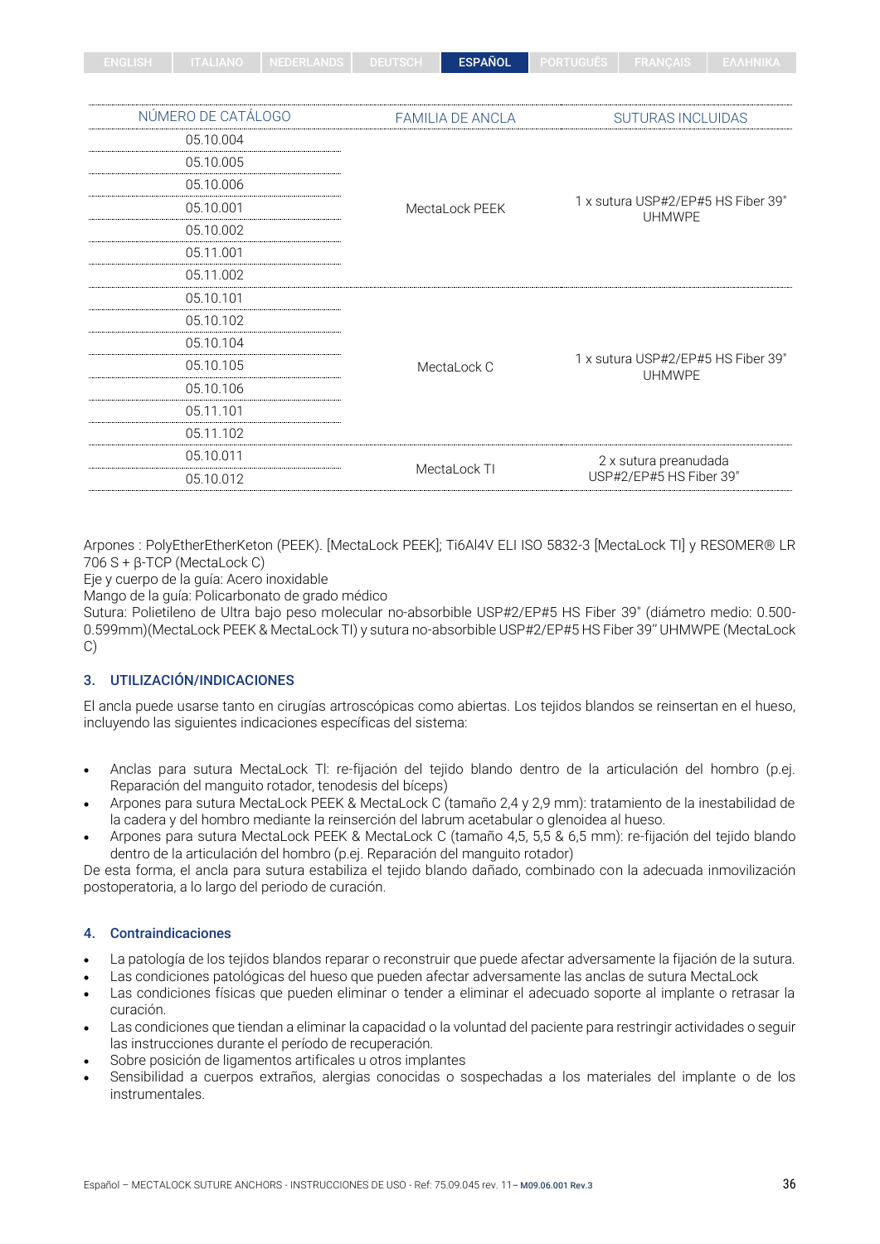| ------ |  | 1 NEVENEANDO I DEUTOUTI |  | <b>ESPAÑOL</b> | PURTUUUES. |  |  |
|--------|--|-------------------------|--|----------------|------------|--|--|
|--------|--|-------------------------|--|----------------|------------|--|--|

| NÚMERO DE CATÁLOGO | <b>FAMILIA DE ANCLA</b>                                            | <b>SUTURAS INCLUIDAS</b>                            |  |  |
|--------------------|--------------------------------------------------------------------|-----------------------------------------------------|--|--|
| 05.10.004          | 05.10.005<br>05.10.006<br>05.10.001<br>MectaLock PEEK<br>05.10.002 |                                                     |  |  |
|                    |                                                                    |                                                     |  |  |
|                    |                                                                    |                                                     |  |  |
|                    |                                                                    | 1 x sutura USP#2/EP#5 HS Fiber 39"<br><b>UHMWPE</b> |  |  |
|                    |                                                                    |                                                     |  |  |
| 05.11.001          |                                                                    |                                                     |  |  |
| 05.11.002          |                                                                    |                                                     |  |  |
| 05.10.101          |                                                                    |                                                     |  |  |
| 05.10.102          |                                                                    |                                                     |  |  |
| 05.10.104          |                                                                    |                                                     |  |  |
| 05.10.105          | MectaLock C                                                        | 1 x sutura USP#2/EP#5 HS Fiber 39"<br><b>UHMWPE</b> |  |  |
| 05.10.106          |                                                                    |                                                     |  |  |
| 05.11.101          |                                                                    |                                                     |  |  |
| 05.11.102          |                                                                    |                                                     |  |  |
| 05.10.011          |                                                                    | 2 x sutura preanudada                               |  |  |
| 05.10.012          | MectaLock TI                                                       | USP#2/EP#5 HS Fiber 39"                             |  |  |
|                    |                                                                    |                                                     |  |  |

Arpones : PolyEtherEtherKeton (PEEK). [MectaLock PEEK]; Ti6Al4V ELI ISO 5832-3 [MectaLock TI] y RESOMER® LR 706 S + β-TCP (MectaLock C)

Eje y cuerpo de la guía: Acero inoxidable

Mango de la guía: Policarbonato de grado médico

Sutura: Polietileno de Ultra bajo peso molecular no-absorbible USP#2/EP#5 HS Fiber 39" (diámetro medio: 0.500- 0.599mm)(MectaLock PEEK & MectaLock TI) y sutura no-absorbible USP#2/EP#5 HS Fiber 39'' UHMWPE (MectaLock C)

## 3. UTILIZACIÓN/INDICACIONES

El ancla puede usarse tanto en cirugías artroscópicas como abiertas. Los tejidos blandos se reinsertan en el hueso, incluyendo las siguientes indicaciones específicas del sistema:

- Anclas para sutura MectaLock Tl: re-fijación del tejido blando dentro de la articulación del hombro (p.ej. Reparación del manguito rotador, tenodesis del bíceps)
- Arpones para sutura MectaLock PEEK & MectaLock C (tamaño 2,4 y 2,9 mm): tratamiento de la inestabilidad de la cadera y del hombro mediante la reinserción del labrum acetabular o glenoidea al hueso.
- Arpones para sutura MectaLock PEEK & MectaLock C (tamaño 4,5, 5,5 & 6,5 mm): re-fijación del tejido blando dentro de la articulación del hombro (p.ej. Reparación del manguito rotador)

De esta forma, el ancla para sutura estabiliza el tejido blando dañado, combinado con la adecuada inmovilización postoperatoria, a lo largo del periodo de curación.

## 4. Contraindicaciones

- La patología de los tejidos blandos reparar o reconstruir que puede afectar adversamente la fijación de la sutura.
- Las condiciones patológicas del hueso que pueden afectar adversamente las anclas de sutura MectaLock
- Las condiciones físicas que pueden eliminar o tender a eliminar el adecuado soporte al implante o retrasar la curación.
- Las condiciones que tiendan a eliminar la capacidad o la voluntad del paciente para restringir actividades o seguir las instrucciones durante el período de recuperación.
- Sobre posición de ligamentos artificales u otros implantes
- Sensibilidad a cuerpos extraños, alergias conocidas o sospechadas a los materiales del implante o de los instrumentales.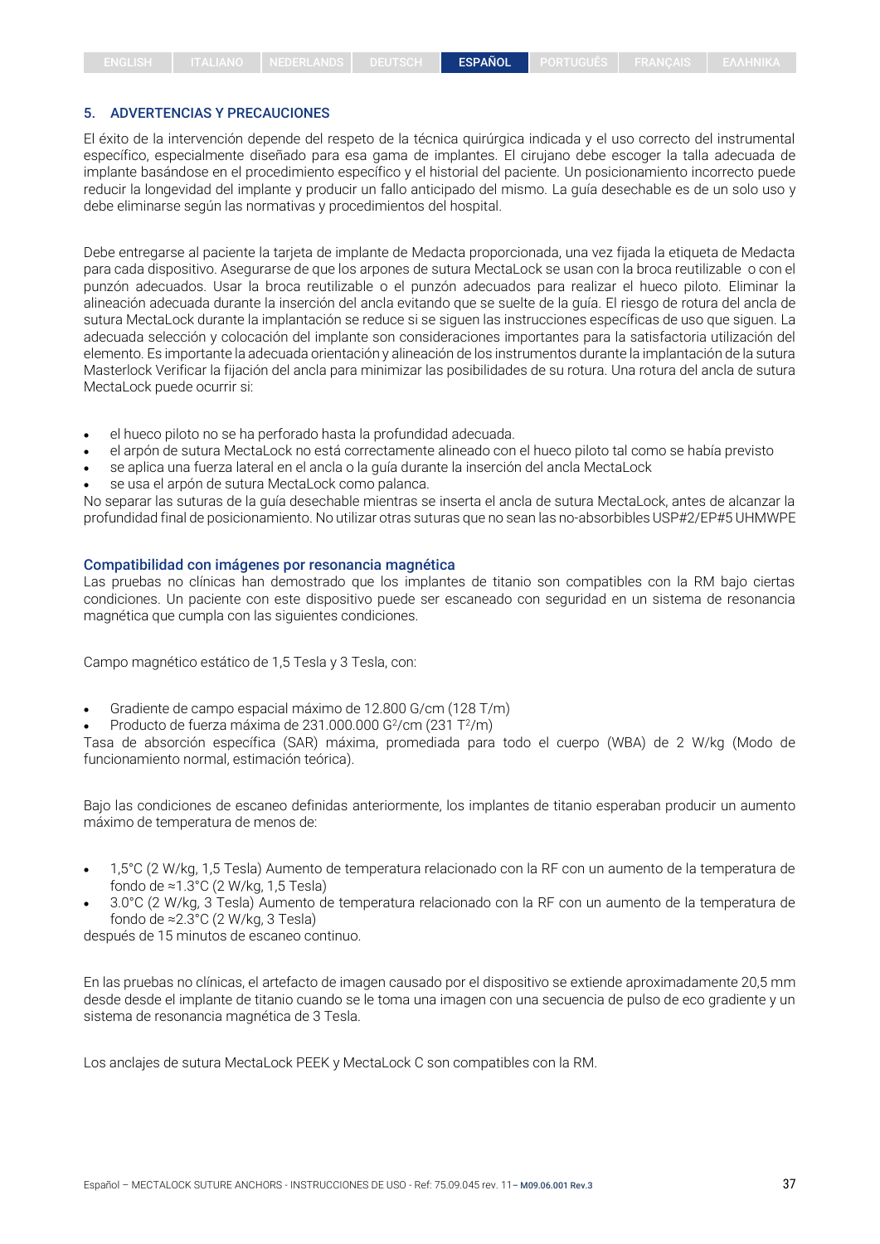#### 5. ADVERTENCIAS Y PRECAUCIONES

El éxito de la intervención depende del respeto de la técnica quirúrgica indicada y el uso correcto del instrumental específico, especialmente diseñado para esa gama de implantes. El cirujano debe escoger la talla adecuada de implante basándose en el procedimiento específico y el historial del paciente. Un posicionamiento incorrecto puede reducir la longevidad del implante y producir un fallo anticipado del mismo. La guía desechable es de un solo uso y debe eliminarse según las normativas y procedimientos del hospital.

Debe entregarse al paciente la tarjeta de implante de Medacta proporcionada, una vez fijada la etiqueta de Medacta para cada dispositivo. Asegurarse de que los arpones de sutura MectaLock se usan con la broca reutilizable o con el punzón adecuados. Usar la broca reutilizable o el punzón adecuados para realizar el hueco piloto. Eliminar la alineación adecuada durante la inserción del ancla evitando que se suelte de la guía. El riesgo de rotura del ancla de sutura MectaLock durante la implantación se reduce si se siguen las instrucciones específicas de uso que siguen. La adecuada selección y colocación del implante son consideraciones importantes para la satisfactoria utilización del elemento. Es importante la adecuada orientación y alineación de los instrumentos durante la implantación de la sutura Masterlock Verificar la fijación del ancla para minimizar las posibilidades de su rotura. Una rotura del ancla de sutura MectaLock puede ocurrir si:

- el hueco piloto no se ha perforado hasta la profundidad adecuada.
- el arpón de sutura MectaLock no está correctamente alineado con el hueco piloto tal como se había previsto
- se aplica una fuerza lateral en el ancla o la guía durante la inserción del ancla MectaLock
- se usa el arpón de sutura MectaLock como palanca.

No separar las suturas de la guía desechable mientras se inserta el ancla de sutura MectaLock, antes de alcanzar la profundidad final de posicionamiento. No utilizar otras suturas que no sean las no-absorbibles USP#2/EP#5 UHMWPE

#### Compatibilidad con imágenes por resonancia magnética

Las pruebas no clínicas han demostrado que los implantes de titanio son compatibles con la RM bajo ciertas condiciones. Un paciente con este dispositivo puede ser escaneado con seguridad en un sistema de resonancia magnética que cumpla con las siguientes condiciones.

Campo magnético estático de 1,5 Tesla y 3 Tesla, con:

- Gradiente de campo espacial máximo de 12.800 G/cm (128 T/m)
- Producto de fuerza máxima de 231.000.000 G<sup>2</sup>/cm (231 T<sup>2</sup>/m)

Tasa de absorción específica (SAR) máxima, promediada para todo el cuerpo (WBA) de 2 W/kg (Modo de funcionamiento normal, estimación teórica).

Bajo las condiciones de escaneo definidas anteriormente, los implantes de titanio esperaban producir un aumento máximo de temperatura de menos de:

- 1,5°C (2 W/kg, 1,5 Tesla) Aumento de temperatura relacionado con la RF con un aumento de la temperatura de fondo de ≈1.3°C (2 W/kg, 1,5 Tesla)
- 3.0°C (2 W/kg, 3 Tesla) Aumento de temperatura relacionado con la RF con un aumento de la temperatura de fondo de ≈2.3°C (2 W/kg, 3 Tesla)

después de 15 minutos de escaneo continuo.

En las pruebas no clínicas, el artefacto de imagen causado por el dispositivo se extiende aproximadamente 20,5 mm desde desde el implante de titanio cuando se le toma una imagen con una secuencia de pulso de eco gradiente y un sistema de resonancia magnética de 3 Tesla.

Los anclajes de sutura MectaLock PEEK y MectaLock C son compatibles con la RM.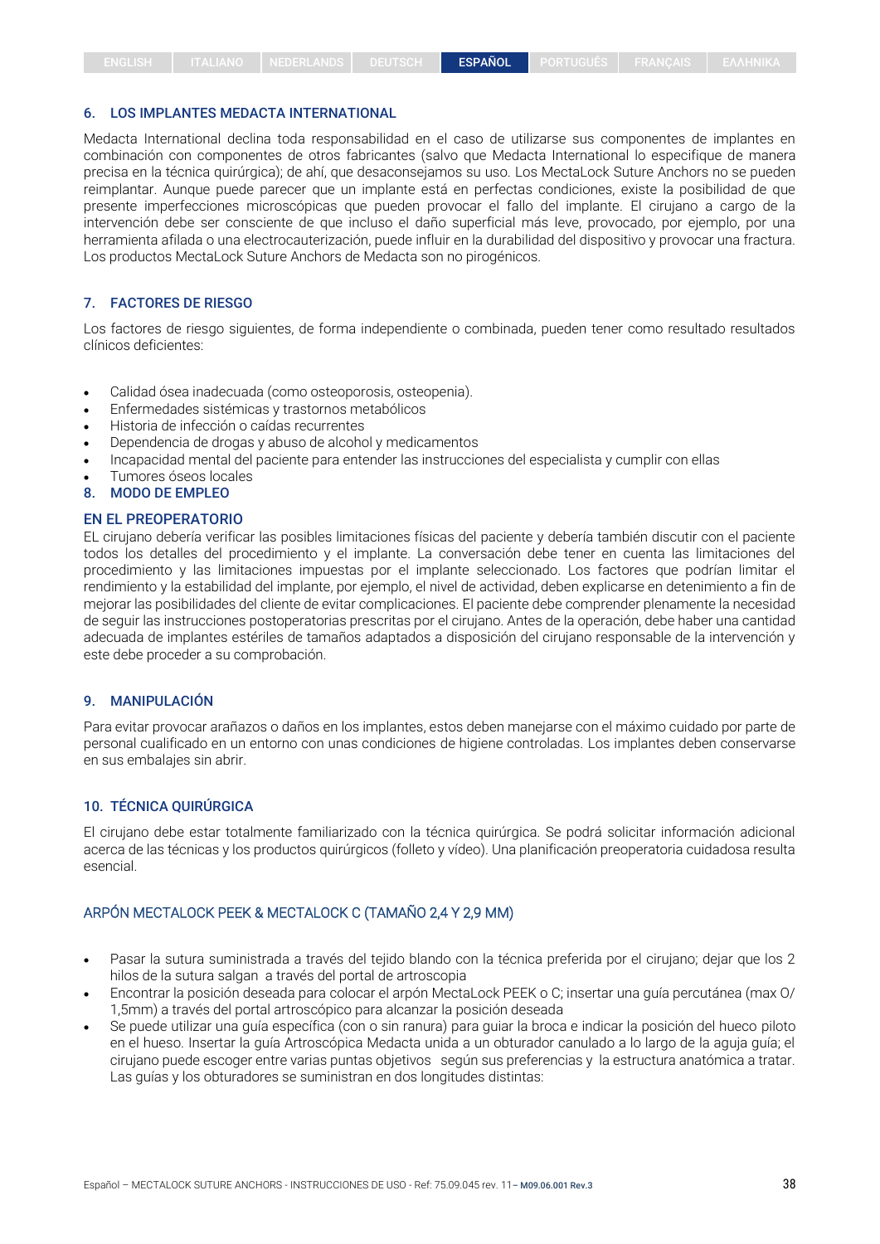#### 6. LOS IMPLANTES MEDACTA INTERNATIONAL

Medacta International declina toda responsabilidad en el caso de utilizarse sus componentes de implantes en combinación con componentes de otros fabricantes (salvo que Medacta International lo especifique de manera precisa en la técnica quirúrgica); de ahí, que desaconsejamos su uso. Los MectaLock Suture Anchors no se pueden reimplantar. Aunque puede parecer que un implante está en perfectas condiciones, existe la posibilidad de que presente imperfecciones microscópicas que pueden provocar el fallo del implante. El cirujano a cargo de la intervención debe ser consciente de que incluso el daño superficial más leve, provocado, por ejemplo, por una herramienta afilada o una electrocauterización, puede influir en la durabilidad del dispositivo y provocar una fractura. Los productos MectaLock Suture Anchors de Medacta son no pirogénicos.

#### 7. FACTORES DE RIESGO

Los factores de riesgo siguientes, de forma independiente o combinada, pueden tener como resultado resultados clínicos deficientes:

- Calidad ósea inadecuada (como osteoporosis, osteopenia).
- Enfermedades sistémicas y trastornos metabólicos
- Historia de infección o caídas recurrentes
- Dependencia de drogas y abuso de alcohol y medicamentos
- Incapacidad mental del paciente para entender las instrucciones del especialista y cumplir con ellas
- Tumores óseos locales
- 8. MODO DE EMPLEO

#### EN EL PREOPERATORIO

EL cirujano debería verificar las posibles limitaciones físicas del paciente y debería también discutir con el paciente todos los detalles del procedimiento y el implante. La conversación debe tener en cuenta las limitaciones del procedimiento y las limitaciones impuestas por el implante seleccionado. Los factores que podrían limitar el rendimiento y la estabilidad del implante, por ejemplo, el nivel de actividad, deben explicarse en detenimiento a fin de mejorar las posibilidades del cliente de evitar complicaciones. El paciente debe comprender plenamente la necesidad de seguir las instrucciones postoperatorias prescritas por el cirujano. Antes de la operación, debe haber una cantidad adecuada de implantes estériles de tamaños adaptados a disposición del cirujano responsable de la intervención y este debe proceder a su comprobación.

#### 9. MANIPULACIÓN

Para evitar provocar arañazos o daños en los implantes, estos deben manejarse con el máximo cuidado por parte de personal cualificado en un entorno con unas condiciones de higiene controladas. Los implantes deben conservarse en sus embalajes sin abrir.

#### 10. TÉCNICA QUIRÚRGICA

El cirujano debe estar totalmente familiarizado con la técnica quirúrgica. Se podrá solicitar información adicional acerca de las técnicas y los productos quirúrgicos (folleto y vídeo). Una planificación preoperatoria cuidadosa resulta esencial.

#### ARPÓN MECTALOCK PEEK & MECTALOCK C (TAMAÑO 2,4 Y 2,9 MM)

- Pasar la sutura suministrada a través del tejido blando con la técnica preferida por el cirujano; dejar que los 2 hilos de la sutura salgan a través del portal de artroscopia
- Encontrar la posición deseada para colocar el arpón MectaLock PEEK o C; insertar una guía percutánea (max O/ 1,5mm) a través del portal artroscópico para alcanzar la posición deseada
- Se puede utilizar una guía específica (con o sin ranura) para guiar la broca e indicar la posición del hueco piloto en el hueso. Insertar la guía Artroscópica Medacta unida a un obturador canulado a lo largo de la aguja guía; el cirujano puede escoger entre varias puntas objetivos según sus preferencias y la estructura anatómica a tratar. Las guías y los obturadores se suministran en dos longitudes distintas: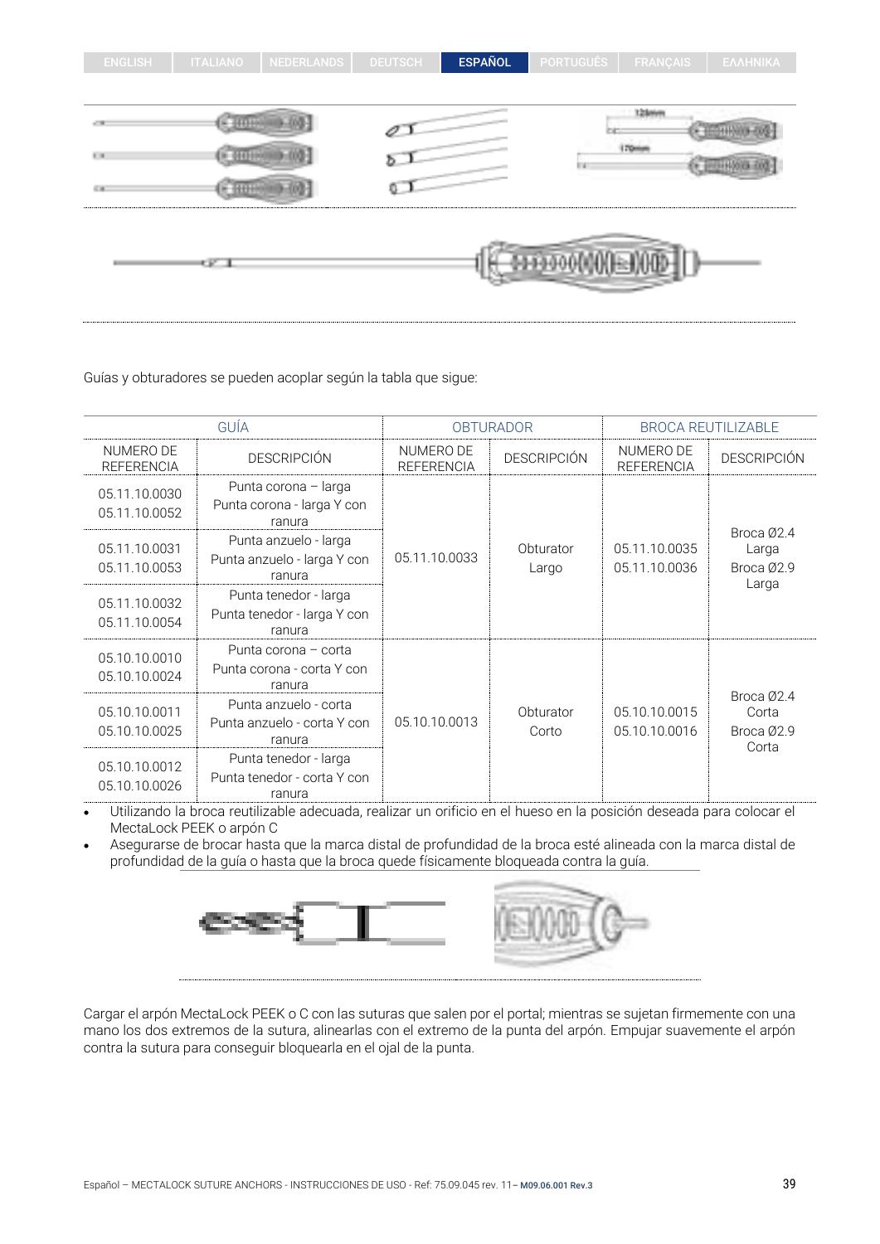| $\mathbb{H}^m$<br>64 |      | the contract of<br>U. | 11 Million Lots<br>Direction on<br>li vi |  |
|----------------------|------|-----------------------|------------------------------------------|--|
|                      | u pr |                       | <b>CONTRACTOR</b>                        |  |

ENGLISH | ITALIANO | NEDERLANDS | DEUTSCH | ESPAÑOL PORTUGUÊS | FRANÇAIS

Guías y obturadores se pueden acoplar según la tabla que sigue:

|                                | GUÍA                                                           | <b>OBTURADOR</b>               |                    | <b>BROCA REUTILIZABLE</b>      |                                            |
|--------------------------------|----------------------------------------------------------------|--------------------------------|--------------------|--------------------------------|--------------------------------------------|
| NUMERO DE<br><b>REFERENCIA</b> | <b>DESCRIPCIÓN</b>                                             | NUMERO DE<br><b>REFERENCIA</b> | <b>DESCRIPCIÓN</b> | NUMERO DE<br><b>REFERENCIA</b> | <b>DESCRIPCIÓN</b>                         |
| 05.11.10.0030<br>05.11.10.0052 | Punta corona - larga<br>Punta corona - larga Y con<br>ranura   |                                |                    |                                |                                            |
| 05.11.10.0031<br>05.11.10.0053 | Punta anzuelo - larga<br>Punta anzuelo - larga Y con<br>ranura | 05.11.10.0033                  | Obturator<br>Largo | 05.11.10.0035<br>05.11.10.0036 | Broca Ø2.4<br>Larga<br>Broca Ø2.9<br>Larga |
| 05.11.10.0032<br>05.11.10.0054 | Punta tenedor - larga<br>Punta tenedor - larga Y con<br>ranura |                                |                    |                                |                                            |
| 05.10.10.0010<br>05.10.10.0024 | Punta corona - corta<br>Punta corona - corta Y con<br>ranura   |                                |                    |                                |                                            |
| 05.10.10.0011<br>05.10.10.0025 | Punta anzuelo - corta<br>Punta anzuelo - corta Y con<br>ranura | 05.10.10.0013                  | Obturator<br>Corto | 05.10.10.0015<br>05.10.10.0016 | Broca Ø2.4<br>Corta<br>Broca Ø2.9          |
| 05.10.10.0012<br>05.10.10.0026 | Punta tenedor - larga<br>Punta tenedor - corta Y con<br>ranura |                                |                    |                                | Corta                                      |

• Utilizando la broca reutilizable adecuada, realizar un orificio en el hueso en la posición deseada para colocar el MectaLock PEEK o arpón C

• Asegurarse de brocar hasta que la marca distal de profundidad de la broca esté alineada con la marca distal de profundidad de la guía o hasta que la broca quede físicamente bloqueada contra la guía.



Cargar el arpón MectaLock PEEK o C con las suturas que salen por el portal; mientras se sujetan firmemente con una mano los dos extremos de la sutura, alinearlas con el extremo de la punta del arpón. Empujar suavemente el arpón contra la sutura para conseguir bloquearla en el ojal de la punta.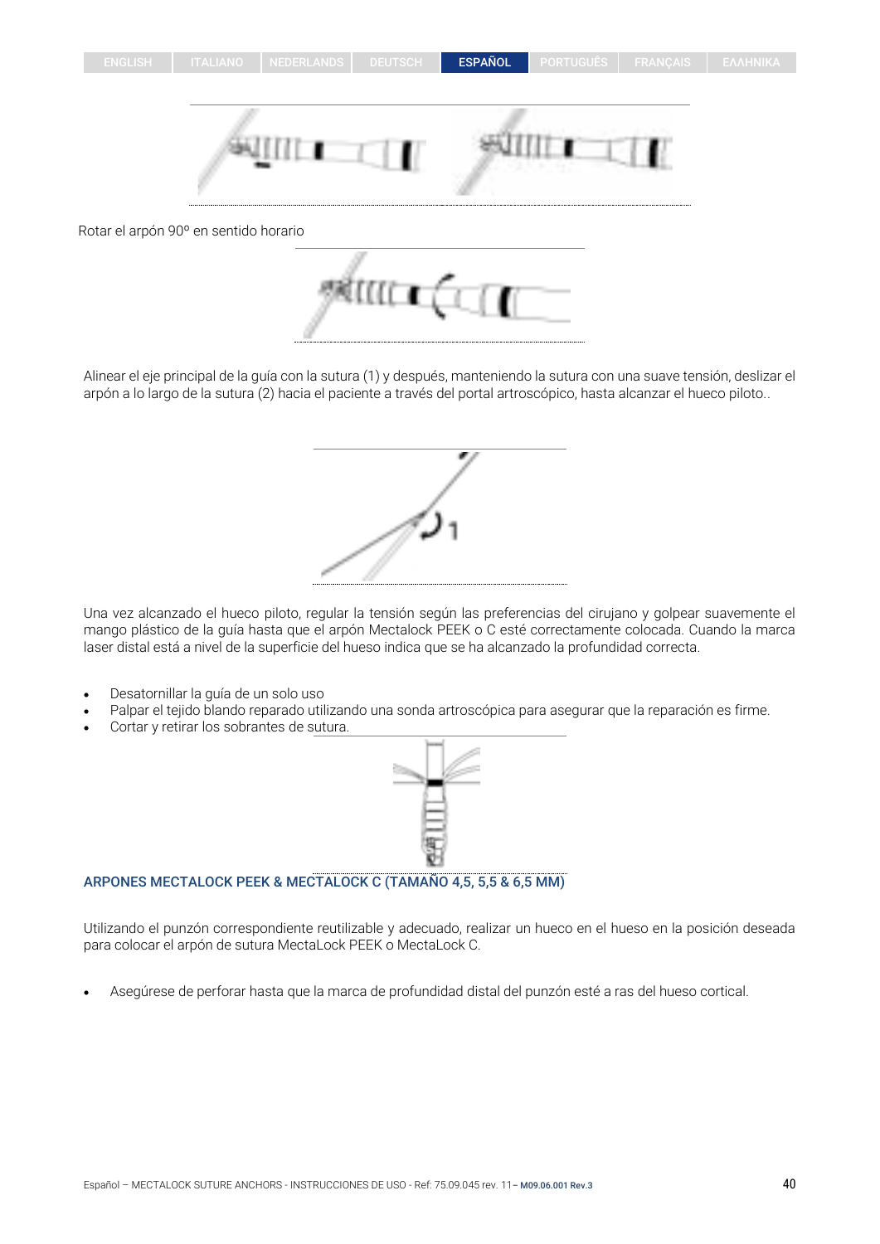



Rotar el arpón 90º en sentido horario



Alinear el eje principal de la guía con la sutura (1) y después, manteniendo la sutura con una suave tensión, deslizar el arpón a lo largo de la sutura (2) hacia el paciente a través del portal artroscópico, hasta alcanzar el hueco piloto..

Una vez alcanzado el hueco piloto, regular la tensión según las preferencias del cirujano y golpear suavemente el mango plástico de la guía hasta que el arpón Mectalock PEEK o C esté correctamente colocada. Cuando la marca laser distal está a nivel de la superficie del hueso indica que se ha alcanzado la profundidad correcta.

- Desatornillar la guía de un solo uso
- Palpar el tejido blando reparado utilizando una sonda artroscópica para asegurar que la reparación es firme.
- Cortar y retirar los sobrantes de sutura.

## ARPONES MECTALOCK PEEK & MECTALOCK C (TAMAÑO 4,5, 5,5 & 6,5 MM)

Utilizando el punzón correspondiente reutilizable y adecuado, realizar un hueco en el hueso en la posición deseada para colocar el arpón de sutura MectaLock PEEK o MectaLock C.

• Asegúrese de perforar hasta que la marca de profundidad distal del punzón esté a ras del hueso cortical.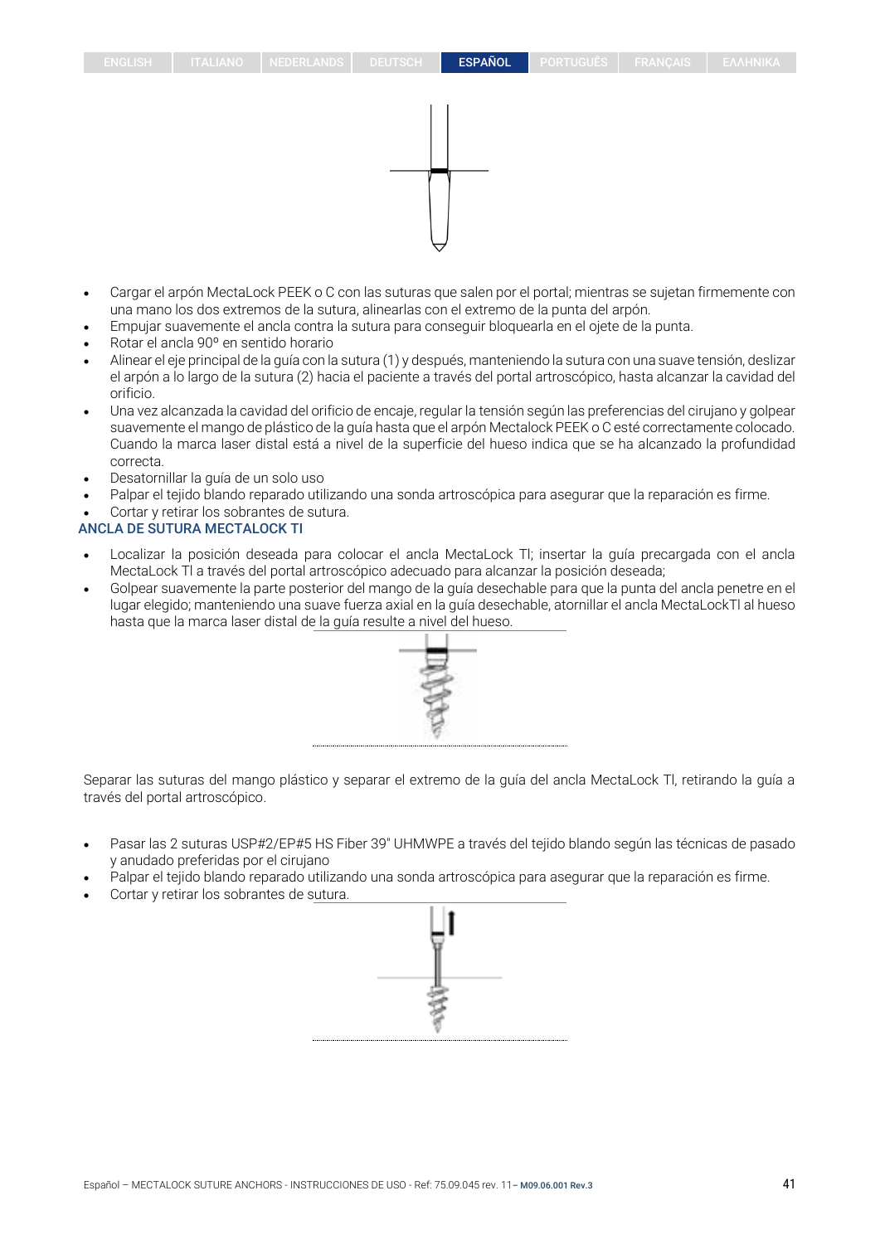- Cargar el arpón MectaLock PEEK o C con las suturas que salen por el portal; mientras se sujetan firmemente con una mano los dos extremos de la sutura, alinearlas con el extremo de la punta del arpón.
- Empujar suavemente el ancla contra la sutura para conseguir bloquearla en el ojete de la punta.
- Rotar el ancla 90º en sentido horario
- Alinear el eje principal de la guía con la sutura (1) y después, manteniendo la sutura con una suave tensión, deslizar el arpón a lo largo de la sutura (2) hacia el paciente a través del portal artroscópico, hasta alcanzar la cavidad del orificio.
- Una vez alcanzada la cavidad del orificio de encaje, regular la tensión según las preferencias del cirujano y golpear suavemente el mango de plástico de la guía hasta que el arpón Mectalock PEEK o C esté correctamente colocado. Cuando la marca laser distal está a nivel de la superficie del hueso indica que se ha alcanzado la profundidad correcta.
- Desatornillar la guía de un solo uso
- Palpar el tejido blando reparado utilizando una sonda artroscópica para asegurar que la reparación es firme.
- Cortar y retirar los sobrantes de sutura.

## ANCLA DE SUTURA MECTALOCK TI

- Localizar la posición deseada para colocar el ancla MectaLock Tl; insertar la guía precargada con el ancla MectaLock Tl a través del portal artroscópico adecuado para alcanzar la posición deseada;
- Golpear suavemente la parte posterior del mango de la guía desechable para que la punta del ancla penetre en el lugar elegido; manteniendo una suave fuerza axial en la guía desechable, atornillar el ancla MectaLockTl al hueso hasta que la marca laser distal de la guía resulte a nivel del hueso.



Separar las suturas del mango plástico y separar el extremo de la guía del ancla MectaLock Tl, retirando la guía a través del portal artroscópico.

- Pasar las 2 suturas USP#2/EP#5 HS Fiber 39" UHMWPE a través del tejido blando según las técnicas de pasado y anudado preferidas por el cirujano
- Palpar el tejido blando reparado utilizando una sonda artroscópica para asegurar que la reparación es firme.
- Cortar y retirar los sobrantes de sutura.

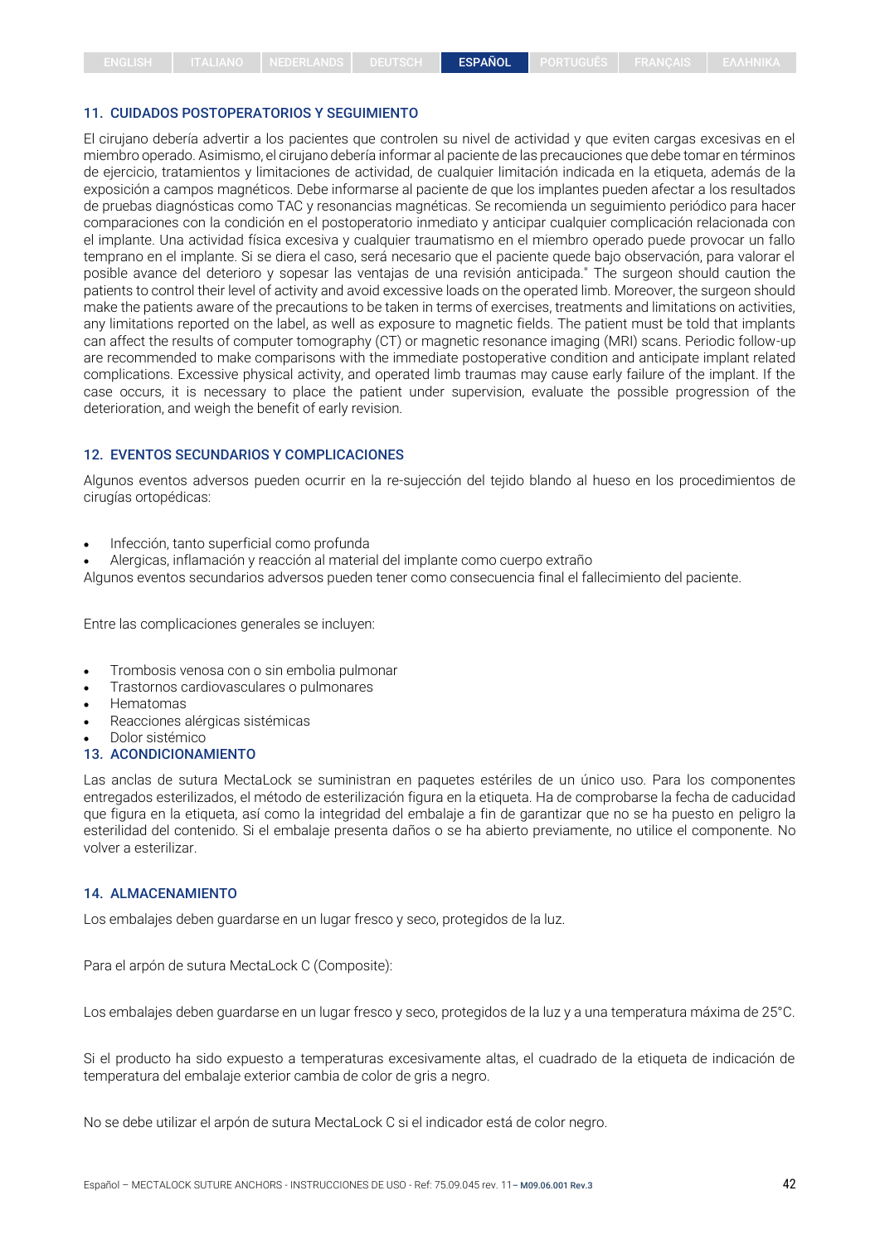#### 11. CUIDADOS POSTOPERATORIOS Y SEGUIMIENTO

El cirujano debería advertir a los pacientes que controlen su nivel de actividad y que eviten cargas excesivas en el miembro operado. Asimismo, el cirujano debería informar al paciente de las precauciones que debe tomar en términos de ejercicio, tratamientos y limitaciones de actividad, de cualquier limitación indicada en la etiqueta, además de la exposición a campos magnéticos. Debe informarse al paciente de que los implantes pueden afectar a los resultados de pruebas diagnósticas como TAC y resonancias magnéticas. Se recomienda un seguimiento periódico para hacer comparaciones con la condición en el postoperatorio inmediato y anticipar cualquier complicación relacionada con el implante. Una actividad física excesiva y cualquier traumatismo en el miembro operado puede provocar un fallo temprano en el implante. Si se diera el caso, será necesario que el paciente quede bajo observación, para valorar el posible avance del deterioro y sopesar las ventajas de una revisión anticipada." The surgeon should caution the patients to control their level of activity and avoid excessive loads on the operated limb. Moreover, the surgeon should make the patients aware of the precautions to be taken in terms of exercises, treatments and limitations on activities, any limitations reported on the label, as well as exposure to magnetic fields. The patient must be told that implants can affect the results of computer tomography (CT) or magnetic resonance imaging (MRI) scans. Periodic follow-up are recommended to make comparisons with the immediate postoperative condition and anticipate implant related complications. Excessive physical activity, and operated limb traumas may cause early failure of the implant. If the case occurs, it is necessary to place the patient under supervision, evaluate the possible progression of the deterioration, and weigh the benefit of early revision.

#### 12. EVENTOS SECUNDARIOS Y COMPLICACIONES

Algunos eventos adversos pueden ocurrir en la re-sujección del tejido blando al hueso en los procedimientos de cirugías ortopédicas:

- Infección, tanto superficial como profunda
- Alergicas, inflamación y reacción al material del implante como cuerpo extraño

Algunos eventos secundarios adversos pueden tener como consecuencia final el fallecimiento del paciente.

Entre las complicaciones generales se incluyen:

- Trombosis venosa con o sin embolia pulmonar
- Trastornos cardiovasculares o pulmonares
- Hematomas
- Reacciones alérgicas sistémicas
- Dolor sistémico

#### 13. ACONDICIONAMIENTO

Las anclas de sutura MectaLock se suministran en paquetes estériles de un único uso. Para los componentes entregados esterilizados, el método de esterilización figura en la etiqueta. Ha de comprobarse la fecha de caducidad que figura en la etiqueta, así como la integridad del embalaje a fin de garantizar que no se ha puesto en peligro la esterilidad del contenido. Si el embalaje presenta daños o se ha abierto previamente, no utilice el componente. No volver a esterilizar.

#### 14. ALMACENAMIENTO

Los embalajes deben guardarse en un lugar fresco y seco, protegidos de la luz.

Para el arpón de sutura MectaLock C (Composite):

Los embalajes deben guardarse en un lugar fresco y seco, protegidos de la luz y a una temperatura máxima de 25°C.

Si el producto ha sido expuesto a temperaturas excesivamente altas, el cuadrado de la etiqueta de indicación de temperatura del embalaje exterior cambia de color de gris a negro.

No se debe utilizar el arpón de sutura MectaLock C si el indicador está de color negro.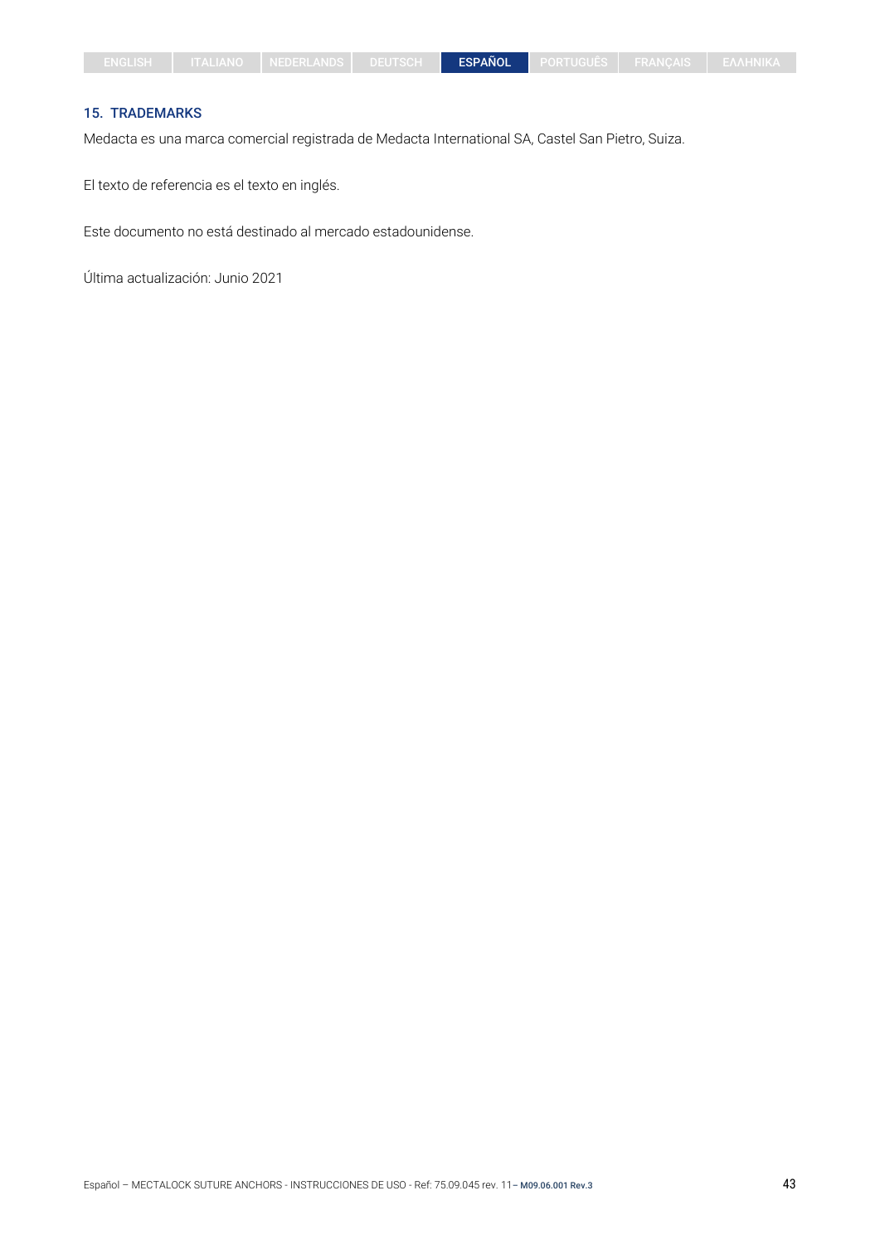## 15. TRADEMARKS

Medacta es una marca comercial registrada de Medacta International SA, Castel San Pietro, Suiza.

El texto de referencia es el texto en inglés.

Este documento no está destinado al mercado estadounidense.

Última actualización: Junio 2021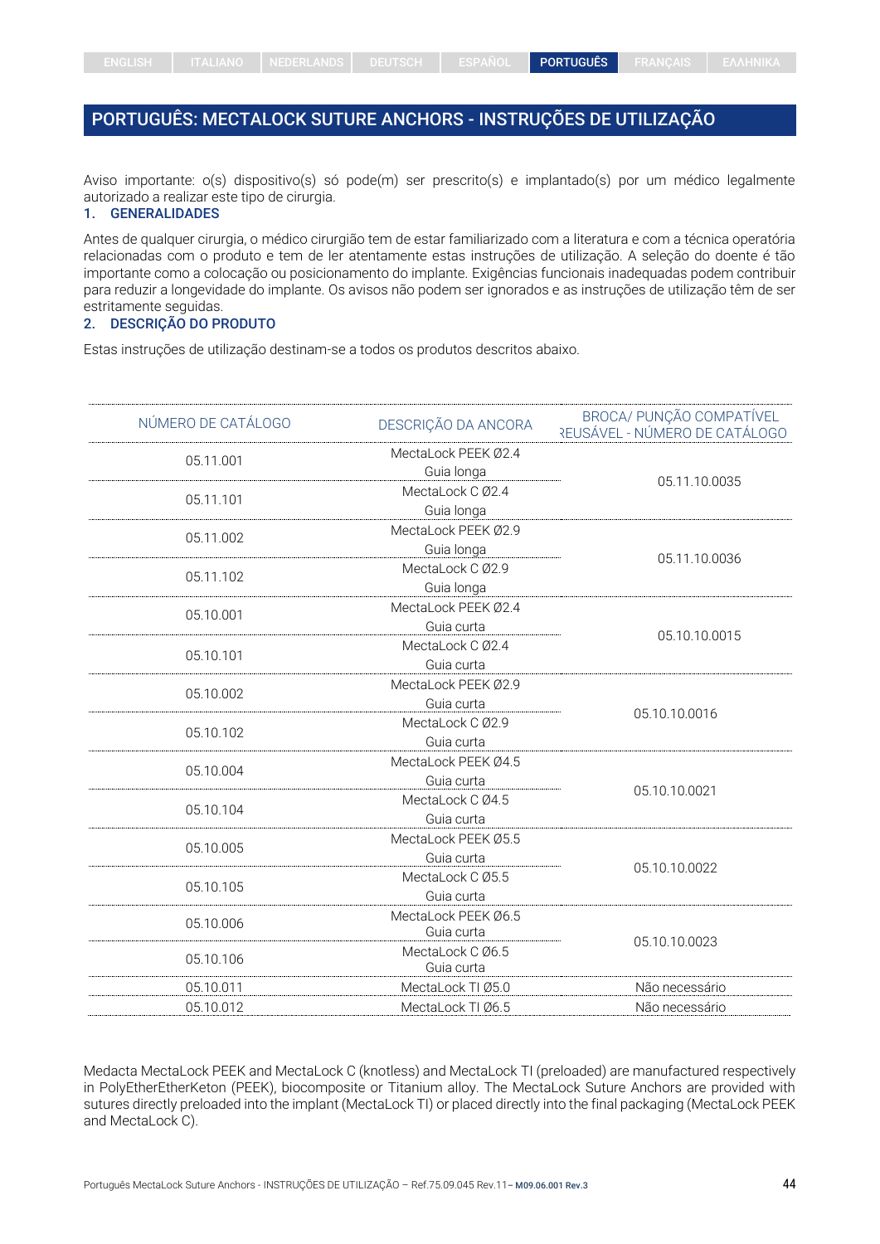# <span id="page-43-0"></span>PORTUGUÊS: MECTALOCK SUTURE ANCHORS - INSTRUÇÕES DE UTILIZAÇÃO

Aviso importante: o(s) dispositivo(s) só pode(m) ser prescrito(s) e implantado(s) por um médico legalmente autorizado a realizar este tipo de cirurgia.

## 1. GENERALIDADES

Antes de qualquer cirurgia, o médico cirurgião tem de estar familiarizado com a literatura e com a técnica operatória relacionadas com o produto e tem de ler atentamente estas instruções de utilização. A seleção do doente é tão importante como a colocação ou posicionamento do implante. Exigências funcionais inadequadas podem contribuir para reduzir a longevidade do implante. Os avisos não podem ser ignorados e as instruções de utilização têm de ser estritamente seguidas.

## 2. DESCRIÇÃO DO PRODUTO

Estas instruções de utilização destinam-se a todos os produtos descritos abaixo.

| NÚMERO DE CATÁLOGO | DESCRIÇÃO DA ANCORA | BROCA/ PUNÇÃO COMPATÍVEL<br>REUSÁVEL - NÚMÉRO DE CATÁLOGO |
|--------------------|---------------------|-----------------------------------------------------------|
| 05.11.001          | MectaLock PEEK Ø2.4 |                                                           |
|                    | Guia longa          |                                                           |
| 05.11.101          | MectaLock C Ø2.4    | 05.11.10.0035                                             |
|                    | Guia longa          |                                                           |
| 05.11.002          | MectaLock PEEK Ø2.9 |                                                           |
|                    | Guia longa          |                                                           |
| 05.11.102          | MectaLock C Ø2.9    | 05.11.10.0036                                             |
|                    | Guia longa          |                                                           |
| 05.10.001          | MectaLock PEEK Ø2.4 |                                                           |
|                    | Guia curta          |                                                           |
|                    | MectaLock C Ø2.4    | 05.10.10.0015                                             |
| 05.10.101          | Guia curta          |                                                           |
|                    | MectaLock PEEK Ø2.9 |                                                           |
| 05.10.002          | Guia curta          |                                                           |
|                    | MectaLock C Ø2.9    | 05.10.10.0016                                             |
| 05.10.102          | Guia curta          |                                                           |
|                    | MectaLock PEEK Ø4.5 |                                                           |
| 05.10.004          | Guia curta          |                                                           |
|                    | MectaLock C Ø4.5    | 05.10.10.0021                                             |
| 05.10.104          | Guia curta          |                                                           |
|                    | MectaLock PEEK Ø5.5 |                                                           |
| 05.10.005          | Guia curta          |                                                           |
|                    | MectaLock C Ø5.5    | 05.10.10.0022                                             |
| 05.10.105          | Guia curta          |                                                           |
| 05.10.006          | MectaLock PEEK Ø6.5 |                                                           |
|                    | Guia curta          | 05.10.10.0023                                             |
| 05.10.106          | MectaLock C Ø6.5    |                                                           |
|                    | Guia curta          |                                                           |
| 05.10.011          | MectaLock TI Ø5.0   | Não necessário                                            |
| 05.10.012          | MectaLock TI Ø6.5   | Não necessário                                            |

Medacta MectaLock PEEK and MectaLock C (knotless) and MectaLock TI (preloaded) are manufactured respectively in PolyEtherEtherKeton (PEEK), biocomposite or Titanium alloy. The MectaLock Suture Anchors are provided with sutures directly preloaded into the implant (MectaLock TI) or placed directly into the final packaging (MectaLock PEEK and MectaLock C).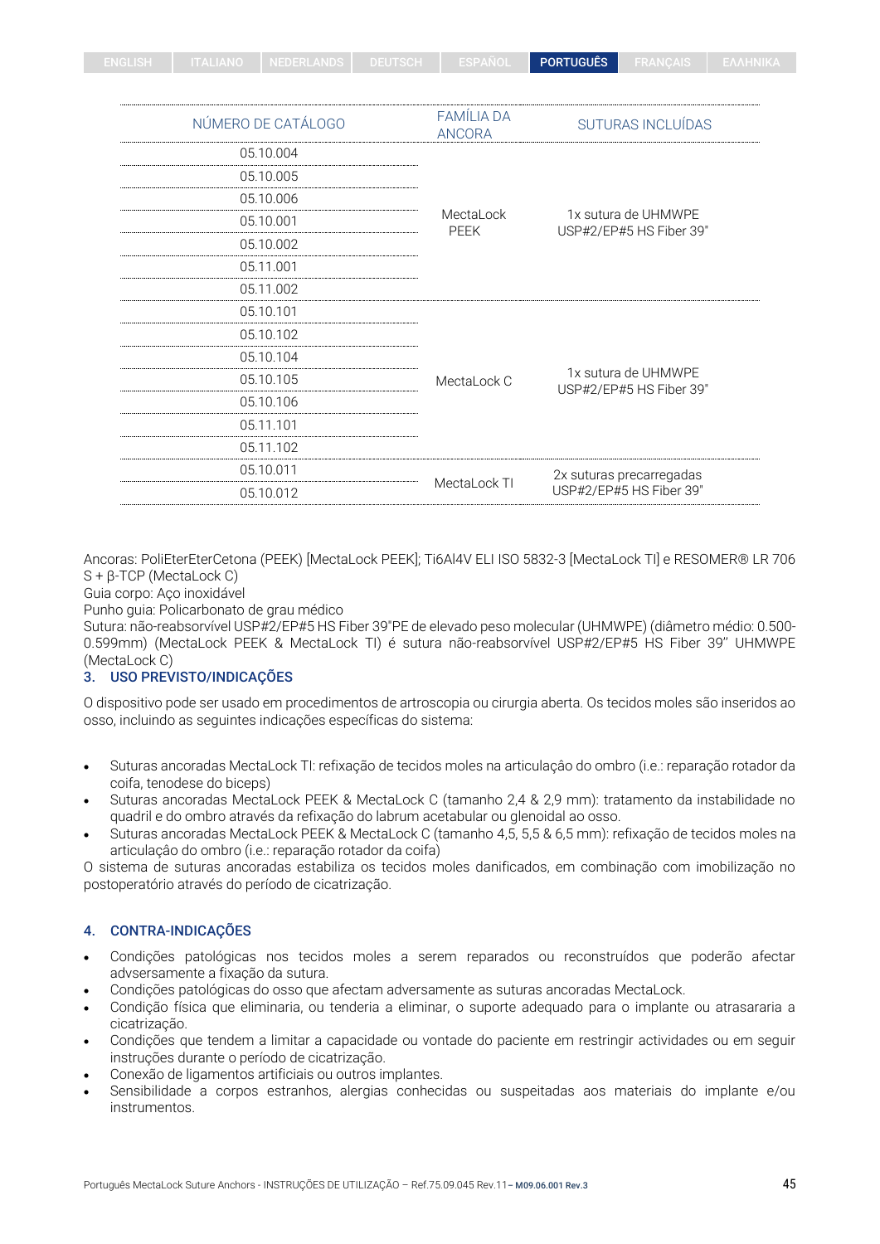| ENGLISH | TTALIANO NEDERLANDS DEUTSCH ESPAÑOL D |  | <b>PORTUGUÊS</b> | <b>FRANCAIS EAAHNIKA</b> |  |
|---------|---------------------------------------|--|------------------|--------------------------|--|
|         |                                       |  |                  |                          |  |

| NÚMERO DE CATÁLOGO | <b>FAMÍLIA DA</b><br><b>ANCORA</b> | SUTURAS INCLUÍDAS                              |  |
|--------------------|------------------------------------|------------------------------------------------|--|
| 05.10.004          |                                    |                                                |  |
| 05.10.005          |                                    |                                                |  |
| 05.10.006          |                                    |                                                |  |
| 05.10.001          | MectaLock<br><b>PEEK</b>           | 1x sutura de UHMWPE<br>USP#2/EP#5 HS Fiber 39" |  |
| 05.10.002          |                                    |                                                |  |
| 05.11.001          |                                    |                                                |  |
| 05.11.002          |                                    |                                                |  |
| 05.10.101          |                                    |                                                |  |
| 05.10.102          |                                    |                                                |  |
| 05.10.104          |                                    |                                                |  |
| 05.10.105          | MectaLock C                        | 1x sutura de UHMWPE<br>USP#2/EP#5 HS Fiber 39" |  |
| 05.10.106          |                                    |                                                |  |
| 05.11.101          |                                    |                                                |  |
| 05.11.102          |                                    |                                                |  |
| 05.10.011          | MectaLock TI                       | 2x suturas precarregadas                       |  |
| 05.10.012          |                                    | USP#2/EP#5 HS Fiber 39"                        |  |

Ancoras: PoliEterEterCetona (PEEK) [MectaLock PEEK]; Ti6Al4V ELI ISO 5832-3 [MectaLock TI] e RESOMER® LR 706 S + β-TCP (MectaLock C)

#### Guia corpo: Aço inoxidável

Punho guia: Policarbonato de grau médico

Sutura: não-reabsorvível USP#2/EP#5 HS Fiber 39"PE de elevado peso molecular (UHMWPE) (diâmetro médio: 0.500- 0.599mm) (MectaLock PEEK & MectaLock TI) é sutura não-reabsorvível USP#2/EP#5 HS Fiber 39'' UHMWPE (MectaLock C)

## 3. USO PREVISTO/INDICAÇÕES

O dispositivo pode ser usado em procedimentos de artroscopia ou cirurgia aberta. Os tecidos moles são inseridos ao osso, incluindo as seguintes indicações específicas do sistema:

- Suturas ancoradas MectaLock TI: refixação de tecidos moles na articulaçâo do ombro (i.e.: reparação rotador da coifa, tenodese do biceps)
- Suturas ancoradas MectaLock PEEK & MectaLock C (tamanho 2,4 & 2,9 mm): tratamento da instabilidade no quadril e do ombro através da refixação do labrum acetabular ou glenoidal ao osso.
- Suturas ancoradas MectaLock PEEK & MectaLock C (tamanho 4,5, 5,5 & 6,5 mm): refixação de tecidos moles na articulaçâo do ombro (i.e.: reparação rotador da coifa)

O sistema de suturas ancoradas estabiliza os tecidos moles danificados, em combinação com imobilização no postoperatório através do período de cicatrização.

## 4. CONTRA-INDICAÇÕES

- Condições patológicas nos tecidos moles a serem reparados ou reconstruídos que poderão afectar advsersamente a fixação da sutura.
- Condições patológicas do osso que afectam adversamente as suturas ancoradas MectaLock.
- Condição física que eliminaria, ou tenderia a eliminar, o suporte adequado para o implante ou atrasararia a cicatrização.
- Condições que tendem a limitar a capacidade ou vontade do paciente em restringir actividades ou em seguir instruções durante o período de cicatrização.
- Conexão de ligamentos artificiais ou outros implantes.
- Sensibilidade a corpos estranhos, alergias conhecidas ou suspeitadas aos materiais do implante e/ou instrumentos.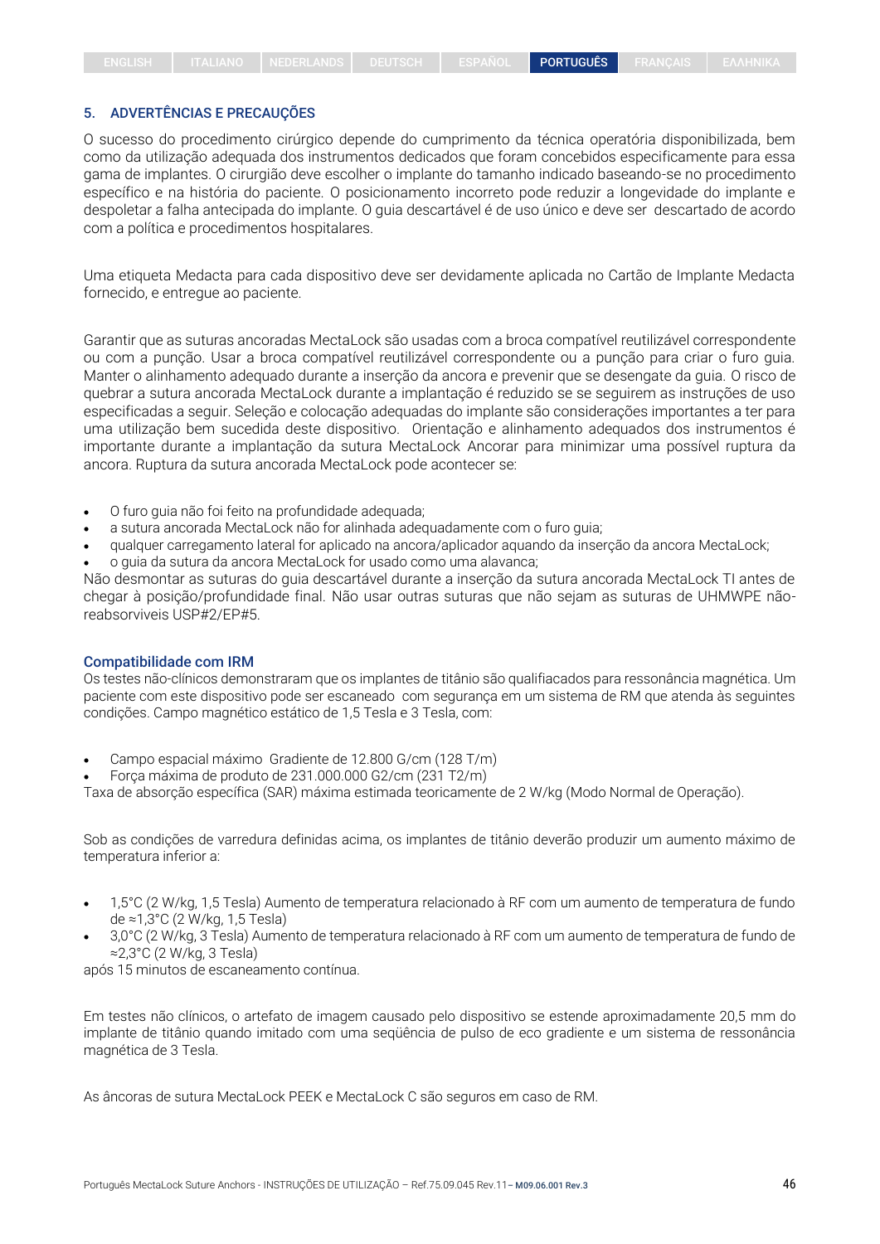## 5. ADVERTÊNCIAS E PRECAUÇÕES

O sucesso do procedimento cirúrgico depende do cumprimento da técnica operatória disponibilizada, bem como da utilização adequada dos instrumentos dedicados que foram concebidos especificamente para essa gama de implantes. O cirurgião deve escolher o implante do tamanho indicado baseando-se no procedimento específico e na história do paciente. O posicionamento incorreto pode reduzir a longevidade do implante e despoletar a falha antecipada do implante. O guia descartável é de uso único e deve ser descartado de acordo com a política e procedimentos hospitalares.

Uma etiqueta Medacta para cada dispositivo deve ser devidamente aplicada no Cartão de Implante Medacta fornecido, e entregue ao paciente.

Garantir que as suturas ancoradas MectaLock são usadas com a broca compatível reutilizável correspondente ou com a punção. Usar a broca compatível reutilizável correspondente ou a punção para criar o furo guia. Manter o alinhamento adequado durante a inserção da ancora e prevenir que se desengate da guia. O risco de quebrar a sutura ancorada MectaLock durante a implantação é reduzido se se seguirem as instruções de uso especificadas a seguir. Seleção e colocação adequadas do implante são considerações importantes a ter para uma utilização bem sucedida deste dispositivo. Orientação e alinhamento adequados dos instrumentos é importante durante a implantação da sutura MectaLock Ancorar para minimizar uma possível ruptura da ancora. Ruptura da sutura ancorada MectaLock pode acontecer se:

- O furo guia não foi feito na profundidade adequada;
- a sutura ancorada MectaLock não for alinhada adequadamente com o furo guia;
- qualquer carregamento lateral for aplicado na ancora/aplicador aquando da inserção da ancora MectaLock;
- o guia da sutura da ancora MectaLock for usado como uma alavanca;

Não desmontar as suturas do guia descartável durante a inserção da sutura ancorada MectaLock TI antes de chegar à posição/profundidade final. Não usar outras suturas que não sejam as suturas de UHMWPE nãoreabsorviveis USP#2/EP#5.

#### Compatibilidade com IRM

Os testes não-clínicos demonstraram que os implantes de titânio são qualifiacados para ressonância magnética. Um paciente com este dispositivo pode ser escaneado com segurança em um sistema de RM que atenda às seguintes condições. Campo magnético estático de 1,5 Tesla e 3 Tesla, com:

- Campo espacial máximo Gradiente de 12.800 G/cm (128 T/m)
- Força máxima de produto de 231.000.000 G2/cm (231 T2/m)

Taxa de absorção específica (SAR) máxima estimada teoricamente de 2 W/kg (Modo Normal de Operação).

Sob as condições de varredura definidas acima, os implantes de titânio deverão produzir um aumento máximo de temperatura inferior a:

- 1,5°C (2 W/kg, 1,5 Tesla) Aumento de temperatura relacionado à RF com um aumento de temperatura de fundo de ≈1,3°C (2 W/kg, 1,5 Tesla)
- 3,0°C (2 W/kg, 3 Tesla) Aumento de temperatura relacionado à RF com um aumento de temperatura de fundo de ≈2,3°C (2 W/kg, 3 Tesla)

após 15 minutos de escaneamento contínua.

Em testes não clínicos, o artefato de imagem causado pelo dispositivo se estende aproximadamente 20,5 mm do implante de titânio quando imitado com uma seqüência de pulso de eco gradiente e um sistema de ressonância magnética de 3 Tesla.

As âncoras de sutura MectaLock PEEK e MectaLock C são seguros em caso de RM.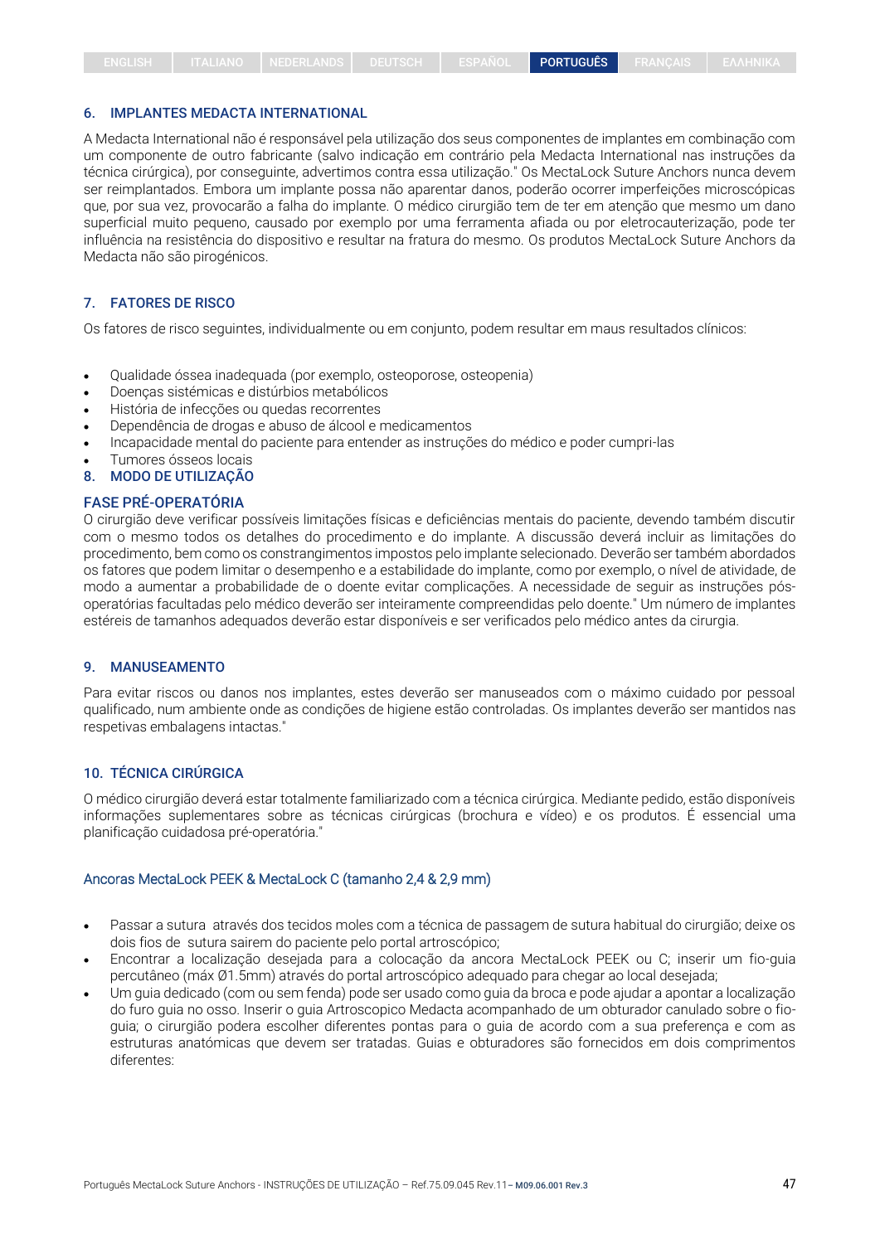#### 6. IMPLANTES MEDACTA INTERNATIONAL

A Medacta International não é responsável pela utilização dos seus componentes de implantes em combinação com um componente de outro fabricante (salvo indicação em contrário pela Medacta International nas instruções da técnica cirúrgica), por conseguinte, advertimos contra essa utilização." Os MectaLock Suture Anchors nunca devem ser reimplantados. Embora um implante possa não aparentar danos, poderão ocorrer imperfeições microscópicas que, por sua vez, provocarão a falha do implante. O médico cirurgião tem de ter em atenção que mesmo um dano superficial muito pequeno, causado por exemplo por uma ferramenta afiada ou por eletrocauterização, pode ter influência na resistência do dispositivo e resultar na fratura do mesmo. Os produtos MectaLock Suture Anchors da Medacta não são pirogénicos.

#### 7. FATORES DE RISCO

Os fatores de risco seguintes, individualmente ou em conjunto, podem resultar em maus resultados clínicos:

- Qualidade óssea inadequada (por exemplo, osteoporose, osteopenia)
- Doenças sistémicas e distúrbios metabólicos
- História de infecções ou quedas recorrentes
- Dependência de drogas e abuso de álcool e medicamentos
- Incapacidade mental do paciente para entender as instruções do médico e poder cumpri-las
- Tumores ósseos locais
- 8. MODO DE UTILIZAÇÃO

#### FASE PRÉ-OPERATÓRIA

O cirurgião deve verificar possíveis limitações físicas e deficiências mentais do paciente, devendo também discutir com o mesmo todos os detalhes do procedimento e do implante. A discussão deverá incluir as limitações do procedimento, bem como os constrangimentos impostos pelo implante selecionado. Deverão ser também abordados os fatores que podem limitar o desempenho e a estabilidade do implante, como por exemplo, o nível de atividade, de modo a aumentar a probabilidade de o doente evitar complicações. A necessidade de seguir as instruções pósoperatórias facultadas pelo médico deverão ser inteiramente compreendidas pelo doente." Um número de implantes estéreis de tamanhos adequados deverão estar disponíveis e ser verificados pelo médico antes da cirurgia.

#### 9. MANUSEAMENTO

Para evitar riscos ou danos nos implantes, estes deverão ser manuseados com o máximo cuidado por pessoal qualificado, num ambiente onde as condições de higiene estão controladas. Os implantes deverão ser mantidos nas respetivas embalagens intactas."

## 10. TÉCNICA CIRÚRGICA

O médico cirurgião deverá estar totalmente familiarizado com a técnica cirúrgica. Mediante pedido, estão disponíveis informações suplementares sobre as técnicas cirúrgicas (brochura e vídeo) e os produtos. É essencial uma planificação cuidadosa pré-operatória."

## Ancoras MectaLock PEEK & MectaLock C (tamanho 2,4 & 2,9 mm)

- Passar a sutura através dos tecidos moles com a técnica de passagem de sutura habitual do cirurgião; deixe os dois fios de sutura sairem do paciente pelo portal artroscópico;
- Encontrar a localização desejada para a colocação da ancora MectaLock PEEK ou C; inserir um fio-guia percutâneo (máx Ø1.5mm) através do portal artroscópico adequado para chegar ao local desejada;
- Um guia dedicado (com ou sem fenda) pode ser usado como guia da broca e pode ajudar a apontar a localização do furo guia no osso. Inserir o guia Artroscopico Medacta acompanhado de um obturador canulado sobre o fioguia; o cirurgião podera escolher diferentes pontas para o guia de acordo com a sua preferença e com as estruturas anatómicas que devem ser tratadas. Guias e obturadores são fornecidos em dois comprimentos diferentes: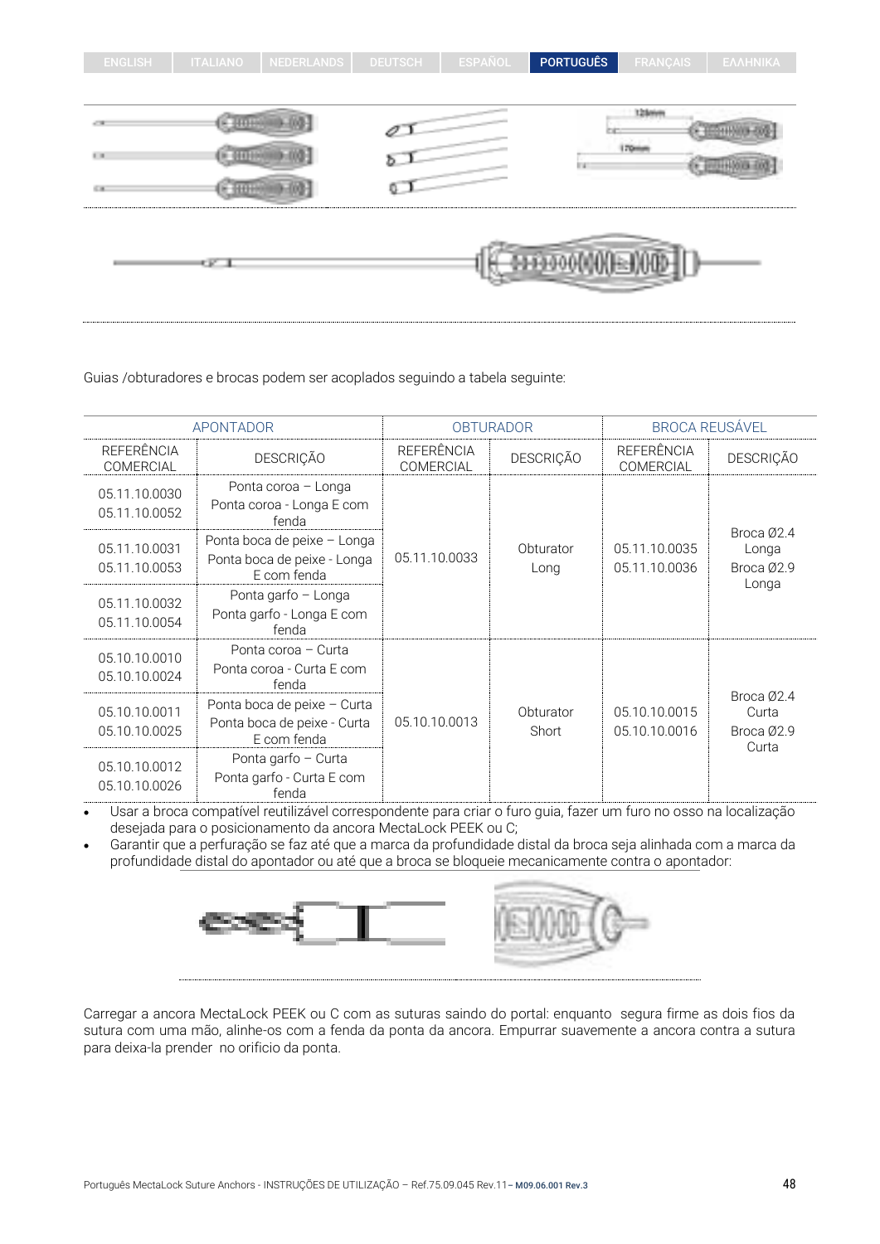| <b>ENGLISH</b>    | <b>ITALIANO</b> | <b>NEDERLANDS</b> | <b>DEUTSCH</b> | ESPAÑOL | <b>PORTUGUÊS</b> | <b>FRANÇAIS</b> | ΕΛΛΗΝΙΚΑ |
|-------------------|-----------------|-------------------|----------------|---------|------------------|-----------------|----------|
|                   |                 |                   |                |         |                  |                 |          |
|                   |                 |                   |                |         |                  | 12 loves        |          |
| $\mathbb{H}^+$ in |                 |                   |                |         | Iн               | 170mm           |          |
| 5.10              |                 |                   |                |         |                  |                 |          |
|                   | СF.             |                   |                |         |                  |                 |          |

Guias /obturadores e brocas podem ser acoplados seguindo a tabela seguinte:

| APONTADOR                      |                                                                           | <b>OBTURADOR</b>                      |                    | <b>BROCA REUSÁVEL</b>          |                                            |
|--------------------------------|---------------------------------------------------------------------------|---------------------------------------|--------------------|--------------------------------|--------------------------------------------|
| REFERÊNCIA<br>COMERCIAL        | <b>DESCRIÇÃO</b>                                                          | <b>REFERÊNCIA</b><br><b>COMERCIAL</b> | <b>DESCRIÇÃO</b>   | REFERÊNCIA<br>COMERCIAL        | <b>DESCRIÇÃO</b>                           |
| 05.11.10.0030<br>05.11.10.0052 | Ponta coroa - Longa<br>Ponta coroa - Longa E com<br>fenda                 |                                       |                    |                                |                                            |
| 05.11.10.0031<br>05.11.10.0053 | Ponta boca de peixe - Longa<br>Ponta boca de peixe - Longa<br>E com fenda | 05.11.10.0033                         | Obturator<br>Long  | 05.11.10.0035<br>05.11.10.0036 | Broca Ø2.4<br>Longa<br>Broca Ø2.9<br>Longa |
| 05.11.10.0032<br>05.11.10.0054 | Ponta garfo - Longa<br>Ponta garfo - Longa E com<br>fenda                 |                                       |                    |                                |                                            |
| 05.10.10.0010<br>05.10.10.0024 | Ponta coroa - Curta<br>Ponta coroa - Curta E com<br>fenda                 |                                       |                    |                                |                                            |
| 05.10.10.0011<br>05.10.10.0025 | Ponta boca de peixe - Curta<br>Ponta boca de peixe - Curta<br>E com fenda | 05.10.10.0013                         | Obturator<br>Short | 05.10.10.0015<br>05.10.10.0016 | Broca Ø2.4<br>Curta<br>Broca Ø2.9<br>Curta |
| 05.10.10.0012<br>05.10.10.0026 | Ponta garfo - Curta<br>Ponta garfo - Curta E com<br>fenda                 |                                       |                    |                                |                                            |

• Usar a broca compatível reutilizável correspondente para criar o furo guia, fazer um furo no osso na localização desejada para o posicionamento da ancora MectaLock PEEK ou C;

• Garantir que a perfuração se faz até que a marca da profundidade distal da broca seja alinhada com a marca da profundidade distal do apontador ou até que a broca se bloqueie mecanicamente contra o apontador:



Carregar a ancora MectaLock PEEK ou C com as suturas saindo do portal: enquanto segura firme as dois fios da sutura com uma mão, alinhe-os com a fenda da ponta da ancora. Empurrar suavemente a ancora contra a sutura para deixa-la prender no orificio da ponta.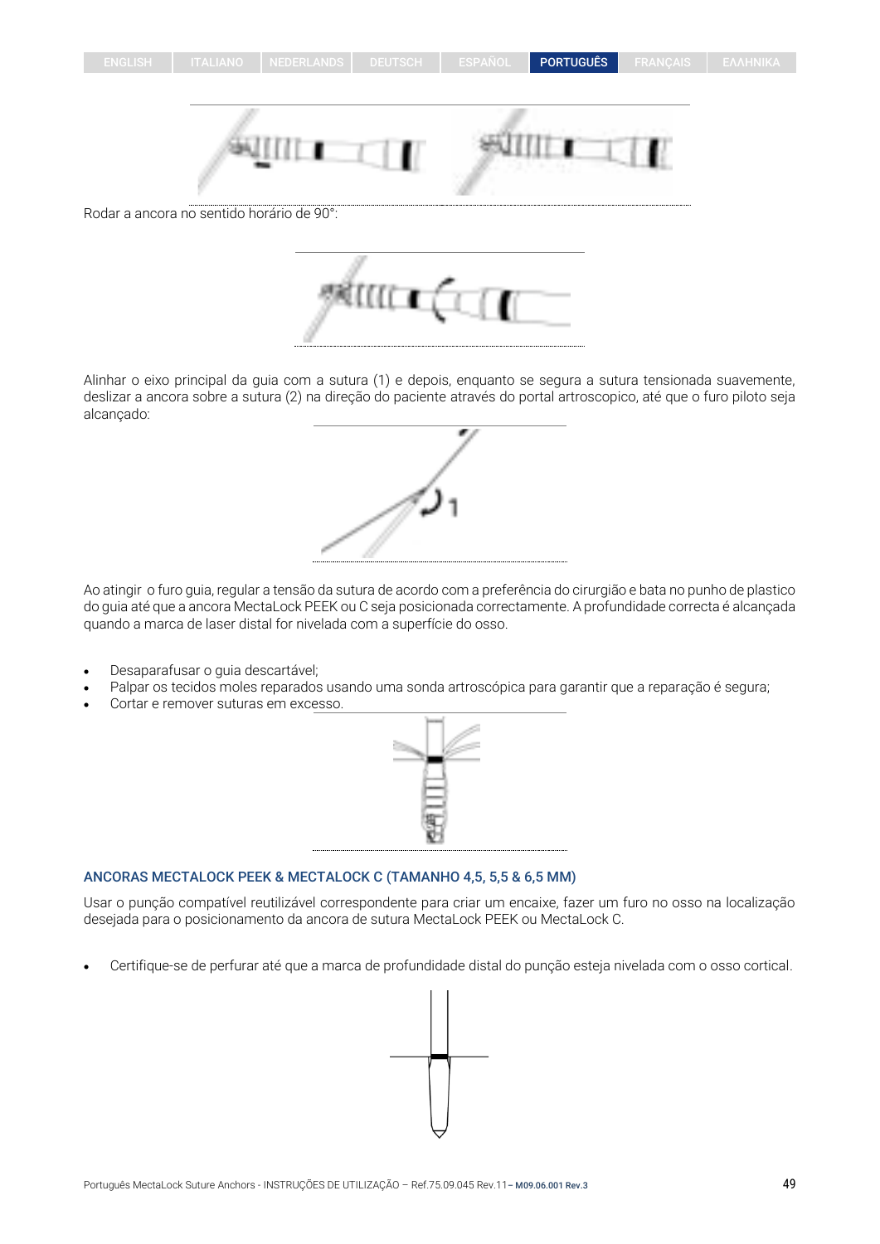## ENGLISH | ITALIANO | NEDERLANDS | DEUTSCH | ESPAÑOL | PORTUGUÊS | FRANÇAIS

Alinhar o eixo principal da guia com a sutura (1) e depois, enquanto se segura a sutura tensionada suavemente, deslizar a ancora sobre a sutura (2) na direção do paciente através do portal artroscopico, até que o furo piloto seja alcançado:

Ao atingir o furo guia, regular a tensão da sutura de acordo com a preferência do cirurgião e bata no punho de plastico do guia até que a ancora MectaLock PEEK ou C seja posicionada correctamente. A profundidade correcta é alcançada quando a marca de laser distal for nivelada com a superfície do osso.

- Desaparafusar o guia descartável;
- Palpar os tecidos moles reparados usando uma sonda artroscópica para garantir que a reparação é segura;
- Cortar e remover suturas em excesso.



Usar o punção compatível reutilizável correspondente para criar um encaixe, fazer um furo no osso na localização desejada para o posicionamento da ancora de sutura MectaLock PEEK ou MectaLock C.

• Certifique-se de perfurar até que a marca de profundidade distal do punção esteja nivelada com o osso cortical.







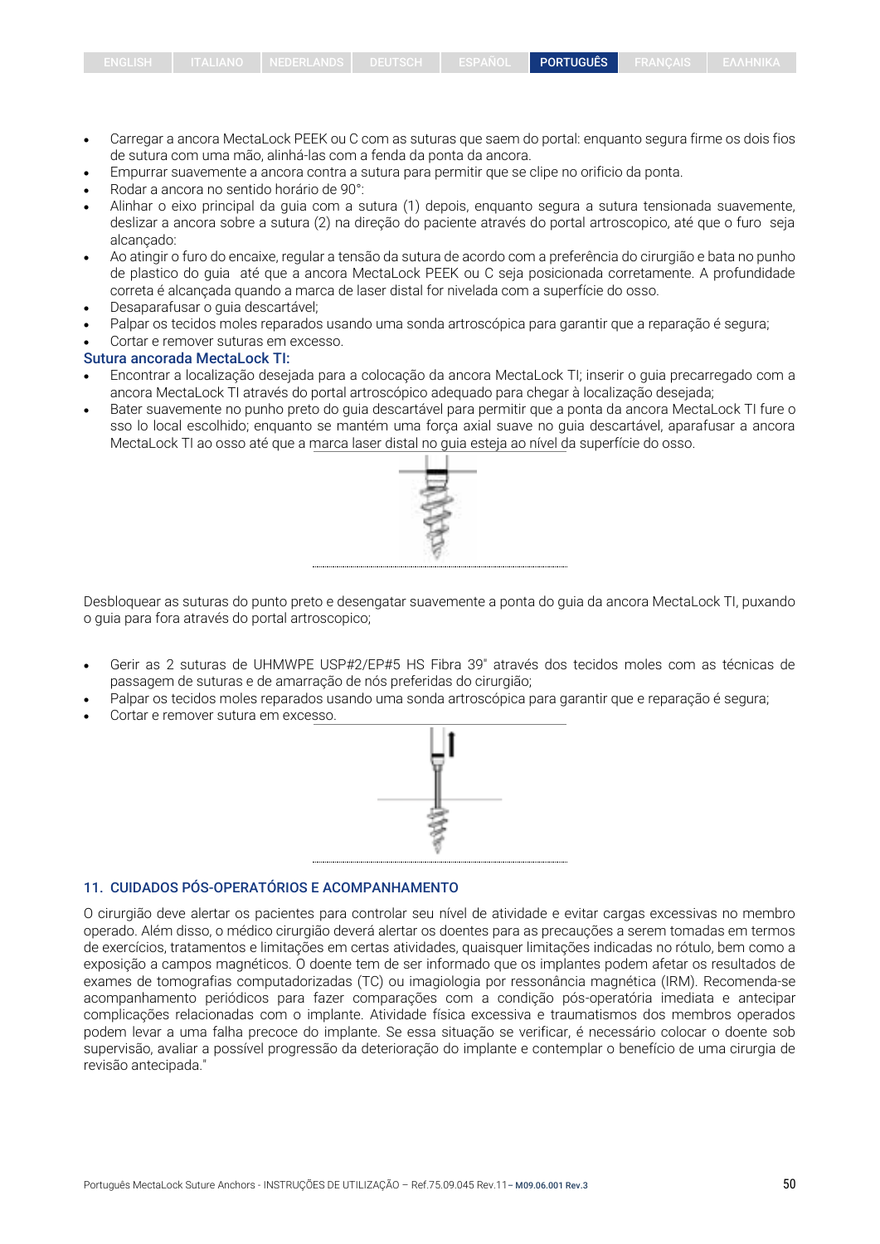- de sutura com uma mão, alinhá-las com a fenda da ponta da ancora.
- Empurrar suavemente a ancora contra a sutura para permitir que se clipe no orificio da ponta.

ENGLISH ITALIANO NEDERLANDS DEUTSCH ESPAÑOL PORTUGUÊS FRANCAIS

- Rodar a ancora no sentido horário de 90°:
- Alinhar o eixo principal da guia com a sutura (1) depois, enquanto segura a sutura tensionada suavemente, deslizar a ancora sobre a sutura (2) na direção do paciente através do portal artroscopico, até que o furo seja alcançado:
- Ao atingir o furo do encaixe, regular a tensão da sutura de acordo com a preferência do cirurgião e bata no punho de plastico do guia até que a ancora MectaLock PEEK ou C seja posicionada corretamente. A profundidade correta é alcançada quando a marca de laser distal for nivelada com a superfície do osso.
- Desaparafusar o guia descartável;
- Palpar os tecidos moles reparados usando uma sonda artroscópica para garantir que a reparação é segura;
- Cortar e remover suturas em excesso.

## Sutura ancorada MectaLock TI:

- Encontrar a localização desejada para a colocação da ancora MectaLock TI; inserir o guia precarregado com a ancora MectaLock TI através do portal artroscópico adequado para chegar à localização desejada;
- Bater suavemente no punho preto do guia descartável para permitir que a ponta da ancora MectaLock TI fure o sso lo local escolhido; enquanto se mantém uma força axial suave no guia descartável, aparafusar a ancora MectaLock TI ao osso até que a marca laser distal no guia esteja ao nível da superfície do osso.



Desbloquear as suturas do punto preto e desengatar suavemente a ponta do guia da ancora MectaLock TI, puxando o guia para fora através do portal artroscopico;

- Gerir as 2 suturas de UHMWPE USP#2/EP#5 HS Fibra 39" através dos tecidos moles com as técnicas de passagem de suturas e de amarração de nós preferidas do cirurgião;
- Palpar os tecidos moles reparados usando uma sonda artroscópica para garantir que e reparação é segura;
- Cortar e remover sutura em excesso.



#### 11. CUIDADOS PÓS-OPERATÓRIOS E ACOMPANHAMENTO

O cirurgião deve alertar os pacientes para controlar seu nível de atividade e evitar cargas excessivas no membro operado. Além disso, o médico cirurgião deverá alertar os doentes para as precauções a serem tomadas em termos de exercícios, tratamentos e limitações em certas atividades, quaisquer limitações indicadas no rótulo, bem como a exposição a campos magnéticos. O doente tem de ser informado que os implantes podem afetar os resultados de exames de tomografias computadorizadas (TC) ou imagiologia por ressonância magnética (IRM). Recomenda-se acompanhamento periódicos para fazer comparações com a condição pós-operatória imediata e antecipar complicações relacionadas com o implante. Atividade física excessiva e traumatismos dos membros operados podem levar a uma falha precoce do implante. Se essa situação se verificar, é necessário colocar o doente sob supervisão, avaliar a possível progressão da deterioração do implante e contemplar o benefício de uma cirurgia de revisão antecipada."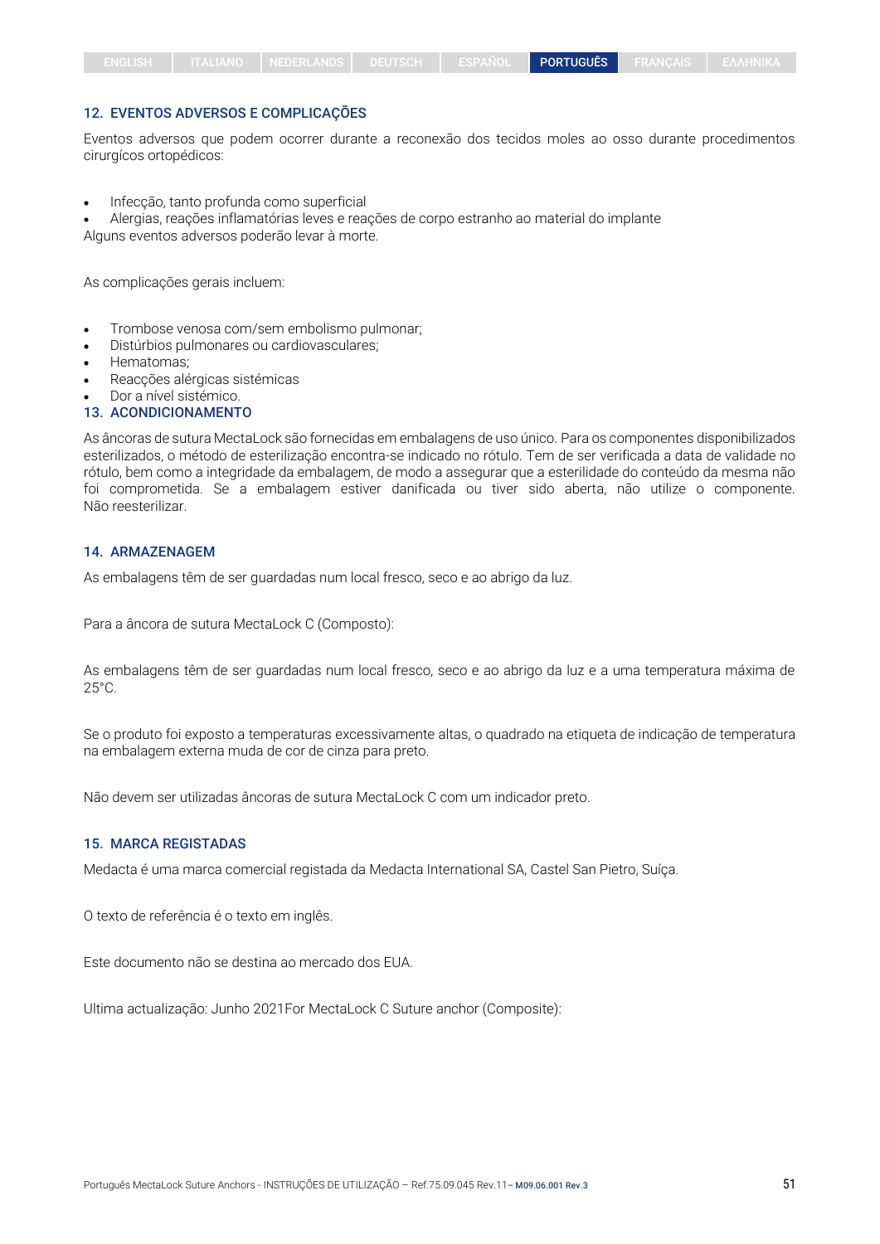#### 12. EVENTOS ADVERSOS E COMPLICAÇÕES

Eventos adversos que podem ocorrer durante a reconexão dos tecidos moles ao osso durante procedimentos cirurgícos ortopédicos:

• Infecção, tanto profunda como superficial

• Alergias, reações inflamatórias leves e reações de corpo estranho ao material do implante

Alguns eventos adversos poderão levar à morte.

As complicações gerais incluem:

- Trombose venosa com/sem embolismo pulmonar;
- Distúrbios pulmonares ou cardiovasculares;
- Hematomas;
- Reacções alérgicas sistémicas
- Dor a nível sistémico.

## 13. ACONDICIONAMENTO

As âncoras de sutura MectaLock são fornecidas em embalagens de uso único. Para os componentes disponibilizados esterilizados, o método de esterilização encontra-se indicado no rótulo. Tem de ser verificada a data de validade no rótulo, bem como a integridade da embalagem, de modo a assegurar que a esterilidade do conteúdo da mesma não foi comprometida. Se a embalagem estiver danificada ou tiver sido aberta, não utilize o componente. Não reesterilizar.

#### 14. ARMAZENAGEM

As embalagens têm de ser guardadas num local fresco, seco e ao abrigo da luz.

Para a âncora de sutura MectaLock C (Composto):

As embalagens têm de ser guardadas num local fresco, seco e ao abrigo da luz e a uma temperatura máxima de  $25^{\circ}$ C.

Se o produto foi exposto a temperaturas excessivamente altas, o quadrado na etiqueta de indicação de temperatura na embalagem externa muda de cor de cinza para preto.

Não devem ser utilizadas âncoras de sutura MectaLock C com um indicador preto.

#### 15. MARCA REGISTADAS

Medacta é uma marca comercial registada da Medacta International SA, Castel San Pietro, Suíça.

O texto de referência é o texto em inglês.

Este documento não se destina ao mercado dos EUA.

Ultima actualização: Junho 2021For MectaLock C Suture anchor (Composite):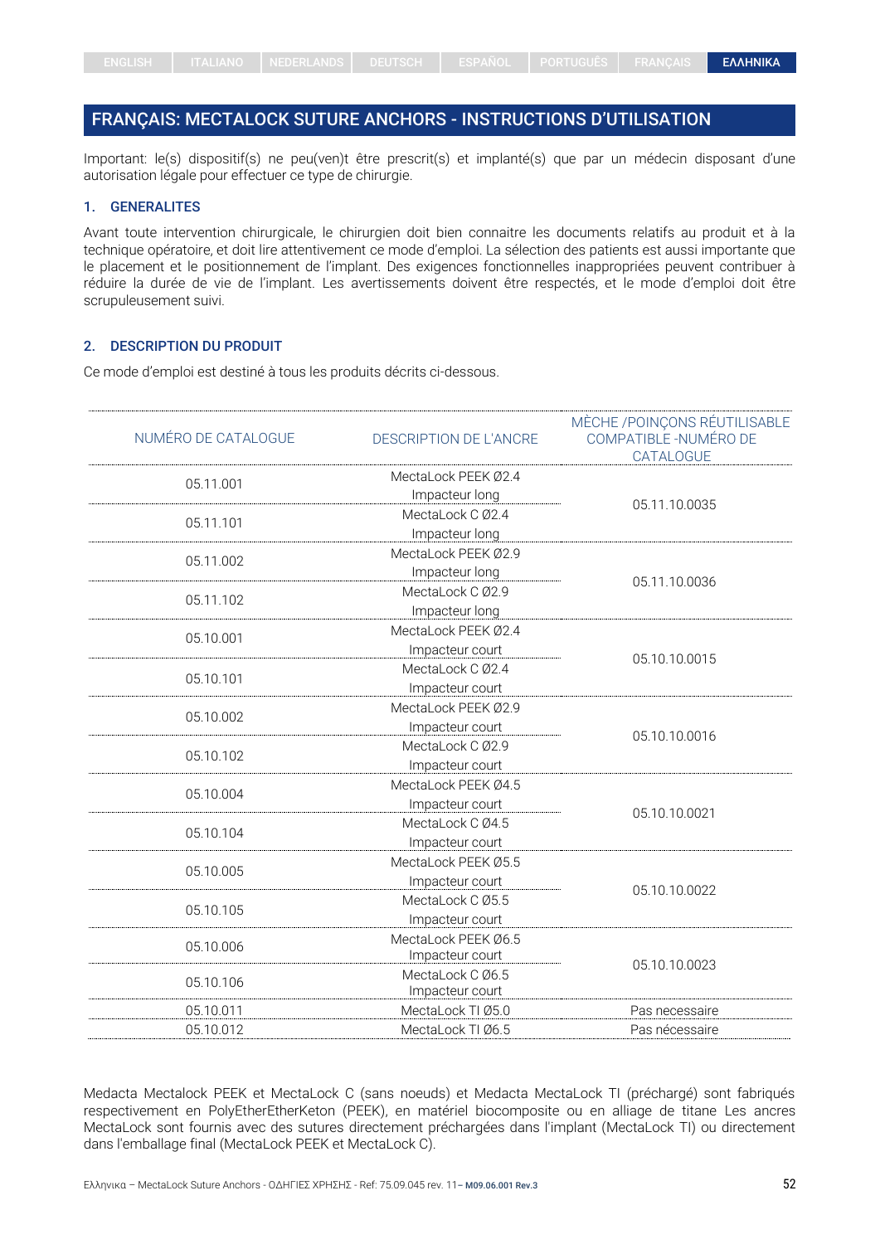# <span id="page-51-0"></span>FRANÇAIS: MECTALOCK SUTURE ANCHORS - INSTRUCTIONS D'UTILISATION

Important: le(s) dispositif(s) ne peu(ven)t être prescrit(s) et implanté(s) que par un médecin disposant d'une autorisation légale pour effectuer ce type de chirurgie.

#### 1. GENERALITES

Avant toute intervention chirurgicale, le chirurgien doit bien connaitre les documents relatifs au produit et à la technique opératoire, et doit lire attentivement ce mode d'emploi. La sélection des patients est aussi importante que le placement et le positionnement de l'implant. Des exigences fonctionnelles inappropriées peuvent contribuer à réduire la durée de vie de l'implant. Les avertissements doivent être respectés, et le mode d'emploi doit être scrupuleusement suivi.

#### 2. DESCRIPTION DU PRODUIT

Ce mode d'emploi est destiné à tous les produits décrits ci-dessous.

| NUMÉRO DE CATALOGUE | <b>DESCRIPTION DE L'ANCRE</b>          | MÈCHE / POINÇONS RÉUTILISABLE<br>COMPATIBLE -NUMÉRO DE<br>CATALOGUE |
|---------------------|----------------------------------------|---------------------------------------------------------------------|
| 05.11.001           | MectaLock PEEK 02.4<br>Impacteur long  |                                                                     |
| 05.11.101           | MectaLock C Ø2.4<br>Impacteur long     | 05.11.10.0035                                                       |
| 05.11.002           | MectaLock PEEK Ø2.9<br>Impacteur long  |                                                                     |
| 05.11.102           | MectaLock C Ø2.9<br>Impacteur long     | 05.11.10.0036                                                       |
| 05.10.001           | MectaLock PEEK Ø2.4<br>Impacteur court |                                                                     |
| 05.10.101           | MectaLock C Ø2.4<br>Impacteur court    | 05.10.10.0015                                                       |
| 05.10.002           | MectaLock PEEK Ø2.9<br>Impacteur court |                                                                     |
| 05.10.102           | MectaLock C Ø2.9<br>Impacteur court    | 05.10.10.0016                                                       |
| 05.10.004           | MectaLock PEEK Ø4.5<br>Impacteur court |                                                                     |
| 05.10.104           | MectaLock C Ø4.5<br>Impacteur court    | 05.10.10.0021                                                       |
| 05.10.005           | MectaLock PEEK Ø5.5<br>Impacteur court |                                                                     |
| 05.10.105           | MectaLock C Ø5.5<br>Impacteur court    | 05.10.10.0022                                                       |
| 05.10.006           | MectaLock PEEK Ø6.5<br>Impacteur court |                                                                     |
| 05.10.106           | MectaLock C Ø6.5<br>Impacteur court    | 05.10.10.0023                                                       |
| 05.10.011           | MectaLock TI Ø5.0                      | Pas necessaire                                                      |
| 05.10.012           | MectaLock TI Ø6.5                      | Pas nécessaire                                                      |

Medacta Mectalock PEEK et MectaLock C (sans noeuds) et Medacta MectaLock TI (préchargé) sont fabriqués respectivement en PolyEtherEtherKeton (PEEK), en matériel biocomposite ou en alliage de titane Les ancres MectaLock sont fournis avec des sutures directement préchargées dans l'implant (MectaLock TI) ou directement dans l'emballage final (MectaLock PEEK et MectaLock C).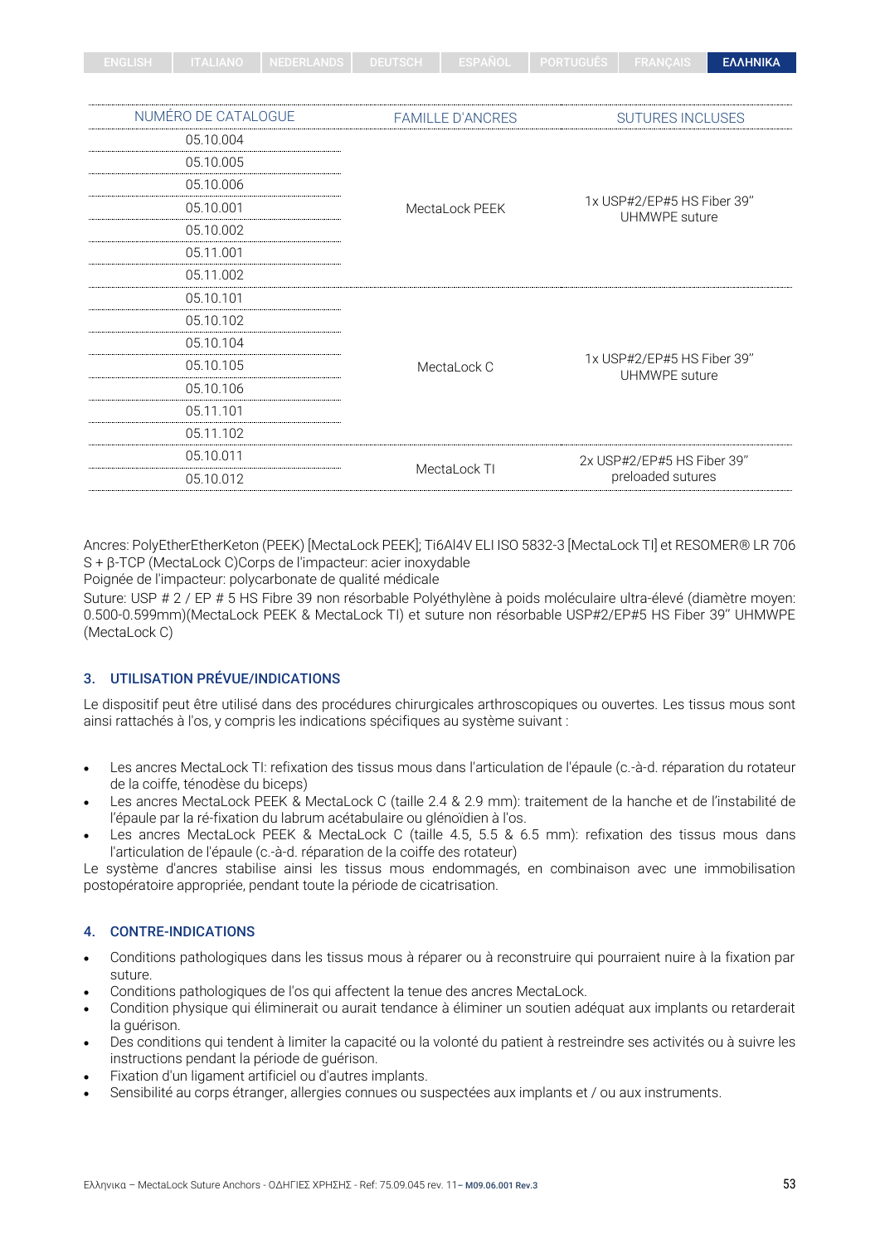| ENGLIOT | --------- | ZI INLULALANDO IZ | LOFANUL | <b>FUNIUUULU</b> | <b>TIMBRO</b> | <b>EAAHNIKA</b> |
|---------|-----------|-------------------|---------|------------------|---------------|-----------------|
|         |           |                   |         |                  |               |                 |

| NUMÉRO DE CATALOGUE | <b>FAMILLE D'ANCRES</b>                               | <b>SUTURES INCLUSES</b>                     |  |  |
|---------------------|-------------------------------------------------------|---------------------------------------------|--|--|
| 05.10.004           |                                                       |                                             |  |  |
| 05.10.005           | 05.10.006<br>05.10.001<br>MectaLock PEEK<br>05.10.002 |                                             |  |  |
|                     |                                                       |                                             |  |  |
|                     |                                                       | 1x USP#2/EP#5 HS Fiber 39"<br>UHMWPE suture |  |  |
|                     |                                                       |                                             |  |  |
| 05.11.001           |                                                       |                                             |  |  |
| 05.11.002           |                                                       |                                             |  |  |
| 05.10.101           |                                                       |                                             |  |  |
| 05.10.102           |                                                       |                                             |  |  |
| 05.10.104           |                                                       |                                             |  |  |
| 05.10.105           | MectaLock C                                           | 1x USP#2/EP#5 HS Fiber 39"<br>UHMWPE suture |  |  |
| 05.10.106           |                                                       |                                             |  |  |
| 05.11.101           |                                                       |                                             |  |  |
| 05.11.102           |                                                       |                                             |  |  |
| 05.10.011           |                                                       | 2x USP#2/EP#5 HS Fiber 39"                  |  |  |
| 05.10.012           | MectaLock TI                                          | preloaded sutures                           |  |  |

Ancres: PolyEtherEtherKeton (PEEK) [MectaLock PEEK]; Ti6Al4V ELI ISO 5832-3 [MectaLock TI] et RESOMER® LR 706 S + β-TCP (MectaLock C)Corps de l'impacteur: acier inoxydable

Poignée de l'impacteur: polycarbonate de qualité médicale

Suture: USP # 2 / EP # 5 HS Fibre 39 non résorbable Polyéthylène à poids moléculaire ultra-élevé (diamètre moyen: 0.500-0.599mm)(MectaLock PEEK & MectaLock TI) et suture non résorbable USP#2/EP#5 HS Fiber 39'' UHMWPE (MectaLock C)

## 3. UTILISATION PRÉVUE/INDICATIONS

Le dispositif peut être utilisé dans des procédures chirurgicales arthroscopiques ou ouvertes. Les tissus mous sont ainsi rattachés à l'os, y compris les indications spécifiques au système suivant :

- Les ancres MectaLock TI: refixation des tissus mous dans l'articulation de l'épaule (c.-à-d. réparation du rotateur de la coiffe, ténodèse du biceps)
- Les ancres MectaLock PEEK & MectaLock C (taille 2.4 & 2.9 mm): traitement de la hanche et de l'instabilité de l'épaule par la ré-fixation du labrum acétabulaire ou glénoïdien à l'os.
- Les ancres MectaLock PEEK & MectaLock C (taille 4.5, 5.5 & 6.5 mm): refixation des tissus mous dans l'articulation de l'épaule (c.-à-d. réparation de la coiffe des rotateur)

Le système d'ancres stabilise ainsi les tissus mous endommagés, en combinaison avec une immobilisation postopératoire appropriée, pendant toute la période de cicatrisation.

## 4. CONTRE-INDICATIONS

- Conditions pathologiques dans les tissus mous à réparer ou à reconstruire qui pourraient nuire à la fixation par suture.
- Conditions pathologiques de l'os qui affectent la tenue des ancres MectaLock.
- Condition physique qui éliminerait ou aurait tendance à éliminer un soutien adéquat aux implants ou retarderait la guérison.
- Des conditions qui tendent à limiter la capacité ou la volonté du patient à restreindre ses activités ou à suivre les instructions pendant la période de guérison.
- Fixation d'un ligament artificiel ou d'autres implants.
- Sensibilité au corps étranger, allergies connues ou suspectées aux implants et / ou aux instruments.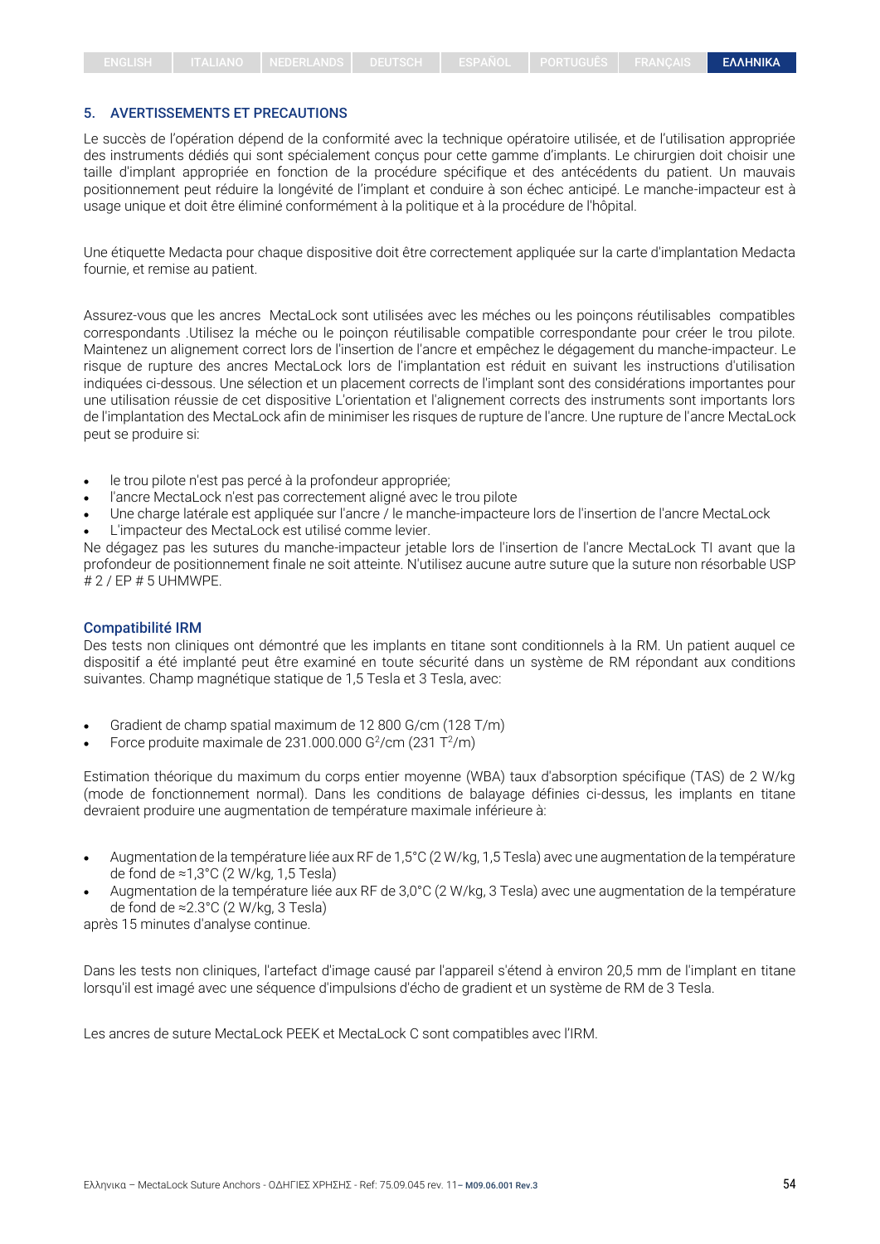## 5. AVERTISSEMENTS ET PRECAUTIONS

Le succès de l'opération dépend de la conformité avec la technique opératoire utilisée, et de l'utilisation appropriée des instruments dédiés qui sont spécialement conçus pour cette gamme d'implants. Le chirurgien doit choisir une taille d'implant appropriée en fonction de la procédure spécifique et des antécédents du patient. Un mauvais positionnement peut réduire la longévité de l'implant et conduire à son échec anticipé. Le manche-impacteur est à usage unique et doit être éliminé conformément à la politique et à la procédure de l'hôpital.

Une étiquette Medacta pour chaque dispositive doit être correctement appliquée sur la carte d'implantation Medacta fournie, et remise au patient.

Assurez-vous que les ancres MectaLock sont utilisées avec les méches ou les poinçons réutilisables compatibles correspondants .Utilisez la méche ou le poinçon réutilisable compatible correspondante pour créer le trou pilote. Maintenez un alignement correct lors de l'insertion de l'ancre et empêchez le dégagement du manche-impacteur. Le risque de rupture des ancres MectaLock lors de l'implantation est réduit en suivant les instructions d'utilisation indiquées ci-dessous. Une sélection et un placement corrects de l'implant sont des considérations importantes pour une utilisation réussie de cet dispositive L'orientation et l'alignement corrects des instruments sont importants lors de l'implantation des MectaLock afin de minimiser les risques de rupture de l'ancre. Une rupture de l'ancre MectaLock peut se produire si:

- le trou pilote n'est pas percé à la profondeur appropriée;
- l'ancre MectaLock n'est pas correctement aligné avec le trou pilote
- Une charge latérale est appliquée sur l'ancre / le manche-impacteure lors de l'insertion de l'ancre MectaLock
- L'impacteur des MectaLock est utilisé comme levier.

Ne dégagez pas les sutures du manche-impacteur jetable lors de l'insertion de l'ancre MectaLock TI avant que la profondeur de positionnement finale ne soit atteinte. N'utilisez aucune autre suture que la suture non résorbable USP # 2 / EP # 5 UHMWPE.

#### Compatibilité IRM

Des tests non cliniques ont démontré que les implants en titane sont conditionnels à la RM. Un patient auquel ce dispositif a été implanté peut être examiné en toute sécurité dans un système de RM répondant aux conditions suivantes. Champ magnétique statique de 1,5 Tesla et 3 Tesla, avec:

- Gradient de champ spatial maximum de 12 800 G/cm (128 T/m)
- Force produite maximale de 231.000.000 G $2/$ cm (231 T $2/$ m)

Estimation théorique du maximum du corps entier moyenne (WBA) taux d'absorption spécifique (TAS) de 2 W/kg (mode de fonctionnement normal). Dans les conditions de balayage définies ci-dessus, les implants en titane devraient produire une augmentation de température maximale inférieure à:

- Augmentation de la température liée aux RF de 1,5°C (2 W/kg, 1,5 Tesla) avec une augmentation de la température de fond de ≈1,3°C (2 W/kg, 1,5 Tesla)
- Augmentation de la température liée aux RF de 3,0°C (2 W/kg, 3 Tesla) avec une augmentation de la température de fond de ≈2.3°C (2 W/kg, 3 Tesla)

après 15 minutes d'analyse continue.

Dans les tests non cliniques, l'artefact d'image causé par l'appareil s'étend à environ 20,5 mm de l'implant en titane lorsqu'il est imagé avec une séquence d'impulsions d'écho de gradient et un système de RM de 3 Tesla.

Les ancres de suture MectaLock PEEK et MectaLock C sont compatibles avec l'IRM.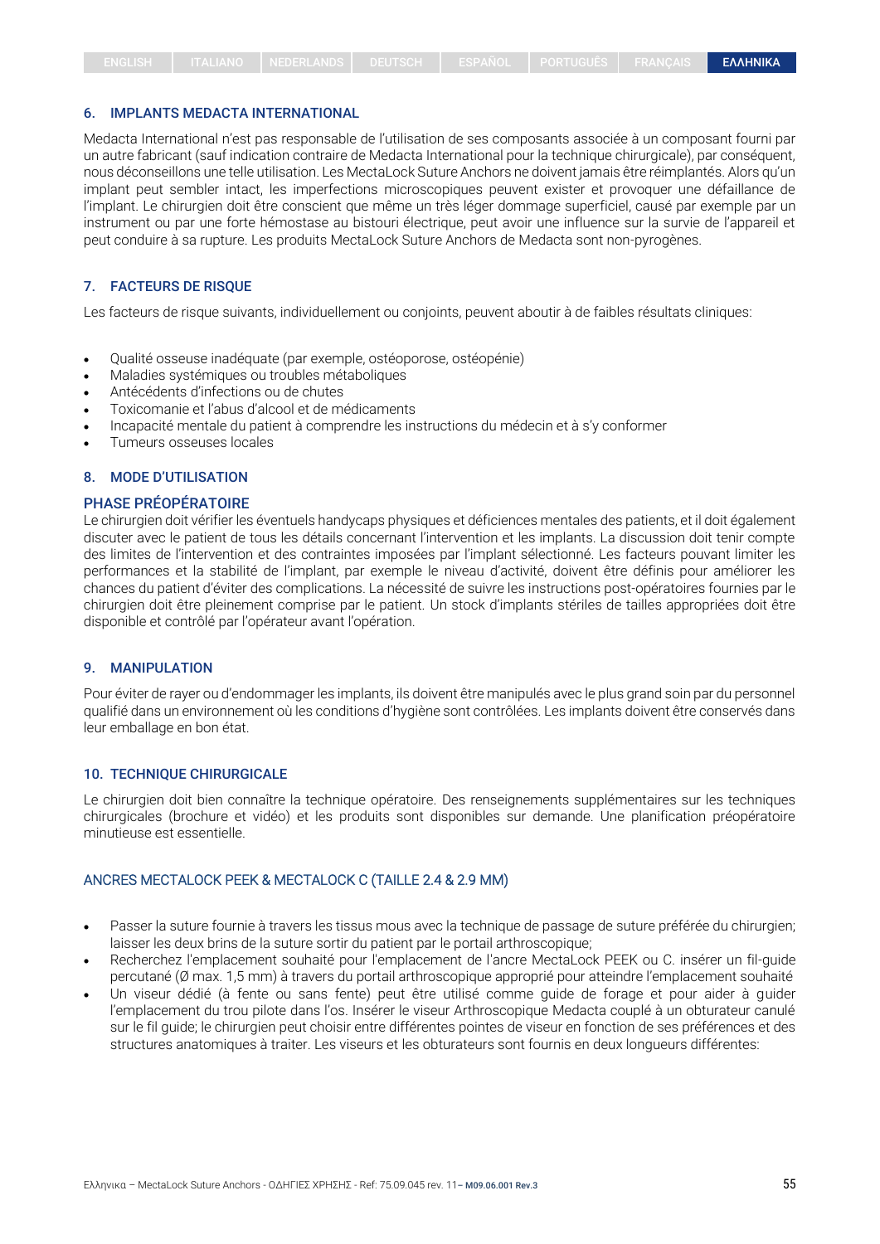#### 6. IMPLANTS MEDACTA INTERNATIONAL

Medacta International n'est pas responsable de l'utilisation de ses composants associée à un composant fourni par un autre fabricant (sauf indication contraire de Medacta International pour la technique chirurgicale), par conséquent, nous déconseillons une telle utilisation. Les MectaLock Suture Anchors ne doivent jamais être réimplantés. Alors qu'un implant peut sembler intact, les imperfections microscopiques peuvent exister et provoquer une défaillance de l'implant. Le chirurgien doit être conscient que même un très léger dommage superficiel, causé par exemple par un instrument ou par une forte hémostase au bistouri électrique, peut avoir une influence sur la survie de l'appareil et peut conduire à sa rupture. Les produits MectaLock Suture Anchors de Medacta sont non-pyrogènes.

#### 7. FACTEURS DE RISQUE

Les facteurs de risque suivants, individuellement ou conjoints, peuvent aboutir à de faibles résultats cliniques:

- Qualité osseuse inadéquate (par exemple, ostéoporose, ostéopénie)
- Maladies systémiques ou troubles métaboliques
- Antécédents d'infections ou de chutes
- Toxicomanie et l'abus d'alcool et de médicaments
- Incapacité mentale du patient à comprendre les instructions du médecin et à s'y conformer
- Tumeurs osseuses locales

### 8. MODE D'UTILISATION

#### PHASE PRÉOPÉRATOIRE

Le chirurgien doit vérifier les éventuels handycaps physiques et déficiences mentales des patients, et il doit également discuter avec le patient de tous les détails concernant l'intervention et les implants. La discussion doit tenir compte des limites de l'intervention et des contraintes imposées par l'implant sélectionné. Les facteurs pouvant limiter les performances et la stabilité de l'implant, par exemple le niveau d'activité, doivent être définis pour améliorer les chances du patient d'éviter des complications. La nécessité de suivre les instructions post-opératoires fournies par le chirurgien doit être pleinement comprise par le patient. Un stock d'implants stériles de tailles appropriées doit être disponible et contrôlé par l'opérateur avant l'opération.

#### 9. MANIPULATION

Pour éviter de rayer ou d'endommager les implants, ils doivent être manipulés avec le plus grand soin par du personnel qualifié dans un environnement où les conditions d'hygiène sont contrôlées. Les implants doivent être conservés dans leur emballage en bon état.

#### 10. TECHNIQUE CHIRURGICALE

Le chirurgien doit bien connaître la technique opératoire. Des renseignements supplémentaires sur les techniques chirurgicales (brochure et vidéo) et les produits sont disponibles sur demande. Une planification préopératoire minutieuse est essentielle.

## ANCRES MECTALOCK PEEK & MECTALOCK C (TAILLE 2.4 & 2.9 MM)

- Passer la suture fournie à travers les tissus mous avec la technique de passage de suture préférée du chirurgien; laisser les deux brins de la suture sortir du patient par le portail arthroscopique;
- Recherchez l'emplacement souhaité pour l'emplacement de l'ancre MectaLock PEEK ou C. insérer un fil-guide percutané (Ø max. 1,5 mm) à travers du portail arthroscopique approprié pour atteindre l'emplacement souhaité
- Un viseur dédié (à fente ou sans fente) peut être utilisé comme guide de forage et pour aider à guider l'emplacement du trou pilote dans l'os. Insérer le viseur Arthroscopique Medacta couplé à un obturateur canulé sur le fil guide; le chirurgien peut choisir entre différentes pointes de viseur en fonction de ses préférences et des structures anatomiques à traiter. Les viseurs et les obturateurs sont fournis en deux longueurs différentes: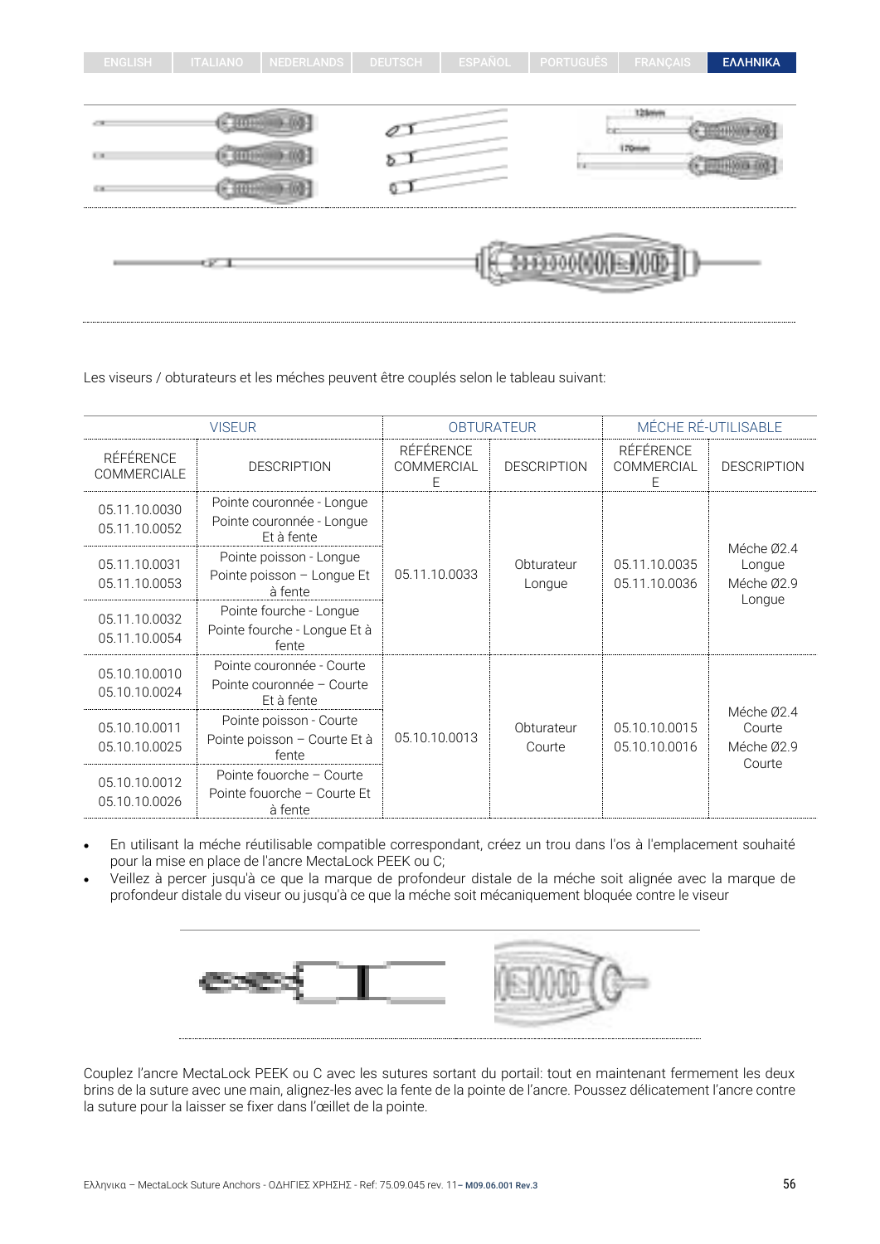| <b>ENGLISH</b>    | <b>ITALIANO</b> | <b>NEDERLANDS</b> | <b>DEUTSCH</b> | ESPAÑOL | <b>PORTUGUÊS</b>        | <b>FRANÇAIS</b> | ΕΛΛΗΝΙΚΑ |
|-------------------|-----------------|-------------------|----------------|---------|-------------------------|-----------------|----------|
|                   |                 |                   |                |         |                         |                 |          |
|                   |                 |                   |                |         |                         | 12 loters       |          |
| $\mathbb{H}^+$ in |                 |                   | Ð.             |         | Iн                      | <b>Times</b>    |          |
| 6.18              |                 |                   |                |         |                         |                 |          |
|                   | СK.             |                   |                |         | <b>MEDIODICO COMPOS</b> |                 |          |

Les viseurs / obturateurs et les méches peuvent être couplés selon le tableau suivant:

| <b>VISEUR</b>                          |                                                                      | <b>OBTURATEUR</b>            |                      | MÉCHE RÉ-UTILISABLE                 |                                              |
|----------------------------------------|----------------------------------------------------------------------|------------------------------|----------------------|-------------------------------------|----------------------------------------------|
| <b>RÉFÉRENCE</b><br><b>COMMERCIALE</b> | <b>DESCRIPTION</b>                                                   | RÉFÉRENCE<br>COMMERCIAL<br>Ε | <b>DESCRIPTION</b>   | RÉFÉRENCE<br><b>COMMERCIAL</b><br>Е | <b>DESCRIPTION</b>                           |
| 05.11.10.0030<br>05.11.10.0052         | Pointe couronnée - Longue<br>Pointe couronnée - Longue<br>Et à fente |                              |                      |                                     |                                              |
| 05.11.10.0031<br>05.11.10.0053         | Pointe poisson - Longue<br>Pointe poisson - Longue Et<br>à fente     | 05.11.10.0033                | Obturateur<br>Longue | 05.11.10.0035<br>05.11.10.0036      | Méche Ø2.4<br>Longue<br>Méche Ø2.9<br>Longue |
| 05.11.10.0032<br>05.11.10.0054         | Pointe fourche - Longue<br>Pointe fourche - Longue Et à<br>fente     |                              |                      |                                     |                                              |
| 05.10.10.0010<br>05.10.10.0024         | Pointe couronnée - Courte<br>Pointe couronnée - Courte<br>Et à fente |                              |                      |                                     |                                              |
| 05.10.10.0011<br>05.10.10.0025         | Pointe poisson - Courte<br>Pointe poisson - Courte Et à<br>fente     |                              | Obturateur<br>Courte | 05.10.10.0015<br>05.10.10.0016      | Méche Ø2.4<br>Courte<br>Méche Ø2.9<br>Courte |
| 05.10.10.0012<br>05.10.10.0026         | Pointe fouorche - Courte<br>Pointe fouorche – Courte Et<br>à fente   |                              |                      |                                     |                                              |

- En utilisant la méche réutilisable compatible correspondant, créez un trou dans l'os à l'emplacement souhaité pour la mise en place de l'ancre MectaLock PEEK ou C;
- Veillez à percer jusqu'à ce que la marque de profondeur distale de la méche soit alignée avec la marque de profondeur distale du viseur ou jusqu'à ce que la méche soit mécaniquement bloquée contre le viseur



Couplez l'ancre MectaLock PEEK ou C avec les sutures sortant du portail: tout en maintenant fermement les deux brins de la suture avec une main, alignez-les avec la fente de la pointe de l'ancre. Poussez délicatement l'ancre contre la suture pour la laisser se fixer dans l'œillet de la pointe.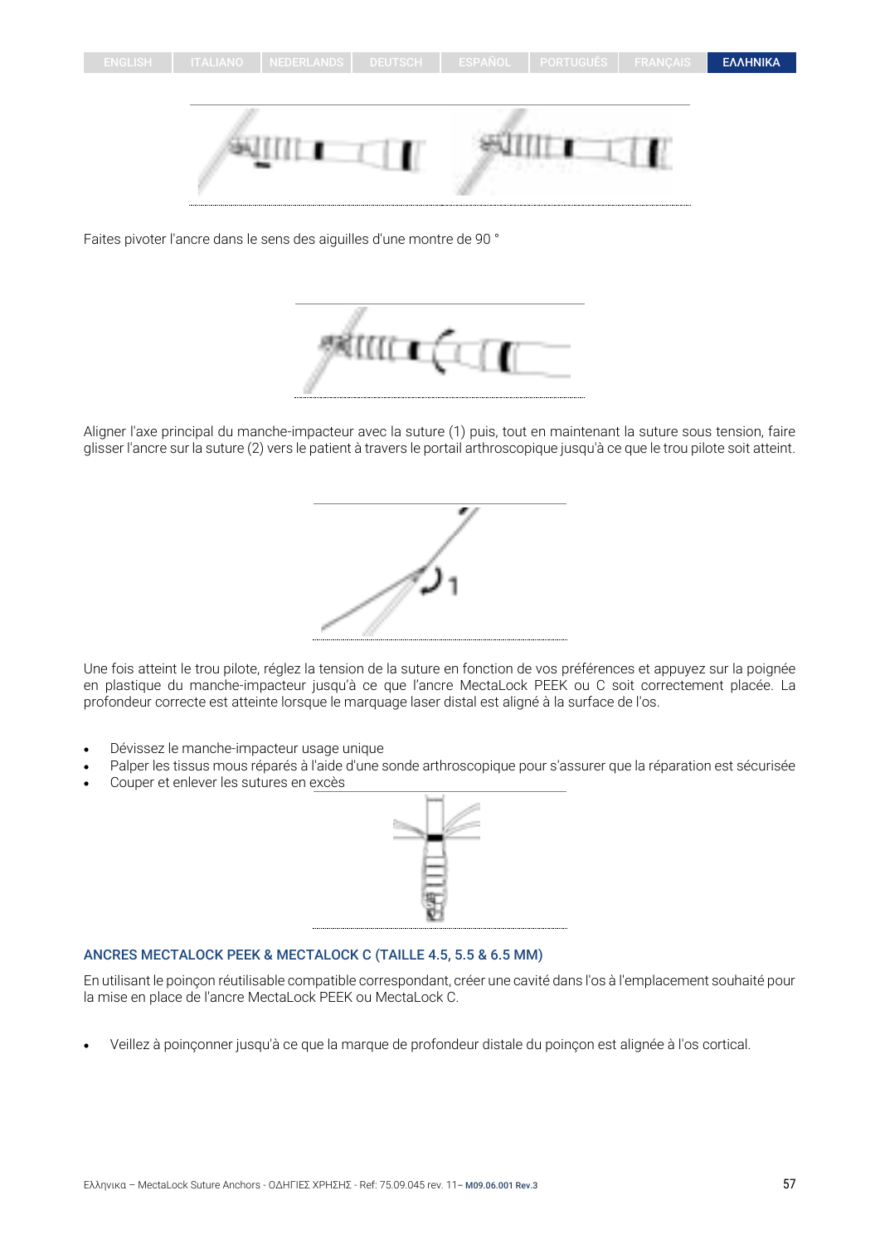

Faites pivoter l'ancre dans le sens des aiguilles d'une montre de 90 °



Aligner l'axe principal du manche-impacteur avec la suture (1) puis, tout en maintenant la suture sous tension, faire glisser l'ancre sur la suture (2) vers le patient à travers le portail arthroscopique jusqu'à ce que le trou pilote soit atteint.



Une fois atteint le trou pilote, réglez la tension de la suture en fonction de vos préférences et appuyez sur la poignée en plastique du manche-impacteur jusqu'à ce que l'ancre MectaLock PEEK ou C soit correctement placée. La profondeur correcte est atteinte lorsque le marquage laser distal est aligné à la surface de l'os.

- Dévissez le manche-impacteur usage unique
- Palper les tissus mous réparés à l'aide d'une sonde arthroscopique pour s'assurer que la réparation est sécurisée
- Couper et enlever les sutures en excès



#### ANCRES MECTALOCK PEEK & MECTALOCK C (TAILLE 4.5, 5.5 & 6.5 MM)

En utilisant le poinçon réutilisable compatible correspondant, créer une cavité dans l'os à l'emplacement souhaité pour la mise en place de l'ancre MectaLock PEEK ou MectaLock C.

• Veillez à poinçonner jusqu'à ce que la marque de profondeur distale du poinçon est alignée à l'os cortical.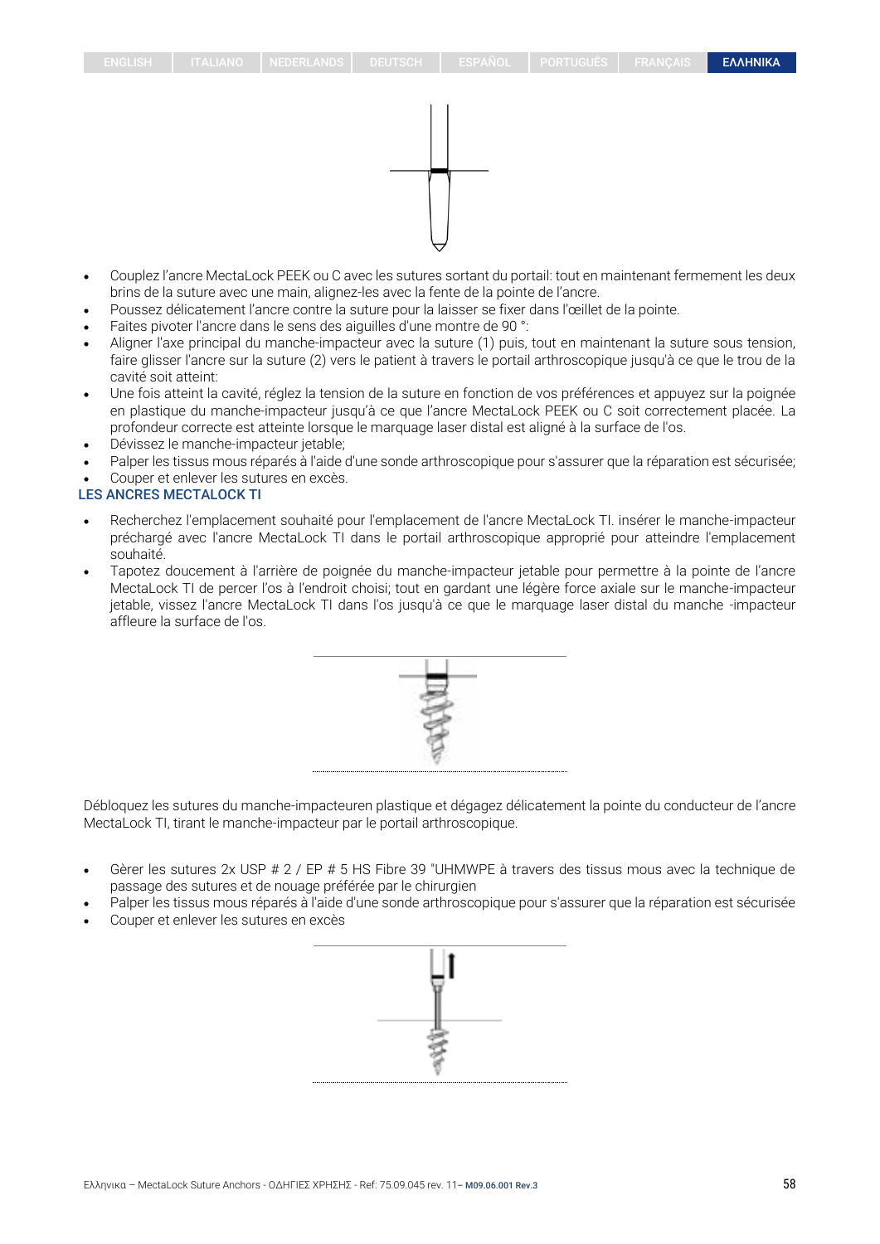

- Couplez l'ancre MectaLock PEEK ou C avec les sutures sortant du portail: tout en maintenant fermement les deux brins de la suture avec une main, alignez-les avec la fente de la pointe de l'ancre.
- Poussez délicatement l'ancre contre la suture pour la laisser se fixer dans l'œillet de la pointe.
- Faites pivoter l'ancre dans le sens des aiguilles d'une montre de 90 °:
- Aligner l'axe principal du manche-impacteur avec la suture (1) puis, tout en maintenant la suture sous tension, faire glisser l'ancre sur la suture (2) vers le patient à travers le portail arthroscopique jusqu'à ce que le trou de la cavité soit atteint:
- Une fois atteint la cavité, réglez la tension de la suture en fonction de vos préférences et appuyez sur la poignée en plastique du manche-impacteur jusqu'à ce que l'ancre MectaLock PEEK ou C soit correctement placée. La profondeur correcte est atteinte lorsque le marquage laser distal est aligné à la surface de l'os.
- Dévissez le manche-impacteur jetable;
- Palper les tissus mous réparés à l'aide d'une sonde arthroscopique pour s'assurer que la réparation est sécurisée;
- Couper et enlever les sutures en excès.

#### LES ANCRES MECTALOCK TI

- Recherchez l'emplacement souhaité pour l'emplacement de l'ancre MectaLock TI. insérer le manche-impacteur préchargé avec l'ancre MectaLock TI dans le portail arthroscopique approprié pour atteindre l'emplacement souhaité.
- Tapotez doucement à l'arrière de poignée du manche-impacteur jetable pour permettre à la pointe de l'ancre MectaLock TI de percer l'os à l'endroit choisi; tout en gardant une légère force axiale sur le manche-impacteur jetable, vissez l'ancre MectaLock TI dans l'os jusqu'à ce que le marquage laser distal du manche -impacteur affleure la surface de l'os.



Débloquez les sutures du manche-impacteuren plastique et dégagez délicatement la pointe du conducteur de l'ancre MectaLock TI, tirant le manche-impacteur par le portail arthroscopique.

- Gèrer les sutures 2x USP # 2 / EP # 5 HS Fibre 39 "UHMWPE à travers des tissus mous avec la technique de passage des sutures et de nouage préférée par le chirurgien
- Palper les tissus mous réparés à l'aide d'une sonde arthroscopique pour s'assurer que la réparation est sécurisée
- Couper et enlever les sutures en excès

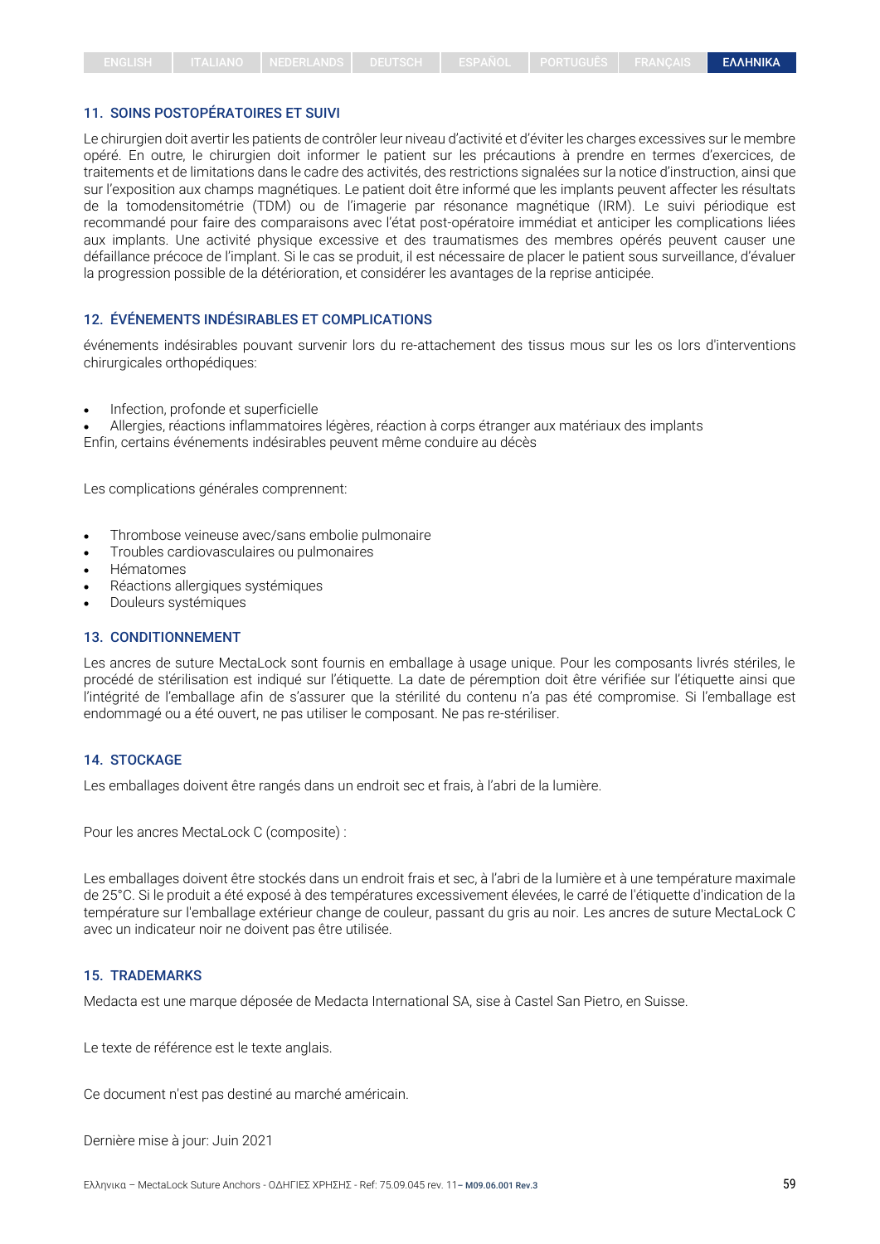## 11. SOINS POSTOPÉRATOIRES ET SUIVI

Le chirurgien doit avertir les patients de contrôler leur niveau d'activité et d'éviter les charges excessives sur le membre opéré. En outre, le chirurgien doit informer le patient sur les précautions à prendre en termes d'exercices, de traitements et de limitations dans le cadre des activités, des restrictions signalées sur la notice d'instruction, ainsi que sur l'exposition aux champs magnétiques. Le patient doit être informé que les implants peuvent affecter les résultats de la tomodensitométrie (TDM) ou de l'imagerie par résonance magnétique (IRM). Le suivi périodique est recommandé pour faire des comparaisons avec l'état post-opératoire immédiat et anticiper les complications liées aux implants. Une activité physique excessive et des traumatismes des membres opérés peuvent causer une défaillance précoce de l'implant. Si le cas se produit, il est nécessaire de placer le patient sous surveillance, d'évaluer la progression possible de la détérioration, et considérer les avantages de la reprise anticipée.

## 12. ÉVÉNEMENTS INDÉSIRABLES ET COMPLICATIONS

événements indésirables pouvant survenir lors du re-attachement des tissus mous sur les os lors d'interventions chirurgicales orthopédiques:

• Infection, profonde et superficielle

• Allergies, réactions inflammatoires légères, réaction à corps étranger aux matériaux des implants Enfin, certains événements indésirables peuvent même conduire au décès

Les complications générales comprennent:

- Thrombose veineuse avec/sans embolie pulmonaire
- Troubles cardiovasculaires ou pulmonaires
- Hématomes
- Réactions allergiques systémiques
- Douleurs systémiques

#### 13. CONDITIONNEMENT

Les ancres de suture MectaLock sont fournis en emballage à usage unique. Pour les composants livrés stériles, le procédé de stérilisation est indiqué sur l'étiquette. La date de péremption doit être vérifiée sur l'étiquette ainsi que l'intégrité de l'emballage afin de s'assurer que la stérilité du contenu n'a pas été compromise. Si l'emballage est endommagé ou a été ouvert, ne pas utiliser le composant. Ne pas re-stériliser.

#### 14. STOCKAGE

Les emballages doivent être rangés dans un endroit sec et frais, à l'abri de la lumière.

Pour les ancres MectaLock C (composite) :

Les emballages doivent être stockés dans un endroit frais et sec, à l'abri de la lumière et à une température maximale de 25°C. Si le produit a été exposé à des températures excessivement élevées, le carré de l'étiquette d'indication de la température sur l'emballage extérieur change de couleur, passant du gris au noir. Les ancres de suture MectaLock C avec un indicateur noir ne doivent pas être utilisée.

#### 15. TRADEMARKS

Medacta est une marque déposée de Medacta International SA, sise à Castel San Pietro, en Suisse.

Le texte de référence est le texte anglais.

Ce document n'est pas destiné au marché américain.

Dernière mise à jour: Juin 2021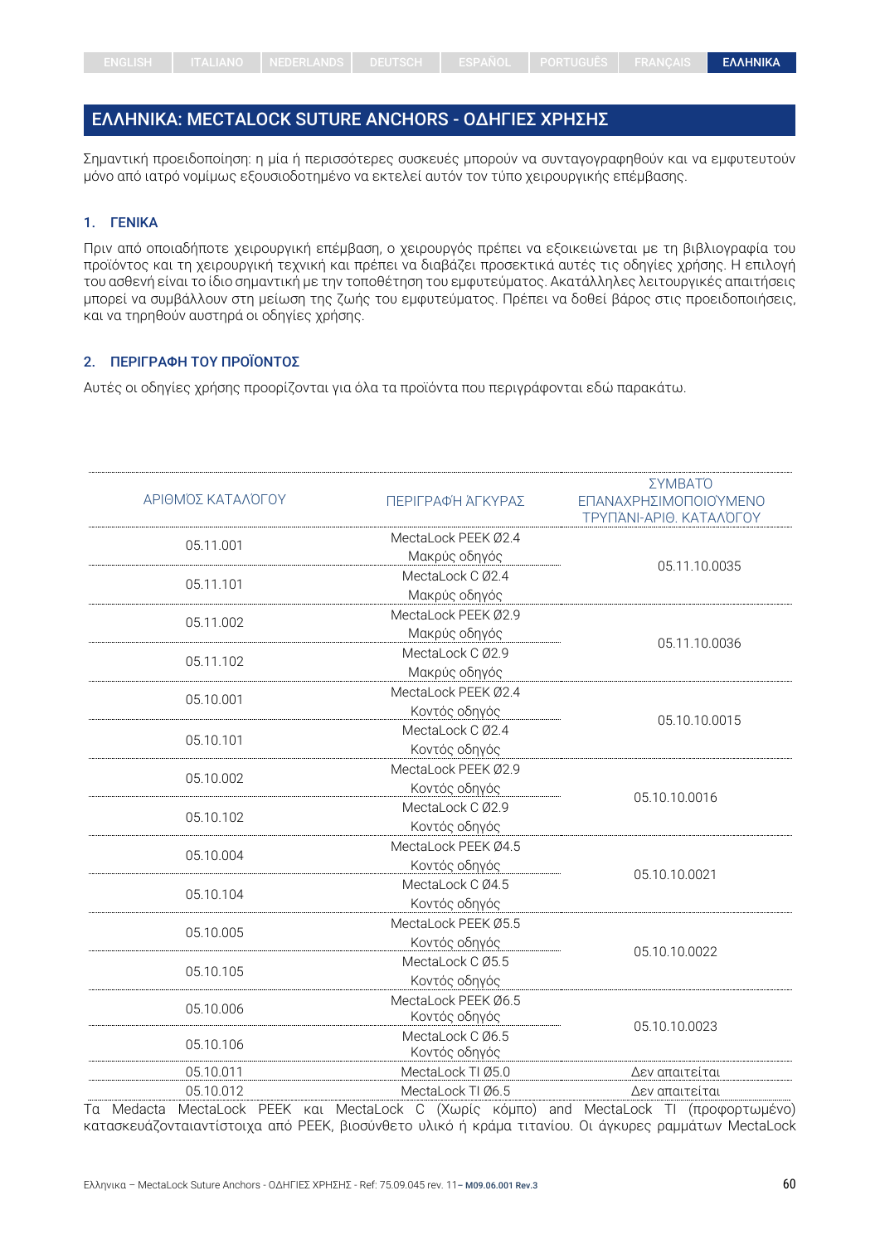## <span id="page-59-0"></span>ΕΛΛΗΝΙΚΑ: MECTALOCK SUTURE ANCHORS - ΟΔΗΓΙΕΣ ΧΡΗΣΗΣ

Σημαντική προειδοποίηση: η μία ή περισσότερες συσκευές μπορούν να συνταγογραφηθούν και να εμφυτευτούν μόνο από ιατρό νομίμως εξουσιοδοτημένο να εκτελεί αυτόν τον τύπο χειρουργικής επέμβασης.

## 1. ΓΕΝΙΚΑ

Πριν από οποιαδήποτε χειρουργική επέμβαση, ο χειρουργός πρέπει να εξοικειώνεται με τη βιβλιογραφία του προϊόντος και τη χειρουργική τεχνική και πρέπει να διαβάζει προσεκτικά αυτές τις οδηγίες χρήσης. Η επιλογή του ασθενή είναι το ίδιο σημαντική με την τοποθέτηση του εμφυτεύματος. Ακατάλληλες λειτουργικές απαιτήσεις μπορεί να συμβάλλουν στη μείωση της ζωής του εμφυτεύματος. Πρέπει να δοθεί βάρος στις προειδοποιήσεις, και να τηρηθούν αυστηρά οι οδηγίες χρήσης.

#### 2. ΠΕΡΙΓΡΑΦΗ ΤΟΥ ΠΡΟΪΟΝΤΟΣ

Αυτές οι οδηγίες χρήσης προορίζονται για όλα τα προϊόντα που περιγράφονται εδώ παρακάτω.

| ΑΡΙΘΜΌΣ ΚΑΤΑΛΌΓΟΥ | ΠΕΡΙΓΡΑΦΉ ΆΓΚΥΡΑΣ                 | ΣΥΜΒΑΤΌ<br>ΕΠΑΝΑΧΡΗΣΙΜΟΠΟΙΟΎΜΕΝΟ<br>ΤΡΥΠΆΝΙ-ΑΡΙΘ. ΚΑΤΑΛΌΓΟΥ |  |
|-------------------|-----------------------------------|-------------------------------------------------------------|--|
| 05.11.001         | MectaLock PEEK 02.4               |                                                             |  |
|                   | Μακρύς οδηγός                     | 05.11.10.0035                                               |  |
| 05.11.101         | MectaLock C Ø2.4                  |                                                             |  |
|                   | Μακρύς οδηγός                     |                                                             |  |
| 05.11.002         | MectaLock PEEK Ø2.9               |                                                             |  |
|                   | Μακρύς οδηγός                     | 05.11.10.0036                                               |  |
| 05.11.102         | MectaLock C Ø2.9                  |                                                             |  |
|                   | Μακρύς οδηγός                     |                                                             |  |
| 05.10.001         | MectaLock PEEK Ø2.4               |                                                             |  |
|                   | Κοντός οδηγός                     | 05.10.10.0015                                               |  |
| 05.10.101         | MectaLock C Ø2.4                  |                                                             |  |
|                   | Κοντός οδηγός                     |                                                             |  |
| 05.10.002         | MectaLock PEEK Ø2.9               |                                                             |  |
|                   | Κοντός οδηγός                     | 05.10.10.0016                                               |  |
| 05.10.102         | MectaLock C Ø2.9                  |                                                             |  |
|                   | Κοντός οδηγός                     |                                                             |  |
| 05.10.004         | MectaLock PEEK Ø4.5               |                                                             |  |
|                   | Κοντός οδηγός                     | 05.10.10.0021                                               |  |
| 05.10.104         | MectaLock C Ø4.5                  |                                                             |  |
|                   | Κοντός οδηγός                     |                                                             |  |
| 05.10.005         | MectaLock PEEK Ø5.5               |                                                             |  |
|                   | Κοντός οδηγός                     | 05.10.10.0022                                               |  |
| 05.10.105         | MectaLock C Ø5.5                  |                                                             |  |
|                   | Κοντός οδηγός                     |                                                             |  |
| 05.10.006         | MectaLock PEEK Ø6.5               |                                                             |  |
|                   | Κοντός οδηγός                     | 05.10.10.0023                                               |  |
| 05.10.106         | MectaLock C Ø6.5<br>Κοντός οδηγός |                                                             |  |
| 05.10.011         | MectaLock TI Ø5.0                 | Δεν απαιτείται                                              |  |
| 05.10.012         | MectaLock TI Ø6.5                 | Δεν απαιτείται                                              |  |

Τα Medacta MectaLock PEEK και MectaLock C (Χωρίς κόμπο) and MectaLock TI (προφορτωμένο) κατασκευάζονταιαντίστοιχα από ΡΕΕΚ, βιοσύνθετο υλικό ή κράμα τιτανίου. Οι άγκυρες ραμμάτων MectaLock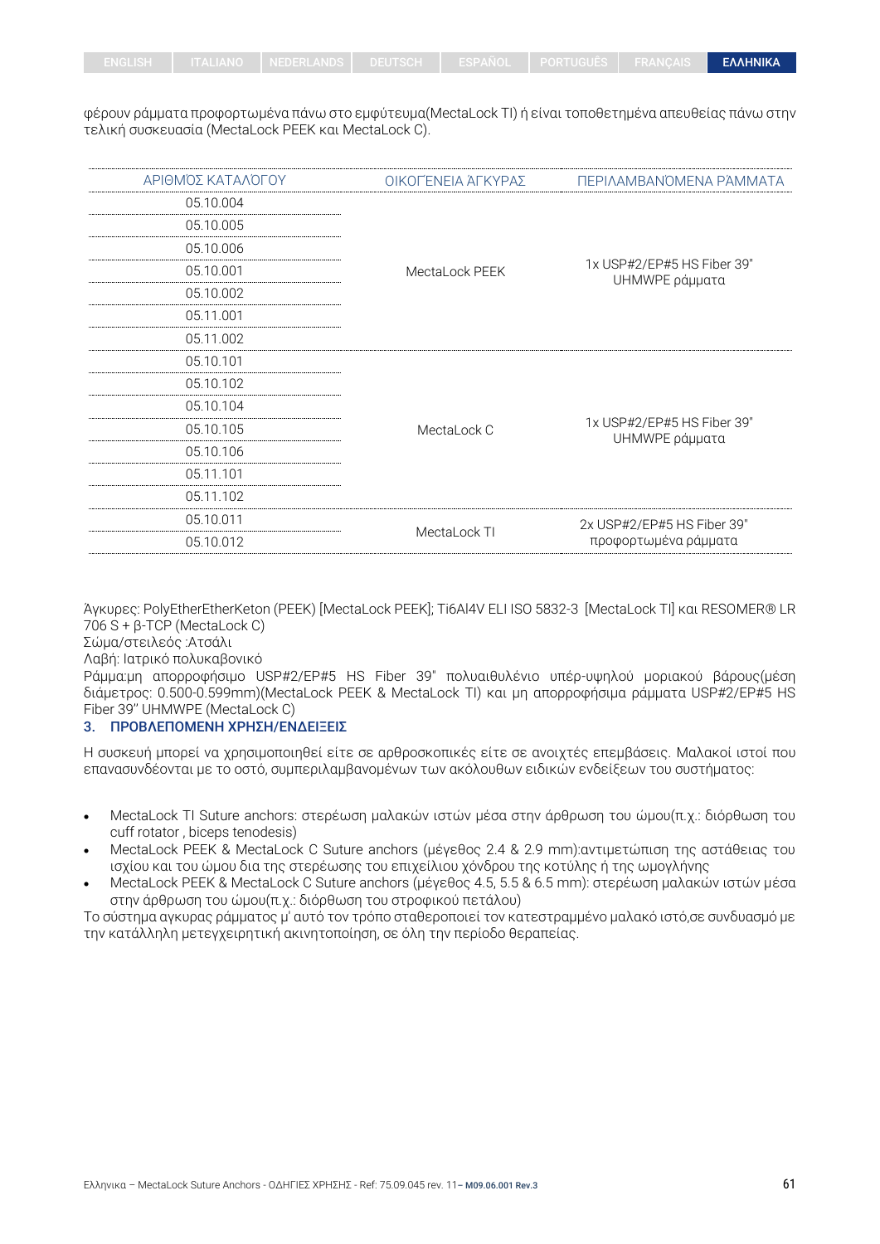φέρουν ράμματα προφορτωμένα πάνω στο εμφύτευμα(MectaLock TI) ή είναι τοποθετημένα απευθείας πάνω στην τελική συσκευασία (MectaLock PEEK και MectaLock C).

| ΑΡΙΘΜΌΣ ΚΑΤΑΛΌΓΟΥ | ΟΙΚΟΓΈΝΕΙΑ ΆΓΚΥΡΑΣ | ΠΕΡΙΛΑΜΒΑΝΌΜΕΝΑ ΡΆΜΜΑΤΑ                            |  |
|-------------------|--------------------|----------------------------------------------------|--|
| 05.10.004         |                    |                                                    |  |
| 05.10.005         | MectaLock PEEK     | 1x USP#2/EP#5 HS Fiber 39"<br>UHMWPE ράμματα       |  |
| 05.10.006         |                    |                                                    |  |
| 05.10.001         |                    |                                                    |  |
| 05.10.002         |                    |                                                    |  |
| 05.11.001         |                    |                                                    |  |
| 05.11.002         |                    |                                                    |  |
| 05.10.101         |                    | 1x USP#2/EP#5 HS Fiber 39"<br>UHMWPE ράμματα       |  |
| 05.10.102         |                    |                                                    |  |
| 05.10.104         |                    |                                                    |  |
| 05.10.105         | MectaLock C        |                                                    |  |
| 05.10.106         |                    |                                                    |  |
| 05.11.101         |                    |                                                    |  |
| 05.11.102         |                    |                                                    |  |
| 05.10.011         |                    | 2x USP#2/EP#5 HS Fiber 39"<br>προφορτωμένα ράμματα |  |
| 05.10.012         | MectaLock TI       |                                                    |  |

Άγκυρες: PolyEtherEtherKeton (PEEK) [MectaLock PEEK]; Ti6Al4V ELI ISO 5832-3 [MectaLock TI] και RESOMER® LR 706 S + β-TCP (MectaLock C)

Σώμα/στειλεός :Ατσάλι

Λαβή: Ιατρικό πολυκαβονικό

Ράμμα:μη απορροφήσιμο USP#2/EP#5 HS Fiber 39" πολυαιθυλένιο υπέρ-υψηλού μοριακού βάρους(μέση διάμετρος: 0.500-0.599mm)(MectaLock PEEK & MectaLock TI) και μη απορροφήσιμα ράμματα USP#2/EP#5 HS Fiber 39'' UHMWPE (MectaLock C)

#### 3. ΠΡΟΒΛΕΠΟΜΕΝΗ ΧΡΗΣΗ/ΕΝΔΕΙΞΕΙΣ

Η συσκευή μπορεί να χρησιμοποιηθεί είτε σε αρθροσκοπικές είτε σε ανοιχτές επεμβάσεις. Μαλακοί ιστοί που επανασυνδέονται με το οστό, συμπεριλαμβανομένων των ακόλουθων ειδικών ενδείξεων του συστήματος:

- MectaLock TI Suture anchors: στερέωση μαλακών ιστών μέσα στην άρθρωση του ώμου(π.χ.: διόρθωση του cuff rotator , biceps tenodesis)
- MectaLock PEEK & MectaLock C Suture anchors (μέγεθος 2.4 & 2.9 mm):αντιμετώπιση της αστάθειας του ισχίου και του ώμου δια της στερέωσης του επιχείλιου χόνδρου της κοτύλης ή της ωμογλήνης
- MectaLock PEEK & MectaLock C Suture anchors (μέγεθος 4.5, 5.5 & 6.5 mm): στερέωση μαλακών ιστών μέσα στην άρθρωση του ώμου(π.χ.: διόρθωση του στροφικού πετάλου)

Το σύστημα αγκυρας ράμματος μ' αυτό τον τρόπο σταθεροποιεί τον κατεστραμμένο μαλακό ιστό,σε συνδυασμό με την κατάλληλη μετεγχειρητική ακινητοποίηση, σε όλη την περίοδο θεραπείας.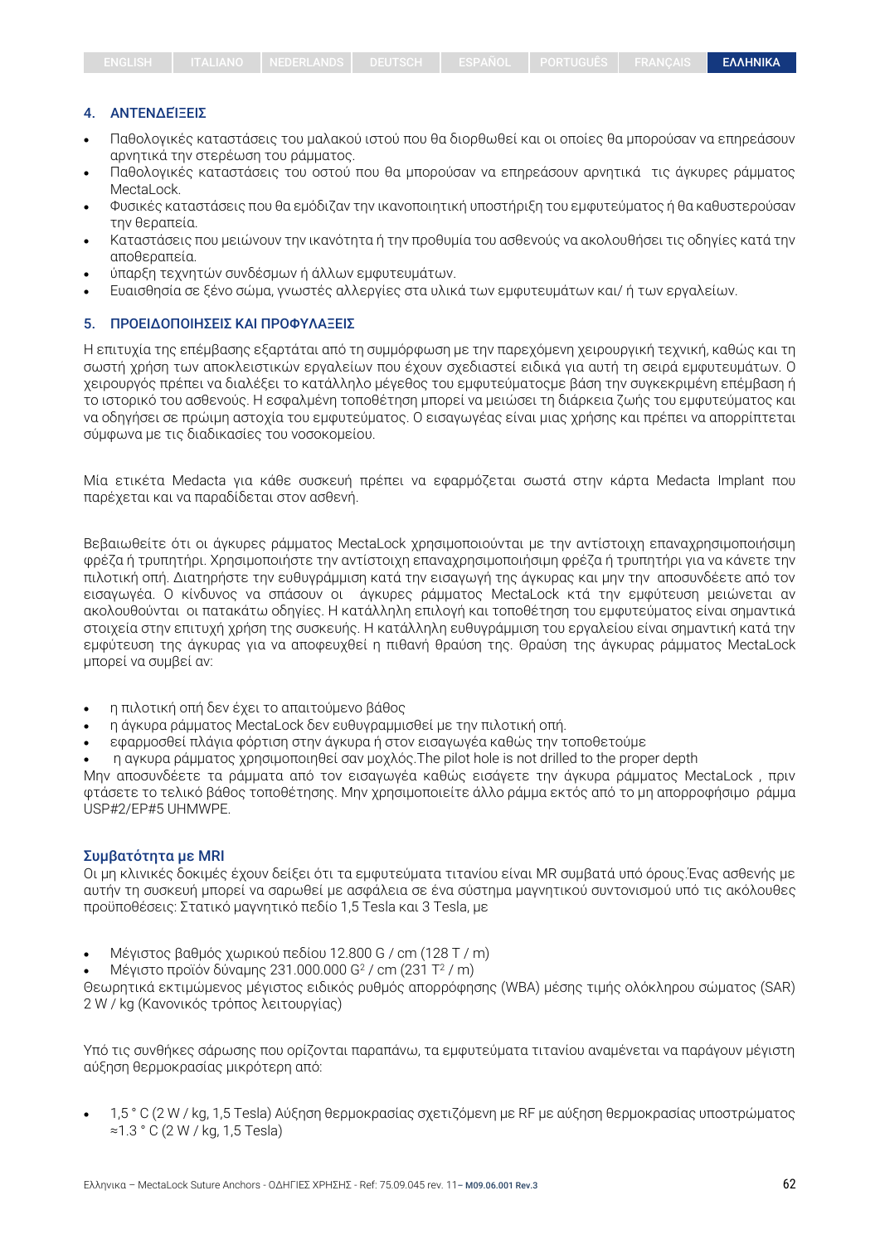#### 4. ΑΝΤΕΝΔΕΊΞΕΙΣ

- Παθολογικές καταστάσεις του μαλακού ιστού που θα διορθωθεί και οι οποίες θα μπορούσαν να επηρεάσουν αρνητικά την στερέωση του ράμματος.
- Παθολογικές καταστάσεις του οστού που θα μπορούσαν να επηρεάσουν αρνητικά τις άγκυρες ράμματος Mectal ock
- Φυσικές καταστάσεις που θα εμόδιζαν την ικανοποιητική υποστήριξη του εμφυτεύματος ή θα καθυστερούσαν την θεραπεία.
- Καταστάσεις που μειώνουν την ικανότητα ή την προθυμία του ασθενούς να ακολουθήσει τις οδηγίες κατά την αποθεραπεία.
- ύπαρξη τεχνητών συνδέσμων ή άλλων εμφυτευμάτων.
- Ευαισθησία σε ξένο σώμα, γνωστές αλλεργίες στα υλικά των εμφυτευμάτων και/ ή των εργαλείων.

#### 5. ΠΡΟΕΙΔΟΠΟΙΗΣΕΙΣ ΚΑΙ ΠΡΟΦΥΛΑΞΕΙΣ

Η επιτυχία της επέμβασης εξαρτάται από τη συμμόρφωση με την παρεχόμενη χειρουργική τεχνική, καθώς και τη σωστή χρήση των αποκλειστικών εργαλείων που έχουν σχεδιαστεί ειδικά για αυτή τη σειρά εμφυτευμάτων. Ο χειρουργός πρέπει να διαλέξει το κατάλληλο μέγεθος του εμφυτεύματοςμε βάση την συγκεκριμένη επέμβαση ή το ιστορικό του ασθενούς. Η εσφαλμένη τοποθέτηση μπορεί να μειώσει τη διάρκεια ζωής του εμφυτεύματος και να οδηγήσει σε πρώιμη αστοχία του εμφυτεύματος. Ο εισαγωγέας είναι μιας χρήσης και πρέπει να απορρίπτεται σύμφωνα με τις διαδικασίες του νοσοκομείου.

Μία ετικέτα Medacta για κάθε συσκευή πρέπει να εφαρμόζεται σωστά στην κάρτα Medacta Implant που παρέχεται και να παραδίδεται στον ασθενή.

Βεβαιωθείτε ότι οι άγκυρες ράμματος MectaLock χρησιμοποιούνται με την αντίστοιχη επαναχρησιμοποιήσιμη φρέζα ή τρυπητήρι. Χρησιμοποιήστε την αντίστοιχη επαναχρησιμοποιήσιμη φρέζα ή τρυπητήρι για να κάνετε την πιλοτική οπή. Διατηρήστε την ευθυγράμμιση κατά την εισαγωγή της άγκυρας και μην την αποσυνδέετε από τον εισαγωγέα. Ο κίνδυνος να σπάσουν οι άγκυρες ράμματος MectaLock κτά την εμφύτευση μειώνεται αν ακολουθούνται οι πατακάτω οδηγίες. Η κατάλληλη επιλογή και τοποθέτηση του εμφυτεύματος είναι σημαντικά στοιχεία στην επιτυχή χρήση της συσκευής. Η κατάλληλη ευθυγράμμιση του εργαλείου είναι σημαντική κατά την εμφύτευση της άγκυρας για να αποφευχθεί η πιθανή θραύση της. Θραύση της άγκυρας ράμματος MectaLock μπορεί να συμβεί αν:

- η πιλοτική οπή δεν έχει το απαιτούμενο βάθος
- η άγκυρα ράμματος MectaLock δεν ευθυγραμμισθεί με την πιλοτική οπή.
- εφαρμοσθεί πλάγια φόρτιση στην άγκυρα ή στον εισαγωγέα καθώς την τοποθετούμε
- η αγκυρα ράμματος χρησιμοποιηθεί σαν μοχλός.The pilot hole is not drilled to the proper depth

Μην αποσυνδέετε τα ράμματα από τον εισαγωγέα καθώς εισάγετε την άγκυρα ράμματος MectaLock , πριν φτάσετε το τελικό βάθος τοποθέτησης. Μην χρησιμοποιείτε άλλο ράμμα εκτός από το μη απορροφήσιμο ράμμα USP#2/EP#5 UHMWPE.

#### Συμβατότητα με MRI

Οι μη κλινικές δοκιμές έχουν δείξει ότι τα εμφυτεύματα τιτανίου είναι MR συμβατά υπό όρους.Ένας ασθενής με αυτήν τη συσκευή μπορεί να σαρωθεί με ασφάλεια σε ένα σύστημα μαγνητικού συντονισμού υπό τις ακόλουθες προϋποθέσεις: Στατικό μαγνητικό πεδίο 1,5 Tesla και 3 Tesla, με

- Μέγιστος βαθμός χωρικού πεδίου 12.800 G / cm (128 T / m)
- Μέγιστο προϊόν δύναμης 231.000.000 G<sup>2</sup> / cm (231 T<sup>2</sup> / m)

Θεωρητικά εκτιμώμενος μέγιστος ειδικός ρυθμός απορρόφησης (WBA) μέσης τιμής ολόκληρου σώματος (SAR) 2 W / kg (Κανονικός τρόπος λειτουργίας)

Υπό τις συνθήκες σάρωσης που ορίζονται παραπάνω, τα εμφυτεύματα τιτανίου αναμένεται να παράγουν μέγιστη αύξηση θερμοκρασίας μικρότερη από:

• 1,5 ° C (2 W / kg, 1,5 Tesla) Αύξηση θερμοκρασίας σχετιζόμενη με RF με αύξηση θερμοκρασίας υποστρώματος ≈1.3 ° C (2 W / kg, 1,5 Tesla)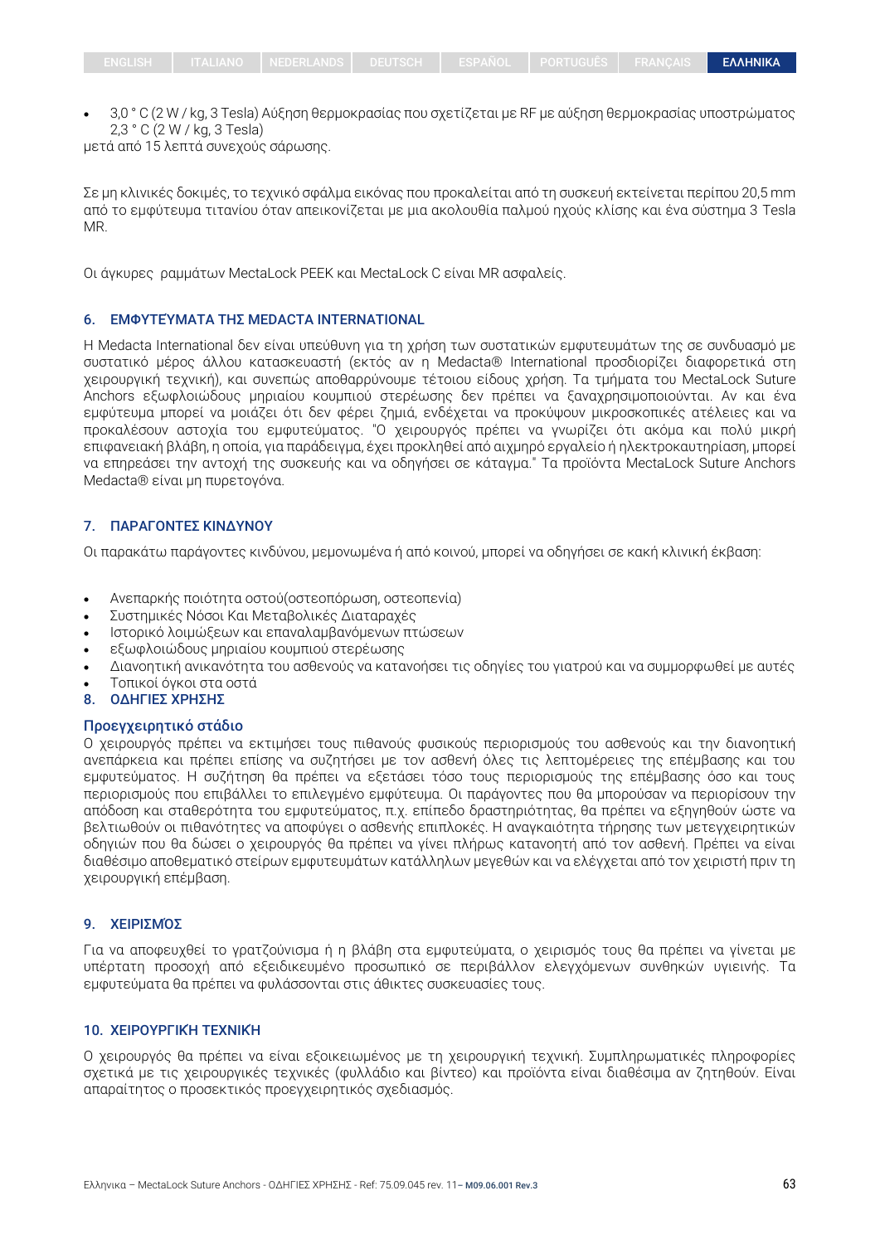• 3,0 ° C (2 W / kg, 3 Tesla) Αύξηση θερμοκρασίας που σχετίζεται με RF με αύξηση θερμοκρασίας υποστρώματος 2,3 ° C (2 W / kg, 3 Tesla)

μετά από 15 λεπτά συνεχούς σάρωσης.

Σε μη κλινικές δοκιμές, το τεχνικό σφάλμα εικόνας που προκαλείται από τη συσκευή εκτείνεται περίπου 20,5 mm από το εμφύτευμα τιτανίου όταν απεικονίζεται με μια ακολουθία παλμού ηχούς κλίσης και ένα σύστημα 3 Tesla MR.

Οι άγκυρες ραμμάτων MectaLock PEEK και MectaLock C είναι MR ασφαλείς.

#### 6. ΕΜΦΥΤΕΎΜΑΤΑ ΤΗΣ MEDACTA INTERNATIONAL

Η Medacta International δεν είναι υπεύθυνη για τη χρήση των συστατικών εμφυτευμάτων της σε συνδυασμό με συστατικό μέρος άλλου κατασκευαστή (εκτός αν η Medacta® International προσδιορίζει διαφορετικά στη χειρουργική τεχνική), και συνεπώς αποθαρρύνουμε τέτοιου είδους χρήση. Τα τμήματα του MectaLock Suture Anchors εξωφλοιώδους μηριαίου κουμπιού στερέωσης δεν πρέπει να ξαναχρησιμοποιούνται. Αν και ένα εμφύτευμα μπορεί να μοιάζει ότι δεν φέρει ζημιά, ενδέχεται να προκύψουν μικροσκοπικές ατέλειες και να προκαλέσουν αστοχία του εμφυτεύματος. "Ο χειρουργός πρέπει να γνωρίζει ότι ακόμα και πολύ μικρή επιφανειακή βλάβη, η οποία, για παράδειγμα, έχει προκληθεί από αιχμηρό εργαλείο ή ηλεκτροκαυτηρίαση, μπορεί να επηρεάσει την αντοχή της συσκευής και να οδηγήσει σε κάταγμα." Τα προϊόντα MectaLock Suture Anchors Medacta® είναι μη πυρετογόνα.

#### 7. ΠΑΡΑΓΟΝΤΕΣ ΚΙΝΔΥΝΟΥ

Οι παρακάτω παράγοντες κινδύνου, μεμονωμένα ή από κοινού, μπορεί να οδηγήσει σε κακή κλινική έκβαση:

- Ανεπαρκής ποιότητα οστού(οστεοπόρωση, οστεοπενία)
- Συστημικές Νόσοι Και Μεταβολικές Διαταραχές
- Ιστορικό λοιμώξεων και επαναλαμβανόμενων πτώσεων
- εξωφλοιώδους μηριαίου κουμπιού στερέωσης
- Διανοητική ανικανότητα του ασθενούς να κατανοήσει τις οδηγίες του γιατρού και να συμμορφωθεί με αυτές
- Τοπικοί όγκοι στα οστά
- 8. ΟΔΗΓΙΕΣ ΧΡΗΣΗΣ

## Προεγχειρητικό στάδιο

Ο χειρουργός πρέπει να εκτιμήσει τους πιθανούς φυσικούς περιορισμούς του ασθενούς και την διανοητική ανεπάρκεια και πρέπει επίσης να συζητήσει με τον ασθενή όλες τις λεπτομέρειες της επέμβασης και του εμφυτεύματος. Η συζήτηση θα πρέπει να εξετάσει τόσο τους περιορισμούς της επέμβασης όσο και τους περιορισμούς που επιβάλλει το επιλεγμένο εμφύτευμα. Οι παράγοντες που θα μπορούσαν να περιορίσουν την απόδοση και σταθερότητα του εμφυτεύματος, π.χ. επίπεδο δραστηριότητας, θα πρέπει να εξηγηθούν ώστε να βελτιωθούν οι πιθανότητες να αποφύγει ο ασθενής επιπλοκές. Η αναγκαιότητα τήρησης των μετεγχειρητικών οδηγιών που θα δώσει ο χειρουργός θα πρέπει να γίνει πλήρως κατανοητή από τον ασθενή. Πρέπει να είναι διαθέσιμο αποθεματικό στείρων εμφυτευμάτων κατάλληλων μεγεθών και να ελέγχεται από τον χειριστή πριν τη χειρουργική επέμβαση.

#### 9. ΧΕΙΡΙΣΜΌΣ

Για να αποφευχθεί το γρατζούνισμα ή η βλάβη στα εμφυτεύματα, ο χειρισμός τους θα πρέπει να γίνεται με υπέρτατη προσοχή από εξειδικευμένο προσωπικό σε περιβάλλον ελεγχόμενων συνθηκών υγιεινής. Τα εμφυτεύματα θα πρέπει να φυλάσσονται στις άθικτες συσκευασίες τους.

## 10. ΧΕΙΡΟΥΡΓΙΚΉ ΤΕΧΝΙΚΉ

Ο χειρουργός θα πρέπει να είναι εξοικειωμένος με τη χειρουργική τεχνική. Συμπληρωματικές πληροφορίες σχετικά με τις χειρουργικές τεχνικές (φυλλάδιο και βίντεο) και προϊόντα είναι διαθέσιμα αν ζητηθούν. Είναι απαραίτητος ο προσεκτικός προεγχειρητικός σχεδιασμός.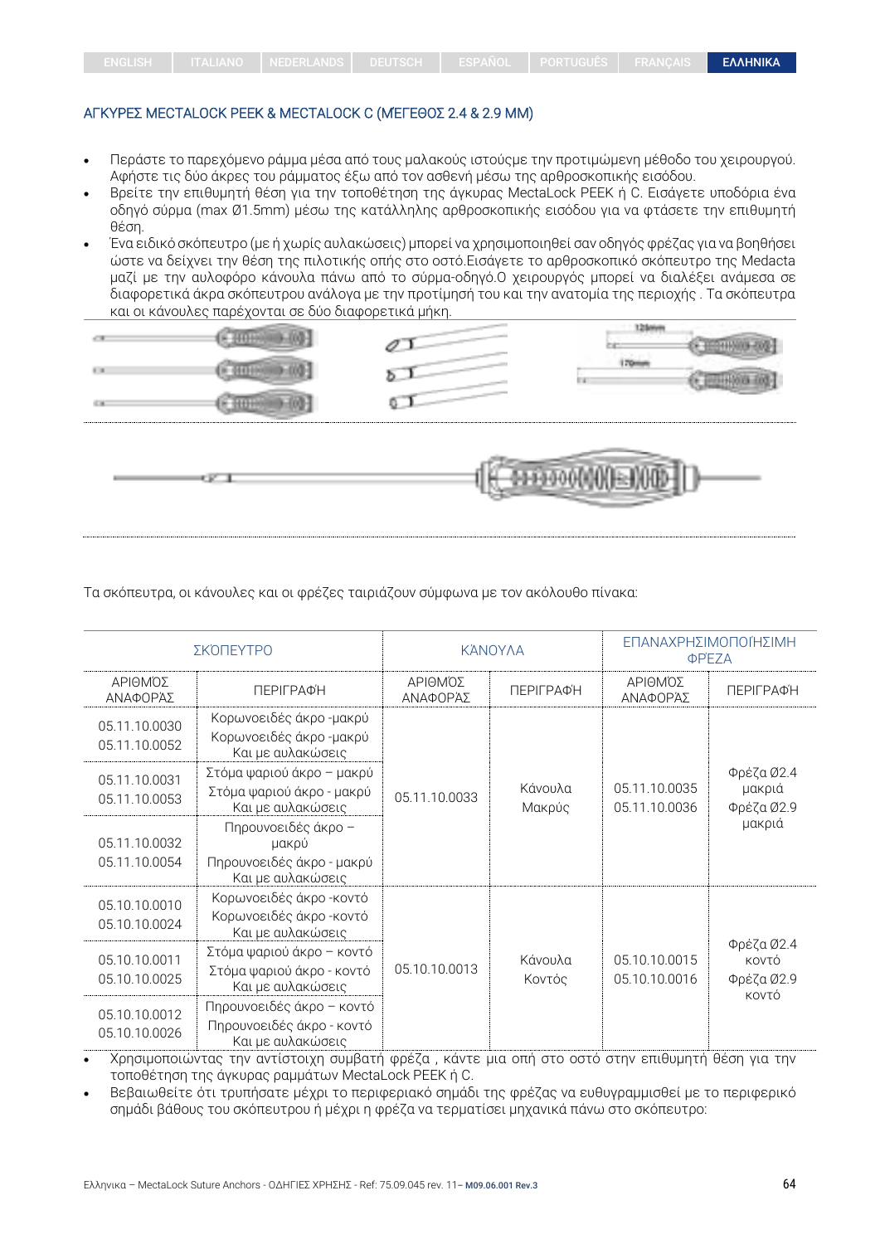#### ΑΓΚΥΡΕΣ MECTALOCK ΡΕΕΚ & MECTALOCK C (ΜΈΓΕΘΟΣ 2.4 & 2.9 MM)

- Περάστε το παρεχόμενο ράμμα μέσα από τους μαλακούς ιστούςμε την προτιμώμενη μέθοδο του χειρουργού. Αφήστε τις δύο άκρες του ράμματος έξω από τον ασθενή μέσω της αρθροσκοπικής εισόδου.
- Βρείτε την επιθυμητή θέση για την τοποθέτηση της άγκυρας MectaLock PEEK ή C. Εισάγετε υποδόρια ένα οδηγό σύρμα (max Ø1.5mm) μέσω της κατάλληλης αρθροσκοπικής εισόδου για να φτάσετε την επιθυμητή θέση.
- Ένα ειδικό σκόπευτρο (με ή χωρίς αυλακώσεις) μπορεί να χρησιμοποιηθεί σαν οδηγός φρέζας για να βοηθήσει ώστε να δείχνει την θέση της πιλοτικής οπής στο οστό.Εισάγετε το αρθροσκοπικό σκόπευτρο της Medacta μαζί με την αυλοφόρο κάνουλα πάνω από το σύρμα-οδηγό.Ο χειρουργός μπορεί να διαλέξει ανάμεσα σε διαφορετικά άκρα σκόπευτρου ανάλογα με την προτίμησή του και την ανατομία της περιοχής . Τα σκόπευτρα και οι κάνουλες παρέχονται σε δύο διαφορετικά μήκη.



Τα σκόπευτρα, οι κάνουλες και οι φρέζες ταιριάζουν σύμφωνα με τον ακόλουθο πίνακα:

| ΣΚΌΠΕΥΤΡΟ                      |                                                                                | <b>KANOYAA</b>      |                   | ΕΠΑΝΑΧΡΗΣΙΜΟΠΟΙΉΣΙΜΗ<br>ΦPΈΖΑ  |                                              |
|--------------------------------|--------------------------------------------------------------------------------|---------------------|-------------------|--------------------------------|----------------------------------------------|
| ΑΡΙΘΜΌΣ<br>ΑΝΑΦΟΡΆΣ            | ΠΕΡΙΓΡΑΦΉ                                                                      | ΑΡΙΘΜΌΣ<br>ΑΝΑΦΟΡΆΣ | ΠΕΡΙΓΡΑΦΉ         | ΑΡΙΘΜΌΣ<br>ΑΝΑΦΟΡΆΣ            | ΠΕΡΙΓΡΑΦΉ                                    |
| 05.11.10.0030<br>05.11.10.0052 | Κορωνοειδές άκρο -μακρύ<br>Κορωνοειδές άκρο -μακρύ<br>Και με αυλακώσεις        | 05.11.10.0033       | Κάνουλα<br>Μακρύς | 05.11.10.0035<br>05.11.10.0036 | Φρέζα Ø2.4<br>μακριά<br>Φρέζα Ø2.9<br>μακριά |
| 05.11.10.0031<br>05.11.10.0053 | Στόμα ψαριού άκρο - μακρύ<br>Στόμα ψαριού άκρο - μακρύ<br>Και με αυλακώσεις    |                     |                   |                                |                                              |
| 05.11.10.0032<br>05.11.10.0054 | Πηρουνοειδές άκρο -<br>μακρύ<br>Πηρουνοειδές άκρο - μακρύ<br>Και με αυλακώσεις |                     |                   |                                |                                              |
| 05.10.10.0010<br>05.10.10.0024 | Κορωνοειδές άκρο -κοντό<br>Κορωνοειδές άκρο -κοντό<br>Και με αυλακώσεις        | 05.10.10.0013       |                   | 05.10.10.0015<br>05.10.10.0016 | Φρέζα Ø2.4<br>κοντό<br>Φρέζα Ø2.9<br>KOVTÓ   |
| 05.10.10.0011<br>05.10.10.0025 | Στόμα ψαριού άκρο - κοντό<br>Στόμα ψαριού άκρο - κοντό<br>Και με αυλακώσεις    |                     | Κάνουλα<br>Κοντός |                                |                                              |
| 05.10.10.0012<br>05.10.10.0026 | Πηρουνοειδές άκρο - κοντό<br>Πηρουνοειδές άκρο - κοντό<br>Και με αυλακώσεις    |                     |                   |                                |                                              |

• Χρησιμοποιώντας την αντίστοιχη συμβατή φρέζα , κάντε μια οπή στο οστό στην επιθυμητή θέση για την τοποθέτηση της άγκυρας ραμμάτων MectaLock PEEK ή C.

• Βεβαιωθείτε ότι τρυπήσατε μέχρι το περιφεριακό σημάδι της φρέζας να ευθυγραμμισθεί με το περιφερικό σημάδι βάθους του σκόπευτρου ή μέχρι η φρέζα να τερματίσει μηχανικά πάνω στο σκόπευτρο: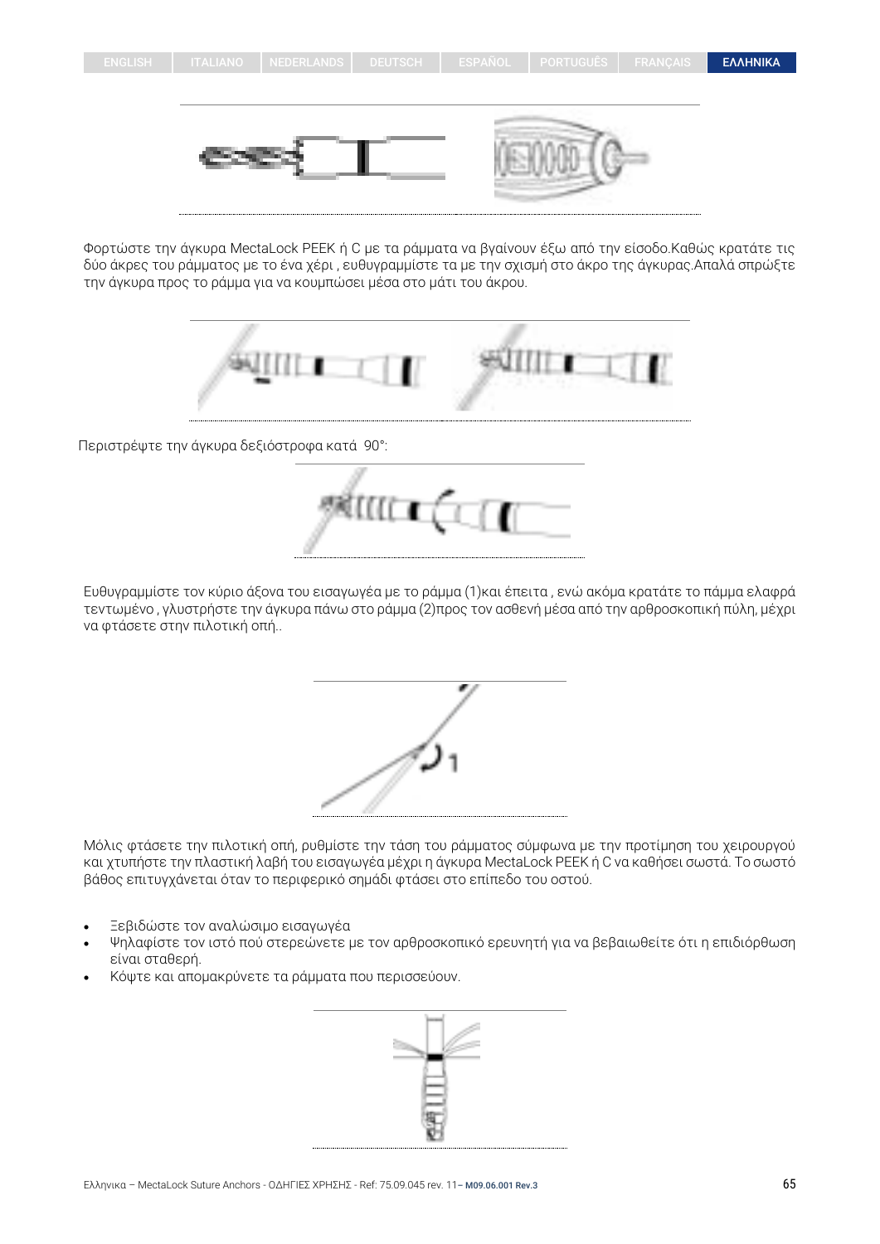



Φορτώστε την άγκυρα MectaLock PEEK ή C με τα ράμματα να βγαίνουν έξω από την είσοδο.Καθώς κρατάτε τις δύο άκρες του ράμματος με το ένα χέρι , ευθυγραμμίστε τα με την σχισμή στο άκρο της άγκυρας.Απαλά σπρώξτε την άγκυρα προς το ράμμα για να κουμπώσει μέσα στο μάτι του άκρου.



Περιστρέψτε την άγκυρα δεξιόστροφα κατά 90°:



Ευθυγραμμίστε τον κύριο άξονα του εισαγωγέα με το ράμμα (1)και έπειτα , ενώ ακόμα κρατάτε το πάμμα ελαφρά τεντωμένο , γλυστρήστε την άγκυρα πάνω στο ράμμα (2)προς τον ασθενή μέσα από την αρθροσκοπική πύλη, μέχρι να φτάσετε στην πιλοτική οπή..



Μόλις φτάσετε την πιλοτική οπή, ρυθμίστε την τάση του ράμματος σύμφωνα με την προτίμηση του χειρουργού και χτυπήστε την πλαστική λαβή του εισαγωγέα μέχρι η άγκυρα MectaLock PEEK ή C να καθήσει σωστά. Το σωστό βάθος επιτυγχάνεται όταν το περιφερικό σημάδι φτάσει στο επίπεδο του οστού.

- Ξεβιδώστε τον αναλώσιμο εισαγωγέα
- Ψηλαφίστε τον ιστό πού στερεώνετε με τον αρθροσκοπικό ερευνητή για να βεβαιωθείτε ότι η επιδιόρθωση είναι σταθερή.
- Κόψτε και απομακρύνετε τα ράμματα που περισσεύουν.

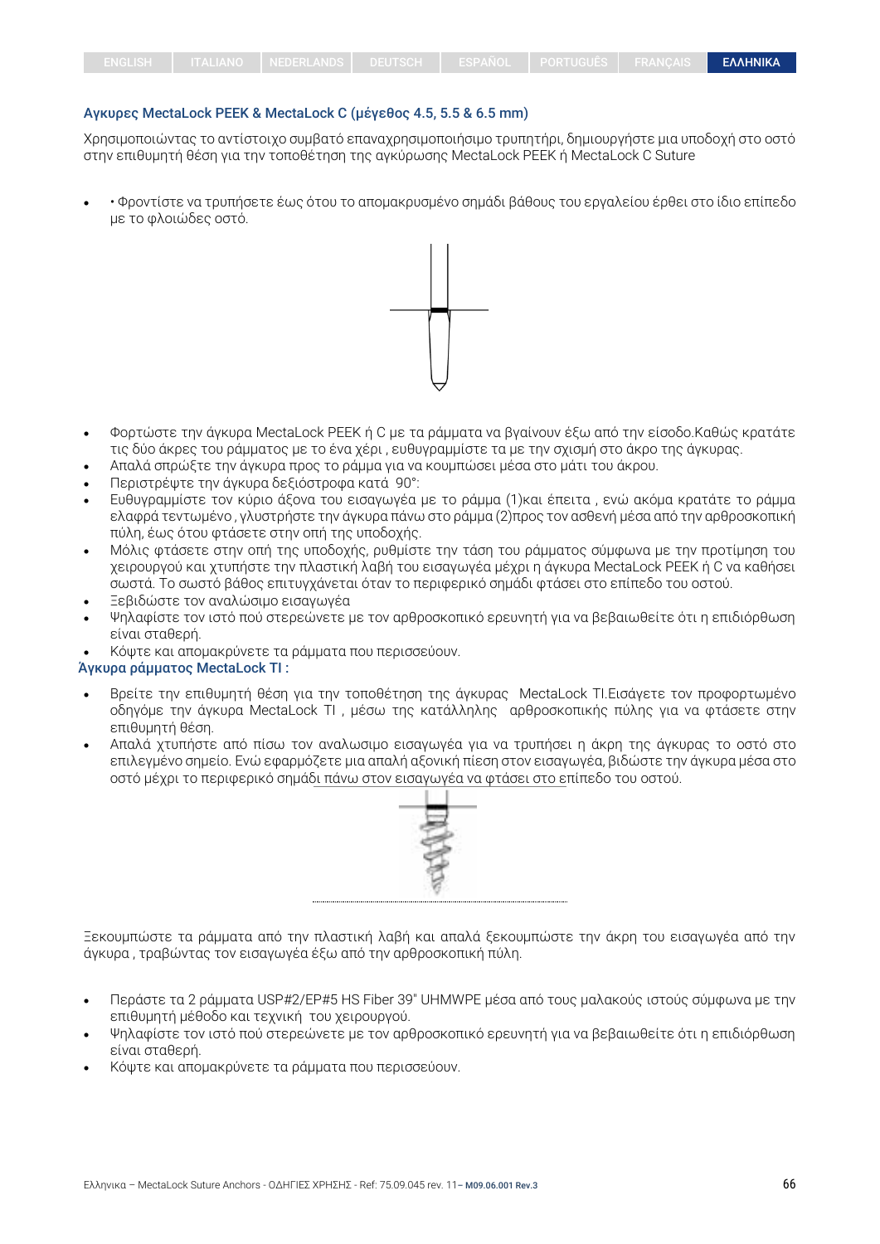#### Αγκυρες MectaLock ΡΕΕΚ & MectaLock C (μέγεθος 4.5, 5.5 & 6.5 mm)

Χρησιμοποιώντας το αντίστοιχο συμβατό επαναχρησιμοποιήσιμο τρυπητήρι, δημιουργήστε μια υποδοχή στο οστό στην επιθυμητή θέση για την τοποθέτηση της αγκύρωσης MectaLock PEEK ή MectaLock C Suture

• • Φροντίστε να τρυπήσετε έως ότου το απομακρυσμένο σημάδι βάθους του εργαλείου έρθει στο ίδιο επίπεδο με το φλοιώδες οστό.



- Φορτώστε την άγκυρα MectaLock PEEK ή C με τα ράμματα να βγαίνουν έξω από την είσοδο.Καθώς κρατάτε τις δύο άκρες του ράμματος με το ένα χέρι , ευθυγραμμίστε τα με την σχισμή στο άκρο της άγκυρας.
- Απαλά σπρώξτε την άγκυρα προς το ράμμα για να κουμπώσει μέσα στο μάτι του άκρου.
- Περιστρέψτε την άγκυρα δεξιόστροφα κατά 90°:
- Ευθυγραμμίστε τον κύριο άξονα του εισαγωγέα με το ράμμα (1)και έπειτα , ενώ ακόμα κρατάτε το ράμμα ελαφρά τεντωμένο , γλυστρήστε την άγκυρα πάνω στο ράμμα (2)προς τον ασθενή μέσα από την αρθροσκοπική πύλη, έως ότου φτάσετε στην οπή της υποδοχής.
- Μόλις φτάσετε στην οπή της υποδοχής, ρυθμίστε την τάση του ράμματος σύμφωνα με την προτίμηση του χειρουργού και χτυπήστε την πλαστική λαβή του εισαγωγέα μέχρι η άγκυρα MectaLock PEEK ή C να καθήσει σωστά. Το σωστό βάθος επιτυγχάνεται όταν το περιφερικό σημάδι φτάσει στο επίπεδο του οστού.
- Ξεβιδώστε τον αναλώσιμο εισαγωγέα
- Ψηλαφίστε τον ιστό πού στερεώνετε με τον αρθροσκοπικό ερευνητή για να βεβαιωθείτε ότι η επιδιόρθωση είναι σταθερή.
- Κόψτε και απομακρύνετε τα ράμματα που περισσεύουν.

#### Άγκυρα ράμματος MectaLock TI :

- Βρείτε την επιθυμητή θέση για την τοποθέτηση της άγκυρας MectaLock TI.Εισάγετε τον προφορτωμένο οδηγόμε την άγκυρα MectaLock TI , μέσω της κατάλληλης αρθροσκοπικής πύλης για να φτάσετε στην επιθυμητή θέση.
- Απαλά χτυπήστε από πίσω τον αναλωσιμο εισαγωγέα για να τρυπήσει η άκρη της άγκυρας το οστό στο επιλεγμένο σημείο. Ενώ εφαρμόζετε μια απαλή αξονική πίεση στον εισαγωγέα, βιδώστε την άγκυρα μέσα στο οστό μέχρι το περιφερικό σημάδι πάνω στον εισαγωγέα να φτάσει στο επίπεδο του οστού.



Ξεκουμπώστε τα ράμματα από την πλαστική λαβή και απαλά ξεκουμπώστε την άκρη του εισαγωγέα από την άγκυρα , τραβώντας τον εισαγωγέα έξω από την αρθροσκοπική πύλη.

- Περάστε τα 2 ράμματα USP#2/EP#5 HS Fiber 39" UHMWPE μέσα από τους μαλακούς ιστούς σύμφωνα με την επιθυμητή μέθοδο και τεχνική του χειρουργού.
- Ψηλαφίστε τον ιστό πού στερεώνετε με τον αρθροσκοπικό ερευνητή για να βεβαιωθείτε ότι η επιδιόρθωση είναι σταθερή.
- Κόψτε και απομακρύνετε τα ράμματα που περισσεύουν.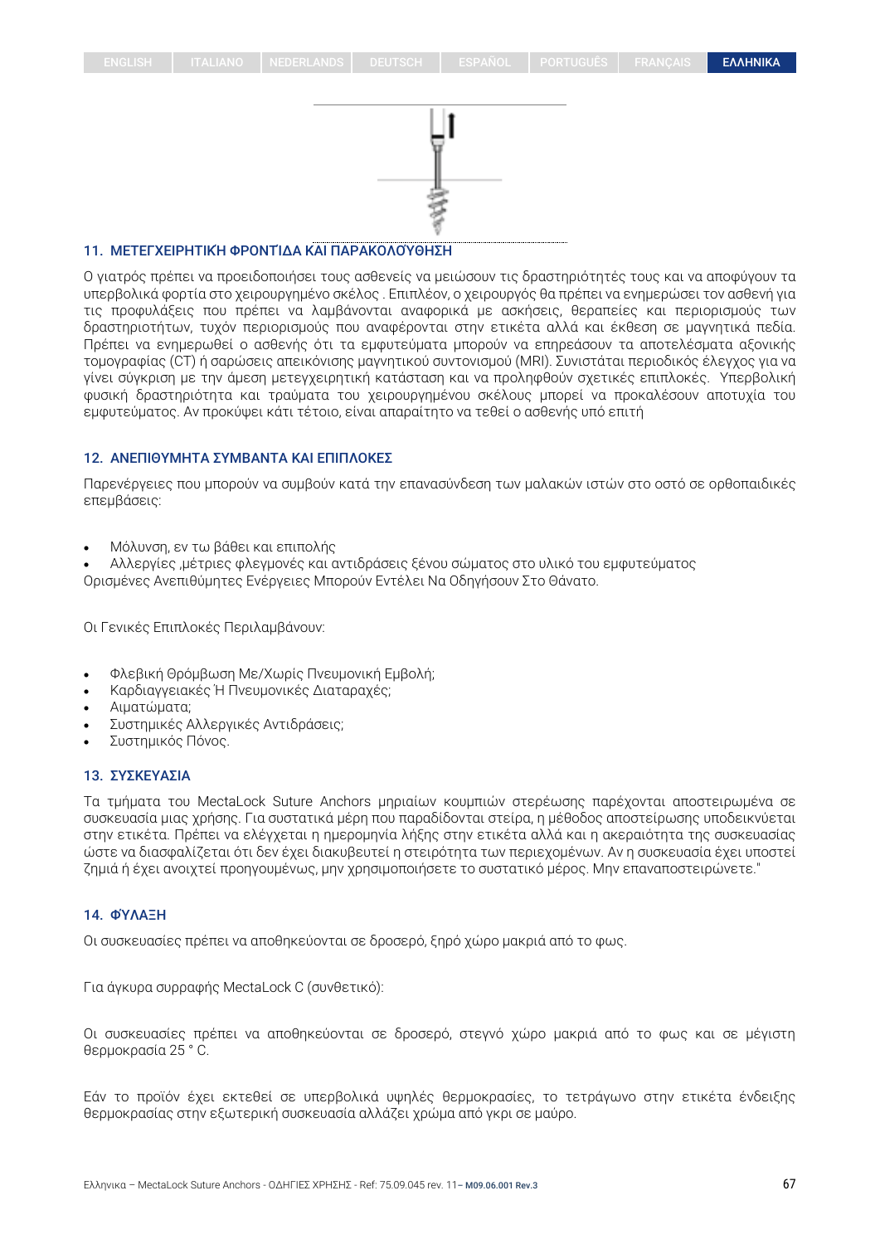

## 11. ΜΕΤΕΓΧΕΙΡΗΤΙΚΉ ΦΡΟΝΤΊΔΑ ΚΑΙ ΠΑΡΑΚΟΛΟΎΘΗΣΗ

Ο γιατρός πρέπει να προειδοποιήσει τους ασθενείς να μειώσουν τις δραστηριότητές τους και να αποφύγουν τα υπερβολικά φορτία στο χειρουργημένο σκέλος . Επιπλέον, ο χειρουργός θα πρέπει να ενημερώσει τον ασθενή για τις προφυλάξεις που πρέπει να λαμβάνονται αναφορικά με ασκήσεις, θεραπείες και περιορισμούς των δραστηριοτήτων, τυχόν περιορισμούς που αναφέρονται στην ετικέτα αλλά και έκθεση σε μαγνητικά πεδία. Πρέπει να ενημερωθεί ο ασθενής ότι τα εμφυτεύματα μπορούν να επηρεάσουν τα αποτελέσματα αξονικής τομογραφίας (CT) ή σαρώσεις απεικόνισης μαγνητικού συντονισμού (MRI). Συνιστάται περιοδικός έλεγχος για να γίνει σύγκριση με την άμεση μετεγχειρητική κατάσταση και να προληφθούν σχετικές επιπλοκές. Υπερβολική φυσική δραστηριότητα και τραύματα του χειρουργημένου σκέλους μπορεί να προκαλέσουν αποτυχία του εμφυτεύματος. Αν προκύψει κάτι τέτοιο, είναι απαραίτητο να τεθεί ο ασθενής υπό επιτή

#### 12. ΑΝΕΠΙΘΥΜΗΤΑ ΣΥΜΒΑΝΤΑ ΚΑΙ ΕΠΙΠΛΟΚΕΣ

Παρενέργειες που μπορούν να συμβούν κατά την επανασύνδεση των μαλακών ιστών στο οστό σε ορθοπαιδικές επεμβάσεις:

• Μόλυνση, εν τω βάθει και επιπολής

• Αλλεργίες ,μέτριες φλεγμονές και αντιδράσεις ξένου σώματος στο υλικό του εμφυτεύματος Ορισμένες Ανεπιθύμητες Ενέργειες Μπορούν Εντέλει Να Οδηγήσουν Στο Θάνατο.

Οι Γενικές Επιπλοκές Περιλαμβάνουν:

- Φλεβική Θρόμβωση Με/Χωρίς Πνευμονική Εμβολή;
- Καρδιαγγειακές Ή Πνευμονικές Διαταραχές;
- Αιματώματα;
- Συστημικές Αλλεργικές Αντιδράσεις;
- Συστημικός Πόνος.

#### 13. ΣΥΣΚΕΥΑΣΙΑ

Τα τμήματα του MectaLock Suture Anchors μηριαίων κουμπιών στερέωσης παρέχονται αποστειρωμένα σε συσκευασία μιας χρήσης. Για συστατικά μέρη που παραδίδονται στείρα, η μέθοδος αποστείρωσης υποδεικνύεται στην ετικέτα. Πρέπει να ελέγχεται η ημερομηνία λήξης στην ετικέτα αλλά και η ακεραιότητα της συσκευασίας ώστε να διασφαλίζεται ότι δεν έχει διακυβευτεί η στειρότητα των περιεχομένων. Αν η συσκευασία έχει υποστεί ζημιά ή έχει ανοιχτεί προηγουμένως, μην χρησιμοποιήσετε το συστατικό μέρος. Μην επαναποστειρώνετε."

## 14. ΦΎΛΑΞΗ

Οι συσκευασίες πρέπει να αποθηκεύονται σε δροσερό, ξηρό χώρο μακριά από το φως.

Για άγκυρα συρραφής MectaLock C (συνθετικό):

Οι συσκευασίες πρέπει να αποθηκεύονται σε δροσερό, στεγνό χώρο μακριά από το φως και σε μέγιστη θερμοκρασία 25 ° C.

Εάν το προϊόν έχει εκτεθεί σε υπερβολικά υψηλές θερμοκρασίες, το τετράγωνο στην ετικέτα ένδειξης θερμοκρασίας στην εξωτερική συσκευασία αλλάζει χρώμα από γκρι σε μαύρο.